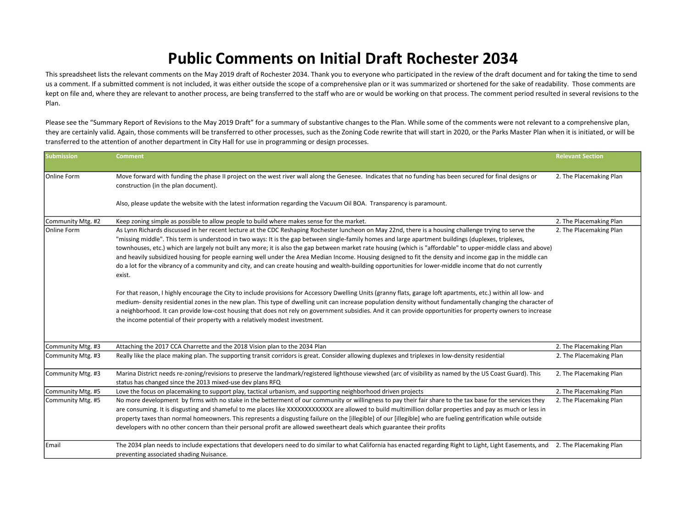## Public Comments on Initial Draft Rochester 2034

This spreadsheet lists the relevant comments on the May 2019 draft of Rochester 2034. Thank you to everyone who participated in the review of the draft document and for taking the time to send us a comment. If a submitted comment is not included, it was either outside the scope of a comprehensive plan or it was summarized or shortened for the sake of readability. Those comments are kept on file and, where they are relevant to another process, are being transferred to the staff who are or would be working on that process. The comment period resulted in several revisions to the Plan.

Please see the "Summary Report of Revisions to the May 2019 Draft" for a summary of substantive changes to the Plan. While some of the comments were not relevant to a comprehensive plan, they are certainly valid. Again, those comments will be transferred to other processes, such as the Zoning Code rewrite that will start in 2020, or the Parks Master Plan when it is initiated, or will be transferred to othe transferred to the attention of another department in City Hall for use in programming or design processes.

| <b>Submission</b> | <b>Comment</b>                                                                                                                                                                                                                                                                                                                                                                                                                                                                                                                                                                                                                                                                                                                                                                                                                                                                                                                                                                                                                                                                                                                                           | <b>Relevant Section</b> |
|-------------------|----------------------------------------------------------------------------------------------------------------------------------------------------------------------------------------------------------------------------------------------------------------------------------------------------------------------------------------------------------------------------------------------------------------------------------------------------------------------------------------------------------------------------------------------------------------------------------------------------------------------------------------------------------------------------------------------------------------------------------------------------------------------------------------------------------------------------------------------------------------------------------------------------------------------------------------------------------------------------------------------------------------------------------------------------------------------------------------------------------------------------------------------------------|-------------------------|
| lOnline Form      | Move forward with funding the phase II project on the west river wall along the Genesee. Indicates that no funding has been secured for final designs or<br>construction (in the plan document).                                                                                                                                                                                                                                                                                                                                                                                                                                                                                                                                                                                                                                                                                                                                                                                                                                                                                                                                                         | 2. The Placemaking Plan |
|                   | Also, please update the website with the latest information regarding the Vacuum Oil BOA. Transparency is paramount.                                                                                                                                                                                                                                                                                                                                                                                                                                                                                                                                                                                                                                                                                                                                                                                                                                                                                                                                                                                                                                     |                         |
| Community Mtg. #2 | Keep zoning simple as possible to allow people to build where makes sense for the market.                                                                                                                                                                                                                                                                                                                                                                                                                                                                                                                                                                                                                                                                                                                                                                                                                                                                                                                                                                                                                                                                | 2. The Placemaking Plan |
| Online Form       | As Lynn Richards discussed in her recent lecture at the CDC Reshaping Rochester luncheon on May 22nd, there is a housing challenge trying to serve the<br>"missing middle". This term is understood in two ways: It is the gap between single-family homes and large apartment buildings (duplexes, triplexes,<br>townhouses, etc.) which are largely not built any more; it is also the gap between market rate housing (which is "affordable" to upper-middle class and above)<br>and heavily subsidized housing for people earning well under the Area Median Income. Housing designed to fit the density and income gap in the middle can<br>do a lot for the vibrancy of a community and city, and can create housing and wealth-building opportunities for lower-middle income that do not currently<br>exist.<br>For that reason, I highly encourage the City to include provisions for Accessory Dwelling Units (granny flats, garage loft apartments, etc.) within all low- and<br>medium-density residential zones in the new plan. This type of dwelling unit can increase population density without fundamentally changing the character of | 2. The Placemaking Plan |
|                   | a neighborhood. It can provide low-cost housing that does not rely on government subsidies. And it can provide opportunities for property owners to increase<br>the income potential of their property with a relatively modest investment.                                                                                                                                                                                                                                                                                                                                                                                                                                                                                                                                                                                                                                                                                                                                                                                                                                                                                                              |                         |
| Community Mtg. #3 | Attaching the 2017 CCA Charrette and the 2018 Vision plan to the 2034 Plan                                                                                                                                                                                                                                                                                                                                                                                                                                                                                                                                                                                                                                                                                                                                                                                                                                                                                                                                                                                                                                                                               | 2. The Placemaking Plan |
| Community Mtg. #3 | Really like the place making plan. The supporting transit corridors is great. Consider allowing duplexes and triplexes in low-density residential                                                                                                                                                                                                                                                                                                                                                                                                                                                                                                                                                                                                                                                                                                                                                                                                                                                                                                                                                                                                        | 2. The Placemaking Plan |
| Community Mtg. #3 | Marina District needs re-zoning/revisions to preserve the landmark/registered lighthouse viewshed (arc of visibility as named by the US Coast Guard). This<br>status has changed since the 2013 mixed-use dev plans RFQ                                                                                                                                                                                                                                                                                                                                                                                                                                                                                                                                                                                                                                                                                                                                                                                                                                                                                                                                  | 2. The Placemaking Plan |
| Community Mtg. #5 | Love the focus on placemaking to support play, tactical urbanism, and supporting neighborhood driven projects                                                                                                                                                                                                                                                                                                                                                                                                                                                                                                                                                                                                                                                                                                                                                                                                                                                                                                                                                                                                                                            | 2. The Placemaking Plan |
| Community Mtg. #5 | No more development by firms with no stake in the betterment of our community or willingness to pay their fair share to the tax base for the services they<br>are consuming. It is disgusting and shameful to me places like XXXXXXXXXXXX are allowed to build multimillion dollar properties and pay as much or less in<br>property taxes than normal homeowners. This represents a disgusting failure on the [illegible] of our [illegible] who are fueling gentrification while outside<br>developers with no other concern than their personal profit are allowed sweetheart deals which guarantee their profits                                                                                                                                                                                                                                                                                                                                                                                                                                                                                                                                     | 2. The Placemaking Plan |
| Email             | The 2034 plan needs to include expectations that developers need to do similar to what California has enacted regarding Right to Light, Light Easements, and<br>preventing associated shading Nuisance.                                                                                                                                                                                                                                                                                                                                                                                                                                                                                                                                                                                                                                                                                                                                                                                                                                                                                                                                                  | 2. The Placemaking Plan |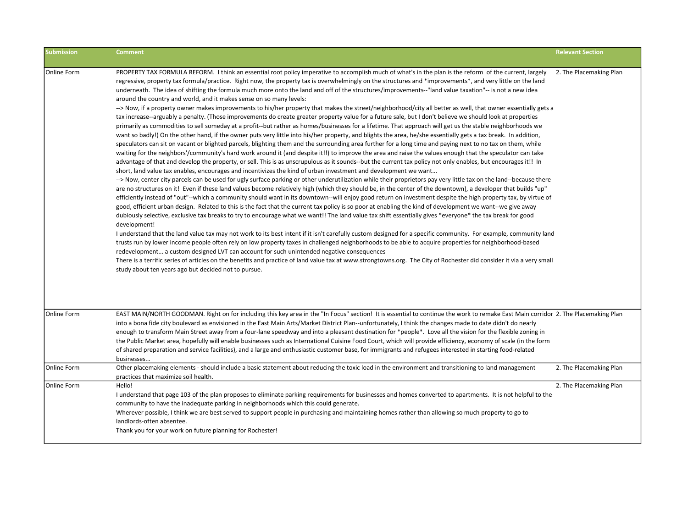| <b>Submission</b> | <b>Comment</b>                                                                                                                                                                                                                                                                                                                                                                                                                                                                                                                                                                                                                                                                                                                                                                                                                                                                                                                                                                                                                                                                                                                                                                                                                                                                                                                                                                                                                                                                                                                                                                                                                                                                                                                                                                                                                                                                                                                                                                                                                                                                                                                                                                                                                                                                                                                                                                                                                                                                                                                                                                                                                                                                                                                                                                                                                                                                                                                                                                                                                                                                                                                                                                                                                                                                                                                                         | <b>Relevant Section</b> |
|-------------------|--------------------------------------------------------------------------------------------------------------------------------------------------------------------------------------------------------------------------------------------------------------------------------------------------------------------------------------------------------------------------------------------------------------------------------------------------------------------------------------------------------------------------------------------------------------------------------------------------------------------------------------------------------------------------------------------------------------------------------------------------------------------------------------------------------------------------------------------------------------------------------------------------------------------------------------------------------------------------------------------------------------------------------------------------------------------------------------------------------------------------------------------------------------------------------------------------------------------------------------------------------------------------------------------------------------------------------------------------------------------------------------------------------------------------------------------------------------------------------------------------------------------------------------------------------------------------------------------------------------------------------------------------------------------------------------------------------------------------------------------------------------------------------------------------------------------------------------------------------------------------------------------------------------------------------------------------------------------------------------------------------------------------------------------------------------------------------------------------------------------------------------------------------------------------------------------------------------------------------------------------------------------------------------------------------------------------------------------------------------------------------------------------------------------------------------------------------------------------------------------------------------------------------------------------------------------------------------------------------------------------------------------------------------------------------------------------------------------------------------------------------------------------------------------------------------------------------------------------------------------------------------------------------------------------------------------------------------------------------------------------------------------------------------------------------------------------------------------------------------------------------------------------------------------------------------------------------------------------------------------------------------------------------------------------------------------------------------------------------|-------------------------|
| Online Form       | PROPERTY TAX FORMULA REFORM. I think an essential root policy imperative to accomplish much of what's in the plan is the reform of the current, largely<br>regressive, property tax formula/practice. Right now, the property tax is overwhelmingly on the structures and *improvements*, and very little on the land<br>underneath. The idea of shifting the formula much more onto the land and off of the structures/improvements--"land value taxation"-- is not a new idea<br>around the country and world, and it makes sense on so many levels:<br>--> Now, if a property owner makes improvements to his/her property that makes the street/neighborhood/city all better as well, that owner essentially gets a<br>tax increase--arguably a penalty. (Those improvements do create greater property value for a future sale, but I don't believe we should look at properties<br>primarily as commodities to sell someday at a profit--but rather as homes/businesses for a lifetime. That approach will get us the stable neighborhoods we<br>want so badly!) On the other hand, if the owner puts very little into his/her property, and blights the area, he/she essentially gets a tax break. In addition,<br>speculators can sit on vacant or blighted parcels, blighting them and the surrounding area further for a long time and paying next to no tax on them, while<br>waiting for the neighbors'/community's hard work around it (and despite it!!) to improve the area and raise the values enough that the speculator can take<br>advantage of that and develop the property, or sell. This is as unscrupulous as it sounds--but the current tax policy not only enables, but encourages it!! In<br>short, land value tax enables, encourages and incentivizes the kind of urban investment and development we want<br>--> Now, center city parcels can be used for ugly surface parking or other underutilization while their proprietors pay very little tax on the land--because there<br>are no structures on it! Even if these land values become relatively high (which they should be, in the center of the downtown), a developer that builds "up"<br>efficiently instead of "out"--which a community should want in its downtown--will enjoy good return on investment despite the high property tax, by virtue of<br>good, efficient urban design. Related to this is the fact that the current tax policy is so poor at enabling the kind of development we want--we give away<br>dubiously selective, exclusive tax breaks to try to encourage what we want!! The land value tax shift essentially gives *everyone* the tax break for good<br>development!<br>I understand that the land value tax may not work to its best intent if it isn't carefully custom designed for a specific community. For example, community land<br>trusts run by lower income people often rely on low property taxes in challenged neighborhoods to be able to acquire properties for neighborhood-based<br>redevelopment a custom designed LVT can account for such unintended negative consequences<br>There is a terrific series of articles on the benefits and practice of land value tax at www.strongtowns.org. The City of Rochester did consider it via a very small<br>study about ten years ago but decided not to pursue. | 2. The Placemaking Plan |
| Online Form       | EAST MAIN/NORTH GOODMAN. Right on for including this key area in the "In Focus" section! It is essential to continue the work to remake East Main corridor 2. The Placemaking Plan<br>into a bona fide city boulevard as envisioned in the East Main Arts/Market District Plan--unfortunately, I think the changes made to date didn't do nearly<br>enough to transform Main Street away from a four-lane speedway and into a pleasant destination for *people*. Love all the vision for the flexible zoning in<br>the Public Market area, hopefully will enable businesses such as International Cuisine Food Court, which will provide efficiency, economy of scale (in the form<br>of shared preparation and service facilities), and a large and enthusiastic customer base, for immigrants and refugees interested in starting food-related<br>businesses                                                                                                                                                                                                                                                                                                                                                                                                                                                                                                                                                                                                                                                                                                                                                                                                                                                                                                                                                                                                                                                                                                                                                                                                                                                                                                                                                                                                                                                                                                                                                                                                                                                                                                                                                                                                                                                                                                                                                                                                                                                                                                                                                                                                                                                                                                                                                                                                                                                                                         |                         |
| lOnline Form      | Other placemaking elements - should include a basic statement about reducing the toxic load in the environment and transitioning to land management<br>practices that maximize soil health.                                                                                                                                                                                                                                                                                                                                                                                                                                                                                                                                                                                                                                                                                                                                                                                                                                                                                                                                                                                                                                                                                                                                                                                                                                                                                                                                                                                                                                                                                                                                                                                                                                                                                                                                                                                                                                                                                                                                                                                                                                                                                                                                                                                                                                                                                                                                                                                                                                                                                                                                                                                                                                                                                                                                                                                                                                                                                                                                                                                                                                                                                                                                                            | 2. The Placemaking Plan |
| Online Form       | Hello!<br>I understand that page 103 of the plan proposes to eliminate parking requirements for businesses and homes converted to apartments. It is not helpful to the<br>community to have the inadequate parking in neighborhoods which this could generate.<br>Wherever possible, I think we are best served to support people in purchasing and maintaining homes rather than allowing so much property to go to<br>landlords-often absentee.<br>Thank you for your work on future planning for Rochester!                                                                                                                                                                                                                                                                                                                                                                                                                                                                                                                                                                                                                                                                                                                                                                                                                                                                                                                                                                                                                                                                                                                                                                                                                                                                                                                                                                                                                                                                                                                                                                                                                                                                                                                                                                                                                                                                                                                                                                                                                                                                                                                                                                                                                                                                                                                                                                                                                                                                                                                                                                                                                                                                                                                                                                                                                                         | 2. The Placemaking Plan |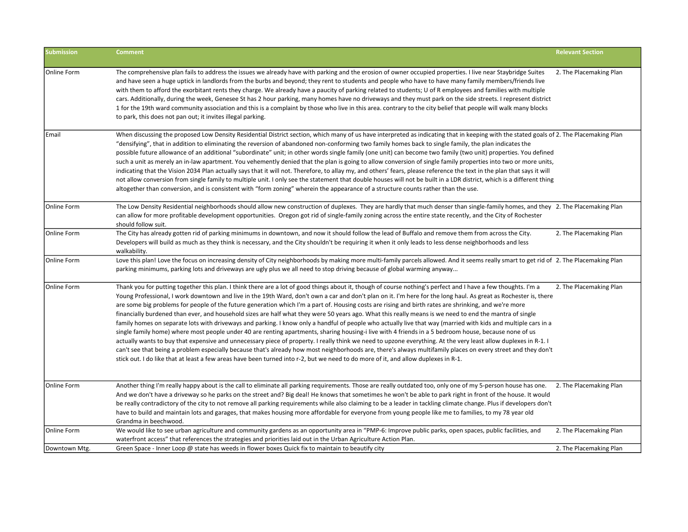| <b>Submission</b> | <b>Comment</b>                                                                                                                                                                                                                                                                                                                                                                                                                                                                                                                                                                                                                                                                                                                                                                                                                                                                                                                                                                                                                                                                                                                                                                                                                                                                                                                                                                                                                                              | <b>Relevant Section</b> |
|-------------------|-------------------------------------------------------------------------------------------------------------------------------------------------------------------------------------------------------------------------------------------------------------------------------------------------------------------------------------------------------------------------------------------------------------------------------------------------------------------------------------------------------------------------------------------------------------------------------------------------------------------------------------------------------------------------------------------------------------------------------------------------------------------------------------------------------------------------------------------------------------------------------------------------------------------------------------------------------------------------------------------------------------------------------------------------------------------------------------------------------------------------------------------------------------------------------------------------------------------------------------------------------------------------------------------------------------------------------------------------------------------------------------------------------------------------------------------------------------|-------------------------|
| Online Form       | The comprehensive plan fails to address the issues we already have with parking and the erosion of owner occupied properties. I live near Staybridge Suites<br>and have seen a huge uptick in landlords from the burbs and beyond; they rent to students and people who have to have many family members/friends live<br>with them to afford the exorbitant rents they charge. We already have a paucity of parking related to students; U of R employees and families with multiple<br>cars. Additionally, during the week, Genesee St has 2 hour parking, many homes have no driveways and they must park on the side streets. I represent district<br>1 for the 19th ward community association and this is a complaint by those who live in this area. contrary to the city belief that people will walk many blocks<br>to park, this does not pan out; it invites illegal parking.                                                                                                                                                                                                                                                                                                                                                                                                                                                                                                                                                                     | 2. The Placemaking Plan |
| Email             | When discussing the proposed Low Density Residential District section, which many of us have interpreted as indicating that in keeping with the stated goals of 2. The Placemaking Plan<br>"densifying", that in addition to eliminating the reversion of abandoned non-conforming two family homes back to single family, the plan indicates the<br>possible future allowance of an additional "subordinate" unit; in other words single family (one unit) can become two family (two unit) properties. You defined<br>such a unit as merely an in-law apartment. You vehemently denied that the plan is going to allow conversion of single family properties into two or more units,<br>indicating that the Vision 2034 Plan actually says that it will not. Therefore, to allay my, and others' fears, please reference the text in the plan that says it will<br>not allow conversion from single family to multiple unit. I only see the statement that double houses will not be built in a LDR district, which is a different thing<br>altogether than conversion, and is consistent with "form zoning" wherein the appearance of a structure counts rather than the use.                                                                                                                                                                                                                                                                           |                         |
| Online Form       | The Low Density Residential neighborhoods should allow new construction of duplexes. They are hardly that much denser than single-family homes, and they 2. The Placemaking Plan<br>can allow for more profitable development opportunities. Oregon got rid of single-family zoning across the entire state recently, and the City of Rochester<br>should follow suit.                                                                                                                                                                                                                                                                                                                                                                                                                                                                                                                                                                                                                                                                                                                                                                                                                                                                                                                                                                                                                                                                                      |                         |
| Online Form       | The City has already gotten rid of parking minimums in downtown, and now it should follow the lead of Buffalo and remove them from across the City.<br>Developers will build as much as they think is necessary, and the City shouldn't be requiring it when it only leads to less dense neighborhoods and less<br>walkability.                                                                                                                                                                                                                                                                                                                                                                                                                                                                                                                                                                                                                                                                                                                                                                                                                                                                                                                                                                                                                                                                                                                             | 2. The Placemaking Plan |
| Online Form       | Love this plan! Love the focus on increasing density of City neighborhoods by making more multi-family parcels allowed. And it seems really smart to get rid of 2. The Placemaking Plan<br>parking minimums, parking lots and driveways are ugly plus we all need to stop driving because of global warming anyway                                                                                                                                                                                                                                                                                                                                                                                                                                                                                                                                                                                                                                                                                                                                                                                                                                                                                                                                                                                                                                                                                                                                          |                         |
| Online Form       | Thank you for putting together this plan. I think there are a lot of good things about it, though of course nothing's perfect and I have a few thoughts. I'm a<br>Young Professional, I work downtown and live in the 19th Ward, don't own a car and don't plan on it. I'm here for the long haul. As great as Rochester is, there<br>are some big problems for people of the future generation which I'm a part of. Housing costs are rising and birth rates are shrinking, and we're more<br>financially burdened than ever, and household sizes are half what they were 50 years ago. What this really means is we need to end the mantra of single<br>family homes on separate lots with driveways and parking. I know only a handful of people who actually live that way (married with kids and multiple cars in a<br>single family home) where most people under 40 are renting apartments, sharing housing-i live with 4 friends in a 5 bedroom house, because none of us<br>actually wants to buy that expensive and unnecessary piece of property. I really think we need to upzone everything. At the very least allow duplexes in R-1. I<br>can't see that being a problem especially because that's already how most neighborhoods are, there's always multifamily places on every street and they don't<br>stick out. I do like that at least a few areas have been turned into r-2, but we need to do more of it, and allow duplexes in R-1. | 2. The Placemaking Plan |
| Online Form       | Another thing I'm really happy about is the call to eliminate all parking requirements. Those are really outdated too, only one of my 5-person house has one.<br>And we don't have a driveway so he parks on the street and? Big deal! He knows that sometimes he won't be able to park right in front of the house. It would<br>be really contradictory of the city to not remove all parking requirements while also claiming to be a leader in tackling climate change. Plus if developers don't<br>have to build and maintain lots and garages, that makes housing more affordable for everyone from young people like me to families, to my 78 year old<br>Grandma in beechwood.                                                                                                                                                                                                                                                                                                                                                                                                                                                                                                                                                                                                                                                                                                                                                                       | 2. The Placemaking Plan |
| Online Form       | We would like to see urban agriculture and community gardens as an opportunity area in "PMP-6: Improve public parks, open spaces, public facilities, and<br>waterfront access" that references the strategies and priorities laid out in the Urban Agriculture Action Plan.                                                                                                                                                                                                                                                                                                                                                                                                                                                                                                                                                                                                                                                                                                                                                                                                                                                                                                                                                                                                                                                                                                                                                                                 | 2. The Placemaking Plan |
| Downtown Mtg.     | Green Space - Inner Loop @ state has weeds in flower boxes Quick fix to maintain to beautify city                                                                                                                                                                                                                                                                                                                                                                                                                                                                                                                                                                                                                                                                                                                                                                                                                                                                                                                                                                                                                                                                                                                                                                                                                                                                                                                                                           | 2. The Placemaking Plan |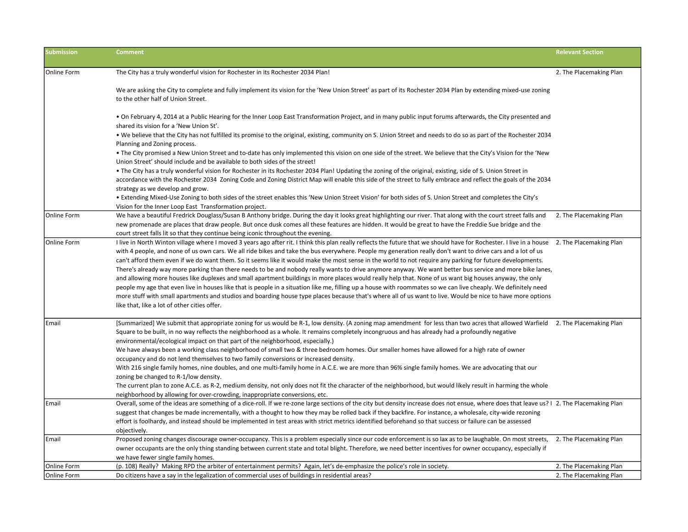| <b>Submission</b> | <b>Comment</b>                                                                                                                                                                                                                                                                                                                                                                                                                                                                                                                                                                                                                                                                                                                                                                                                                                                                                                                                                                                                                                                                                                                                                                                             | <b>Relevant Section</b> |
|-------------------|------------------------------------------------------------------------------------------------------------------------------------------------------------------------------------------------------------------------------------------------------------------------------------------------------------------------------------------------------------------------------------------------------------------------------------------------------------------------------------------------------------------------------------------------------------------------------------------------------------------------------------------------------------------------------------------------------------------------------------------------------------------------------------------------------------------------------------------------------------------------------------------------------------------------------------------------------------------------------------------------------------------------------------------------------------------------------------------------------------------------------------------------------------------------------------------------------------|-------------------------|
| Online Form       | The City has a truly wonderful vision for Rochester in its Rochester 2034 Plan!                                                                                                                                                                                                                                                                                                                                                                                                                                                                                                                                                                                                                                                                                                                                                                                                                                                                                                                                                                                                                                                                                                                            | 2. The Placemaking Plan |
|                   | We are asking the City to complete and fully implement its vision for the 'New Union Street' as part of its Rochester 2034 Plan by extending mixed-use zoning<br>to the other half of Union Street.                                                                                                                                                                                                                                                                                                                                                                                                                                                                                                                                                                                                                                                                                                                                                                                                                                                                                                                                                                                                        |                         |
|                   | • On February 4, 2014 at a Public Hearing for the Inner Loop East Transformation Project, and in many public input forums afterwards, the City presented and<br>shared its vision for a 'New Union St'.                                                                                                                                                                                                                                                                                                                                                                                                                                                                                                                                                                                                                                                                                                                                                                                                                                                                                                                                                                                                    |                         |
|                   | • We believe that the City has not fulfilled its promise to the original, existing, community on S. Union Street and needs to do so as part of the Rochester 2034<br>Planning and Zoning process.                                                                                                                                                                                                                                                                                                                                                                                                                                                                                                                                                                                                                                                                                                                                                                                                                                                                                                                                                                                                          |                         |
|                   | • The City promised a New Union Street and to-date has only implemented this vision on one side of the street. We believe that the City's Vision for the 'New<br>Union Street' should include and be available to both sides of the street!                                                                                                                                                                                                                                                                                                                                                                                                                                                                                                                                                                                                                                                                                                                                                                                                                                                                                                                                                                |                         |
|                   | • The City has a truly wonderful vision for Rochester in its Rochester 2034 Plan! Updating the zoning of the original, existing, side of S. Union Street in<br>accordance with the Rochester 2034 Zoning Code and Zoning District Map will enable this side of the street to fully embrace and reflect the goals of the 2034<br>strategy as we develop and grow.                                                                                                                                                                                                                                                                                                                                                                                                                                                                                                                                                                                                                                                                                                                                                                                                                                           |                         |
|                   | • Extending Mixed-Use Zoning to both sides of the street enables this 'New Union Street Vision' for both sides of S. Union Street and completes the City's<br>Vision for the Inner Loop East Transformation project.                                                                                                                                                                                                                                                                                                                                                                                                                                                                                                                                                                                                                                                                                                                                                                                                                                                                                                                                                                                       |                         |
| Online Form       | We have a beautiful Fredrick Douglass/Susan B Anthony bridge. During the day it looks great highlighting our river. That along with the court street falls and<br>new promenade are places that draw people. But once dusk comes all these features are hidden. It would be great to have the Freddie Sue bridge and the<br>court street falls lit so that they continue being iconic throughout the evening.                                                                                                                                                                                                                                                                                                                                                                                                                                                                                                                                                                                                                                                                                                                                                                                              | 2. The Placemaking Plan |
| Online Form       | I live in North Winton village where I moved 3 years ago after rit. I think this plan really reflects the future that we should have for Rochester. I live in a house<br>with 4 people, and none of us own cars. We all ride bikes and take the bus everywhere. People my generation really don't want to drive cars and a lot of us<br>can't afford them even if we do want them. So it seems like it would make the most sense in the world to not require any parking for future developments.<br>There's already way more parking than there needs to be and nobody really wants to drive anymore anyway. We want better bus service and more bike lanes,<br>and allowing more houses like duplexes and small apartment buildings in more places would really help that. None of us want big houses anyway, the only<br>people my age that even live in houses like that is people in a situation like me, filling up a house with roommates so we can live cheaply. We definitely need<br>more stuff with small apartments and studios and boarding house type places because that's where all of us want to live. Would be nice to have more options<br>like that, like a lot of other cities offer. | 2. The Placemaking Plan |
| Email             | [Summarized] We submit that appropriate zoning for us would be R-1, low density. (A zoning map amendment for less than two acres that allowed Warfield 2. The Placemaking Plan<br>Square to be built, in no way reflects the neighborhood as a whole. It remains completely incongruous and has already had a profoundly negative<br>environmental/ecological impact on that part of the neighborhood, especially.)<br>We have always been a working class neighborhood of small two & three bedroom homes. Our smaller homes have allowed for a high rate of owner<br>occupancy and do not lend themselves to two family conversions or increased density.<br>With 216 single family homes, nine doubles, and one multi-family home in A.C.E. we are more than 96% single family homes. We are advocating that our<br>zoning be changed to R-1/low density.<br>The current plan to zone A.C.E. as R-2, medium density, not only does not fit the character of the neighborhood, but would likely result in harming the whole<br>neighborhood by allowing for over-crowding, inappropriate conversions, etc.                                                                                               |                         |
| Email             | Overall, some of the ideas are something of a dice-roll. If we re-zone large sections of the city but density increase does not ensue, where does that leave us?   2. The Placemaking Plan<br>suggest that changes be made incrementally, with a thought to how they may be rolled back if they backfire. For instance, a wholesale, city-wide rezoning<br>effort is foolhardy, and instead should be implemented in test areas with strict metrics identified beforehand so that success or failure can be assessed<br>objectively.                                                                                                                                                                                                                                                                                                                                                                                                                                                                                                                                                                                                                                                                       |                         |
| Email             | Proposed zoning changes discourage owner-occupancy. This is a problem especially since our code enforcement is so lax as to be laughable. On most streets,<br>owner occupants are the only thing standing between current state and total blight. Therefore, we need better incentives for owner occupancy, especially if<br>we have fewer single family homes.                                                                                                                                                                                                                                                                                                                                                                                                                                                                                                                                                                                                                                                                                                                                                                                                                                            | 2. The Placemaking Plan |
| Online Form       | (p. 108) Really? Making RPD the arbiter of entertainment permits? Again, let's de-emphasize the police's role in society.                                                                                                                                                                                                                                                                                                                                                                                                                                                                                                                                                                                                                                                                                                                                                                                                                                                                                                                                                                                                                                                                                  | 2. The Placemaking Plan |
| Online Form       | Do citizens have a say in the legalization of commercial uses of buildings in residential areas?                                                                                                                                                                                                                                                                                                                                                                                                                                                                                                                                                                                                                                                                                                                                                                                                                                                                                                                                                                                                                                                                                                           | 2. The Placemaking Plan |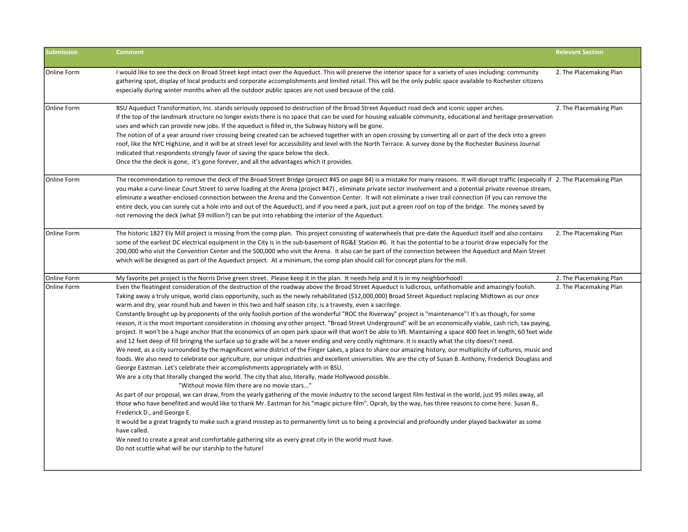| <b>Submission</b> | <b>Comment</b>                                                                                                                                                                                                                                                                                                                                                                                                                                                                                                                                                                                                                                                                                                                                                                                                                                                                                                                                                                                                                                                                                                                                                                                                                                                                                                                                                                                                                                                                                                                                                                                                                                                                                                                                                                                                                                                                                                                                                                                                                                                                                                                                                                                                                                                                                                                                                                               | <b>Relevant Section</b> |
|-------------------|----------------------------------------------------------------------------------------------------------------------------------------------------------------------------------------------------------------------------------------------------------------------------------------------------------------------------------------------------------------------------------------------------------------------------------------------------------------------------------------------------------------------------------------------------------------------------------------------------------------------------------------------------------------------------------------------------------------------------------------------------------------------------------------------------------------------------------------------------------------------------------------------------------------------------------------------------------------------------------------------------------------------------------------------------------------------------------------------------------------------------------------------------------------------------------------------------------------------------------------------------------------------------------------------------------------------------------------------------------------------------------------------------------------------------------------------------------------------------------------------------------------------------------------------------------------------------------------------------------------------------------------------------------------------------------------------------------------------------------------------------------------------------------------------------------------------------------------------------------------------------------------------------------------------------------------------------------------------------------------------------------------------------------------------------------------------------------------------------------------------------------------------------------------------------------------------------------------------------------------------------------------------------------------------------------------------------------------------------------------------------------------------|-------------------------|
| Online Form       | I would like to see the deck on Broad Street kept intact over the Aqueduct. This will preserve the interior space for a variety of uses including: community<br>gathering spot, display of local products and corporate accomplishments and limited retail. This will be the only public space available to Rochester citizens<br>especially during winter months when all the outdoor public spaces are not used because of the cold.                                                                                                                                                                                                                                                                                                                                                                                                                                                                                                                                                                                                                                                                                                                                                                                                                                                                                                                                                                                                                                                                                                                                                                                                                                                                                                                                                                                                                                                                                                                                                                                                                                                                                                                                                                                                                                                                                                                                                       | 2. The Placemaking Plan |
| Online Form       | BSU Aqueduct Transformation, Inc. stands seriously opposed to destruction of the Broad Street Aqueduct road deck and iconic upper arches.<br>If the top of the landmark structure no longer exists there is no space that can be used for housing valuable community, educational and heritage preservation<br>uses and which can provide new jobs. If the aqueduct is filled in, the Subway history will be gone.<br>The notion of of a year around river crossing being created can be achieved together with an open crossing by converting all or part of the deck into a green<br>roof, like the NYC HighLine, and it will be at street level for accessibility and level with the North Terrace. A survey done by the Rochester Business Journal<br>indicated that respondents strongly favor of saving the space below the deck.<br>Once the the deck is gone, it's gone forever, and all the advantages which it provides.                                                                                                                                                                                                                                                                                                                                                                                                                                                                                                                                                                                                                                                                                                                                                                                                                                                                                                                                                                                                                                                                                                                                                                                                                                                                                                                                                                                                                                                           | 2. The Placemaking Plan |
| Online Form       | The recommendation to remove the deck of the Broad Street Bridge (project #45 on page 84) is a mistake for many reasons. It will disrupt traffic (especially if 2. The Placemaking Plan<br>you make a curvi-linear Court Street to serve loading at the Arena (project #47), eliminate private sector involvement and a potential private revenue stream,<br>eliminate a weather-enclosed connection between the Arena and the Convention Center. It will not eliminate a river trail connection (if you can remove the<br>entire deck, you can surely cut a hole into and out of the Aqueduct), and if you need a park, just put a green roof on top of the bridge. The money saved by<br>not removing the deck (what \$9 million?) can be put into rehabbing the interior of the Aqueduct.                                                                                                                                                                                                                                                                                                                                                                                                                                                                                                                                                                                                                                                                                                                                                                                                                                                                                                                                                                                                                                                                                                                                                                                                                                                                                                                                                                                                                                                                                                                                                                                                 |                         |
| Online Form       | The historic 1827 Ely Mill project is missing from the comp plan. This project consisting of waterwheels that pre-date the Aqueduct itself and also contains<br>some of the earliest DC electrical equipment in the City is in the sub-basement of RG&E Station #6. It has the potential to be a tourist draw especially for the<br>200,000 who visit the Convention Center and the 500,000 who visit the Arena. It also can be part of the connection between the Aqueduct and Main Street<br>which will be designed as part of the Aqueduct project. At a minimum, the comp plan should call for concept plans for the mill.                                                                                                                                                                                                                                                                                                                                                                                                                                                                                                                                                                                                                                                                                                                                                                                                                                                                                                                                                                                                                                                                                                                                                                                                                                                                                                                                                                                                                                                                                                                                                                                                                                                                                                                                                               | 2. The Placemaking Plan |
| Online Form       | My favorite pet project is the Norris Drive green street. Please keep it in the plan. It needs help and it is in my neighborhood!                                                                                                                                                                                                                                                                                                                                                                                                                                                                                                                                                                                                                                                                                                                                                                                                                                                                                                                                                                                                                                                                                                                                                                                                                                                                                                                                                                                                                                                                                                                                                                                                                                                                                                                                                                                                                                                                                                                                                                                                                                                                                                                                                                                                                                                            | 2. The Placemaking Plan |
| Online Form       | Even the fleatingest consideration of the destruction of the roadway above the Broad Street Aqueduct is ludicrous, unfathomable and amazingly foolish.<br>Taking away a truly unique, world class opportunity, such as the newly rehabilitated (\$12,000,000) Broad Street Aqueduct replacing Midtown as our once<br>warm and dry, year round hub and haven in this two and half season city, is a travesty, even a sacrilege.<br>Constantly brought up by proponents of the only foolish portion of the wonderful "ROC the Riverway" project is "maintenance"! It's as though, for some<br>reason, it is the most Important consideration in choosing any other project. "Broad Street Underground" will be an economically viable, cash rich, tax paying,<br>project. It won't be a huge anchor that the economics of an open park space will that won't be able to lift. Maintaining a space 400 feet in length, 60 feet wide<br>and 12 feet deep of fill bringing the surface up to grade will be a never ending and very costly nightmare. It is exactly what the city doesn't need.<br>We need, as a city surrounded by the magnificent wine district of the Finger Lakes, a place to share our amazing history, our multiplicity of cultures, music and<br>foods. We also need to celebrate our agriculture, our unique industries and excellent universities. We are the city of Susan B. Anthony, Frederick Douglass and<br>George Eastman. Let's celebrate their accomplishments appropriately with in BSU.<br>We are a city that literally changed the world. The city that also, literally, made Hollywood possible.<br>"Without movie film there are no movie stars"<br>As part of our proposal, we can draw, from the yearly gathering of the movie industry to the second largest film festival in the world, just 95 miles away, all<br>those who have benefited and would like to thank Mr. Eastman for his "magic picture film". Oprah, by the way, has three reasons to come here. Susan B.,<br>Frederick D., and George E.<br>It would be a great tragedy to make such a grand misstep as to permanently limit us to being a provincial and profoundly under played backwater as some<br>have called.<br>We need to create a great and comfortable gathering site as every great city in the world must have.<br>Do not scuttle what will be our starship to the future! | 2. The Placemaking Plan |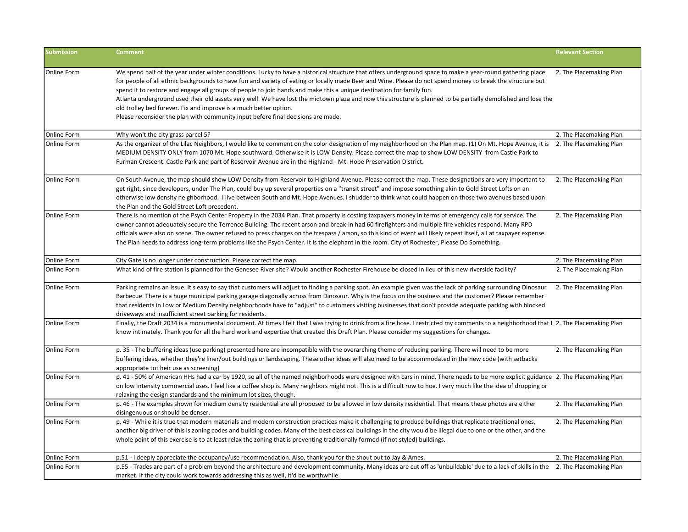| <b>Submission</b>  | <b>Comment</b>                                                                                                                                                                                                                                                                                                                                                                                                                                                                                                                                                                                                                                                                                                                                                             | <b>Relevant Section</b> |
|--------------------|----------------------------------------------------------------------------------------------------------------------------------------------------------------------------------------------------------------------------------------------------------------------------------------------------------------------------------------------------------------------------------------------------------------------------------------------------------------------------------------------------------------------------------------------------------------------------------------------------------------------------------------------------------------------------------------------------------------------------------------------------------------------------|-------------------------|
| Online Form        | We spend half of the year under winter conditions. Lucky to have a historical structure that offers underground space to make a year-round gathering place<br>for people of all ethnic backgrounds to have fun and variety of eating or locally made Beer and Wine. Please do not spend money to break the structure but<br>spend it to restore and engage all groups of people to join hands and make this a unique destination for family fun.<br>Atlanta underground used their old assets very well. We have lost the midtown plaza and now this structure is planned to be partially demolished and lose the<br>old trolley bed forever. Fix and improve is a much better option.<br>Please reconsider the plan with community input before final decisions are made. | 2. The Placemaking Plan |
| Online Form        | Why won't the city grass parcel 5?                                                                                                                                                                                                                                                                                                                                                                                                                                                                                                                                                                                                                                                                                                                                         | 2. The Placemaking Plan |
| Online Form        | As the organizer of the Lilac Neighbors, I would like to comment on the color designation of my neighborhood on the Plan map. (1) On Mt. Hope Avenue, it is<br>MEDIUM DENSITY ONLY from 1070 Mt. Hope southward. Otherwise it is LOW Density. Please correct the map to show LOW DENSITY from Castle Park to<br>Furman Crescent. Castle Park and part of Reservoir Avenue are in the Highland - Mt. Hope Preservation District.                                                                                                                                                                                                                                                                                                                                            | 2. The Placemaking Plan |
| Online Form        | On South Avenue, the map should show LOW Density from Reservoir to Highland Avenue. Please correct the map. These designations are very important to<br>get right, since developers, under The Plan, could buy up several properties on a "transit street" and impose something akin to Gold Street Lofts on an<br>otherwise low density neighborhood. I live between South and Mt. Hope Avenues. I shudder to think what could happen on those two avenues based upon<br>the Plan and the Gold Street Loft precedent.                                                                                                                                                                                                                                                     | 2. The Placemaking Plan |
| <b>Online Form</b> | There is no mention of the Psych Center Property in the 2034 Plan. That property is costing taxpayers money in terms of emergency calls for service. The<br>owner cannot adequately secure the Terrence Building. The recent arson and break-in had 60 firefighters and multiple fire vehicles respond. Many RPD<br>officials were also on scene. The owner refused to press charges on the trespass / arson, so this kind of event will likely repeat itself, all at taxpayer expense.<br>The Plan needs to address long-term problems like the Psych Center. It is the elephant in the room. City of Rochester, Please Do Something.                                                                                                                                     | 2. The Placemaking Plan |
| Online Form        | City Gate is no longer under construction. Please correct the map.                                                                                                                                                                                                                                                                                                                                                                                                                                                                                                                                                                                                                                                                                                         | 2. The Placemaking Plan |
| <b>Online Form</b> | What kind of fire station is planned for the Genesee River site? Would another Rochester Firehouse be closed in lieu of this new riverside facility?                                                                                                                                                                                                                                                                                                                                                                                                                                                                                                                                                                                                                       | 2. The Placemaking Plan |
| <b>Online Form</b> | Parking remains an issue. It's easy to say that customers will adjust to finding a parking spot. An example given was the lack of parking surrounding Dinosaur<br>Barbecue. There is a huge municipal parking garage diagonally across from Dinosaur. Why is the focus on the business and the customer? Please remember<br>that residents in Low or Medium Density neighborhoods have to "adjust" to customers visiting businesses that don't provide adequate parking with blocked<br>driveways and insufficient street parking for residents.                                                                                                                                                                                                                           | 2. The Placemaking Plan |
| <b>Online Form</b> | Finally, the Draft 2034 is a monumental document. At times I felt that I was trying to drink from a fire hose. I restricted my comments to a neighborhood that I 2. The Placemaking Plan<br>know intimately. Thank you for all the hard work and expertise that created this Draft Plan. Please consider my suggestions for changes.                                                                                                                                                                                                                                                                                                                                                                                                                                       |                         |
| Online Form        | p. 35 - The buffering ideas (use parking) presented here are incompatible with the overarching theme of reducing parking. There will need to be more<br>buffering ideas, whether they're liner/out buildings or landscaping. These other ideas will also need to be accommodated in the new code (with setbacks<br>appropriate tot heir use as screening)                                                                                                                                                                                                                                                                                                                                                                                                                  | 2. The Placemaking Plan |
| <b>Online Form</b> | p. 41 - 50% of American HHs had a car by 1920, so all of the named neighborhoods were designed with cars in mind. There needs to be more explicit guidance 2. The Placemaking Plan<br>on low intensity commercial uses. I feel like a coffee shop is. Many neighbors might not. This is a difficult row to hoe. I very much like the idea of dropping or<br>relaxing the design standards and the minimum lot sizes, though.                                                                                                                                                                                                                                                                                                                                               |                         |
| <b>Online Form</b> | p. 46 - The examples shown for medium density residential are all proposed to be allowed in low density residential. That means these photos are either<br>disingenuous or should be denser.                                                                                                                                                                                                                                                                                                                                                                                                                                                                                                                                                                               | 2. The Placemaking Plan |
| Online Form        | p. 49 - While it is true that modern materials and modern construction practices make it challenging to produce buildings that replicate traditional ones,<br>another big driver of this is zoning codes and building codes. Many of the best classical buildings in the city would be illegal due to one or the other, and the<br>whole point of this exercise is to at least relax the zoning that is preventing traditionally formed (if not styled) buildings.                                                                                                                                                                                                                                                                                                         | 2. The Placemaking Plan |
| Online Form        | p.51 - I deeply appreciate the occupancy/use recommendation. Also, thank you for the shout out to Jay & Ames.                                                                                                                                                                                                                                                                                                                                                                                                                                                                                                                                                                                                                                                              | 2. The Placemaking Plan |
| <b>Online Form</b> | p.55 - Trades are part of a problem beyond the architecture and development community. Many ideas are cut off as 'unbuildable' due to a lack of skills in the 2. The Placemaking Plan<br>market. If the city could work towards addressing this as well, it'd be worthwhile.                                                                                                                                                                                                                                                                                                                                                                                                                                                                                               |                         |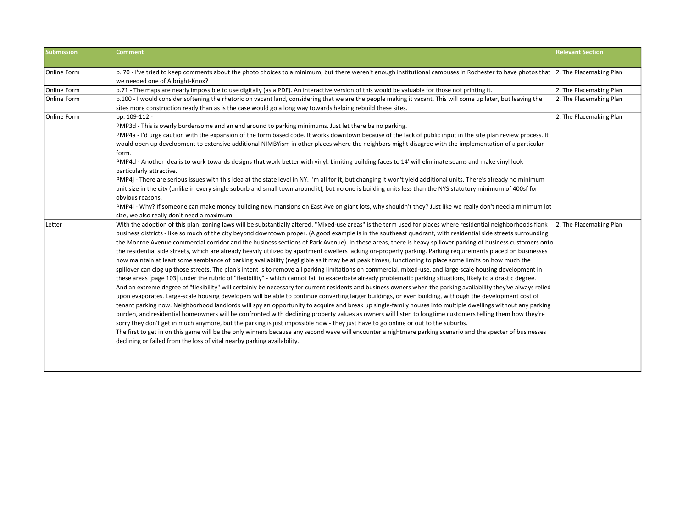| <b>Submission</b>  | <b>Comment</b>                                                                                                                                                                     | <b>Relevant Section</b> |
|--------------------|------------------------------------------------------------------------------------------------------------------------------------------------------------------------------------|-------------------------|
| Online Form        | p. 70 - I've tried to keep comments about the photo choices to a minimum, but there weren't enough institutional campuses in Rochester to have photos that 2. The Placemaking Plan |                         |
|                    | we needed one of Albright-Knox?                                                                                                                                                    |                         |
| Online Form        | p.71 - The maps are nearly impossible to use digitally (as a PDF). An interactive version of this would be valuable for those not printing it.                                     | 2. The Placemaking Plan |
| Online Form        | p.100 - I would consider softening the rhetoric on vacant land, considering that we are the people making it vacant. This will come up later, but leaving the                      | 2. The Placemaking Plan |
|                    | sites more construction ready than as is the case would go a long way towards helping rebuild these sites.                                                                         |                         |
| <b>Online Form</b> | pp. 109-112 -                                                                                                                                                                      | 2. The Placemaking Plan |
|                    | PMP3d - This is overly burdensome and an end around to parking minimums. Just let there be no parking.                                                                             |                         |
|                    | PMP4a - I'd urge caution with the expansion of the form based code. It works downtown because of the lack of public input in the site plan review process. It                      |                         |
|                    | would open up development to extensive additional NIMBYism in other places where the neighbors might disagree with the implementation of a particular<br>form.                     |                         |
|                    | PMP4d - Another idea is to work towards designs that work better with vinyl. Limiting building faces to 14' will eliminate seams and make vinyl look<br>particularly attractive.   |                         |
|                    | PMP4j - There are serious issues with this idea at the state level in NY. I'm all for it, but changing it won't yield additional units. There's already no minimum                 |                         |
|                    | unit size in the city (unlike in every single suburb and small town around it), but no one is building units less than the NYS statutory minimum of 400sf for                      |                         |
|                    | obvious reasons.                                                                                                                                                                   |                         |
|                    | PMP4I - Why? If someone can make money building new mansions on East Ave on giant lots, why shouldn't they? Just like we really don't need a minimum lot                           |                         |
|                    | size, we also really don't need a maximum.                                                                                                                                         |                         |
| Letter             | With the adoption of this plan, zoning laws will be substantially altered. "Mixed-use areas" is the term used for places where residential neighborhoods flank                     | 2. The Placemaking Plan |
|                    | business districts - like so much of the city beyond downtown proper. (A good example is in the southeast quadrant, with residential side streets surrounding                      |                         |
|                    | the Monroe Avenue commercial corridor and the business sections of Park Avenue). In these areas, there is heavy spillover parking of business customers onto                       |                         |
|                    | the residential side streets, which are already heavily utilized by apartment dwellers lacking on-property parking. Parking requirements placed on businesses                      |                         |
|                    | now maintain at least some semblance of parking availability (negligible as it may be at peak times), functioning to place some limits on how much the                             |                         |
|                    | spillover can clog up those streets. The plan's intent is to remove all parking limitations on commercial, mixed-use, and large-scale housing development in                       |                         |
|                    | these areas [page 103] under the rubric of "flexibility" - which cannot fail to exacerbate already problematic parking situations, likely to a drastic degree.                     |                         |
|                    | And an extreme degree of "flexibility" will certainly be necessary for current residents and business owners when the parking availability they've always relied                   |                         |
|                    | upon evaporates. Large-scale housing developers will be able to continue converting larger buildings, or even building, withough the development cost of                           |                         |
|                    | tenant parking now. Neighborhood landlords will spy an opportunity to acquire and break up single-family houses into multiple dwellings without any parking                        |                         |
|                    | burden, and residential homeowners will be confronted with declining property values as owners will listen to longtime customers telling them how they're                          |                         |
|                    | sorry they don't get in much anymore, but the parking is just impossible now - they just have to go online or out to the suburbs.                                                  |                         |
|                    | The first to get in on this game will be the only winners because any second wave will encounter a nightmare parking scenario and the specter of businesses                        |                         |
|                    | declining or failed from the loss of vital nearby parking availability.                                                                                                            |                         |
|                    |                                                                                                                                                                                    |                         |
|                    |                                                                                                                                                                                    |                         |
|                    |                                                                                                                                                                                    |                         |
|                    |                                                                                                                                                                                    |                         |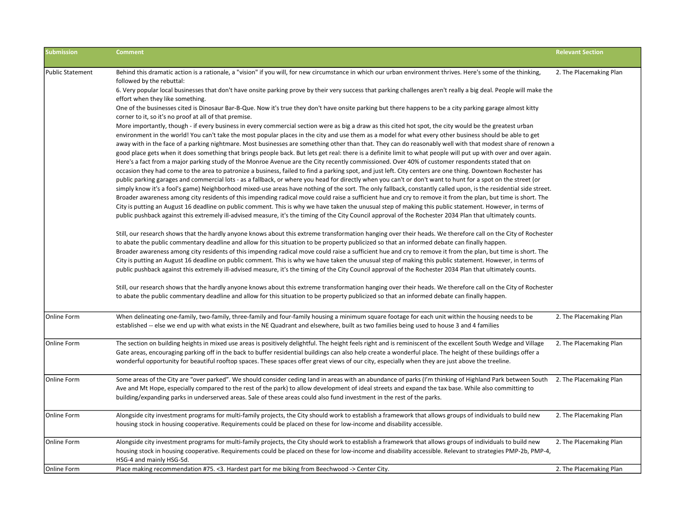| <b>Submission</b>       | <b>Comment</b>                                                                                                                                                                                                                                                                                                                                                                                                                                                                                                                                                                                                                                                                                                                                                                                                                                                                                                                                                                                                                                                                                                                                                                                                                                                                                                                                                                                                                                                                                                                                                                                                                                                                                                                                                                                                  | <b>Relevant Section</b> |
|-------------------------|-----------------------------------------------------------------------------------------------------------------------------------------------------------------------------------------------------------------------------------------------------------------------------------------------------------------------------------------------------------------------------------------------------------------------------------------------------------------------------------------------------------------------------------------------------------------------------------------------------------------------------------------------------------------------------------------------------------------------------------------------------------------------------------------------------------------------------------------------------------------------------------------------------------------------------------------------------------------------------------------------------------------------------------------------------------------------------------------------------------------------------------------------------------------------------------------------------------------------------------------------------------------------------------------------------------------------------------------------------------------------------------------------------------------------------------------------------------------------------------------------------------------------------------------------------------------------------------------------------------------------------------------------------------------------------------------------------------------------------------------------------------------------------------------------------------------|-------------------------|
| <b>Public Statement</b> | Behind this dramatic action is a rationale, a "vision" if you will, for new circumstance in which our urban environment thrives. Here's some of the thinking,<br>followed by the rebuttal:<br>6. Very popular local businesses that don't have onsite parking prove by their very success that parking challenges aren't really a big deal. People will make the<br>effort when they like something.                                                                                                                                                                                                                                                                                                                                                                                                                                                                                                                                                                                                                                                                                                                                                                                                                                                                                                                                                                                                                                                                                                                                                                                                                                                                                                                                                                                                            | 2. The Placemaking Plan |
|                         | One of the businesses cited is Dinosaur Bar-B-Que. Now it's true they don't have onsite parking but there happens to be a city parking garage almost kitty<br>corner to it, so it's no proof at all of that premise.                                                                                                                                                                                                                                                                                                                                                                                                                                                                                                                                                                                                                                                                                                                                                                                                                                                                                                                                                                                                                                                                                                                                                                                                                                                                                                                                                                                                                                                                                                                                                                                            |                         |
|                         | More importantly, though - if every business in every commercial section were as big a draw as this cited hot spot, the city would be the greatest urban<br>environment in the world! You can't take the most popular places in the city and use them as a model for what every other business should be able to get<br>away with in the face of a parking nightmare. Most businesses are something other than that. They can do reasonably well with that modest share of renown a<br>good place gets when it does something that brings people back. But lets get real: there is a definite limit to what people will put up with over and over again.<br>Here's a fact from a major parking study of the Monroe Avenue are the City recently commissioned. Over 40% of customer respondents stated that on<br>occasion they had come to the area to patronize a business, failed to find a parking spot, and just left. City centers are one thing. Downtown Rochester has<br>public parking garages and commercial lots - as a fallback, or where you head for directly when you can't or don't want to hunt for a spot on the street (or<br>simply know it's a fool's game) Neighborhood mixed-use areas have nothing of the sort. The only fallback, constantly called upon, is the residential side street.<br>Broader awareness among city residents of this impending radical move could raise a sufficient hue and cry to remove it from the plan, but time is short. The<br>City is putting an August 16 deadline on public comment. This is why we have taken the unusual step of making this public statement. However, in terms of<br>public pushback against this extremely ill-advised measure, it's the timing of the City Council approval of the Rochester 2034 Plan that ultimately counts. |                         |
|                         | Still, our research shows that the hardly anyone knows about this extreme transformation hanging over their heads. We therefore call on the City of Rochester<br>to abate the public commentary deadline and allow for this situation to be property publicized so that an informed debate can finally happen.<br>Broader awareness among city residents of this impending radical move could raise a sufficient hue and cry to remove it from the plan, but time is short. The<br>City is putting an August 16 deadline on public comment. This is why we have taken the unusual step of making this public statement. However, in terms of<br>public pushback against this extremely ill-advised measure, it's the timing of the City Council approval of the Rochester 2034 Plan that ultimately counts.                                                                                                                                                                                                                                                                                                                                                                                                                                                                                                                                                                                                                                                                                                                                                                                                                                                                                                                                                                                                     |                         |
|                         | Still, our research shows that the hardly anyone knows about this extreme transformation hanging over their heads. We therefore call on the City of Rochester<br>to abate the public commentary deadline and allow for this situation to be property publicized so that an informed debate can finally happen.                                                                                                                                                                                                                                                                                                                                                                                                                                                                                                                                                                                                                                                                                                                                                                                                                                                                                                                                                                                                                                                                                                                                                                                                                                                                                                                                                                                                                                                                                                  |                         |
| <b>Online Form</b>      | When delineating one-family, two-family, three-family and four-family housing a minimum square footage for each unit within the housing needs to be<br>established -- else we end up with what exists in the NE Quadrant and elsewhere, built as two families being used to house 3 and 4 families                                                                                                                                                                                                                                                                                                                                                                                                                                                                                                                                                                                                                                                                                                                                                                                                                                                                                                                                                                                                                                                                                                                                                                                                                                                                                                                                                                                                                                                                                                              | 2. The Placemaking Plan |
| Online Form             | The section on building heights in mixed use areas is positively delightful. The height feels right and is reminiscent of the excellent South Wedge and Village<br>Gate areas, encouraging parking off in the back to buffer residential buildings can also help create a wonderful place. The height of these buildings offer a<br>wonderful opportunity for beautiful rooftop spaces. These spaces offer great views of our city, especially when they are just above the treeline.                                                                                                                                                                                                                                                                                                                                                                                                                                                                                                                                                                                                                                                                                                                                                                                                                                                                                                                                                                                                                                                                                                                                                                                                                                                                                                                           | 2. The Placemaking Plan |
| Online Form             | Some areas of the City are "over parked". We should consider ceding land in areas with an abundance of parks (I'm thinking of Highland Park between South 2. The Placemaking Plan<br>Ave and Mt Hope, especially compared to the rest of the park) to allow development of ideal streets and expand the tax base. While also committing to<br>building/expanding parks in underserved areas. Sale of these areas could also fund investment in the rest of the parks.                                                                                                                                                                                                                                                                                                                                                                                                                                                                                                                                                                                                                                                                                                                                                                                                                                                                                                                                                                                                                                                                                                                                                                                                                                                                                                                                           |                         |
| Online Form             | Alongside city investment programs for multi-family projects, the City should work to establish a framework that allows groups of individuals to build new<br>housing stock in housing cooperative. Requirements could be placed on these for low-income and disability accessible.                                                                                                                                                                                                                                                                                                                                                                                                                                                                                                                                                                                                                                                                                                                                                                                                                                                                                                                                                                                                                                                                                                                                                                                                                                                                                                                                                                                                                                                                                                                             | 2. The Placemaking Plan |
| Online Form             | Alongside city investment programs for multi-family projects, the City should work to establish a framework that allows groups of individuals to build new<br>housing stock in housing cooperative. Requirements could be placed on these for low-income and disability accessible. Relevant to strategies PMP-2b, PMP-4,<br>HSG-4 and mainly HSG-5d.                                                                                                                                                                                                                                                                                                                                                                                                                                                                                                                                                                                                                                                                                                                                                                                                                                                                                                                                                                                                                                                                                                                                                                                                                                                                                                                                                                                                                                                           | 2. The Placemaking Plan |
| Online Form             | Place making recommendation #75. < 3. Hardest part for me biking from Beechwood -> Center City.                                                                                                                                                                                                                                                                                                                                                                                                                                                                                                                                                                                                                                                                                                                                                                                                                                                                                                                                                                                                                                                                                                                                                                                                                                                                                                                                                                                                                                                                                                                                                                                                                                                                                                                 | 2. The Placemaking Plan |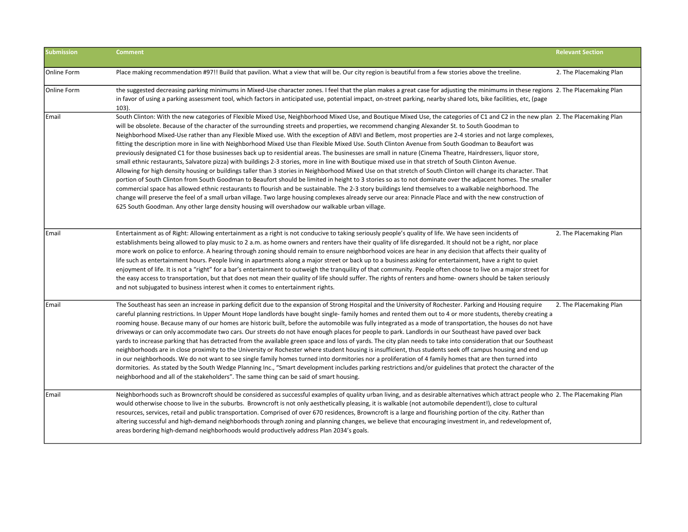| <b>Submission</b> | <b>Comment</b>                                                                                                                                                                                                                                                                                                                                                                                                                                                                                                                                                                                                                                                                                                                                                                                                                                                                                                                                                                                                                                                                                                                                                                                                                                                                                                                                                                                                                                                                                                                                                                                                                                                                                                                             | <b>Relevant Section</b> |
|-------------------|--------------------------------------------------------------------------------------------------------------------------------------------------------------------------------------------------------------------------------------------------------------------------------------------------------------------------------------------------------------------------------------------------------------------------------------------------------------------------------------------------------------------------------------------------------------------------------------------------------------------------------------------------------------------------------------------------------------------------------------------------------------------------------------------------------------------------------------------------------------------------------------------------------------------------------------------------------------------------------------------------------------------------------------------------------------------------------------------------------------------------------------------------------------------------------------------------------------------------------------------------------------------------------------------------------------------------------------------------------------------------------------------------------------------------------------------------------------------------------------------------------------------------------------------------------------------------------------------------------------------------------------------------------------------------------------------------------------------------------------------|-------------------------|
| Online Form       | Place making recommendation #97!! Build that pavilion. What a view that will be. Our city region is beautiful from a few stories above the treeline.                                                                                                                                                                                                                                                                                                                                                                                                                                                                                                                                                                                                                                                                                                                                                                                                                                                                                                                                                                                                                                                                                                                                                                                                                                                                                                                                                                                                                                                                                                                                                                                       | 2. The Placemaking Plan |
| Online Form       | the suggested decreasing parking minimums in Mixed-Use character zones. I feel that the plan makes a great case for adjusting the minimums in these regions 2. The Placemaking Plan<br>in favor of using a parking assessment tool, which factors in anticipated use, potential impact, on-street parking, nearby shared lots, bike facilities, etc, (page<br>$103$ ).                                                                                                                                                                                                                                                                                                                                                                                                                                                                                                                                                                                                                                                                                                                                                                                                                                                                                                                                                                                                                                                                                                                                                                                                                                                                                                                                                                     |                         |
| Email             | South Clinton: With the new categories of Flexible Mixed Use, Neighborhood Mixed Use, and Boutique Mixed Use, the categories of C1 and C2 in the new plan 2. The Placemaking Plan<br>will be obsolete. Because of the character of the surrounding streets and properties, we recommend changing Alexander St. to South Goodman to<br>Neighborhood Mixed-Use rather than any Flexible Mixed use. With the exception of ABVI and Betlem, most properties are 2-4 stories and not large complexes,<br>fitting the description more in line with Neighborhood Mixed Use than Flexible Mixed Use. South Clinton Avenue from South Goodman to Beaufort was<br>previously designated C1 for those businesses back up to residential areas. The businesses are small in nature (Cinema Theatre, Hairdressers, liquor store,<br>small ethnic restaurants, Salvatore pizza) with buildings 2-3 stories, more in line with Boutique mixed use in that stretch of South Clinton Avenue.<br>Allowing for high density housing or buildings taller than 3 stories in Neighborhood Mixed Use on that stretch of South Clinton will change its character. That<br>portion of South Clinton from South Goodman to Beaufort should be limited in height to 3 stories so as to not dominate over the adjacent homes. The smaller<br>commercial space has allowed ethnic restaurants to flourish and be sustainable. The 2-3 story buildings lend themselves to a walkable neighborhood. The<br>change will preserve the feel of a small urban village. Two large housing complexes already serve our area: Pinnacle Place and with the new construction of<br>625 South Goodman. Any other large density housing will overshadow our walkable urban village. |                         |
| Email             | Entertainment as of Right: Allowing entertainment as a right is not conducive to taking seriously people's quality of life. We have seen incidents of<br>establishments being allowed to play music to 2 a.m. as home owners and renters have their quality of life disregarded. It should not be a right, nor place<br>more work on police to enforce. A hearing through zoning should remain to ensure neighborhood voices are hear in any decision that affects their quality of<br>life such as entertainment hours. People living in apartments along a major street or back up to a business asking for entertainment, have a right to quiet<br>enjoyment of life. It is not a "right" for a bar's entertainment to outweigh the tranquility of that community. People often choose to live on a major street for<br>the easy access to transportation, but that does not mean their quality of life should suffer. The rights of renters and home- owners should be taken seriously<br>and not subjugated to business interest when it comes to entertainment rights.                                                                                                                                                                                                                                                                                                                                                                                                                                                                                                                                                                                                                                                               | 2. The Placemaking Plan |
| Email             | The Southeast has seen an increase in parking deficit due to the expansion of Strong Hospital and the University of Rochester. Parking and Housing require<br>careful planning restrictions. In Upper Mount Hope landlords have bought single-family homes and rented them out to 4 or more students, thereby creating a<br>rooming house. Because many of our homes are historic built, before the automobile was fully integrated as a mode of transportation, the houses do not have<br>driveways or can only accommodate two cars. Our streets do not have enough places for people to park. Landlords in our Southeast have paved over back<br>yards to increase parking that has detracted from the available green space and loss of yards. The city plan needs to take into consideration that our Southeast<br>neighborhoods are in close proximity to the University or Rochester where student housing is insufficient, thus students seek off campus housing and end up<br>in our neighborhoods. We do not want to see single family homes turned into dormitories nor a proliferation of 4 family homes that are then turned into<br>dormitories. As stated by the South Wedge Planning Inc., "Smart development includes parking restrictions and/or guidelines that protect the character of the<br>neighborhood and all of the stakeholders". The same thing can be said of smart housing.                                                                                                                                                                                                                                                                                                                                 | 2. The Placemaking Plan |
| Email             | Neighborhoods such as Browncroft should be considered as successful examples of quality urban living, and as desirable alternatives which attract people who 2. The Placemaking Plan<br>would otherwise choose to live in the suburbs. Browncroft is not only aesthetically pleasing, it is walkable (not automobile dependent!), close to cultural<br>resources, services, retail and public transportation. Comprised of over 670 residences, Browncroft is a large and flourishing portion of the city. Rather than<br>altering successful and high-demand neighborhoods through zoning and planning changes, we believe that encouraging investment in, and redevelopment of,<br>areas bordering high-demand neighborhoods would productively address Plan 2034's goals.                                                                                                                                                                                                                                                                                                                                                                                                                                                                                                                                                                                                                                                                                                                                                                                                                                                                                                                                                               |                         |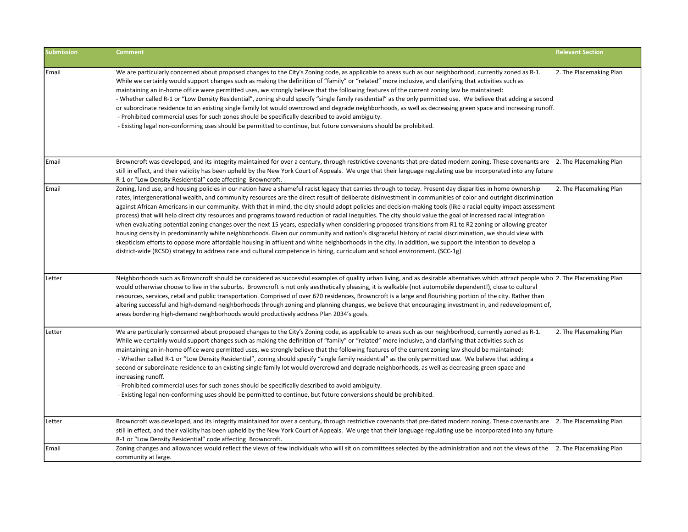| <b>Submission</b> | <b>Comment</b>                                                                                                                                                                                                                                                                                                                                                                                                                                                                                                                                                                                                                                                                                                                                                                                                                                                                                                                                                                                                                                                                                                                                                                                                                                                                             | <b>Relevant Section</b> |
|-------------------|--------------------------------------------------------------------------------------------------------------------------------------------------------------------------------------------------------------------------------------------------------------------------------------------------------------------------------------------------------------------------------------------------------------------------------------------------------------------------------------------------------------------------------------------------------------------------------------------------------------------------------------------------------------------------------------------------------------------------------------------------------------------------------------------------------------------------------------------------------------------------------------------------------------------------------------------------------------------------------------------------------------------------------------------------------------------------------------------------------------------------------------------------------------------------------------------------------------------------------------------------------------------------------------------|-------------------------|
| Email             | We are particularly concerned about proposed changes to the City's Zoning code, as applicable to areas such as our neighborhood, currently zoned as R-1.<br>While we certainly would support changes such as making the definition of "family" or "related" more inclusive, and clarifying that activities such as<br>maintaining an in-home office were permitted uses, we strongly believe that the following features of the current zoning law be maintained:<br>- Whether called R-1 or "Low Density Residential", zoning should specify "single family residential" as the only permitted use. We believe that adding a second<br>or subordinate residence to an existing single family lot would overcrowd and degrade neighborhoods, as well as decreasing green space and increasing runoff.<br>- Prohibited commercial uses for such zones should be specifically described to avoid ambiguity.<br>- Existing legal non-conforming uses should be permitted to continue, but future conversions should be prohibited.                                                                                                                                                                                                                                                            | 2. The Placemaking Plan |
| Email             | Browncroft was developed, and its integrity maintained for over a century, through restrictive covenants that pre-dated modern zoning. These covenants are 2. The Placemaking Plan<br>still in effect, and their validity has been upheld by the New York Court of Appeals. We urge that their language regulating use be incorporated into any future<br>R-1 or "Low Density Residential" code affecting Browncroft.                                                                                                                                                                                                                                                                                                                                                                                                                                                                                                                                                                                                                                                                                                                                                                                                                                                                      |                         |
| Email             | Zoning, land use, and housing policies in our nation have a shameful racist legacy that carries through to today. Present day disparities in home ownership<br>rates, intergenerational wealth, and community resources are the direct result of deliberate disinvestment in communities of color and outright discrimination<br>against African Americans in our community. With that in mind, the city should adopt policies and decision-making tools (like a racial equity impact assessment<br>process) that will help direct city resources and programs toward reduction of racial inequities. The city should value the goal of increased racial integration<br>when evaluating potential zoning changes over the next 15 years, especially when considering proposed transitions from R1 to R2 zoning or allowing greater<br>housing density in predominantly white neighborhoods. Given our community and nation's disgraceful history of racial discrimination, we should view with<br>skepticism efforts to oppose more affordable housing in affluent and white neighborhoods in the city. In addition, we support the intention to develop a<br>district-wide (RCSD) strategy to address race and cultural competence in hiring, curriculum and school environment. (SCC-1g) | 2. The Placemaking Plan |
| Letter            | Neighborhoods such as Browncroft should be considered as successful examples of quality urban living, and as desirable alternatives which attract people who 2. The Placemaking Plan<br>would otherwise choose to live in the suburbs. Browncroft is not only aesthetically pleasing, it is walkable (not automobile dependent!), close to cultural<br>resources, services, retail and public transportation. Comprised of over 670 residences, Browncroft is a large and flourishing portion of the city. Rather than<br>altering successful and high-demand neighborhoods through zoning and planning changes, we believe that encouraging investment in, and redevelopment of,<br>areas bordering high-demand neighborhoods would productively address Plan 2034's goals.                                                                                                                                                                                                                                                                                                                                                                                                                                                                                                               |                         |
| Letter            | We are particularly concerned about proposed changes to the City's Zoning code, as applicable to areas such as our neighborhood, currently zoned as R-1.<br>While we certainly would support changes such as making the definition of "family" or "related" more inclusive, and clarifying that activities such as<br>maintaining an in-home office were permitted uses, we strongly believe that the following features of the current zoning law should be maintained:<br>- Whether called R-1 or "Low Density Residential", zoning should specify "single family residential" as the only permitted use. We believe that adding a<br>second or subordinate residence to an existing single family lot would overcrowd and degrade neighborhoods, as well as decreasing green space and<br>increasing runoff.<br>- Prohibited commercial uses for such zones should be specifically described to avoid ambiguity.<br>- Existing legal non-conforming uses should be permitted to continue, but future conversions should be prohibited.                                                                                                                                                                                                                                                  | 2. The Placemaking Plan |
| Letter            | Browncroft was developed, and its integrity maintained for over a century, through restrictive covenants that pre-dated modern zoning. These covenants are 2. The Placemaking Plan<br>still in effect, and their validity has been upheld by the New York Court of Appeals. We urge that their language regulating use be incorporated into any future<br>R-1 or "Low Density Residential" code affecting Browncroft.                                                                                                                                                                                                                                                                                                                                                                                                                                                                                                                                                                                                                                                                                                                                                                                                                                                                      |                         |
| Email             | Zoning changes and allowances would reflect the views of few individuals who will sit on committees selected by the administration and not the views of the 2. The Placemaking Plan<br>community at large.                                                                                                                                                                                                                                                                                                                                                                                                                                                                                                                                                                                                                                                                                                                                                                                                                                                                                                                                                                                                                                                                                 |                         |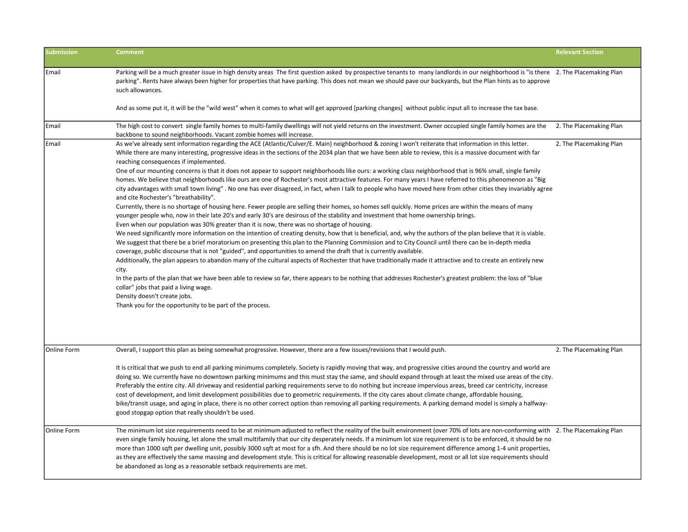| Submission  | <b>Comment</b>                                                                                                                                                                                                                                                                                                                                                                                                                                                                                                                                                                                                                                                                                                                                                                                                                                                                                                                                                                                                                                                                                                                                                                                                                                                                                                                                                                                                                                                                                                                                                                                                                                                                                                                                                                                                                                                                                                                                                                                                                                                                                                                                                                                                                    | <b>Relevant Section</b> |
|-------------|-----------------------------------------------------------------------------------------------------------------------------------------------------------------------------------------------------------------------------------------------------------------------------------------------------------------------------------------------------------------------------------------------------------------------------------------------------------------------------------------------------------------------------------------------------------------------------------------------------------------------------------------------------------------------------------------------------------------------------------------------------------------------------------------------------------------------------------------------------------------------------------------------------------------------------------------------------------------------------------------------------------------------------------------------------------------------------------------------------------------------------------------------------------------------------------------------------------------------------------------------------------------------------------------------------------------------------------------------------------------------------------------------------------------------------------------------------------------------------------------------------------------------------------------------------------------------------------------------------------------------------------------------------------------------------------------------------------------------------------------------------------------------------------------------------------------------------------------------------------------------------------------------------------------------------------------------------------------------------------------------------------------------------------------------------------------------------------------------------------------------------------------------------------------------------------------------------------------------------------|-------------------------|
| Email       | Parking will be a much greater issue in high density areas The first question asked by prospective tenants to many landlords in our neighborhood is "is there 2. The Placemaking Plan<br>parking". Rents have always been higher for properties that have parking. This does not mean we should pave our backyards, but the Plan hints as to approve<br>such allowances.                                                                                                                                                                                                                                                                                                                                                                                                                                                                                                                                                                                                                                                                                                                                                                                                                                                                                                                                                                                                                                                                                                                                                                                                                                                                                                                                                                                                                                                                                                                                                                                                                                                                                                                                                                                                                                                          |                         |
|             | And as some put it, it will be the "wild west" when it comes to what will get approved [parking changes] without public input all to increase the tax base.                                                                                                                                                                                                                                                                                                                                                                                                                                                                                                                                                                                                                                                                                                                                                                                                                                                                                                                                                                                                                                                                                                                                                                                                                                                                                                                                                                                                                                                                                                                                                                                                                                                                                                                                                                                                                                                                                                                                                                                                                                                                       |                         |
| Email       | The high cost to convert single family homes to multi-family dwellings will not yield returns on the investment. Owner occupied single family homes are the<br>backbone to sound neighborhoods. Vacant zombie homes will increase.                                                                                                                                                                                                                                                                                                                                                                                                                                                                                                                                                                                                                                                                                                                                                                                                                                                                                                                                                                                                                                                                                                                                                                                                                                                                                                                                                                                                                                                                                                                                                                                                                                                                                                                                                                                                                                                                                                                                                                                                | 2. The Placemaking Plan |
| Email       | As we've already sent information regarding the ACE (Atlantic/Culver/E. Main) neighborhood & zoning I won't reiterate that information in this letter.<br>While there are many interesting, progressive ideas in the sections of the 2034 plan that we have been able to review, this is a massive document with far<br>reaching consequences if implemented.<br>One of our mounting concerns is that it does not appear to support neighborhoods like ours: a working class neighborhood that is 96% small, single family<br>homes. We believe that neighborhoods like ours are one of Rochester's most attractive features. For many years I have referred to this phenomenon as "Big<br>city advantages with small town living". No one has ever disagreed, in fact, when I talk to people who have moved here from other cities they invariably agree<br>and cite Rochester's "breathability".<br>Currently, there is no shortage of housing here. Fewer people are selling their homes, so homes sell quickly. Home prices are within the means of many<br>younger people who, now in their late 20's and early 30's are desirous of the stability and investment that home ownership brings.<br>Even when our population was 30% greater than it is now, there was no shortage of housing.<br>We need significantly more information on the intention of creating density, how that is beneficial, and, why the authors of the plan believe that it is viable.<br>We suggest that there be a brief moratorium on presenting this plan to the Planning Commission and to City Council until there can be in-depth media<br>coverage, public discourse that is not "guided", and opportunities to amend the draft that is currently available.<br>Additionally, the plan appears to abandon many of the cultural aspects of Rochester that have traditionally made it attractive and to create an entirely new<br>city.<br>In the parts of the plan that we have been able to review so far, there appears to be nothing that addresses Rochester's greatest problem: the loss of "blue"<br>collar" jobs that paid a living wage.<br>Density doesn't create jobs.<br>Thank you for the opportunity to be part of the process. | 2. The Placemaking Plan |
| Online Form | Overall, I support this plan as being somewhat progressive. However, there are a few issues/revisions that I would push.                                                                                                                                                                                                                                                                                                                                                                                                                                                                                                                                                                                                                                                                                                                                                                                                                                                                                                                                                                                                                                                                                                                                                                                                                                                                                                                                                                                                                                                                                                                                                                                                                                                                                                                                                                                                                                                                                                                                                                                                                                                                                                          | 2. The Placemaking Plan |
|             | It is critical that we push to end all parking minimums completely. Society is rapidly moving that way, and progressive cities around the country and world are<br>doing so. We currently have no downtown parking minimums and this must stay the same, and should expand through at least the mixed use areas of the city.<br>Preferably the entire city. All driveway and residential parking requirements serve to do nothing but increase impervious areas, breed car centricity, increase<br>cost of development, and limit development possibilities due to geometric requirements. If the city cares about climate change, affordable housing,<br>bike/transit usage, and aging in place, there is no other correct option than removing all parking requirements. A parking demand model is simply a halfway-<br>good stopgap option that really shouldn't be used.                                                                                                                                                                                                                                                                                                                                                                                                                                                                                                                                                                                                                                                                                                                                                                                                                                                                                                                                                                                                                                                                                                                                                                                                                                                                                                                                                      |                         |
| Online Form | The minimum lot size requirements need to be at minimum adjusted to reflect the reality of the built environment (over 70% of lots are non-conforming with 2. The Placemaking Plan<br>even single family housing, let alone the small multifamily that our city desperately needs. If a minimum lot size requirement is to be enforced, it should be no<br>more than 1000 sqft per dwelling unit, possibly 3000 sqft at most for a sfh. And there should be no lot size requirement difference among 1-4 unit properties,<br>as they are effectively the same massing and development style. This is critical for allowing reasonable development, most or all lot size requirements should<br>be abandoned as long as a reasonable setback requirements are met.                                                                                                                                                                                                                                                                                                                                                                                                                                                                                                                                                                                                                                                                                                                                                                                                                                                                                                                                                                                                                                                                                                                                                                                                                                                                                                                                                                                                                                                                 |                         |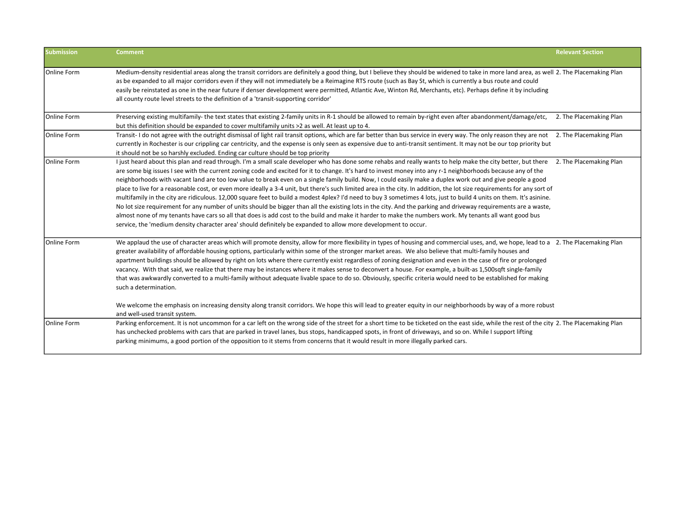| <b>Submission</b> | <b>Comment</b>                                                                                                                                                                                                                                                                                                                                                                                                                                                                                                                                                                                                                                                                                                                                                                                                                                                                                                                                                                                                                                                                                                                                                                                                                                                                                | <b>Relevant Section</b> |
|-------------------|-----------------------------------------------------------------------------------------------------------------------------------------------------------------------------------------------------------------------------------------------------------------------------------------------------------------------------------------------------------------------------------------------------------------------------------------------------------------------------------------------------------------------------------------------------------------------------------------------------------------------------------------------------------------------------------------------------------------------------------------------------------------------------------------------------------------------------------------------------------------------------------------------------------------------------------------------------------------------------------------------------------------------------------------------------------------------------------------------------------------------------------------------------------------------------------------------------------------------------------------------------------------------------------------------|-------------------------|
| Online Form       | Medium-density residential areas along the transit corridors are definitely a good thing, but I believe they should be widened to take in more land area, as well 2. The Placemaking Plan<br>as be expanded to all major corridors even if they will not immediately be a Reimagine RTS route (such as Bay St, which is currently a bus route and could<br>easily be reinstated as one in the near future if denser development were permitted, Atlantic Ave, Winton Rd, Merchants, etc). Perhaps define it by including<br>all county route level streets to the definition of a 'transit-supporting corridor'                                                                                                                                                                                                                                                                                                                                                                                                                                                                                                                                                                                                                                                                               |                         |
| Online Form       | Preserving existing multifamily- the text states that existing 2-family units in R-1 should be allowed to remain by-right even after abandonment/damage/etc,<br>but this definition should be expanded to cover multifamily units >2 as well. At least up to 4.                                                                                                                                                                                                                                                                                                                                                                                                                                                                                                                                                                                                                                                                                                                                                                                                                                                                                                                                                                                                                               | 2. The Placemaking Plan |
| Online Form       | Transit-Ido not agree with the outright dismissal of light rail transit options, which are far better than bus service in every way. The only reason they are not 2. The Placemaking Plan<br>currently in Rochester is our crippling car centricity, and the expense is only seen as expensive due to anti-transit sentiment. It may not be our top priority but<br>it should not be so harshly excluded. Ending car culture should be top priority                                                                                                                                                                                                                                                                                                                                                                                                                                                                                                                                                                                                                                                                                                                                                                                                                                           |                         |
| Online Form       | I just heard about this plan and read through. I'm a small scale developer who has done some rehabs and really wants to help make the city better, but there<br>are some big issues I see with the current zoning code and excited for it to change. It's hard to invest money into any r-1 neighborhoods because any of the<br>neighborhoods with vacant land are too low value to break even on a single family build. Now, I could easily make a duplex work out and give people a good<br>place to live for a reasonable cost, or even more ideally a 3-4 unit, but there's such limited area in the city. In addition, the lot size requirements for any sort of<br>multifamily in the city are ridiculous. 12,000 square feet to build a modest 4plex? I'd need to buy 3 sometimes 4 lots, just to build 4 units on them. It's asinine.<br>No lot size requirement for any number of units should be bigger than all the existing lots in the city. And the parking and driveway requirements are a waste,<br>almost none of my tenants have cars so all that does is add cost to the build and make it harder to make the numbers work. My tenants all want good bus<br>service, the 'medium density character area' should definitely be expanded to allow more development to occur. | 2. The Placemaking Plan |
| Online Form       | We applaud the use of character areas which will promote density, allow for more flexibility in types of housing and commercial uses, and, we hope, lead to a 2. The Placemaking Plan<br>greater availability of affordable housing options, particularly within some of the stronger market areas. We also believe that multi-family houses and<br>apartment buildings should be allowed by right on lots where there currently exist regardless of zoning designation and even in the case of fire or prolonged<br>vacancy. With that said, we realize that there may be instances where it makes sense to deconvert a house. For example, a built-as 1,500sqft single-family<br>that was awkwardly converted to a multi-family without adequate livable space to do so. Obviously, specific criteria would need to be established for making<br>such a determination.<br>We welcome the emphasis on increasing density along transit corridors. We hope this will lead to greater equity in our neighborhoods by way of a more robust                                                                                                                                                                                                                                                      |                         |
| Online Form       | and well-used transit system.<br>Parking enforcement. It is not uncommon for a car left on the wrong side of the street for a short time to be ticketed on the east side, while the rest of the city 2. The Placemaking Plan                                                                                                                                                                                                                                                                                                                                                                                                                                                                                                                                                                                                                                                                                                                                                                                                                                                                                                                                                                                                                                                                  |                         |
|                   | has unchecked problems with cars that are parked in travel lanes, bus stops, handicapped spots, in front of driveways, and so on. While I support lifting<br>parking minimums, a good portion of the opposition to it stems from concerns that it would result in more illegally parked cars.                                                                                                                                                                                                                                                                                                                                                                                                                                                                                                                                                                                                                                                                                                                                                                                                                                                                                                                                                                                                 |                         |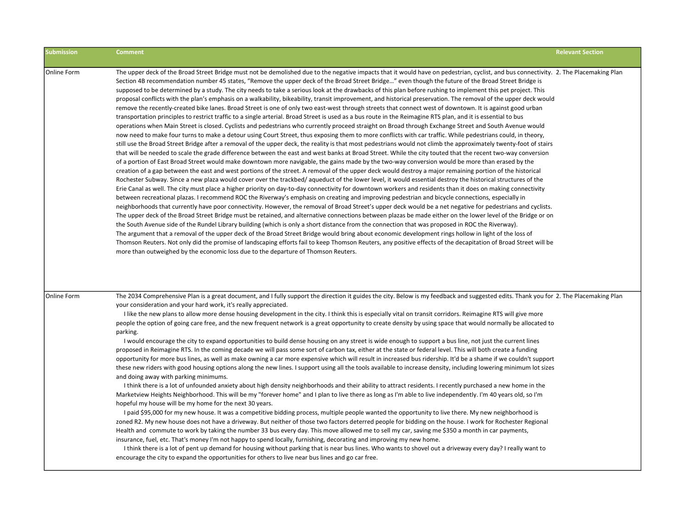| <b>Submission</b> | <b>Comment</b>                                                                                                                                                                                                                                                                                                                                                                                                                                                                                                                                                                                                                                                                                                                                                                                                                                                                                                                                                                                                                                                                                                                                                                                                                                                                                                                                                                                                                                                                                                                                                                                                                                                                                                                                                                                                                                                                                                                                                                                                                                                                                                                                                                                                                                                                                                                                                                                                                                                                                                                                                                                                                                                                                                                                                                                                                                                                                                                                                                                                                                                                                                                                                                                                                                                                                                                                                                    | <b>Relevant Section</b> |
|-------------------|-----------------------------------------------------------------------------------------------------------------------------------------------------------------------------------------------------------------------------------------------------------------------------------------------------------------------------------------------------------------------------------------------------------------------------------------------------------------------------------------------------------------------------------------------------------------------------------------------------------------------------------------------------------------------------------------------------------------------------------------------------------------------------------------------------------------------------------------------------------------------------------------------------------------------------------------------------------------------------------------------------------------------------------------------------------------------------------------------------------------------------------------------------------------------------------------------------------------------------------------------------------------------------------------------------------------------------------------------------------------------------------------------------------------------------------------------------------------------------------------------------------------------------------------------------------------------------------------------------------------------------------------------------------------------------------------------------------------------------------------------------------------------------------------------------------------------------------------------------------------------------------------------------------------------------------------------------------------------------------------------------------------------------------------------------------------------------------------------------------------------------------------------------------------------------------------------------------------------------------------------------------------------------------------------------------------------------------------------------------------------------------------------------------------------------------------------------------------------------------------------------------------------------------------------------------------------------------------------------------------------------------------------------------------------------------------------------------------------------------------------------------------------------------------------------------------------------------------------------------------------------------------------------------------------------------------------------------------------------------------------------------------------------------------------------------------------------------------------------------------------------------------------------------------------------------------------------------------------------------------------------------------------------------------------------------------------------------------------------------------------------------|-------------------------|
| Online Form       | The upper deck of the Broad Street Bridge must not be demolished due to the negative impacts that it would have on pedestrian, cyclist, and bus connectivity. 2. The Placemaking Plan<br>Section 4B recommendation number 45 states, "Remove the upper deck of the Broad Street Bridge" even though the future of the Broad Street Bridge is<br>supposed to be determined by a study. The city needs to take a serious look at the drawbacks of this plan before rushing to implement this pet project. This<br>proposal conflicts with the plan's emphasis on a walkability, bikeability, transit improvement, and historical preservation. The removal of the upper deck would<br>remove the recently-created bike lanes. Broad Street is one of only two east-west through streets that connect west of downtown. It is against good urban<br>transportation principles to restrict traffic to a single arterial. Broad Street is used as a bus route in the Reimagine RTS plan, and it is essential to bus<br>operations when Main Street is closed. Cyclists and pedestrians who currently proceed straight on Broad through Exchange Street and South Avenue would<br>now need to make four turns to make a detour using Court Street, thus exposing them to more conflicts with car traffic. While pedestrians could, in theory,<br>still use the Broad Street Bridge after a removal of the upper deck, the reality is that most pedestrians would not climb the approximately twenty-foot of stairs<br>that will be needed to scale the grade difference between the east and west banks at Broad Street. While the city touted that the recent two-way conversion<br>of a portion of East Broad Street would make downtown more navigable, the gains made by the two-way conversion would be more than erased by the<br>creation of a gap between the east and west portions of the street. A removal of the upper deck would destroy a major remaining portion of the historical<br>Rochester Subway. Since a new plaza would cover over the trackbed/aqueduct of the lower level, it would essential destroy the historical structures of the<br>Erie Canal as well. The city must place a higher priority on day-to-day connectivity for downtown workers and residents than it does on making connectivity<br>between recreational plazas. I recommend ROC the Riverway's emphasis on creating and improving pedestrian and bicycle connections, especially in<br>neighborhoods that currently have poor connectivity. However, the removal of Broad Street's upper deck would be a net negative for pedestrians and cyclists.<br>The upper deck of the Broad Street Bridge must be retained, and alternative connections between plazas be made either on the lower level of the Bridge or on<br>the South Avenue side of the Rundel Library building (which is only a short distance from the connection that was proposed in ROC the Riverway).<br>The argument that a removal of the upper deck of the Broad Street Bridge would bring about economic development rings hollow in light of the loss of<br>Thomson Reuters. Not only did the promise of landscaping efforts fail to keep Thomson Reuters, any positive effects of the decapitation of Broad Street will be<br>more than outweighed by the economic loss due to the departure of Thomson Reuters. |                         |
| Online Form       | The 2034 Comprehensive Plan is a great document, and I fully support the direction it guides the city. Below is my feedback and suggested edits. Thank you for 2. The Placemaking Plan<br>your consideration and your hard work, it's really appreciated.<br>I like the new plans to allow more dense housing development in the city. I think this is especially vital on transit corridors. Reimagine RTS will give more<br>people the option of going care free, and the new frequent network is a great opportunity to create density by using space that would normally be allocated to<br>parking.<br>I would encourage the city to expand opportunities to build dense housing on any street is wide enough to support a bus line, not just the current lines<br>proposed in Reimagine RTS. In the coming decade we will pass some sort of carbon tax, either at the state or federal level. This will both create a funding<br>opportunity for more bus lines, as well as make owning a car more expensive which will result in increased bus ridership. It'd be a shame if we couldn't support<br>these new riders with good housing options along the new lines. I support using all the tools available to increase density, including lowering minimum lot sizes<br>and doing away with parking minimums.<br>I think there is a lot of unfounded anxiety about high density neighborhoods and their ability to attract residents. I recently purchased a new home in the<br>Marketview Heights Neighborhood. This will be my "forever home" and I plan to live there as long as I'm able to live independently. I'm 40 years old, so I'm<br>hopeful my house will be my home for the next 30 years.<br>I paid \$95,000 for my new house. It was a competitive bidding process, multiple people wanted the opportunity to live there. My new neighborhood is<br>zoned R2. My new house does not have a driveway. But neither of those two factors deterred people for bidding on the house. I work for Rochester Regional<br>Health and commute to work by taking the number 33 bus every day. This move allowed me to sell my car, saving me \$350 a month in car payments,<br>insurance, fuel, etc. That's money I'm not happy to spend locally, furnishing, decorating and improving my new home.<br>I think there is a lot of pent up demand for housing without parking that is near bus lines. Who wants to shovel out a driveway every day? I really want to<br>encourage the city to expand the opportunities for others to live near bus lines and go car free.                                                                                                                                                                                                                                                                                                                                                                                                                                                                                                                                                                                                                                                                                                                                                                                               |                         |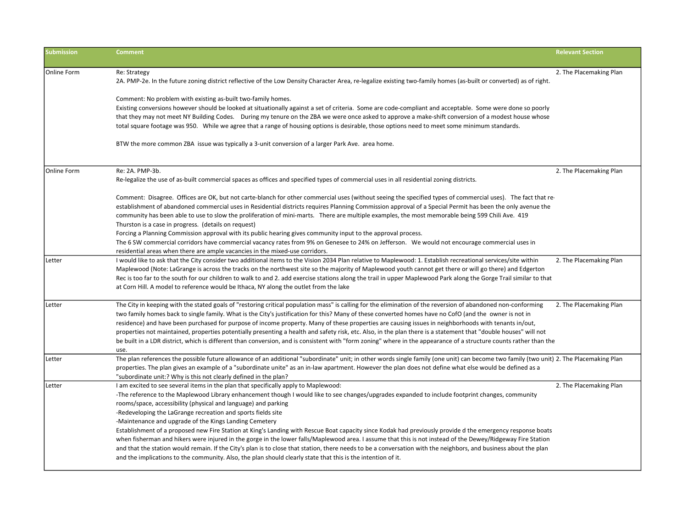| <b>Submission</b> | <b>Comment</b>                                                                                                                                                                                                                                                                                                                                                                                                                                                                                                                                                                                                                                                                                                                                                                                                                                                                                                                                                                                                                                       | <b>Relevant Section</b> |
|-------------------|------------------------------------------------------------------------------------------------------------------------------------------------------------------------------------------------------------------------------------------------------------------------------------------------------------------------------------------------------------------------------------------------------------------------------------------------------------------------------------------------------------------------------------------------------------------------------------------------------------------------------------------------------------------------------------------------------------------------------------------------------------------------------------------------------------------------------------------------------------------------------------------------------------------------------------------------------------------------------------------------------------------------------------------------------|-------------------------|
| Online Form       | Re: Strategy<br>2A. PMP-2e. In the future zoning district reflective of the Low Density Character Area, re-legalize existing two-family homes (as-built or converted) as of right.<br>Comment: No problem with existing as-built two-family homes.<br>Existing conversions however should be looked at situationally against a set of criteria. Some are code-compliant and acceptable. Some were done so poorly<br>that they may not meet NY Building Codes. During my tenure on the ZBA we were once asked to approve a make-shift conversion of a modest house whose<br>total square footage was 950. While we agree that a range of housing options is desirable, those options need to meet some minimum standards.<br>BTW the more common ZBA issue was typically a 3-unit conversion of a larger Park Ave. area home.                                                                                                                                                                                                                         | 2. The Placemaking Plan |
| Online Form       | Re: 2A. PMP-3b.<br>Re-legalize the use of as-built commercial spaces as offices and specified types of commercial uses in all residential zoning districts.<br>Comment: Disagree. Offices are OK, but not carte-blanch for other commercial uses (without seeing the specified types of commercial uses). The fact that re-<br>establishment of abandoned commercial uses in Residential districts requires Planning Commission approval of a Special Permit has been the only avenue the<br>community has been able to use to slow the proliferation of mini-marts. There are multiple examples, the most memorable being 599 Chili Ave. 419<br>Thurston is a case in progress. (details on request)<br>Forcing a Planning Commission approval with its public hearing gives community input to the approval process.<br>The 6 SW commercial corridors have commercial vacancy rates from 9% on Genesee to 24% on Jefferson. We would not encourage commercial uses in                                                                              | 2. The Placemaking Plan |
| Letter            | residential areas when there are ample vacancies in the mixed-use corridors.<br>I would like to ask that the City consider two additional items to the Vision 2034 Plan relative to Maplewood: 1. Establish recreational services/site within<br>Maplewood (Note: LaGrange is across the tracks on the northwest site so the majority of Maplewood youth cannot get there or will go there) and Edgerton<br>Rec is too far to the south for our children to walk to and 2. add exercise stations along the trail in upper Maplewood Park along the Gorge Trail similar to that<br>at Corn Hill. A model to reference would be Ithaca, NY along the outlet from the lake                                                                                                                                                                                                                                                                                                                                                                              | 2. The Placemaking Plan |
| Letter            | The City in keeping with the stated goals of "restoring critical population mass" is calling for the elimination of the reversion of abandoned non-conforming<br>two family homes back to single family. What is the City's justification for this? Many of these converted homes have no CofO (and the owner is not in<br>residence) and have been purchased for purpose of income property. Many of these properties are causing issues in neighborhoods with tenants in/out,<br>properties not maintained, properties potentially presenting a health and safety risk, etc. Also, in the plan there is a statement that "double houses" will not<br>be built in a LDR district, which is different than conversion, and is consistent with "form zoning" where in the appearance of a structure counts rather than the<br>use.                                                                                                                                                                                                                    | 2. The Placemaking Plan |
| Letter            | The plan references the possible future allowance of an additional "subordinate" unit; in other words single family (one unit) can become two family (two unit) 2. The Placemaking Plan<br>properties. The plan gives an example of a "subordinate unite" as an in-law apartment. However the plan does not define what else would be defined as a<br>"subordinate unit:? Why is this not clearly defined in the plan?                                                                                                                                                                                                                                                                                                                                                                                                                                                                                                                                                                                                                               |                         |
| Letter            | I am excited to see several items in the plan that specifically apply to Maplewood:<br>-The reference to the Maplewood Library enhancement though I would like to see changes/upgrades expanded to include footprint changes, community<br>rooms/space, accessibility (physical and language) and parking<br>-Redeveloping the LaGrange recreation and sports fields site<br>-Maintenance and upgrade of the Kings Landing Cemetery<br>Establishment of a proposed new Fire Station at King's Landing with Rescue Boat capacity since Kodak had previously provide d the emergency response boats<br>when fisherman and hikers were injured in the gorge in the lower falls/Maplewood area. I assume that this is not instead of the Dewey/Ridgeway Fire Station<br>and that the station would remain. If the City's plan is to close that station, there needs to be a conversation with the neighbors, and business about the plan<br>and the implications to the community. Also, the plan should clearly state that this is the intention of it. | 2. The Placemaking Plan |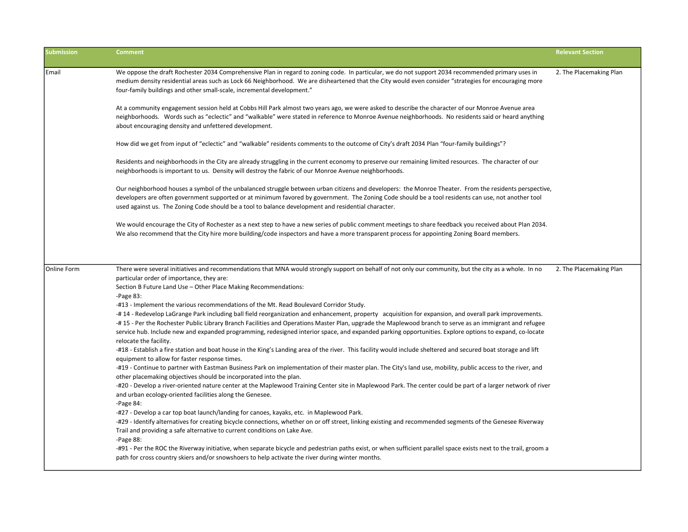| <b>Submission</b> | <b>Comment</b>                                                                                                                                                                                                                                                                                                                                                                                                             | <b>Relevant Section</b> |
|-------------------|----------------------------------------------------------------------------------------------------------------------------------------------------------------------------------------------------------------------------------------------------------------------------------------------------------------------------------------------------------------------------------------------------------------------------|-------------------------|
| Email             | We oppose the draft Rochester 2034 Comprehensive Plan in regard to zoning code. In particular, we do not support 2034 recommended primary uses in<br>medium density residential areas such as Lock 66 Neighborhood. We are disheartened that the City would even consider "strategies for encouraging more<br>four-family buildings and other small-scale, incremental development."                                       | 2. The Placemaking Plan |
|                   | At a community engagement session held at Cobbs Hill Park almost two years ago, we were asked to describe the character of our Monroe Avenue area<br>neighborhoods. Words such as "eclectic" and "walkable" were stated in reference to Monroe Avenue neighborhoods. No residents said or heard anything<br>about encouraging density and unfettered development.                                                          |                         |
|                   | How did we get from input of "eclectic" and "walkable" residents comments to the outcome of City's draft 2034 Plan "four-family buildings"?                                                                                                                                                                                                                                                                                |                         |
|                   | Residents and neighborhoods in the City are already struggling in the current economy to preserve our remaining limited resources. The character of our<br>neighborhoods is important to us. Density will destroy the fabric of our Monroe Avenue neighborhoods.                                                                                                                                                           |                         |
|                   | Our neighborhood houses a symbol of the unbalanced struggle between urban citizens and developers: the Monroe Theater. From the residents perspective,<br>developers are often government supported or at minimum favored by government. The Zoning Code should be a tool residents can use, not another tool<br>used against us. The Zoning Code should be a tool to balance development and residential character.       |                         |
|                   | We would encourage the City of Rochester as a next step to have a new series of public comment meetings to share feedback you received about Plan 2034.<br>We also recommend that the City hire more building/code inspectors and have a more transparent process for appointing Zoning Board members.                                                                                                                     |                         |
| lOnline Form      | There were several initiatives and recommendations that MNA would strongly support on behalf of not only our community, but the city as a whole. In no<br>particular order of importance, they are:<br>Section B Future Land Use - Other Place Making Recommendations:                                                                                                                                                     | 2. The Placemaking Plan |
|                   | $-Page 83$ :<br>-#13 - Implement the various recommendations of the Mt. Read Boulevard Corridor Study.<br>-#14 - Redevelop LaGrange Park including ball field reorganization and enhancement, property acquisition for expansion, and overall park improvements.<br>#15 - Per the Rochester Public Library Branch Facilities and Operations Master Plan, upgrade the Maplewood branch to serve as an immigrant and refugee |                         |
|                   | service hub. Include new and expanded programming, redesigned interior space, and expanded parking opportunities. Explore options to expand, co-locate<br>relocate the facility.<br>#18 - Establish a fire station and boat house in the King's Landing area of the river. This facility would include sheltered and secured boat storage and lift                                                                         |                         |
|                   | equipment to allow for faster response times.<br>#19 - Continue to partner with Eastman Business Park on implementation of their master plan. The City's land use, mobility, public access to the river, and<br>other placemaking objectives should be incorporated into the plan.                                                                                                                                         |                         |
|                   | -#20 - Develop a river-oriented nature center at the Maplewood Training Center site in Maplewood Park. The center could be part of a larger network of river<br>and urban ecology-oriented facilities along the Genesee.<br>-Page $84$ :                                                                                                                                                                                   |                         |
|                   | -#27 - Develop a car top boat launch/landing for canoes, kayaks, etc. in Maplewood Park.<br>-#29 - Identify alternatives for creating bicycle connections, whether on or off street, linking existing and recommended segments of the Genesee Riverway<br>Trail and providing a safe alternative to current conditions on Lake Ave.<br>-Page 88:                                                                           |                         |
|                   | #91 - Per the ROC the Riverway initiative, when separate bicycle and pedestrian paths exist, or when sufficient parallel space exists next to the trail, groom a<br>path for cross country skiers and/or snowshoers to help activate the river during winter months.                                                                                                                                                       |                         |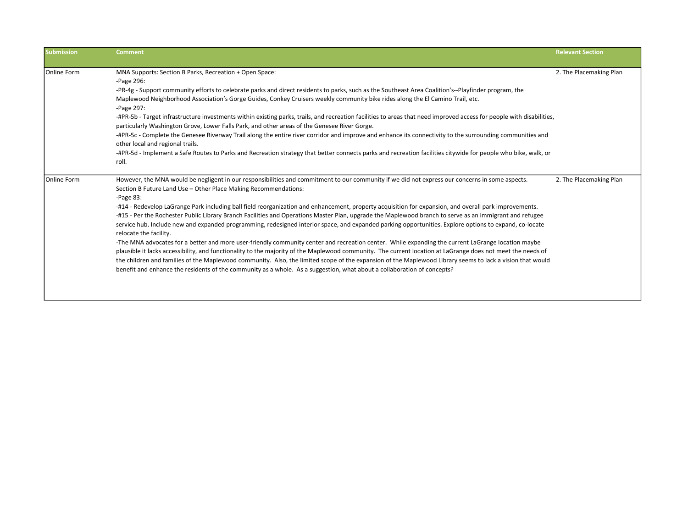| <b>Submission</b>  | <b>Comment</b>                                                                                                                                                                                                                                                                                                                                                                                                                                                                                                                                                                                                                                                                                                                                                                                                                                                                                                                                                                                                                                                                                                                                                                                                                                                                                                                                          | <b>Relevant Section</b> |
|--------------------|---------------------------------------------------------------------------------------------------------------------------------------------------------------------------------------------------------------------------------------------------------------------------------------------------------------------------------------------------------------------------------------------------------------------------------------------------------------------------------------------------------------------------------------------------------------------------------------------------------------------------------------------------------------------------------------------------------------------------------------------------------------------------------------------------------------------------------------------------------------------------------------------------------------------------------------------------------------------------------------------------------------------------------------------------------------------------------------------------------------------------------------------------------------------------------------------------------------------------------------------------------------------------------------------------------------------------------------------------------|-------------------------|
| <b>Online Form</b> | MNA Supports: Section B Parks, Recreation + Open Space:<br>-Page 296:                                                                                                                                                                                                                                                                                                                                                                                                                                                                                                                                                                                                                                                                                                                                                                                                                                                                                                                                                                                                                                                                                                                                                                                                                                                                                   | 2. The Placemaking Plan |
|                    | -PR-4g - Support community efforts to celebrate parks and direct residents to parks, such as the Southeast Area Coalition's--Playfinder program, the<br>Maplewood Neighborhood Association's Gorge Guides, Conkey Cruisers weekly community bike rides along the El Camino Trail, etc.<br>-Page 297:<br>-#PR-5b - Target infrastructure investments within existing parks, trails, and recreation facilities to areas that need improved access for people with disabilities,<br>particularly Washington Grove, Lower Falls Park, and other areas of the Genesee River Gorge.<br>-#PR-5c - Complete the Genesee Riverway Trail along the entire river corridor and improve and enhance its connectivity to the surrounding communities and<br>other local and regional trails.<br>-#PR-5d - Implement a Safe Routes to Parks and Recreation strategy that better connects parks and recreation facilities citywide for people who bike, walk, or<br>roll.                                                                                                                                                                                                                                                                                                                                                                                               |                         |
| <b>Online Form</b> | However, the MNA would be negligent in our responsibilities and commitment to our community if we did not express our concerns in some aspects.<br>Section B Future Land Use - Other Place Making Recommendations:<br>$-Page 83:$<br>-#14 - Redevelop LaGrange Park including ball field reorganization and enhancement, property acquisition for expansion, and overall park improvements.<br>-#15 - Per the Rochester Public Library Branch Facilities and Operations Master Plan, upgrade the Maplewood branch to serve as an immigrant and refugee<br>service hub. Include new and expanded programming, redesigned interior space, and expanded parking opportunities. Explore options to expand, co-locate<br>relocate the facility.<br>-The MNA advocates for a better and more user-friendly community center and recreation center. While expanding the current LaGrange location maybe<br>plausible it lacks accessibility, and functionality to the majority of the Maplewood community. The current location at LaGrange does not meet the needs of<br>the children and families of the Maplewood community. Also, the limited scope of the expansion of the Maplewood Library seems to lack a vision that would<br>benefit and enhance the residents of the community as a whole. As a suggestion, what about a collaboration of concepts? | 2. The Placemaking Plan |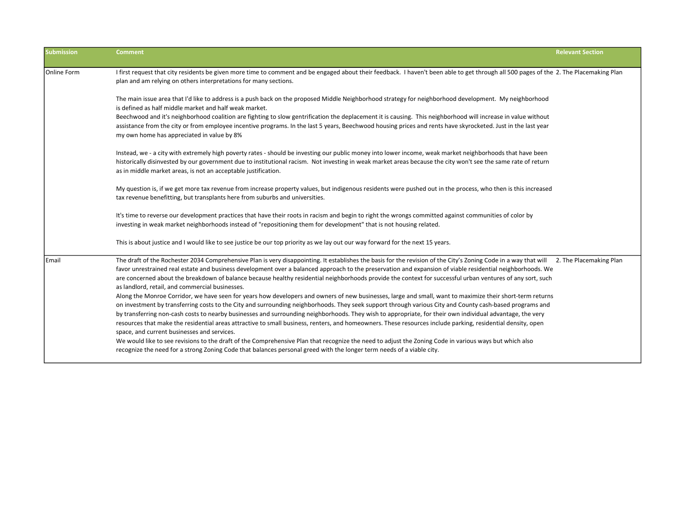| <b>Submission</b> | <b>Comment</b>                                                                                                                                                                                                                                                                                                                                                                                                                                                                                                                                                                                                                                                                                                                                                                                                                                                                                                                                                                                                                                                                                                                                                                                                                                                                                                                                                                                                                                                                                                                                                 | <b>Relevant Section</b> |
|-------------------|----------------------------------------------------------------------------------------------------------------------------------------------------------------------------------------------------------------------------------------------------------------------------------------------------------------------------------------------------------------------------------------------------------------------------------------------------------------------------------------------------------------------------------------------------------------------------------------------------------------------------------------------------------------------------------------------------------------------------------------------------------------------------------------------------------------------------------------------------------------------------------------------------------------------------------------------------------------------------------------------------------------------------------------------------------------------------------------------------------------------------------------------------------------------------------------------------------------------------------------------------------------------------------------------------------------------------------------------------------------------------------------------------------------------------------------------------------------------------------------------------------------------------------------------------------------|-------------------------|
| Online Form       | I first request that city residents be given more time to comment and be engaged about their feedback. I haven't been able to get through all 500 pages of the 2. The Placemaking Plan<br>plan and am relying on others interpretations for many sections.                                                                                                                                                                                                                                                                                                                                                                                                                                                                                                                                                                                                                                                                                                                                                                                                                                                                                                                                                                                                                                                                                                                                                                                                                                                                                                     |                         |
|                   | The main issue area that I'd like to address is a push back on the proposed Middle Neighborhood strategy for neighborhood development. My neighborhood<br>is defined as half middle market and half weak market.                                                                                                                                                                                                                                                                                                                                                                                                                                                                                                                                                                                                                                                                                                                                                                                                                                                                                                                                                                                                                                                                                                                                                                                                                                                                                                                                               |                         |
|                   | Beechwood and it's neighborhood coalition are fighting to slow gentrification the deplacement it is causing. This neighborhood will increase in value without<br>assistance from the city or from employee incentive programs. In the last 5 years, Beechwood housing prices and rents have skyrocketed. Just in the last year<br>my own home has appreciated in value by 8%                                                                                                                                                                                                                                                                                                                                                                                                                                                                                                                                                                                                                                                                                                                                                                                                                                                                                                                                                                                                                                                                                                                                                                                   |                         |
|                   | Instead, we - a city with extremely high poverty rates - should be investing our public money into lower income, weak market neighborhoods that have been<br>historically disinvested by our government due to institutional racism. Not investing in weak market areas because the city won't see the same rate of return<br>as in middle market areas, is not an acceptable justification.                                                                                                                                                                                                                                                                                                                                                                                                                                                                                                                                                                                                                                                                                                                                                                                                                                                                                                                                                                                                                                                                                                                                                                   |                         |
|                   | My question is, if we get more tax revenue from increase property values, but indigenous residents were pushed out in the process, who then is this increased<br>tax revenue benefitting, but transplants here from suburbs and universities.                                                                                                                                                                                                                                                                                                                                                                                                                                                                                                                                                                                                                                                                                                                                                                                                                                                                                                                                                                                                                                                                                                                                                                                                                                                                                                                  |                         |
|                   | It's time to reverse our development practices that have their roots in racism and begin to right the wrongs committed against communities of color by<br>investing in weak market neighborhoods instead of "repositioning them for development" that is not housing related.                                                                                                                                                                                                                                                                                                                                                                                                                                                                                                                                                                                                                                                                                                                                                                                                                                                                                                                                                                                                                                                                                                                                                                                                                                                                                  |                         |
|                   | This is about justice and I would like to see justice be our top priority as we lay out our way forward for the next 15 years.                                                                                                                                                                                                                                                                                                                                                                                                                                                                                                                                                                                                                                                                                                                                                                                                                                                                                                                                                                                                                                                                                                                                                                                                                                                                                                                                                                                                                                 |                         |
| Email             | The draft of the Rochester 2034 Comprehensive Plan is very disappointing. It establishes the basis for the revision of the City's Zoning Code in a way that will 2. The Placemaking Plan<br>favor unrestrained real estate and business development over a balanced approach to the preservation and expansion of viable residential neighborhoods. We<br>are concerned about the breakdown of balance because healthy residential neighborhoods provide the context for successful urban ventures of any sort, such<br>as landlord, retail, and commercial businesses.<br>Along the Monroe Corridor, we have seen for years how developers and owners of new businesses, large and small, want to maximize their short-term returns<br>on investment by transferring costs to the City and surrounding neighborhoods. They seek support through various City and County cash-based programs and<br>by transferring non-cash costs to nearby businesses and surrounding neighborhoods. They wish to appropriate, for their own individual advantage, the very<br>resources that make the residential areas attractive to small business, renters, and homeowners. These resources include parking, residential density, open<br>space, and current businesses and services.<br>We would like to see revisions to the draft of the Comprehensive Plan that recognize the need to adjust the Zoning Code in various ways but which also<br>recognize the need for a strong Zoning Code that balances personal greed with the longer term needs of a viable city. |                         |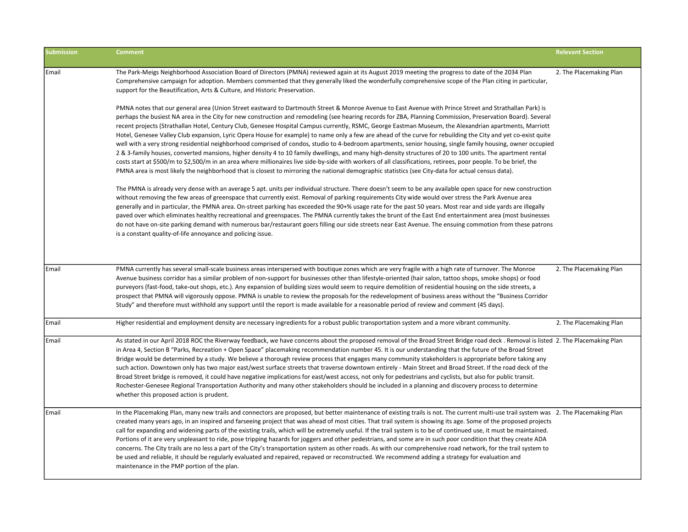| <b>Submission</b> | <b>Comment</b>                                                                                                                                                                                                                                                                                                                                                                                                                                                                                                                                                                                                                                                                                                                                                                                                                                                                                                                                                                                                                                                                                                                                                                                                                                                                                           | <b>Relevant Section</b> |
|-------------------|----------------------------------------------------------------------------------------------------------------------------------------------------------------------------------------------------------------------------------------------------------------------------------------------------------------------------------------------------------------------------------------------------------------------------------------------------------------------------------------------------------------------------------------------------------------------------------------------------------------------------------------------------------------------------------------------------------------------------------------------------------------------------------------------------------------------------------------------------------------------------------------------------------------------------------------------------------------------------------------------------------------------------------------------------------------------------------------------------------------------------------------------------------------------------------------------------------------------------------------------------------------------------------------------------------|-------------------------|
| Email             | The Park-Meigs Neighborhood Association Board of Directors (PMNA) reviewed again at its August 2019 meeting the progress to date of the 2034 Plan<br>Comprehensive campaign for adoption. Members commented that they generally liked the wonderfully comprehensive scope of the Plan citing in particular,<br>support for the Beautification, Arts & Culture, and Historic Preservation.                                                                                                                                                                                                                                                                                                                                                                                                                                                                                                                                                                                                                                                                                                                                                                                                                                                                                                                | 2. The Placemaking Plan |
|                   | PMNA notes that our general area (Union Street eastward to Dartmouth Street & Monroe Avenue to East Avenue with Prince Street and Strathallan Park) is<br>perhaps the busiest NA area in the City for new construction and remodeling (see hearing records for ZBA, Planning Commission, Preservation Board). Several<br>recent projects (Strathallan Hotel, Century Club, Genesee Hospital Campus currently, RSMC, George Eastman Museum, the Alexandrian apartments, Marriott<br>Hotel, Genesee Valley Club expansion, Lyric Opera House for example) to name only a few are ahead of the curve for rebuilding the City and yet co-exist quite<br>well with a very strong residential neighborhood comprised of condos, studio to 4-bedroom apartments, senior housing, single family housing, owner occupied<br>2 & 3-family houses, converted mansions, higher density 4 to 10 family dwellings, and many high-density structures of 20 to 100 units. The apartment rental<br>costs start at \$500/m to \$2,500/m in an area where millionaires live side-by-side with workers of all classifications, retirees, poor people. To be brief, the<br>PMNA area is most likely the neighborhood that is closest to mirroring the national demographic statistics (see City-data for actual census data). |                         |
|                   | The PMNA is already very dense with an average 5 apt. units per individual structure. There doesn't seem to be any available open space for new construction<br>without removing the few areas of greenspace that currently exist. Removal of parking requirements City wide would over stress the Park Avenue area<br>generally and in particular, the PMNA area. On-street parking has exceeded the 90+% usage rate for the past 50 years. Most rear and side yards are illegally<br>paved over which eliminates healthy recreational and greenspaces. The PMNA currently takes the brunt of the East End entertainment area (most businesses<br>do not have on-site parking demand with numerous bar/restaurant goers filling our side streets near East Avenue. The ensuing commotion from these patrons<br>is a constant quality-of-life annoyance and policing issue.                                                                                                                                                                                                                                                                                                                                                                                                                              |                         |
| Email             | PMNA currently has several small-scale business areas interspersed with boutique zones which are very fragile with a high rate of turnover. The Monroe<br>Avenue business corridor has a similar problem of non-support for businesses other than lifestyle-oriented (hair salon, tattoo shops, smoke shops) or food<br>purveyors (fast-food, take-out shops, etc.). Any expansion of building sizes would seem to require demolition of residential housing on the side streets, a<br>prospect that PMNA will vigorously oppose. PMNA is unable to review the proposals for the redevelopment of business areas without the "Business Corridor<br>Study" and therefore must withhold any support until the report is made available for a reasonable period of review and comment (45 days).                                                                                                                                                                                                                                                                                                                                                                                                                                                                                                            | 2. The Placemaking Plan |
| Email             | Higher residential and employment density are necessary ingredients for a robust public transportation system and a more vibrant community.                                                                                                                                                                                                                                                                                                                                                                                                                                                                                                                                                                                                                                                                                                                                                                                                                                                                                                                                                                                                                                                                                                                                                              | 2. The Placemaking Plan |
| Email             | As stated in our April 2018 ROC the Riverway feedback, we have concerns about the proposed removal of the Broad Street Bridge road deck. Removal is listed 2. The Placemaking Plan<br>in Area 4, Section B "Parks, Recreation + Open Space" placemaking recommendation number 45. It is our understanding that the future of the Broad Street<br>Bridge would be determined by a study. We believe a thorough review process that engages many community stakeholders is appropriate before taking any<br>such action. Downtown only has two major east/west surface streets that traverse downtown entirely - Main Street and Broad Street. If the road deck of the<br>Broad Street bridge is removed, it could have negative implications for east/west access, not only for pedestrians and cyclists, but also for public transit.<br>Rochester-Genesee Regional Transportation Authority and many other stakeholders should be included in a planning and discovery process to determine<br>whether this proposed action is prudent.                                                                                                                                                                                                                                                                 |                         |
| Email             | In the Placemaking Plan, many new trails and connectors are proposed, but better maintenance of existing trails is not. The current multi-use trail system was 2. The Placemaking Plan<br>created many years ago, in an inspired and farseeing project that was ahead of most cities. That trail system is showing its age. Some of the proposed projects<br>call for expanding and widening parts of the existing trails, which will be extremely useful. If the trail system is to be of continued use, it must be maintained.<br>Portions of it are very unpleasant to ride, pose tripping hazards for joggers and other pedestrians, and some are in such poor condition that they create ADA<br>concerns. The City trails are no less a part of the City's transportation system as other roads. As with our comprehensive road network, for the trail system to<br>be used and reliable, it should be regularly evaluated and repaired, repaved or reconstructed. We recommend adding a strategy for evaluation and<br>maintenance in the PMP portion of the plan.                                                                                                                                                                                                                                 |                         |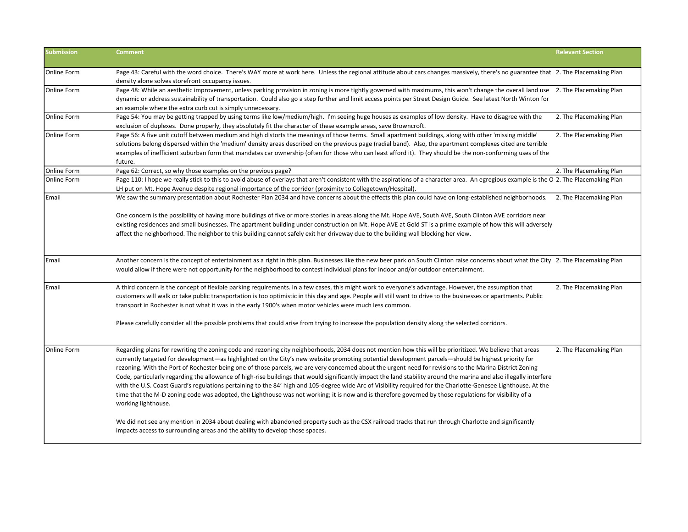| <b>Submission</b> | <b>Comment</b>                                                                                                                                                                                                                                                                                                                                                                                                                                                                                                                                                                                                                                                                                                                                                                                                                                                                                                                                                                                        | <b>Relevant Section</b> |
|-------------------|-------------------------------------------------------------------------------------------------------------------------------------------------------------------------------------------------------------------------------------------------------------------------------------------------------------------------------------------------------------------------------------------------------------------------------------------------------------------------------------------------------------------------------------------------------------------------------------------------------------------------------------------------------------------------------------------------------------------------------------------------------------------------------------------------------------------------------------------------------------------------------------------------------------------------------------------------------------------------------------------------------|-------------------------|
| Online Form       | Page 43: Careful with the word choice. There's WAY more at work here. Unless the regional attitude about cars changes massively, there's no guarantee that 2. The Placemaking Plan<br>density alone solves storefront occupancy issues.                                                                                                                                                                                                                                                                                                                                                                                                                                                                                                                                                                                                                                                                                                                                                               |                         |
| Online Form       | Page 48: While an aesthetic improvement, unless parking provision in zoning is more tightly governed with maximums, this won't change the overall land use 2. The Placemaking Plan<br>dynamic or address sustainability of transportation. Could also go a step further and limit access points per Street Design Guide. See latest North Winton for<br>an example where the extra curb cut is simply unnecessary.                                                                                                                                                                                                                                                                                                                                                                                                                                                                                                                                                                                    |                         |
| Online Form       | Page 54: You may be getting trapped by using terms like low/medium/high. I'm seeing huge houses as examples of low density. Have to disagree with the<br>exclusion of duplexes. Done properly, they absolutely fit the character of these example areas, save Browncroft.                                                                                                                                                                                                                                                                                                                                                                                                                                                                                                                                                                                                                                                                                                                             | 2. The Placemaking Plan |
| Online Form       | Page 56: A five unit cutoff between medium and high distorts the meanings of those terms. Small apartment buildings, along with other 'missing middle'<br>solutions belong dispersed within the 'medium' density areas described on the previous page (radial band). Also, the apartment complexes cited are terrible<br>examples of inefficient suburban form that mandates car ownership (often for those who can least afford it). They should be the non-conforming uses of the<br>future.                                                                                                                                                                                                                                                                                                                                                                                                                                                                                                        | 2. The Placemaking Plan |
| Online Form       | Page 62: Correct, so why those examples on the previous page?                                                                                                                                                                                                                                                                                                                                                                                                                                                                                                                                                                                                                                                                                                                                                                                                                                                                                                                                         | 2. The Placemaking Plan |
| Online Form       | Page 110: I hope we really stick to this to avoid abuse of overlays that aren't consistent with the aspirations of a character area. An egregious example is the O 2. The Placemaking Plan<br>LH put on Mt. Hope Avenue despite regional importance of the corridor (proximity to Collegetown/Hospital).                                                                                                                                                                                                                                                                                                                                                                                                                                                                                                                                                                                                                                                                                              |                         |
| <b>Email</b>      | We saw the summary presentation about Rochester Plan 2034 and have concerns about the effects this plan could have on long-established neighborhoods.                                                                                                                                                                                                                                                                                                                                                                                                                                                                                                                                                                                                                                                                                                                                                                                                                                                 | 2. The Placemaking Plan |
|                   | One concern is the possibility of having more buildings of five or more stories in areas along the Mt. Hope AVE, South AVE, South Clinton AVE corridors near<br>existing residences and small businesses. The apartment building under construction on Mt. Hope AVE at Gold ST is a prime example of how this will adversely<br>affect the neighborhood. The neighbor to this building cannot safely exit her driveway due to the building wall blocking her view.                                                                                                                                                                                                                                                                                                                                                                                                                                                                                                                                    |                         |
| Email             | Another concern is the concept of entertainment as a right in this plan. Businesses like the new beer park on South Clinton raise concerns about what the City 2. The Placemaking Plan<br>would allow if there were not opportunity for the neighborhood to contest individual plans for indoor and/or outdoor entertainment.                                                                                                                                                                                                                                                                                                                                                                                                                                                                                                                                                                                                                                                                         |                         |
| Email             | A third concern is the concept of flexible parking requirements. In a few cases, this might work to everyone's advantage. However, the assumption that<br>customers will walk or take public transportation is too optimistic in this day and age. People will still want to drive to the businesses or apartments. Public<br>transport in Rochester is not what it was in the early 1900's when motor vehicles were much less common.                                                                                                                                                                                                                                                                                                                                                                                                                                                                                                                                                                | 2. The Placemaking Plan |
|                   | Please carefully consider all the possible problems that could arise from trying to increase the population density along the selected corridors.                                                                                                                                                                                                                                                                                                                                                                                                                                                                                                                                                                                                                                                                                                                                                                                                                                                     |                         |
| Online Form       | Regarding plans for rewriting the zoning code and rezoning city neighborhoods, 2034 does not mention how this will be prioritized. We believe that areas<br>currently targeted for development—as highlighted on the City's new website promoting potential development parcels—should be highest priority for<br>rezoning. With the Port of Rochester being one of those parcels, we are very concerned about the urgent need for revisions to the Marina District Zoning<br>Code, particularly regarding the allowance of high-rise buildings that would significantly impact the land stability around the marina and also illegally interfere<br>with the U.S. Coast Guard's regulations pertaining to the 84' high and 105-degree wide Arc of Visibility required for the Charlotte-Genesee Lighthouse. At the<br>time that the M-D zoning code was adopted, the Lighthouse was not working; it is now and is therefore governed by those regulations for visibility of a<br>working lighthouse. | 2. The Placemaking Plan |
|                   | We did not see any mention in 2034 about dealing with abandoned property such as the CSX railroad tracks that run through Charlotte and significantly<br>impacts access to surrounding areas and the ability to develop those spaces.                                                                                                                                                                                                                                                                                                                                                                                                                                                                                                                                                                                                                                                                                                                                                                 |                         |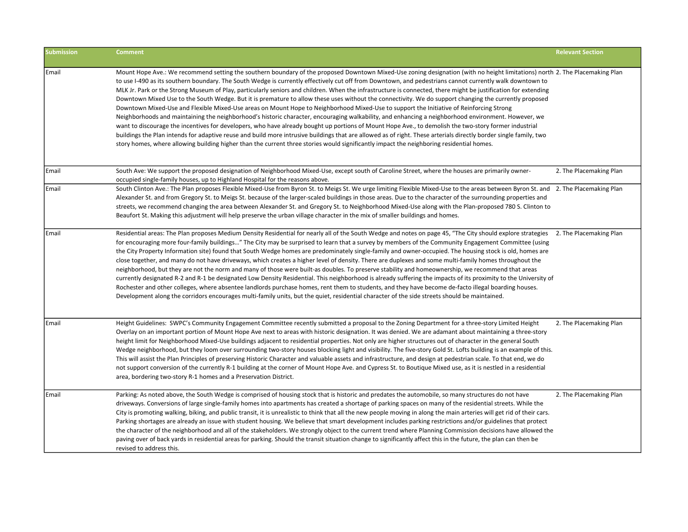| <b>Submission</b> | <b>Comment</b>                                                                                                                                                                                                                                                                                                                                                                                                                                                                                                                                                                                                                                                                                                                                                                                                                                                                                                                                                                                                                                                                                                                                                                                                                                                                                                                                                                                                                                   | <b>Relevant Section</b> |
|-------------------|--------------------------------------------------------------------------------------------------------------------------------------------------------------------------------------------------------------------------------------------------------------------------------------------------------------------------------------------------------------------------------------------------------------------------------------------------------------------------------------------------------------------------------------------------------------------------------------------------------------------------------------------------------------------------------------------------------------------------------------------------------------------------------------------------------------------------------------------------------------------------------------------------------------------------------------------------------------------------------------------------------------------------------------------------------------------------------------------------------------------------------------------------------------------------------------------------------------------------------------------------------------------------------------------------------------------------------------------------------------------------------------------------------------------------------------------------|-------------------------|
| Email             | Mount Hope Ave.: We recommend setting the southern boundary of the proposed Downtown Mixed-Use zoning designation (with no height limitations) north 2. The Placemaking Plan<br>to use I-490 as its southern boundary. The South Wedge is currently effectively cut off from Downtown, and pedestrians cannot currently walk downtown to<br>MLK Jr. Park or the Strong Museum of Play, particularly seniors and children. When the infrastructure is connected, there might be justification for extending<br>Downtown Mixed Use to the South Wedge. But it is premature to allow these uses without the connectivity. We do support changing the currently proposed<br>Downtown Mixed-Use and Flexible Mixed-Use areas on Mount Hope to Neighborhood Mixed-Use to support the Initiative of Reinforcing Strong<br>Neighborhoods and maintaining the neighborhood's historic character, encouraging walkability, and enhancing a neighborhood environment. However, we<br>want to discourage the incentives for developers, who have already bought up portions of Mount Hope Ave., to demolish the two-story former industrial<br>buildings the Plan intends for adaptive reuse and build more intrusive buildings that are allowed as of right. These arterials directly border single family, two<br>story homes, where allowing building higher than the current three stories would significantly impact the neighboring residential homes. |                         |
| Email             | South Ave: We support the proposed designation of Neighborhood Mixed-Use, except south of Caroline Street, where the houses are primarily owner-<br>occupied single-family houses, up to Highland Hospital for the reasons above.                                                                                                                                                                                                                                                                                                                                                                                                                                                                                                                                                                                                                                                                                                                                                                                                                                                                                                                                                                                                                                                                                                                                                                                                                | 2. The Placemaking Plan |
| Email             | South Clinton Ave.: The Plan proposes Flexible Mixed-Use from Byron St. to Meigs St. We urge limiting Flexible Mixed-Use to the areas between Byron St. and 2. The Placemaking Plan<br>Alexander St. and from Gregory St. to Meigs St. because of the larger-scaled buildings in those areas. Due to the character of the surrounding properties and<br>streets, we recommend changing the area between Alexander St. and Gregory St. to Neighborhood Mixed-Use along with the Plan-proposed 780 S. Clinton to<br>Beaufort St. Making this adjustment will help preserve the urban village character in the mix of smaller buildings and homes.                                                                                                                                                                                                                                                                                                                                                                                                                                                                                                                                                                                                                                                                                                                                                                                                  |                         |
| Email             | Residential areas: The Plan proposes Medium Density Residential for nearly all of the South Wedge and notes on page 45, "The City should explore strategies<br>for encouraging more four-family buildings" The City may be surprised to learn that a survey by members of the Community Engagement Committee (using<br>the City Property Information site) found that South Wedge homes are predominately single-family and owner-occupied. The housing stock is old, homes are<br>close together, and many do not have driveways, which creates a higher level of density. There are duplexes and some multi-family homes throughout the<br>neighborhood, but they are not the norm and many of those were built-as doubles. To preserve stability and homeownership, we recommend that areas<br>currently designated R-2 and R-1 be designated Low Density Residential. This neighborhood is already suffering the impacts of its proximity to the University of<br>Rochester and other colleges, where absentee landlords purchase homes, rent them to students, and they have become de-facto illegal boarding houses.<br>Development along the corridors encourages multi-family units, but the quiet, residential character of the side streets should be maintained.                                                                                                                                                                      | 2. The Placemaking Plan |
| Email             | Height Guidelines: SWPC's Community Engagement Committee recently submitted a proposal to the Zoning Department for a three-story Limited Height<br>Overlay on an important portion of Mount Hope Ave next to areas with historic designation. It was denied. We are adamant about maintaining a three-story<br>height limit for Neighborhood Mixed-Use buildings adjacent to residential properties. Not only are higher structures out of character in the general South<br>Wedge neighborhood, but they loom over surrounding two-story houses blocking light and visibility. The five-story Gold St. Lofts building is an example of this.<br>This will assist the Plan Principles of preserving Historic Character and valuable assets and infrastructure, and design at pedestrian scale. To that end, we do<br>not support conversion of the currently R-1 building at the corner of Mount Hope Ave. and Cypress St. to Boutique Mixed use, as it is nestled in a residential<br>area, bordering two-story R-1 homes and a Preservation District.                                                                                                                                                                                                                                                                                                                                                                                         | 2. The Placemaking Plan |
| Email             | Parking: As noted above, the South Wedge is comprised of housing stock that is historic and predates the automobile, so many structures do not have<br>driveways. Conversions of large single-family homes into apartments has created a shortage of parking spaces on many of the residential streets. While the<br>City is promoting walking, biking, and public transit, it is unrealistic to think that all the new people moving in along the main arteries will get rid of their cars.<br>Parking shortages are already an issue with student housing. We believe that smart development includes parking restrictions and/or guidelines that protect<br>the character of the neighborhood and all of the stakeholders. We strongly object to the current trend where Planning Commission decisions have allowed the<br>paving over of back yards in residential areas for parking. Should the transit situation change to significantly affect this in the future, the plan can then be<br>revised to address this.                                                                                                                                                                                                                                                                                                                                                                                                                       | 2. The Placemaking Plan |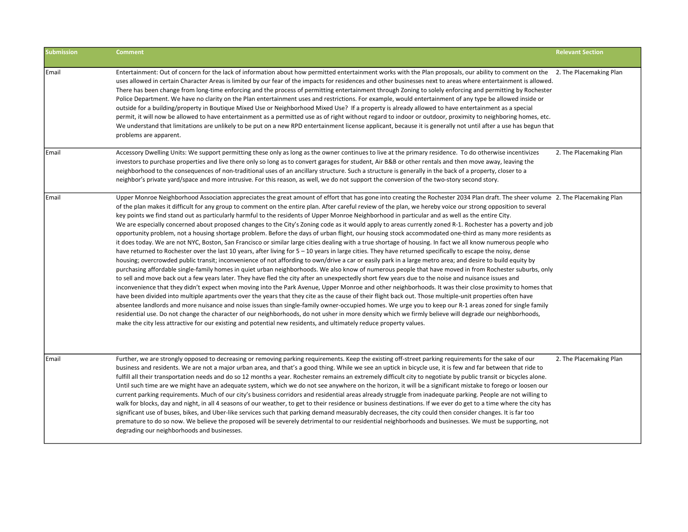| <b>Submission</b> | <b>Comment</b>                                                                                                                                                                                                                                                                                                                                                                                                                                                                                                                                                                                                                                                                                                                                                                                                                                                                                                                                                                                                                                                                                                                                                                                                                                                                                                                                                                                                                                                                                                                                                                                                                                                                                                                                                                                                                                                                                                                                                                                                                                                                                                                                                                                                                                                                                                                                                                                                            | <b>Relevant Section</b> |
|-------------------|---------------------------------------------------------------------------------------------------------------------------------------------------------------------------------------------------------------------------------------------------------------------------------------------------------------------------------------------------------------------------------------------------------------------------------------------------------------------------------------------------------------------------------------------------------------------------------------------------------------------------------------------------------------------------------------------------------------------------------------------------------------------------------------------------------------------------------------------------------------------------------------------------------------------------------------------------------------------------------------------------------------------------------------------------------------------------------------------------------------------------------------------------------------------------------------------------------------------------------------------------------------------------------------------------------------------------------------------------------------------------------------------------------------------------------------------------------------------------------------------------------------------------------------------------------------------------------------------------------------------------------------------------------------------------------------------------------------------------------------------------------------------------------------------------------------------------------------------------------------------------------------------------------------------------------------------------------------------------------------------------------------------------------------------------------------------------------------------------------------------------------------------------------------------------------------------------------------------------------------------------------------------------------------------------------------------------------------------------------------------------------------------------------------------------|-------------------------|
| Email             | Entertainment: Out of concern for the lack of information about how permitted entertainment works with the Plan proposals, our ability to comment on the 2. The Placemaking Plan<br>uses allowed in certain Character Areas is limited by our fear of the impacts for residences and other businesses next to areas where entertainment is allowed.<br>There has been change from long-time enforcing and the process of permitting entertainment through Zoning to solely enforcing and permitting by Rochester<br>Police Department. We have no clarity on the Plan entertainment uses and restrictions. For example, would entertainment of any type be allowed inside or<br>outside for a building/property in Boutique Mixed Use or Neighborhood Mixed Use? If a property is already allowed to have entertainment as a special<br>permit, it will now be allowed to have entertainment as a permitted use as of right without regard to indoor or outdoor, proximity to neighboring homes, etc.<br>We understand that limitations are unlikely to be put on a new RPD entertainment license applicant, because it is generally not until after a use has begun that<br>problems are apparent.                                                                                                                                                                                                                                                                                                                                                                                                                                                                                                                                                                                                                                                                                                                                                                                                                                                                                                                                                                                                                                                                                                                                                                                                                       |                         |
| Email             | Accessory Dwelling Units: We support permitting these only as long as the owner continues to live at the primary residence. To do otherwise incentivizes<br>investors to purchase properties and live there only so long as to convert garages for student, Air B&B or other rentals and then move away, leaving the<br>neighborhood to the consequences of non-traditional uses of an ancillary structure. Such a structure is generally in the back of a property, closer to a<br>neighbor's private yard/space and more intrusive. For this reason, as well, we do not support the conversion of the two-story second story.                                                                                                                                                                                                                                                                                                                                                                                                                                                                                                                                                                                                                                                                                                                                                                                                                                                                                                                                                                                                                                                                                                                                                                                                                                                                                                                                                                                                                                                                                                                                                                                                                                                                                                                                                                                           | 2. The Placemaking Plan |
| Email             | Upper Monroe Neighborhood Association appreciates the great amount of effort that has gone into creating the Rochester 2034 Plan draft. The sheer volume 2. The Placemaking Plan<br>of the plan makes it difficult for any group to comment on the entire plan. After careful review of the plan, we hereby voice our strong opposition to several<br>key points we find stand out as particularly harmful to the residents of Upper Monroe Neighborhood in particular and as well as the entire City.<br>We are especially concerned about proposed changes to the City's Zoning code as it would apply to areas currently zoned R-1. Rochester has a poverty and job<br>opportunity problem, not a housing shortage problem. Before the days of urban flight, our housing stock accommodated one-third as many more residents as<br>it does today. We are not NYC, Boston, San Francisco or similar large cities dealing with a true shortage of housing. In fact we all know numerous people who<br>have returned to Rochester over the last 10 years, after living for 5 - 10 years in large cities. They have returned specifically to escape the noisy, dense<br>housing; overcrowded public transit; inconvenience of not affording to own/drive a car or easily park in a large metro area; and desire to build equity by<br>purchasing affordable single-family homes in quiet urban neighborhoods. We also know of numerous people that have moved in from Rochester suburbs, only<br>to sell and move back out a few years later. They have fled the city after an unexpectedly short few years due to the noise and nuisance issues and<br>inconvenience that they didn't expect when moving into the Park Avenue, Upper Monroe and other neighborhoods. It was their close proximity to homes that<br>have been divided into multiple apartments over the years that they cite as the cause of their flight back out. Those multiple-unit properties often have<br>absentee landlords and more nuisance and noise issues than single-family owner-occupied homes. We urge you to keep our R-1 areas zoned for single family<br>residential use. Do not change the character of our neighborhoods, do not usher in more density which we firmly believe will degrade our neighborhoods,<br>make the city less attractive for our existing and potential new residents, and ultimately reduce property values. |                         |
| l Email           | Further, we are strongly opposed to decreasing or removing parking requirements. Keep the existing off-street parking requirements for the sake of our<br>business and residents. We are not a major urban area, and that's a good thing. While we see an uptick in bicycle use, it is few and far between that ride to<br>fulfill all their transportation needs and do so 12 months a year. Rochester remains an extremely difficult city to negotiate by public transit or bicycles alone.<br>Until such time are we might have an adequate system, which we do not see anywhere on the horizon, it will be a significant mistake to forego or loosen our<br>current parking requirements. Much of our city's business corridors and residential areas already struggle from inadequate parking. People are not willing to<br>walk for blocks, day and night, in all 4 seasons of our weather, to get to their residence or business destinations. If we ever do get to a time where the city has<br>significant use of buses, bikes, and Uber-like services such that parking demand measurably decreases, the city could then consider changes. It is far too<br>premature to do so now. We believe the proposed will be severely detrimental to our residential neighborhoods and businesses. We must be supporting, not<br>degrading our neighborhoods and businesses.                                                                                                                                                                                                                                                                                                                                                                                                                                                                                                                                                                                                                                                                                                                                                                                                                                                                                                                                                                                                                                             | 2. The Placemaking Plan |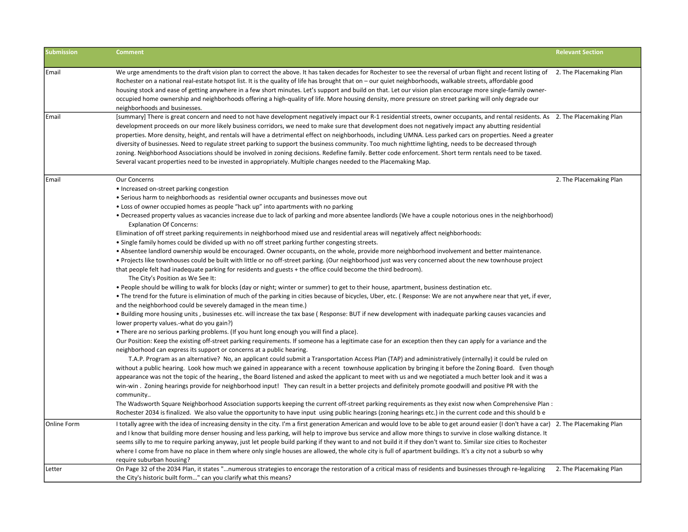| <b>Submission</b> | <b>Comment</b>                                                                                                                                                                               | <b>Relevant Section</b> |
|-------------------|----------------------------------------------------------------------------------------------------------------------------------------------------------------------------------------------|-------------------------|
|                   |                                                                                                                                                                                              |                         |
| Email             | We urge amendments to the draft vision plan to correct the above. It has taken decades for Rochester to see the reversal of urban flight and recent listing of 2. The Placemaking Plan       |                         |
|                   | Rochester on a national real-estate hotspot list. It is the quality of life has brought that on – our quiet neighborhoods, walkable streets, affordable good                                 |                         |
|                   | housing stock and ease of getting anywhere in a few short minutes. Let's support and build on that. Let our vision plan encourage more single-family owner-                                  |                         |
|                   | occupied home ownership and neighborhoods offering a high-quality of life. More housing density, more pressure on street parking will only degrade our                                       |                         |
|                   | neighborhoods and businesses.                                                                                                                                                                |                         |
| Email             | [summary] There is great concern and need to not have development negatively impact our R-1 residential streets, owner occupants, and rental residents. As 2. The Placemaking Plan           |                         |
|                   | development proceeds on our more likely business corridors, we need to make sure that development does not negatively impact any abutting residential                                        |                         |
|                   | properties. More density, height, and rentals will have a detrimental effect on neighborhoods, including UMNA. Less parked cars on properties. Need a greater                                |                         |
|                   | diversity of businesses. Need to regulate street parking to support the business community. Too much nighttime lighting, needs to be decreased through                                       |                         |
|                   | zoning. Neighborhood Associations should be involved in zoning decisions. Redefine family. Better code enforcement. Short term rentals need to be taxed.                                     |                         |
|                   | Several vacant properties need to be invested in appropriately. Multiple changes needed to the Placemaking Map.                                                                              |                         |
| Email             | Our Concerns                                                                                                                                                                                 | 2. The Placemaking Plan |
|                   | • Increased on-street parking congestion                                                                                                                                                     |                         |
|                   | • Serious harm to neighborhoods as residential owner occupants and businesses move out                                                                                                       |                         |
|                   | • Loss of owner occupied homes as people "hack up" into apartments with no parking                                                                                                           |                         |
|                   | • Decreased property values as vacancies increase due to lack of parking and more absentee landlords (We have a couple notorious ones in the neighborhood)                                   |                         |
|                   | <b>Explanation Of Concerns:</b>                                                                                                                                                              |                         |
|                   | Elimination of off street parking requirements in neighborhood mixed use and residential areas will negatively affect neighborhoods:                                                         |                         |
|                   | . Single family homes could be divided up with no off street parking further congesting streets.                                                                                             |                         |
|                   | . Absentee landlord ownership would be encouraged. Owner occupants, on the whole, provide more neighborhood involvement and better maintenance.                                              |                         |
|                   | • Projects like townhouses could be built with little or no off-street parking. (Our neighborhood just was very concerned about the new townhouse project                                    |                         |
|                   | that people felt had inadequate parking for residents and guests + the office could become the third bedroom).<br>The City's Position as We See It:                                          |                         |
|                   | . People should be willing to walk for blocks (day or night; winter or summer) to get to their house, apartment, business destination etc.                                                   |                         |
|                   | • The trend for the future is elimination of much of the parking in cities because of bicycles, Uber, etc. (Response: We are not anywhere near that yet, if ever,                            |                         |
|                   | and the neighborhood could be severely damaged in the mean time.)                                                                                                                            |                         |
|                   | • Building more housing units, businesses etc. will increase the tax base (Response: BUT if new development with inadequate parking causes vacancies and                                     |                         |
|                   | lower property values.-what do you gain?)                                                                                                                                                    |                         |
|                   | • There are no serious parking problems. (If you hunt long enough you will find a place).                                                                                                    |                         |
|                   | Our Position: Keep the existing off-street parking requirements. If someone has a legitimate case for an exception then they can apply for a variance and the                                |                         |
|                   | neighborhood can express its support or concerns at a public hearing.                                                                                                                        |                         |
|                   | T.A.P. Program as an alternative? No, an applicant could submit a Transportation Access Plan (TAP) and administratively (internally) it could be ruled on                                    |                         |
|                   | without a public hearing. Look how much we gained in appearance with a recent townhouse application by bringing it before the Zoning Board. Even though                                      |                         |
|                   | appearance was not the topic of the hearing., the Board listened and asked the applicant to meet with us and we negotiated a much better look and it was a                                   |                         |
|                   | win-win. Zoning hearings provide for neighborhood input! They can result in a better projects and definitely promote goodwill and positive PR with the                                       |                         |
|                   | community                                                                                                                                                                                    |                         |
|                   | The Wadsworth Square Neighborhood Association supports keeping the current off-street parking requirements as they exist now when Comprehensive Plan :                                       |                         |
|                   | Rochester 2034 is finalized. We also value the opportunity to have input using public hearings (zoning hearings etc.) in the current code and this should be                                 |                         |
| Online Form       | I totally agree with the idea of increasing density in the city. I'm a first generation American and would love to be able to get around easier (I don't have a car) 2. The Placemaking Plan |                         |
|                   | and I know that building more denser housing and less parking, will help to improve bus service and allow more things to survive in close walking distance. It                               |                         |
|                   | seems silly to me to require parking anyway, just let people build parking if they want to and not build it if they don't want to. Similar size cities to Rochester                          |                         |
|                   | where I come from have no place in them where only single houses are allowed, the whole city is full of apartment buildings. It's a city not a suburb so why                                 |                         |
|                   | require suburban housing?                                                                                                                                                                    |                         |
| Letter            | On Page 32 of the 2034 Plan, it states "numerous strategies to encorage the restoration of a critical mass of residents and businesses through re-legalizing                                 | 2. The Placemaking Plan |
|                   | the City's historic built form" can you clarify what this means?                                                                                                                             |                         |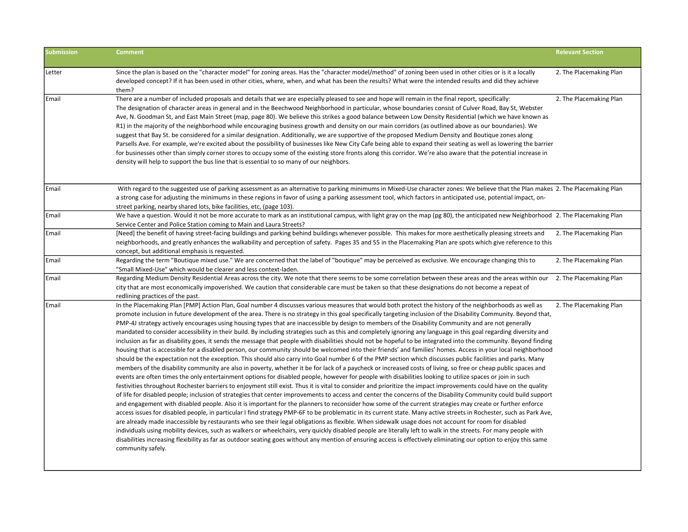| <b>Submission</b> | <b>Comment</b>                                                                                                                                                                                                                                                                                                                                                                                                                                                                                                                                                                                                                                                                                                                                                                                                                                                                                                                                                                                                                                                                                                                                                                                                                                                                                                                                                                                                                                                                                                                                                                                                                                                                                                                                                                                                                                                                                                                                                                                                                                                                                                                                                                                                                                                                                                                                                                                                                                                                                                                                                                                                                                                                                   | <b>Relevant Section</b> |
|-------------------|--------------------------------------------------------------------------------------------------------------------------------------------------------------------------------------------------------------------------------------------------------------------------------------------------------------------------------------------------------------------------------------------------------------------------------------------------------------------------------------------------------------------------------------------------------------------------------------------------------------------------------------------------------------------------------------------------------------------------------------------------------------------------------------------------------------------------------------------------------------------------------------------------------------------------------------------------------------------------------------------------------------------------------------------------------------------------------------------------------------------------------------------------------------------------------------------------------------------------------------------------------------------------------------------------------------------------------------------------------------------------------------------------------------------------------------------------------------------------------------------------------------------------------------------------------------------------------------------------------------------------------------------------------------------------------------------------------------------------------------------------------------------------------------------------------------------------------------------------------------------------------------------------------------------------------------------------------------------------------------------------------------------------------------------------------------------------------------------------------------------------------------------------------------------------------------------------------------------------------------------------------------------------------------------------------------------------------------------------------------------------------------------------------------------------------------------------------------------------------------------------------------------------------------------------------------------------------------------------------------------------------------------------------------------------------------------------|-------------------------|
| Letter            | Since the plan is based on the "character model" for zoning areas. Has the "character model/method" of zoning been used in other cities or is it a locally<br>developed concept? If it has been used in other cities, where, when, and what has been the results? What were the intended results and did they achieve<br>them?                                                                                                                                                                                                                                                                                                                                                                                                                                                                                                                                                                                                                                                                                                                                                                                                                                                                                                                                                                                                                                                                                                                                                                                                                                                                                                                                                                                                                                                                                                                                                                                                                                                                                                                                                                                                                                                                                                                                                                                                                                                                                                                                                                                                                                                                                                                                                                   | 2. The Placemaking Plan |
| Email             | There are a number of included proposals and details that we are especially pleased to see and hope will remain in the final report, specifically:<br>The designation of character areas in general and in the Beechwood Neighborhood in particular, whose boundaries consist of Culver Road, Bay St, Webster<br>Ave, N. Goodman St, and East Main Street (map, page 80). We believe this strikes a good balance between Low Density Residential (which we have known as<br>R1) in the majority of the neighborhood while encouraging business growth and density on our main corridors (as outlined above as our boundaries). We<br>suggest that Bay St. be considered for a similar designation. Additionally, we are supportive of the proposed Medium Density and Boutique zones along<br>Parsells Ave. For example, we're excited about the possibility of businesses like New City Cafe being able to expand their seating as well as lowering the barrier<br>for businesses other than simply corner stores to occupy some of the existing store fronts along this corridor. We're also aware that the potential increase in<br>density will help to support the bus line that is essential to so many of our neighbors.                                                                                                                                                                                                                                                                                                                                                                                                                                                                                                                                                                                                                                                                                                                                                                                                                                                                                                                                                                                                                                                                                                                                                                                                                                                                                                                                                                                                                                                                  | 2. The Placemaking Plan |
| Email             | With regard to the suggested use of parking assessment as an alternative to parking minimums in Mixed-Use character zones: We believe that the Plan makes 2. The Placemaking Plan<br>a strong case for adjusting the minimums in these regions in favor of using a parking assessment tool, which factors in anticipated use, potential impact, on-<br>street parking, nearby shared lots, bike facilities, etc, (page 103).                                                                                                                                                                                                                                                                                                                                                                                                                                                                                                                                                                                                                                                                                                                                                                                                                                                                                                                                                                                                                                                                                                                                                                                                                                                                                                                                                                                                                                                                                                                                                                                                                                                                                                                                                                                                                                                                                                                                                                                                                                                                                                                                                                                                                                                                     |                         |
| Email             | We have a question. Would it not be more accurate to mark as an institutional campus, with light gray on the map (pg 80), the anticipated new Neighborhood 2. The Placemaking Plan<br>Service Center and Police Station coming to Main and Laura Streets?                                                                                                                                                                                                                                                                                                                                                                                                                                                                                                                                                                                                                                                                                                                                                                                                                                                                                                                                                                                                                                                                                                                                                                                                                                                                                                                                                                                                                                                                                                                                                                                                                                                                                                                                                                                                                                                                                                                                                                                                                                                                                                                                                                                                                                                                                                                                                                                                                                        |                         |
| Email             | [Need] the benefit of having street-facing buildings and parking behind buildings whenever possible. This makes for more aesthetically pleasing streets and<br>neighborhoods, and greatly enhances the walkability and perception of safety. Pages 35 and 55 in the Placemaking Plan are spots which give reference to this<br>concept, but additional emphasis is requested.                                                                                                                                                                                                                                                                                                                                                                                                                                                                                                                                                                                                                                                                                                                                                                                                                                                                                                                                                                                                                                                                                                                                                                                                                                                                                                                                                                                                                                                                                                                                                                                                                                                                                                                                                                                                                                                                                                                                                                                                                                                                                                                                                                                                                                                                                                                    | 2. The Placemaking Plan |
| Email             | Regarding the term "Boutique mixed use." We are concerned that the label of "boutique" may be perceived as exclusive. We encourage changing this to<br>"Small Mixed-Use" which would be clearer and less context-laden.                                                                                                                                                                                                                                                                                                                                                                                                                                                                                                                                                                                                                                                                                                                                                                                                                                                                                                                                                                                                                                                                                                                                                                                                                                                                                                                                                                                                                                                                                                                                                                                                                                                                                                                                                                                                                                                                                                                                                                                                                                                                                                                                                                                                                                                                                                                                                                                                                                                                          | 2. The Placemaking Plan |
| Email             | Regarding Medium Density Residential Areas across the city. We note that there seems to be some correlation between these areas and the areas within our<br>city that are most economically impoverished. We caution that considerable care must be taken so that these designations do not become a repeat of<br>redlining practices of the past.                                                                                                                                                                                                                                                                                                                                                                                                                                                                                                                                                                                                                                                                                                                                                                                                                                                                                                                                                                                                                                                                                                                                                                                                                                                                                                                                                                                                                                                                                                                                                                                                                                                                                                                                                                                                                                                                                                                                                                                                                                                                                                                                                                                                                                                                                                                                               | 2. The Placemaking Plan |
| Email             | In the Placemaking Plan [PMP] Action Plan, Goal number 4 discusses various measures that would both protect the history of the neighborhoods as well as<br>promote inclusion in future development of the area. There is no strategy in this goal specifically targeting inclusion of the Disability Community. Beyond that,<br>PMP-4J strategy actively encourages using housing types that are inaccessible by design to members of the Disability Community and are not generally<br>mandated to consider accessibility in their build. By including strategies such as this and completely ignoring any language in this goal regarding diversity and<br>inclusion as far as disability goes, it sends the message that people with disabilities should not be hopeful to be integrated into the community. Beyond finding<br>housing that is accessible for a disabled person, our community should be welcomed into their friends' and families' homes. Access in your local neighborhood<br>should be the expectation not the exception. This should also carry into Goal number 6 of the PMP section which discusses public facilities and parks. Many<br>members of the disability community are also in poverty, whether it be for lack of a paycheck or increased costs of living, so free or cheap public spaces and<br>events are often times the only entertainment options for disabled people, however for people with disabilities looking to utilize spaces or join in such<br>festivities throughout Rochester barriers to enjoyment still exist. Thus it is vital to consider and prioritize the impact improvements could have on the quality<br>of life for disabled people; inclusion of strategies that center improvements to access and center the concerns of the Disability Community could build support<br>and engagement with disabled people. Also it is important for the planners to reconsider how some of the current strategies may create or further enforce<br>access issues for disabled people, in particular I find strategy PMP-6F to be problematic in its current state. Many active streets in Rochester, such as Park Ave,<br>are already made inaccessible by restaurants who see their legal obligations as flexible. When sidewalk usage does not account for room for disabled<br>individuals using mobility devices, such as walkers or wheelchairs, very quickly disabled people are literally left to walk in the streets. For many people with<br>disabilities increasing flexibility as far as outdoor seating goes without any mention of ensuring access is effectively eliminating our option to enjoy this same<br>community safely. | 2. The Placemaking Plan |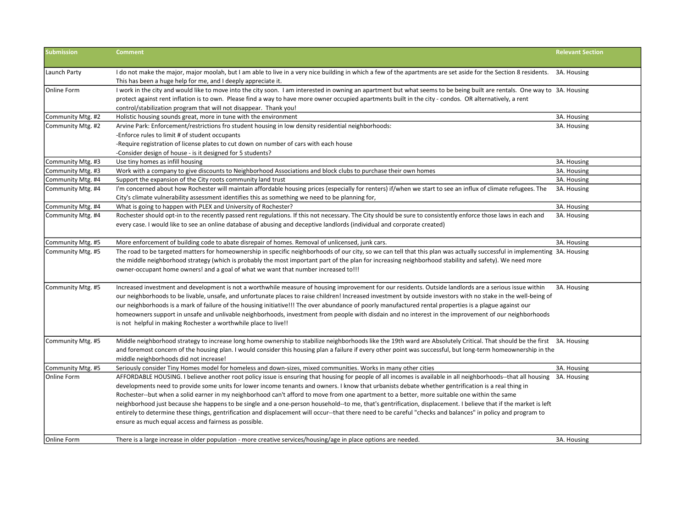| <b>Submission</b>                      | <b>Comment</b>                                                                                                                                                                                                                                                                                                                                                                                                                                                                                                                                                                                                                                                                                                                                                                                                                                                   | <b>Relevant Section</b>    |
|----------------------------------------|------------------------------------------------------------------------------------------------------------------------------------------------------------------------------------------------------------------------------------------------------------------------------------------------------------------------------------------------------------------------------------------------------------------------------------------------------------------------------------------------------------------------------------------------------------------------------------------------------------------------------------------------------------------------------------------------------------------------------------------------------------------------------------------------------------------------------------------------------------------|----------------------------|
| Launch Party                           | I do not make the major, major moolah, but I am able to live in a very nice building in which a few of the apartments are set aside for the Section 8 residents. 3A. Housing<br>This has been a huge help for me, and I deeply appreciate it.                                                                                                                                                                                                                                                                                                                                                                                                                                                                                                                                                                                                                    |                            |
| <b>Online Form</b>                     | I work in the city and would like to move into the city soon. I am interested in owning an apartment but what seems to be being built are rentals. One way to 3A. Housing<br>protect against rent inflation is to own. Please find a way to have more owner occupied apartments built in the city - condos. OR alternatively, a rent<br>control/stabilization program that will not disappear. Thank you!                                                                                                                                                                                                                                                                                                                                                                                                                                                        |                            |
| Community Mtg. #2                      | Holistic housing sounds great, more in tune with the environment                                                                                                                                                                                                                                                                                                                                                                                                                                                                                                                                                                                                                                                                                                                                                                                                 | 3A. Housing                |
| Community Mtg. #2                      | Arvine Park: Enforcement/restrictions fro student housing in low density residential neighborhoods:<br>-Enforce rules to limit # of student occupants<br>-Require registration of license plates to cut down on number of cars with each house                                                                                                                                                                                                                                                                                                                                                                                                                                                                                                                                                                                                                   | 3A. Housing                |
|                                        | -Consider design of house - is it designed for 5 students?                                                                                                                                                                                                                                                                                                                                                                                                                                                                                                                                                                                                                                                                                                                                                                                                       |                            |
| Community Mtg. #3                      | Use tiny homes as infill housing<br>Work with a company to give discounts to Neighborhood Associations and block clubs to purchase their own homes                                                                                                                                                                                                                                                                                                                                                                                                                                                                                                                                                                                                                                                                                                               | 3A. Housing<br>3A. Housing |
| Community Mtg. #3<br>Community Mtg. #4 | Support the expansion of the City roots community land trust                                                                                                                                                                                                                                                                                                                                                                                                                                                                                                                                                                                                                                                                                                                                                                                                     | 3A. Housing                |
| Community Mtg. #4                      | I'm concerned about how Rochester will maintain affordable housing prices (especially for renters) if/when we start to see an influx of climate refugees. The<br>City's climate vulnerability assessment identifies this as something we need to be planning for,                                                                                                                                                                                                                                                                                                                                                                                                                                                                                                                                                                                                | 3A. Housing                |
| Community Mtg. #4                      | What is going to happen with PLEX and University of Rochester?                                                                                                                                                                                                                                                                                                                                                                                                                                                                                                                                                                                                                                                                                                                                                                                                   | 3A. Housing                |
| Community Mtg. #4                      | Rochester should opt-in to the recently passed rent regulations. If this not necessary. The City should be sure to consistently enforce those laws in each and<br>every case. I would like to see an online database of abusing and deceptive landlords (individual and corporate created)                                                                                                                                                                                                                                                                                                                                                                                                                                                                                                                                                                       | 3A. Housing                |
| Community Mtg. #5                      | More enforcement of building code to abate disrepair of homes. Removal of unlicensed, junk cars.                                                                                                                                                                                                                                                                                                                                                                                                                                                                                                                                                                                                                                                                                                                                                                 | 3A. Housing                |
| Community Mtg. #5                      | The road to be targeted matters for homeownership in specific neighborhoods of our city, so we can tell that this plan was actually successful in implementing 3A. Housing<br>the middle neighborhood strategy (which is probably the most important part of the plan for increasing neighborhood stability and safety). We need more<br>owner-occupant home owners! and a goal of what we want that number increased to!!!                                                                                                                                                                                                                                                                                                                                                                                                                                      |                            |
| Community Mtg. #5                      | Increased investment and development is not a worthwhile measure of housing improvement for our residents. Outside landlords are a serious issue within<br>our neighborhoods to be livable, unsafe, and unfortunate places to raise children! Increased investment by outside investors with no stake in the well-being of<br>our neighborhoods is a mark of failure of the housing initiative!!! The over abundance of poorly manufactured rental properties is a plague against our<br>homeowners support in unsafe and unlivable neighborhoods, investment from people with disdain and no interest in the improvement of our neighborhoods<br>is not helpful in making Rochester a worthwhile place to live!!                                                                                                                                                | 3A. Housing                |
| Community Mtg. #5                      | Middle neighborhood strategy to increase long home ownership to stabilize neighborhoods like the 19th ward are Absolutely Critical. That should be the first 3A. Housing<br>and foremost concern of the housing plan. I would consider this housing plan a failure if every other point was successful, but long-term homeownership in the<br>middle neighborhoods did not increase!                                                                                                                                                                                                                                                                                                                                                                                                                                                                             |                            |
| Community Mtg. #5                      | Seriously consider Tiny Homes model for homeless and down-sizes, mixed communities. Works in many other cities                                                                                                                                                                                                                                                                                                                                                                                                                                                                                                                                                                                                                                                                                                                                                   | 3A. Housing                |
| <b>Online Form</b>                     | AFFORDABLE HOUSING. I believe another root policy issue is ensuring that housing for people of all incomes is available in all neighborhoods--that all housing<br>developments need to provide some units for lower income tenants and owners. I know that urbanists debate whether gentrification is a real thing in<br>Rochester--but when a solid earner in my neighborhood can't afford to move from one apartment to a better, more suitable one within the same<br>neighborhood just because she happens to be single and a one-person household-to me, that's gentrification, displacement. I believe that if the market is left<br>entirely to determine these things, gentrification and displacement will occur--that there need to be careful "checks and balances" in policy and program to<br>ensure as much equal access and fairness as possible. | 3A. Housing                |
| Online Form                            | There is a large increase in older population - more creative services/housing/age in place options are needed.                                                                                                                                                                                                                                                                                                                                                                                                                                                                                                                                                                                                                                                                                                                                                  | 3A. Housing                |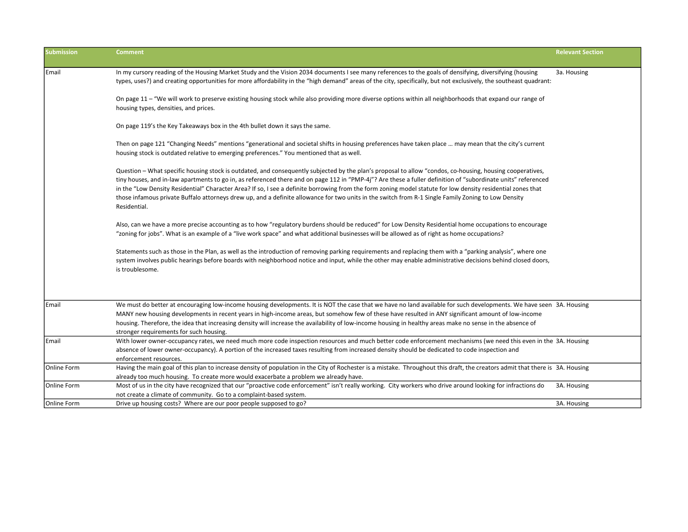| <b>Submission</b> | <b>Comment</b>                                                                                                                                                                                                                                                                                                                                                                                                                                                                                                                                                                                                                                                    | <b>Relevant Section</b> |
|-------------------|-------------------------------------------------------------------------------------------------------------------------------------------------------------------------------------------------------------------------------------------------------------------------------------------------------------------------------------------------------------------------------------------------------------------------------------------------------------------------------------------------------------------------------------------------------------------------------------------------------------------------------------------------------------------|-------------------------|
| Email             | In my cursory reading of the Housing Market Study and the Vision 2034 documents I see many references to the goals of densifying, diversifying (housing<br>types, uses?) and creating opportunities for more affordability in the "high demand" areas of the city, specifically, but not exclusively, the southeast quadrant:                                                                                                                                                                                                                                                                                                                                     | 3a. Housing             |
|                   | On page 11 - "We will work to preserve existing housing stock while also providing more diverse options within all neighborhoods that expand our range of<br>housing types, densities, and prices.                                                                                                                                                                                                                                                                                                                                                                                                                                                                |                         |
|                   | On page 119's the Key Takeaways box in the 4th bullet down it says the same.                                                                                                                                                                                                                                                                                                                                                                                                                                                                                                                                                                                      |                         |
|                   | Then on page 121 "Changing Needs" mentions "generational and societal shifts in housing preferences have taken place  may mean that the city's current<br>housing stock is outdated relative to emerging preferences." You mentioned that as well.                                                                                                                                                                                                                                                                                                                                                                                                                |                         |
|                   | Question - What specific housing stock is outdated, and consequently subjected by the plan's proposal to allow "condos, co-housing, housing cooperatives,<br>tiny houses, and in-law apartments to go in, as referenced there and on page 112 in "PMP-4j"? Are these a fuller definition of "subordinate units" referenced<br>in the "Low Density Residential" Character Area? If so, I see a definite borrowing from the form zoning model statute for low density residential zones that<br>those infamous private Buffalo attorneys drew up, and a definite allowance for two units in the switch from R-1 Single Family Zoning to Low Density<br>Residential. |                         |
|                   | Also, can we have a more precise accounting as to how "regulatory burdens should be reduced" for Low Density Residential home occupations to encourage<br>"zoning for jobs". What is an example of a "live work space" and what additional businesses will be allowed as of right as home occupations?                                                                                                                                                                                                                                                                                                                                                            |                         |
|                   | Statements such as those in the Plan, as well as the introduction of removing parking requirements and replacing them with a "parking analysis", where one<br>system involves public hearings before boards with neighborhood notice and input, while the other may enable administrative decisions behind closed doors,<br>is troublesome.                                                                                                                                                                                                                                                                                                                       |                         |
|                   |                                                                                                                                                                                                                                                                                                                                                                                                                                                                                                                                                                                                                                                                   |                         |
| Email             | We must do better at encouraging low-income housing developments. It is NOT the case that we have no land available for such developments. We have seen 3A. Housing<br>MANY new housing developments in recent years in high-income areas, but somehow few of these have resulted in ANY significant amount of low-income<br>housing. Therefore, the idea that increasing density will increase the availability of low-income housing in healthy areas make no sense in the absence of<br>stronger requirements for such housing.                                                                                                                                |                         |
| Email             | With lower owner-occupancy rates, we need much more code inspection resources and much better code enforcement mechanisms (we need this even in the 3A. Housing<br>absence of lower owner-occupancy). A portion of the increased taxes resulting from increased density should be dedicated to code inspection and<br>enforcement resources.                                                                                                                                                                                                                                                                                                                      |                         |
| Online Form       | Having the main goal of this plan to increase density of population in the City of Rochester is a mistake. Throughout this draft, the creators admit that there is 3A. Housing<br>already too much housing. To create more would exacerbate a problem we already have.                                                                                                                                                                                                                                                                                                                                                                                            |                         |
| Online Form       | Most of us in the city have recognized that our "proactive code enforcement" isn't really working. City workers who drive around looking for infractions do<br>not create a climate of community. Go to a complaint-based system.                                                                                                                                                                                                                                                                                                                                                                                                                                 | 3A. Housing             |
| Online Form       | Drive up housing costs? Where are our poor people supposed to go?                                                                                                                                                                                                                                                                                                                                                                                                                                                                                                                                                                                                 | 3A. Housing             |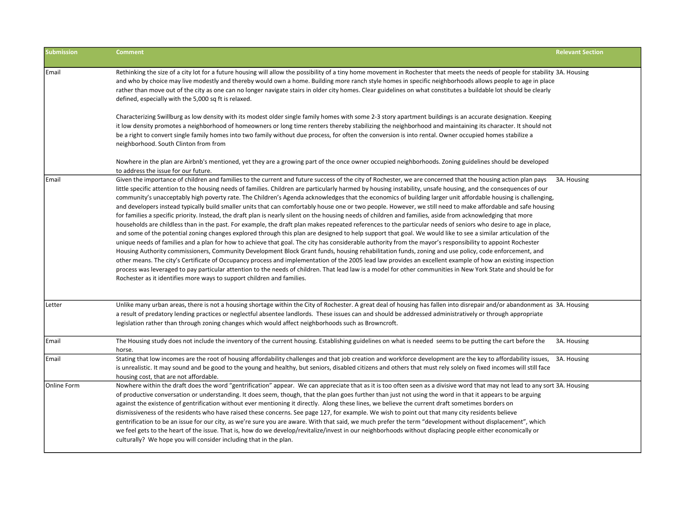| Submission  | <b>Comment</b>                                                                                                                                                                                                                                                                                                                                                                                                                                                                                                                                                                                                                                                                                                                                                                                                                                                                                                                                                                                                                                                                                                                                                                                                                                                                                                                                                                                                                                                                                                                                                                                                                                                                                                                                                                                                                                                                                           | <b>Relevant Section</b> |
|-------------|----------------------------------------------------------------------------------------------------------------------------------------------------------------------------------------------------------------------------------------------------------------------------------------------------------------------------------------------------------------------------------------------------------------------------------------------------------------------------------------------------------------------------------------------------------------------------------------------------------------------------------------------------------------------------------------------------------------------------------------------------------------------------------------------------------------------------------------------------------------------------------------------------------------------------------------------------------------------------------------------------------------------------------------------------------------------------------------------------------------------------------------------------------------------------------------------------------------------------------------------------------------------------------------------------------------------------------------------------------------------------------------------------------------------------------------------------------------------------------------------------------------------------------------------------------------------------------------------------------------------------------------------------------------------------------------------------------------------------------------------------------------------------------------------------------------------------------------------------------------------------------------------------------|-------------------------|
| Email       | Rethinking the size of a city lot for a future housing will allow the possibility of a tiny home movement in Rochester that meets the needs of people for stability 3A. Housing<br>and who by choice may live modestly and thereby would own a home. Building more ranch style homes in specific neighborhoods allows people to age in place<br>rather than move out of the city as one can no longer navigate stairs in older city homes. Clear guidelines on what constitutes a buildable lot should be clearly<br>defined, especially with the 5,000 sq ft is relaxed.<br>Characterizing Swillburg as low density with its modest older single family homes with some 2-3 story apartment buildings is an accurate designation. Keeping<br>it low density promotes a neighborhood of homeowners or long time renters thereby stabilizing the neighborhood and maintaining its character. It should not<br>be a right to convert single family homes into two family without due process, for often the conversion is into rental. Owner occupied homes stabilize a                                                                                                                                                                                                                                                                                                                                                                                                                                                                                                                                                                                                                                                                                                                                                                                                                                    |                         |
|             | neighborhood. South Clinton from from<br>Nowhere in the plan are Airbnb's mentioned, yet they are a growing part of the once owner occupied neighborhoods. Zoning guidelines should be developed<br>to address the issue for our future.                                                                                                                                                                                                                                                                                                                                                                                                                                                                                                                                                                                                                                                                                                                                                                                                                                                                                                                                                                                                                                                                                                                                                                                                                                                                                                                                                                                                                                                                                                                                                                                                                                                                 |                         |
| Email       | Given the importance of children and families to the current and future success of the city of Rochester, we are concerned that the housing action plan pays<br>little specific attention to the housing needs of families. Children are particularly harmed by housing instability, unsafe housing, and the consequences of our<br>community's unacceptably high poverty rate. The Children's Agenda acknowledges that the economics of building larger unit affordable housing is challenging,<br>and developers instead typically build smaller units that can comfortably house one or two people. However, we still need to make affordable and safe housing<br>for families a specific priority. Instead, the draft plan is nearly silent on the housing needs of children and families, aside from acknowledging that more<br>households are childless than in the past. For example, the draft plan makes repeated references to the particular needs of seniors who desire to age in place,<br>and some of the potential zoning changes explored through this plan are designed to help support that goal. We would like to see a similar articulation of the<br>unique needs of families and a plan for how to achieve that goal. The city has considerable authority from the mayor's responsibility to appoint Rochester<br>Housing Authority commissioners, Community Development Block Grant funds, housing rehabilitation funds, zoning and use policy, code enforcement, and<br>other means. The city's Certificate of Occupancy process and implementation of the 2005 lead law provides an excellent example of how an existing inspection<br>process was leveraged to pay particular attention to the needs of children. That lead law is a model for other communities in New York State and should be for<br>Rochester as it identifies more ways to support children and families. | 3A. Housing             |
| Letter      | Unlike many urban areas, there is not a housing shortage within the City of Rochester. A great deal of housing has fallen into disrepair and/or abandonment as 3A. Housing<br>a result of predatory lending practices or neglectful absentee landlords. These issues can and should be addressed administratively or through appropriate<br>legislation rather than through zoning changes which would affect neighborhoods such as Browncroft.                                                                                                                                                                                                                                                                                                                                                                                                                                                                                                                                                                                                                                                                                                                                                                                                                                                                                                                                                                                                                                                                                                                                                                                                                                                                                                                                                                                                                                                          |                         |
| Email       | The Housing study does not include the inventory of the current housing. Establishing guidelines on what is needed seems to be putting the cart before the<br>horse.                                                                                                                                                                                                                                                                                                                                                                                                                                                                                                                                                                                                                                                                                                                                                                                                                                                                                                                                                                                                                                                                                                                                                                                                                                                                                                                                                                                                                                                                                                                                                                                                                                                                                                                                     | 3A. Housing             |
| Email       | Stating that low incomes are the root of housing affordability challenges and that job creation and workforce development are the key to affordability issues,<br>is unrealistic. It may sound and be good to the young and healthy, but seniors, disabled citizens and others that must rely solely on fixed incomes will still face<br>housing cost, that are not affordable.                                                                                                                                                                                                                                                                                                                                                                                                                                                                                                                                                                                                                                                                                                                                                                                                                                                                                                                                                                                                                                                                                                                                                                                                                                                                                                                                                                                                                                                                                                                          | 3A. Housing             |
| Online Form | Nowhere within the draft does the word "gentrification" appear. We can appreciate that as it is too often seen as a divisive word that may not lead to any sort 3A. Housing<br>of productive conversation or understanding. It does seem, though, that the plan goes further than just not using the word in that it appears to be arguing<br>against the existence of gentrification without ever mentioning it directly. Along these lines, we believe the current draft sometimes borders on<br>dismissiveness of the residents who have raised these concerns. See page 127, for example. We wish to point out that many city residents believe<br>gentrification to be an issue for our city, as we're sure you are aware. With that said, we much prefer the term "development without displacement", which<br>we feel gets to the heart of the issue. That is, how do we develop/revitalize/invest in our neighborhoods without displacing people either economically or<br>culturally? We hope you will consider including that in the plan.                                                                                                                                                                                                                                                                                                                                                                                                                                                                                                                                                                                                                                                                                                                                                                                                                                                     |                         |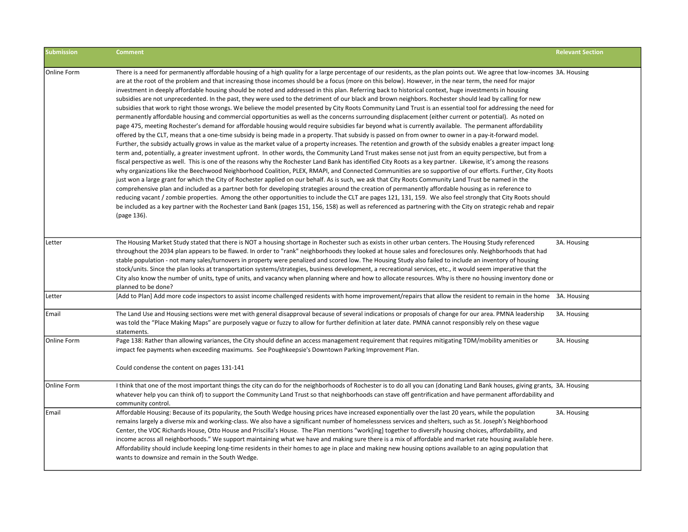| <b>Submission</b> | <b>Comment</b>                                                                                                                                                                                                                                                                                                                                                                                                                                                                                                                                                                                                                                                                                                                                                                                                                                                                                                                                                                                                                                                                                                                                                                                                                                                                                                                                                                                                                                                                                                                                                                                                                                                                                                                                                                                                                                                                                                                                                                                                                                                                                                                                                                                                                                                                                                                                                                                                                                                                                                                                                                                                                                  | <b>Relevant Section</b> |
|-------------------|-------------------------------------------------------------------------------------------------------------------------------------------------------------------------------------------------------------------------------------------------------------------------------------------------------------------------------------------------------------------------------------------------------------------------------------------------------------------------------------------------------------------------------------------------------------------------------------------------------------------------------------------------------------------------------------------------------------------------------------------------------------------------------------------------------------------------------------------------------------------------------------------------------------------------------------------------------------------------------------------------------------------------------------------------------------------------------------------------------------------------------------------------------------------------------------------------------------------------------------------------------------------------------------------------------------------------------------------------------------------------------------------------------------------------------------------------------------------------------------------------------------------------------------------------------------------------------------------------------------------------------------------------------------------------------------------------------------------------------------------------------------------------------------------------------------------------------------------------------------------------------------------------------------------------------------------------------------------------------------------------------------------------------------------------------------------------------------------------------------------------------------------------------------------------------------------------------------------------------------------------------------------------------------------------------------------------------------------------------------------------------------------------------------------------------------------------------------------------------------------------------------------------------------------------------------------------------------------------------------------------------------------------|-------------------------|
| Online Form       | There is a need for permanently affordable housing of a high quality for a large percentage of our residents, as the plan points out. We agree that low-incomes 3A. Housing<br>are at the root of the problem and that increasing those incomes should be a focus (more on this below). However, in the near term, the need for major<br>investment in deeply affordable housing should be noted and addressed in this plan. Referring back to historical context, huge investments in housing<br>subsidies are not unprecedented. In the past, they were used to the detriment of our black and brown neighbors. Rochester should lead by calling for new<br>subsidies that work to right those wrongs. We believe the model presented by City Roots Community Land Trust is an essential tool for addressing the need for<br>permanently affordable housing and commercial opportunities as well as the concerns surrounding displacement (either current or potential). As noted on<br>page 475, meeting Rochester's demand for affordable housing would require subsidies far beyond what is currently available. The permanent affordability<br>offered by the CLT, means that a one-time subsidy is being made in a property. That subsidy is passed on from owner to owner in a pay-it-forward model.<br>Further, the subsidy actually grows in value as the market value of a property increases. The retention and growth of the subsidy enables a greater impact long-<br>term and, potentially, a greater investment upfront. In other words, the Community Land Trust makes sense not just from an equity perspective, but from a<br>fiscal perspective as well. This is one of the reasons why the Rochester Land Bank has identified City Roots as a key partner. Likewise, it's among the reasons<br>why organizations like the Beechwood Neighborhood Coalition, PLEX, RMAPI, and Connected Communities are so supportive of our efforts. Further, City Roots<br>just won a large grant for which the City of Rochester applied on our behalf. As is such, we ask that City Roots Community Land Trust be named in the<br>comprehensive plan and included as a partner both for developing strategies around the creation of permanently affordable housing as in reference to<br>reducing vacant / zombie properties. Among the other opportunities to include the CLT are pages 121, 131, 159. We also feel strongly that City Roots should<br>be included as a key partner with the Rochester Land Bank (pages 151, 156, 158) as well as referenced as partnering with the City on strategic rehab and repair<br>(page 136). |                         |
| Letter            | The Housing Market Study stated that there is NOT a housing shortage in Rochester such as exists in other urban centers. The Housing Study referenced<br>throughout the 2034 plan appears to be flawed. In order to "rank" neighborhoods they looked at house sales and foreclosures only. Neighborhoods that had<br>stable population - not many sales/turnovers in property were penalized and scored low. The Housing Study also failed to include an inventory of housing<br>stock/units. Since the plan looks at transportation systems/strategies, business development, a recreational services, etc., it would seem imperative that the<br>City also know the number of units, type of units, and vacancy when planning where and how to allocate resources. Why is there no housing inventory done or<br>planned to be done?                                                                                                                                                                                                                                                                                                                                                                                                                                                                                                                                                                                                                                                                                                                                                                                                                                                                                                                                                                                                                                                                                                                                                                                                                                                                                                                                                                                                                                                                                                                                                                                                                                                                                                                                                                                                           | 3A. Housing             |
| Letter            | [Add to Plan] Add more code inspectors to assist income challenged residents with home improvement/repairs that allow the resident to remain in the home 3A. Housing                                                                                                                                                                                                                                                                                                                                                                                                                                                                                                                                                                                                                                                                                                                                                                                                                                                                                                                                                                                                                                                                                                                                                                                                                                                                                                                                                                                                                                                                                                                                                                                                                                                                                                                                                                                                                                                                                                                                                                                                                                                                                                                                                                                                                                                                                                                                                                                                                                                                            |                         |
| Email             | The Land Use and Housing sections were met with general disapproval because of several indications or proposals of change for our area. PMNA leadership<br>was told the "Place Making Maps" are purposely vague or fuzzy to allow for further definition at later date. PMNA cannot responsibly rely on these vague<br>statements.                                                                                                                                                                                                                                                                                                                                                                                                                                                                                                                                                                                                                                                                                                                                                                                                                                                                                                                                                                                                                                                                                                                                                                                                                                                                                                                                                                                                                                                                                                                                                                                                                                                                                                                                                                                                                                                                                                                                                                                                                                                                                                                                                                                                                                                                                                              | 3A. Housing             |
| Online Form       | Page 138: Rather than allowing variances, the City should define an access management requirement that requires mitigating TDM/mobility amenities or<br>impact fee payments when exceeding maximums. See Poughkeepsie's Downtown Parking Improvement Plan.<br>Could condense the content on pages 131-141                                                                                                                                                                                                                                                                                                                                                                                                                                                                                                                                                                                                                                                                                                                                                                                                                                                                                                                                                                                                                                                                                                                                                                                                                                                                                                                                                                                                                                                                                                                                                                                                                                                                                                                                                                                                                                                                                                                                                                                                                                                                                                                                                                                                                                                                                                                                       | 3A. Housing             |
| Online Form       | I think that one of the most important things the city can do for the neighborhoods of Rochester is to do all you can (donating Land Bank houses, giving grants, 3A. Housing<br>whatever help you can think of) to support the Community Land Trust so that neighborhoods can stave off gentrification and have permanent affordability and<br>community control.                                                                                                                                                                                                                                                                                                                                                                                                                                                                                                                                                                                                                                                                                                                                                                                                                                                                                                                                                                                                                                                                                                                                                                                                                                                                                                                                                                                                                                                                                                                                                                                                                                                                                                                                                                                                                                                                                                                                                                                                                                                                                                                                                                                                                                                                               |                         |
| Email             | Affordable Housing: Because of its popularity, the South Wedge housing prices have increased exponentially over the last 20 years, while the population<br>remains largely a diverse mix and working-class. We also have a significant number of homelessness services and shelters, such as St. Joseph's Neighborhood<br>Center, the VOC Richards House, Otto House and Priscilla's House. The Plan mentions "work[ing] together to diversify housing choices, affordability, and<br>income across all neighborhoods." We support maintaining what we have and making sure there is a mix of affordable and market rate housing available here.<br>Affordability should include keeping long-time residents in their homes to age in place and making new housing options available to an aging population that<br>wants to downsize and remain in the South Wedge.                                                                                                                                                                                                                                                                                                                                                                                                                                                                                                                                                                                                                                                                                                                                                                                                                                                                                                                                                                                                                                                                                                                                                                                                                                                                                                                                                                                                                                                                                                                                                                                                                                                                                                                                                                            | 3A. Housing             |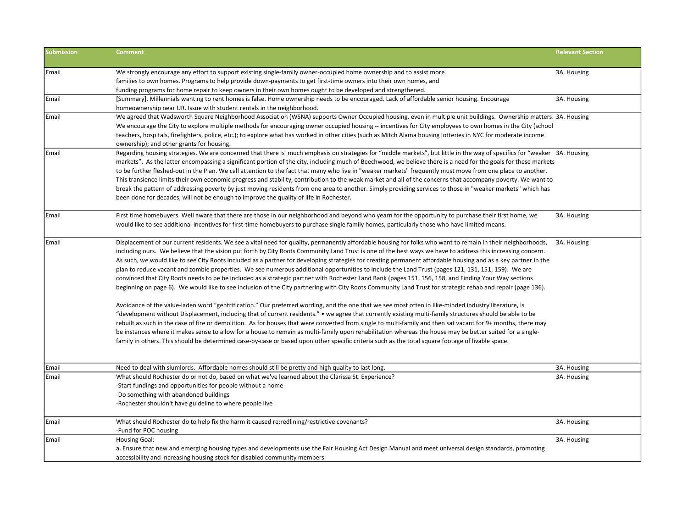| <b>Submission</b> | <b>Comment</b>                                                                                                                                                            | <b>Relevant Section</b> |
|-------------------|---------------------------------------------------------------------------------------------------------------------------------------------------------------------------|-------------------------|
| Email             | We strongly encourage any effort to support existing single-family owner-occupied home ownership and to assist more                                                       | 3A. Housing             |
|                   | families to own homes. Programs to help provide down-payments to get first-time owners into their own homes, and                                                          |                         |
|                   | funding programs for home repair to keep owners in their own homes ought to be developed and strengthened.                                                                |                         |
| Email             | [Summary]. Millennials wanting to rent homes is false. Home ownership needs to be encouraged. Lack of affordable senior housing. Encourage                                | 3A. Housing             |
|                   | homeownership near UR. Issue with student rentals in the neighborhood.                                                                                                    |                         |
| Email             | We agreed that Wadsworth Square Neighborhood Association (WSNA) supports Owner Occupied housing, even in multiple unit buildings. Ownership matters. 3A. Housing          |                         |
|                   | We encourage the City to explore multiple methods for encouraging owner occupied housing -- incentives for City employees to own homes in the City (school                |                         |
|                   | teachers, hospitals, firefighters, police, etc.); to explore what has worked in other cities (such as Mitch Alama housing lotteries in NYC for moderate income            |                         |
|                   | ownership); and other grants for housing.                                                                                                                                 |                         |
| Email             | Regarding housing strategies. We are concerned that there is much emphasis on strategies for "middle markets", but little in the way of specifics for "weaker 3A. Housing |                         |
|                   | markets". As the latter encompassing a significant portion of the city, including much of Beechwood, we believe there is a need for the goals for these markets           |                         |
|                   | to be further fleshed-out in the Plan. We call attention to the fact that many who live in "weaker markets" frequently must move from one place to another.               |                         |
|                   | This transience limits their own economic progress and stability, contribution to the weak market and all of the concerns that accompany poverty. We want to              |                         |
|                   | break the pattern of addressing poverty by just moving residents from one area to another. Simply providing services to those in "weaker markets" which has               |                         |
|                   | been done for decades, will not be enough to improve the quality of life in Rochester.                                                                                    |                         |
| Email             | First time homebuyers. Well aware that there are those in our neighborhood and beyond who yearn for the opportunity to purchase their first home, we                      | 3A. Housing             |
|                   | would like to see additional incentives for first-time homebuyers to purchase single family homes, particularly those who have limited means.                             |                         |
|                   |                                                                                                                                                                           |                         |
| Email             | Displacement of our current residents. We see a vital need for quality, permanently affordable housing for folks who want to remain in their neighborhoods,               | 3A. Housing             |
|                   | including ours. We believe that the vision put forth by City Roots Community Land Trust is one of the best ways we have to address this increasing concern.               |                         |
|                   | As such, we would like to see City Roots included as a partner for developing strategies for creating permanent affordable housing and as a key partner in the            |                         |
|                   | plan to reduce vacant and zombie properties. We see numerous additional opportunities to include the Land Trust (pages 121, 131, 151, 159). We are                        |                         |
|                   | convinced that City Roots needs to be be included as a strategic partner with Rochester Land Bank (pages 151, 156, 158, and Finding Your Way sections                     |                         |
|                   | beginning on page 6). We would like to see inclusion of the City partnering with City Roots Community Land Trust for strategic rehab and repair (page 136).               |                         |
|                   | Avoidance of the value-laden word "gentrification." Our preferred wording, and the one that we see most often in like-minded industry literature, is                      |                         |
|                   | "development without Displacement, including that of current residents." • we agree that currently existing multi-family structures should be able to be                  |                         |
|                   | rebuilt as such in the case of fire or demolition. As for houses that were converted from single to multi-family and then sat vacant for 9+ months, there may             |                         |
|                   | be instances where it makes sense to allow for a house to remain as multi-family upon rehabilitation whereas the house may be better suited for a single-                 |                         |
|                   | family in others. This should be determined case-by-case or based upon other specific criteria such as the total square footage of livable space.                         |                         |
|                   |                                                                                                                                                                           |                         |
| Email             | Need to deal with slumlords. Affordable homes should still be pretty and high quality to last long.                                                                       | 3A. Housing             |
| Email             | What should Rochester do or not do, based on what we've learned about the Clarissa St. Experience?                                                                        | 3A. Housing             |
|                   | -Start fundings and opportunities for people without a home                                                                                                               |                         |
|                   | -Do something with abandoned buildings                                                                                                                                    |                         |
|                   | -Rochester shouldn't have guideline to where people live                                                                                                                  |                         |
| Email             | What should Rochester do to help fix the harm it caused re:redlining/restrictive covenants?                                                                               | 3A. Housing             |
|                   | -Fund for POC housing                                                                                                                                                     |                         |
| Email             | Housing Goal:                                                                                                                                                             | 3A. Housing             |
|                   | a. Ensure that new and emerging housing types and developments use the Fair Housing Act Design Manual and meet universal design standards, promoting                      |                         |
|                   | accessibility and increasing housing stock for disabled community members                                                                                                 |                         |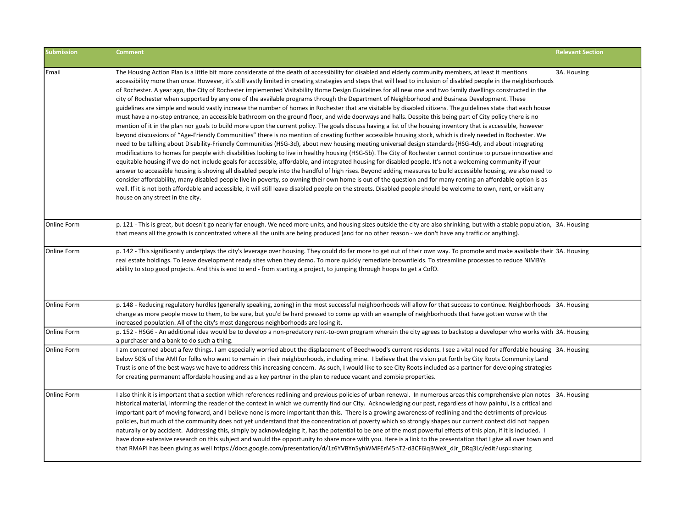| <b>Submission</b> | <b>Comment</b>                                                                                                                                                                                                                                                                                                                                                                                                                                                                                                                                                                                                                                                                                                                                                                                                                                                                                                                                                                                                                                                                                                                                                                                                                                                                                                                                                                                                                                                                                                                                                                                                                                                                                                                                                                                                                                                                                                                                                                                                                                                                                                                                                                                                                                                                                                                                              | <b>Relevant Section</b> |
|-------------------|-------------------------------------------------------------------------------------------------------------------------------------------------------------------------------------------------------------------------------------------------------------------------------------------------------------------------------------------------------------------------------------------------------------------------------------------------------------------------------------------------------------------------------------------------------------------------------------------------------------------------------------------------------------------------------------------------------------------------------------------------------------------------------------------------------------------------------------------------------------------------------------------------------------------------------------------------------------------------------------------------------------------------------------------------------------------------------------------------------------------------------------------------------------------------------------------------------------------------------------------------------------------------------------------------------------------------------------------------------------------------------------------------------------------------------------------------------------------------------------------------------------------------------------------------------------------------------------------------------------------------------------------------------------------------------------------------------------------------------------------------------------------------------------------------------------------------------------------------------------------------------------------------------------------------------------------------------------------------------------------------------------------------------------------------------------------------------------------------------------------------------------------------------------------------------------------------------------------------------------------------------------------------------------------------------------------------------------------------------------|-------------------------|
| Email             | The Housing Action Plan is a little bit more considerate of the death of accessibility for disabled and elderly community members, at least it mentions<br>accessibility more than once. However, it's still vastly limited in creating strategies and steps that will lead to inclusion of disabled people in the neighborhoods<br>of Rochester. A year ago, the City of Rochester implemented Visitability Home Design Guidelines for all new one and two family dwellings constructed in the<br>city of Rochester when supported by any one of the available programs through the Department of Neighborhood and Business Development. These<br>guidelines are simple and would vastly increase the number of homes in Rochester that are visitable by disabled citizens. The guidelines state that each house<br>must have a no-step entrance, an accessible bathroom on the ground floor, and wide doorways and halls. Despite this being part of City policy there is no<br>mention of it in the plan nor goals to build more upon the current policy. The goals discuss having a list of the housing inventory that is accessible, however<br>beyond discussions of "Age-Friendly Communities" there is no mention of creating further accessible housing stock, which is direly needed in Rochester. We<br>need to be talking about Disability-Friendly Communities (HSG-3d), about new housing meeting universal design standards (HSG-4d), and about integrating<br>modifications to homes for people with disabilities looking to live in healthy housing (HSG-5b). The City of Rochester cannot continue to pursue innovative and<br>equitable housing if we do not include goals for accessible, affordable, and integrated housing for disabled people. It's not a welcoming community if your<br>answer to accessible housing is shoving all disabled people into the handful of high rises. Beyond adding measures to build accessible housing, we also need to<br>consider affordability, many disabled people live in poverty, so owning their own home is out of the question and for many renting an affordable option is as<br>well. If it is not both affordable and accessible, it will still leave disabled people on the streets. Disabled people should be welcome to own, rent, or visit any<br>house on any street in the city. | 3A. Housing             |
| Online Form       | p. 121 - This is great, but doesn't go nearly far enough. We need more units, and housing sizes outside the city are also shrinking, but with a stable population, 3A. Housing<br>that means all the growth is concentrated where all the units are being produced (and for no other reason - we don't have any traffic or anything).                                                                                                                                                                                                                                                                                                                                                                                                                                                                                                                                                                                                                                                                                                                                                                                                                                                                                                                                                                                                                                                                                                                                                                                                                                                                                                                                                                                                                                                                                                                                                                                                                                                                                                                                                                                                                                                                                                                                                                                                                       |                         |
| Online Form       | p. 142 - This significantly underplays the city's leverage over housing. They could do far more to get out of their own way. To promote and make available their 3A. Housing<br>real estate holdings. To leave development ready sites when they demo. To more quickly remediate brownfields. To streamline processes to reduce NIMBYs<br>ability to stop good projects. And this is end to end - from starting a project, to jumping through hoops to get a CofO.                                                                                                                                                                                                                                                                                                                                                                                                                                                                                                                                                                                                                                                                                                                                                                                                                                                                                                                                                                                                                                                                                                                                                                                                                                                                                                                                                                                                                                                                                                                                                                                                                                                                                                                                                                                                                                                                                          |                         |
| Online Form       | p. 148 - Reducing regulatory hurdles (generally speaking, zoning) in the most successful neighborhoods will allow for that success to continue. Neighborhoods 3A. Housing<br>change as more people move to them, to be sure, but you'd be hard pressed to come up with an example of neighborhoods that have gotten worse with the<br>increased population. All of the city's most dangerous neighborhoods are losing it.                                                                                                                                                                                                                                                                                                                                                                                                                                                                                                                                                                                                                                                                                                                                                                                                                                                                                                                                                                                                                                                                                                                                                                                                                                                                                                                                                                                                                                                                                                                                                                                                                                                                                                                                                                                                                                                                                                                                   |                         |
| Online Form       | p. 152 - HSG6 - An additional idea would be to develop a non-predatory rent-to-own program wherein the city agrees to backstop a developer who works with 3A. Housing<br>a purchaser and a bank to do such a thing.                                                                                                                                                                                                                                                                                                                                                                                                                                                                                                                                                                                                                                                                                                                                                                                                                                                                                                                                                                                                                                                                                                                                                                                                                                                                                                                                                                                                                                                                                                                                                                                                                                                                                                                                                                                                                                                                                                                                                                                                                                                                                                                                         |                         |
| Online Form       | I am concerned about a few things. I am especially worried about the displacement of Beechwood's current residents. I see a vital need for affordable housing 3A. Housing<br>below 50% of the AMI for folks who want to remain in their neighborhoods, including mine. I believe that the vision put forth by City Roots Community Land<br>Trust is one of the best ways we have to address this increasing concern. As such, I would like to see City Roots included as a partner for developing strategies<br>for creating permanent affordable housing and as a key partner in the plan to reduce vacant and zombie properties.                                                                                                                                                                                                                                                                                                                                                                                                                                                                                                                                                                                                                                                                                                                                                                                                                                                                                                                                                                                                                                                                                                                                                                                                                                                                                                                                                                                                                                                                                                                                                                                                                                                                                                                          |                         |
| Online Form       | I also think it is important that a section which references redlining and previous policies of urban renewal. In numerous areas this comprehensive plan notes 3A. Housing<br>historical material, informing the reader of the context in which we currently find our City. Acknowledging our past, regardless of how painful, is a critical and<br>important part of moving forward, and I believe none is more important than this. There is a growing awareness of redlining and the detriments of previous<br>policies, but much of the community does not yet understand that the concentration of poverty which so strongly shapes our current context did not happen<br>naturally or by accident. Addressing this, simply by acknowledging it, has the potential to be one of the most powerful effects of this plan, if it is included. I<br>have done extensive research on this subject and would the opportunity to share more with you. Here is a link to the presentation that I give all over town and<br>that RMAPI has been giving as well https://docs.google.com/presentation/d/1z6YVBYn5yhWMFErM5nT2-d3CF6iqBWeX_dJr_DRq3Lc/edit?usp=sharing                                                                                                                                                                                                                                                                                                                                                                                                                                                                                                                                                                                                                                                                                                                                                                                                                                                                                                                                                                                                                                                                                                                                                                                             |                         |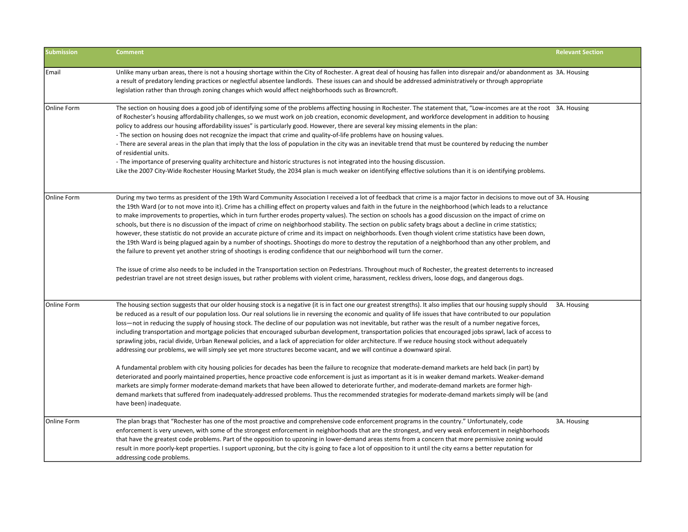| <b>Submission</b>  | <b>Comment</b>                                                                                                                                                                                                                                                                                                                                                                                                                                                                                                                                                                                                                                                                                                                                                                                                                                                                                                                                                                                                                                                                                                                                                                                                                                                                                                                                                                                                                                                                                                                                                                                                 | <b>Relevant Section</b> |
|--------------------|----------------------------------------------------------------------------------------------------------------------------------------------------------------------------------------------------------------------------------------------------------------------------------------------------------------------------------------------------------------------------------------------------------------------------------------------------------------------------------------------------------------------------------------------------------------------------------------------------------------------------------------------------------------------------------------------------------------------------------------------------------------------------------------------------------------------------------------------------------------------------------------------------------------------------------------------------------------------------------------------------------------------------------------------------------------------------------------------------------------------------------------------------------------------------------------------------------------------------------------------------------------------------------------------------------------------------------------------------------------------------------------------------------------------------------------------------------------------------------------------------------------------------------------------------------------------------------------------------------------|-------------------------|
| Email              | Unlike many urban areas, there is not a housing shortage within the City of Rochester. A great deal of housing has fallen into disrepair and/or abandonment as 3A. Housing<br>a result of predatory lending practices or neglectful absentee landlords. These issues can and should be addressed administratively or through appropriate<br>legislation rather than through zoning changes which would affect neighborhoods such as Browncroft.                                                                                                                                                                                                                                                                                                                                                                                                                                                                                                                                                                                                                                                                                                                                                                                                                                                                                                                                                                                                                                                                                                                                                                |                         |
| <b>Online Form</b> | The section on housing does a good job of identifying some of the problems affecting housing in Rochester. The statement that, "Low-incomes are at the root 3A. Housing<br>of Rochester's housing affordability challenges, so we must work on job creation, economic development, and workforce development in addition to housing<br>policy to address our housing affordability issues" is particularly good. However, there are several key missing elements in the plan:<br>- The section on housing does not recognize the impact that crime and quality-of-life problems have on housing values.<br>- There are several areas in the plan that imply that the loss of population in the city was an inevitable trend that must be countered by reducing the number<br>of residential units.<br>- The importance of preserving quality architecture and historic structures is not integrated into the housing discussion.<br>Like the 2007 City-Wide Rochester Housing Market Study, the 2034 plan is much weaker on identifying effective solutions than it is on identifying problems.                                                                                                                                                                                                                                                                                                                                                                                                                                                                                                                |                         |
| <b>Online Form</b> | During my two terms as president of the 19th Ward Community Association I received a lot of feedback that crime is a major factor in decisions to move out of 3A. Housing<br>the 19th Ward (or to not move into it). Crime has a chilling effect on property values and faith in the future in the neighborhood (which leads to a reluctance<br>to make improvements to properties, which in turn further erodes property values). The section on schools has a good discussion on the impact of crime on<br>schools, but there is no discussion of the impact of crime on neighborhood stability. The section on public safety brags about a decline in crime statistics;<br>however, these statistic do not provide an accurate picture of crime and its impact on neighborhoods. Even though violent crime statistics have been down,<br>the 19th Ward is being plagued again by a number of shootings. Shootings do more to destroy the reputation of a neighborhood than any other problem, and<br>the failure to prevent yet another string of shootings is eroding confidence that our neighborhood will turn the corner.<br>The issue of crime also needs to be included in the Transportation section on Pedestrians. Throughout much of Rochester, the greatest deterrents to increased<br>pedestrian travel are not street design issues, but rather problems with violent crime, harassment, reckless drivers, loose dogs, and dangerous dogs.                                                                                                                                                     |                         |
| <b>Online Form</b> | The housing section suggests that our older housing stock is a negative (it is in fact one our greatest strengths). It also implies that our housing supply should<br>be reduced as a result of our population loss. Our real solutions lie in reversing the economic and quality of life issues that have contributed to our population<br>loss-not in reducing the supply of housing stock. The decline of our population was not inevitable, but rather was the result of a number negative forces,<br>including transportation and mortgage policies that encouraged suburban development, transportation policies that encouraged jobs sprawl, lack of access to<br>sprawling jobs, racial divide, Urban Renewal policies, and a lack of appreciation for older architecture. If we reduce housing stock without adequately<br>addressing our problems, we will simply see yet more structures become vacant, and we will continue a downward spiral.<br>A fundamental problem with city housing policies for decades has been the failure to recognize that moderate-demand markets are held back (in part) by<br>deteriorated and poorly maintained properties, hence proactive code enforcement is just as important as it is in weaker demand markets. Weaker-demand<br>markets are simply former moderate-demand markets that have been allowed to deteriorate further, and moderate-demand markets are former high-<br>demand markets that suffered from inadequately-addressed problems. Thus the recommended strategies for moderate-demand markets simply will be (and<br>have been) inadequate. | 3A. Housing             |
| lOnline Form       | The plan brags that "Rochester has one of the most proactive and comprehensive code enforcement programs in the country." Unfortunately, code<br>enforcement is very uneven, with some of the strongest enforcement in neighborhoods that are the strongest, and very weak enforcement in neighborhoods<br>that have the greatest code problems. Part of the opposition to upzoning in lower-demand areas stems from a concern that more permissive zoning would<br>result in more poorly-kept properties. I support upzoning, but the city is going to face a lot of opposition to it until the city earns a better reputation for<br>addressing code problems.                                                                                                                                                                                                                                                                                                                                                                                                                                                                                                                                                                                                                                                                                                                                                                                                                                                                                                                                               | 3A. Housing             |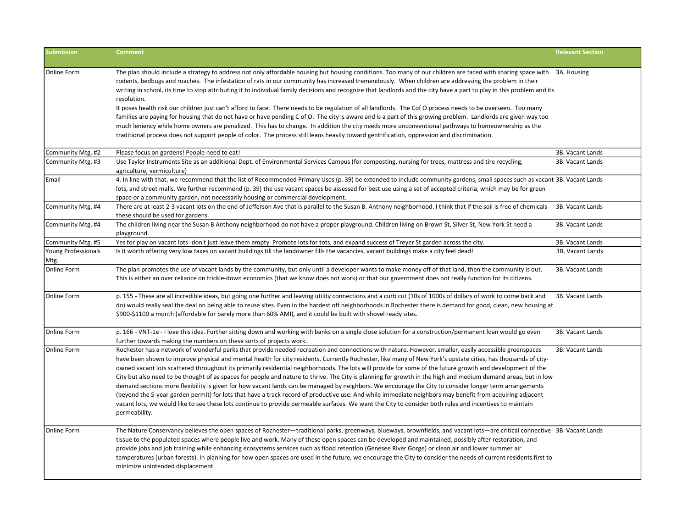| <b>Submission</b>           | <b>Comment</b>                                                                                                                                                                                                                                                                                                                                                                                                                                                                                                                                                                                                                                                                                                                                                                                                                                                                                                                                                                                                                                                                                                                                                   | <b>Relevant Section</b> |
|-----------------------------|------------------------------------------------------------------------------------------------------------------------------------------------------------------------------------------------------------------------------------------------------------------------------------------------------------------------------------------------------------------------------------------------------------------------------------------------------------------------------------------------------------------------------------------------------------------------------------------------------------------------------------------------------------------------------------------------------------------------------------------------------------------------------------------------------------------------------------------------------------------------------------------------------------------------------------------------------------------------------------------------------------------------------------------------------------------------------------------------------------------------------------------------------------------|-------------------------|
| Online Form                 | The plan should include a strategy to address not only affordable housing but housing conditions. Too many of our children are faced with sharing space with 3A. Housing<br>rodents, bedbugs and roaches. The infestation of rats in our community has increased tremendously. When children are addressing the problem in their<br>writing in school, its time to stop attributing it to individual family decisions and recognize that landlords and the city have a part to play in this problem and its<br>resolution.<br>It poses health risk our children just can't afford to face. There needs to be regulation of all landlords. The Cof O process needs to be overseen. Too many<br>families are paying for housing that do not have or have pending C of O. The city is aware and is a part of this growing problem. Landlords are given way too<br>much leniency while home owners are penalized. This has to change. In addition the city needs more unconventional pathways to homeownership as the<br>traditional process does not support people of color. The process still leans heavily toward gentrification, oppression and discrimination. |                         |
| Community Mtg. #2           | Please focus on gardens! People need to eat!                                                                                                                                                                                                                                                                                                                                                                                                                                                                                                                                                                                                                                                                                                                                                                                                                                                                                                                                                                                                                                                                                                                     | 3B. Vacant Lands        |
| Community Mtg. #3           | Use Taylor Instruments Site as an additional Dept. of Environmental Services Campus (for composting, nursing for trees, mattress and tire recycling,<br>agriculture, vermiculture)                                                                                                                                                                                                                                                                                                                                                                                                                                                                                                                                                                                                                                                                                                                                                                                                                                                                                                                                                                               | 3B. Vacant Lands        |
| Email                       | 4. In line with that, we recommend that the list of Recommended Primary Uses (p. 39) be extended to include community gardens, small spaces such as vacant 3B. Vacant Lands<br>lots, and street malls. We further recommend (p. 39) the use vacant spaces be assessed for best use using a set of accepted criteria, which may be for green<br>space or a community garden, not necessarily housing or commercial development.                                                                                                                                                                                                                                                                                                                                                                                                                                                                                                                                                                                                                                                                                                                                   |                         |
| Community Mtg. #4           | There are at least 2-3 vacant lots on the end of Jefferson Ave that is parallel to the Susan B. Anthony neighborhood. I think that if the soil is free of chemicals 3B. Vacant Lands<br>these should be used for gardens.                                                                                                                                                                                                                                                                                                                                                                                                                                                                                                                                                                                                                                                                                                                                                                                                                                                                                                                                        |                         |
| Community Mtg. #4           | The children living near the Susan B Anthony neighborhood do not have a proper playground. Children living on Brown St, Silver St, New York St need a<br>playground.                                                                                                                                                                                                                                                                                                                                                                                                                                                                                                                                                                                                                                                                                                                                                                                                                                                                                                                                                                                             | 3B. Vacant Lands        |
| Community Mtg. #5           | Yes for play on vacant lots -don't just leave them empty. Promote lots for tots, and expand success of Treyer St garden across the city.                                                                                                                                                                                                                                                                                                                                                                                                                                                                                                                                                                                                                                                                                                                                                                                                                                                                                                                                                                                                                         | 3B. Vacant Lands        |
| Young Professionals<br>Mtg. | Is it worth offering very low taxes on vacant buildings till the landowner fills the vacancies, vacant buildings make a city feel dead!                                                                                                                                                                                                                                                                                                                                                                                                                                                                                                                                                                                                                                                                                                                                                                                                                                                                                                                                                                                                                          | 3B. Vacant Lands        |
| Online Form                 | The plan promotes the use of vacant lands by the community, but only until a developer wants to make money off of that land, then the community is out.<br>This is either an over reliance on trickle-down economics (that we know does not work) or that our government does not really function for its citizens.                                                                                                                                                                                                                                                                                                                                                                                                                                                                                                                                                                                                                                                                                                                                                                                                                                              | 3B. Vacant Lands        |
| Online Form                 | p. 155 - These are all incredible ideas, but going one further and leaving utility connections and a curb cut (10s of 1000s of dollars of work to come back and<br>do) would really seal the deal on being able to reuse sites. Even in the hardest off neighborhoods in Rochester there is demand for good, clean, new housing at<br>\$900-\$1100 a month (affordable for barely more than 60% AMI), and it could be built with shovel ready sites.                                                                                                                                                                                                                                                                                                                                                                                                                                                                                                                                                                                                                                                                                                             | 3B. Vacant Lands        |
| Online Form                 | p. 166 - VNT-1e - I love this idea. Further sitting down and working with banks on a single close solution for a construction/permanent loan would go even<br>further towards making the numbers on these sorts of projects work.                                                                                                                                                                                                                                                                                                                                                                                                                                                                                                                                                                                                                                                                                                                                                                                                                                                                                                                                | 3B. Vacant Lands        |
| Online Form                 | Rochester has a network of wonderful parks that provide needed recreation and connections with nature. However, smaller, easily accessible greenspaces<br>have been shown to improve physical and mental health for city residents. Currently Rochester, like many of New York's upstate cities, has thousands of city-<br>owned vacant lots scattered throughout its primarily residential neighborhoods. The lots will provide for some of the future growth and development of the<br>City but also need to be thought of as spaces for people and nature to thrive. The City is planning for growth in the high and medium demand areas, but in low<br>demand sections more flexibility is given for how vacant lands can be managed by neighbors. We encourage the City to consider longer term arrangements<br>(beyond the 5-year garden permit) for lots that have a track record of productive use. And while immediate neighbors may benefit from acquiring adjacent<br>vacant lots, we would like to see these lots continue to provide permeable surfaces. We want the City to consider both rules and incentives to maintain<br>permeability.        | 3B. Vacant Lands        |
| Online Form                 | The Nature Conservancy believes the open spaces of Rochester-traditional parks, greenways, blueways, brownfields, and vacant lots-are critical connective 3B. Vacant Lands<br>tissue to the populated spaces where people live and work. Many of these open spaces can be developed and maintained, possibly after restoration, and<br>provide jobs and job training while enhancing ecosystems services such as flood retention (Genesee River Gorge) or clean air and lower summer air<br>temperatures (urban forests). In planning for how open spaces are used in the future, we encourage the City to consider the needs of current residents first to<br>minimize unintended displacement.                                                                                                                                                                                                                                                                                                                                                                                                                                                                 |                         |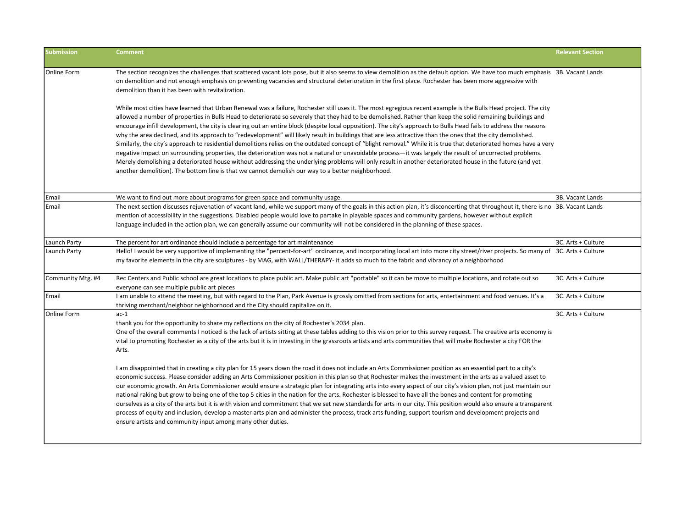| <b>Submission</b> | <b>Comment</b>                                                                                                                                                                                                                                                                                                                                                                                                                                                                                                                                                                                                                                                                                                                                                                                                                                                                                                                                                                                                                                                                                                                                                                                                                                                       | <b>Relevant Section</b> |
|-------------------|----------------------------------------------------------------------------------------------------------------------------------------------------------------------------------------------------------------------------------------------------------------------------------------------------------------------------------------------------------------------------------------------------------------------------------------------------------------------------------------------------------------------------------------------------------------------------------------------------------------------------------------------------------------------------------------------------------------------------------------------------------------------------------------------------------------------------------------------------------------------------------------------------------------------------------------------------------------------------------------------------------------------------------------------------------------------------------------------------------------------------------------------------------------------------------------------------------------------------------------------------------------------|-------------------------|
| Online Form       | The section recognizes the challenges that scattered vacant lots pose, but it also seems to view demolition as the default option. We have too much emphasis 3B. Vacant Lands<br>on demolition and not enough emphasis on preventing vacancies and structural deterioration in the first place. Rochester has been more aggressive with<br>demolition than it has been with revitalization.                                                                                                                                                                                                                                                                                                                                                                                                                                                                                                                                                                                                                                                                                                                                                                                                                                                                          |                         |
|                   | While most cities have learned that Urban Renewal was a failure, Rochester still uses it. The most egregious recent example is the Bulls Head project. The city<br>allowed a number of properties in Bulls Head to deteriorate so severely that they had to be demolished. Rather than keep the solid remaining buildings and<br>encourage infill development, the city is clearing out an entire block (despite local opposition). The city's approach to Bulls Head fails to address the reasons<br>why the area declined, and its approach to "redevelopment" will likely result in buildings that are less attractive than the ones that the city demolished.<br>Similarly, the city's approach to residential demolitions relies on the outdated concept of "blight removal." While it is true that deteriorated homes have a very<br>negative impact on surrounding properties, the deterioration was not a natural or unavoidable process-it was largely the result of uncorrected problems.<br>Merely demolishing a deteriorated house without addressing the underlying problems will only result in another deteriorated house in the future (and yet<br>another demolition). The bottom line is that we cannot demolish our way to a better neighborhood. |                         |
| Email             | We want to find out more about programs for green space and community usage.                                                                                                                                                                                                                                                                                                                                                                                                                                                                                                                                                                                                                                                                                                                                                                                                                                                                                                                                                                                                                                                                                                                                                                                         | 3B. Vacant Lands        |
| Email             | The next section discusses rejuvenation of vacant land, while we support many of the goals in this action plan, it's disconcerting that throughout it, there is no 3B. Vacant Lands<br>mention of accessibility in the suggestions. Disabled people would love to partake in playable spaces and community gardens, however without explicit<br>language included in the action plan, we can generally assume our community will not be considered in the planning of these spaces.                                                                                                                                                                                                                                                                                                                                                                                                                                                                                                                                                                                                                                                                                                                                                                                  |                         |
| Launch Party      | The percent for art ordinance should include a percentage for art maintenance                                                                                                                                                                                                                                                                                                                                                                                                                                                                                                                                                                                                                                                                                                                                                                                                                                                                                                                                                                                                                                                                                                                                                                                        | 3C. Arts + Culture      |
| Launch Party      | Hello! I would be very supportive of implementing the "percent-for-art" ordinance, and incorporating local art into more city street/river projects. So many of 3C. Arts + Culture<br>my favorite elements in the city are sculptures - by MAG, with WALL/THERAPY- it adds so much to the fabric and vibrancy of a neighborhood                                                                                                                                                                                                                                                                                                                                                                                                                                                                                                                                                                                                                                                                                                                                                                                                                                                                                                                                      |                         |
| Community Mtg. #4 | Rec Centers and Public school are great locations to place public art. Make public art "portable" so it can be move to multiple locations, and rotate out so<br>everyone can see multiple public art pieces                                                                                                                                                                                                                                                                                                                                                                                                                                                                                                                                                                                                                                                                                                                                                                                                                                                                                                                                                                                                                                                          | 3C. Arts + Culture      |
| l Email           | I am unable to attend the meeting, but with regard to the Plan, Park Avenue is grossly omitted from sections for arts, entertainment and food venues. It's a<br>thriving merchant/neighbor neighborhood and the City should capitalize on it.                                                                                                                                                                                                                                                                                                                                                                                                                                                                                                                                                                                                                                                                                                                                                                                                                                                                                                                                                                                                                        | 3C. Arts + Culture      |
| Online Form       | $ac-1$<br>thank you for the opportunity to share my reflections on the city of Rochester's 2034 plan.<br>One of the overall comments I noticed is the lack of artists sitting at these tables adding to this vision prior to this survey request. The creative arts economy is<br>vital to promoting Rochester as a city of the arts but it is in investing in the grassroots artists and arts communities that will make Rochester a city FOR the<br>Arts.                                                                                                                                                                                                                                                                                                                                                                                                                                                                                                                                                                                                                                                                                                                                                                                                          | 3C. Arts + Culture      |
|                   | I am disappointed that in creating a city plan for 15 years down the road it does not include an Arts Commissioner position as an essential part to a city's<br>economic success. Please consider adding an Arts Commissioner position in this plan so that Rochester makes the investment in the arts as a valued asset to<br>our economic growth. An Arts Commissioner would ensure a strategic plan for integrating arts into every aspect of our city's vision plan, not just maintain our<br>national raking but grow to being one of the top 5 cities in the nation for the arts. Rochester is blessed to have all the bones and content for promoting<br>ourselves as a city of the arts but it is with vision and commitment that we set new standards for arts in our city. This position would also ensure a transparent<br>process of equity and inclusion, develop a master arts plan and administer the process, track arts funding, support tourism and development projects and<br>ensure artists and community input among many other duties.                                                                                                                                                                                                        |                         |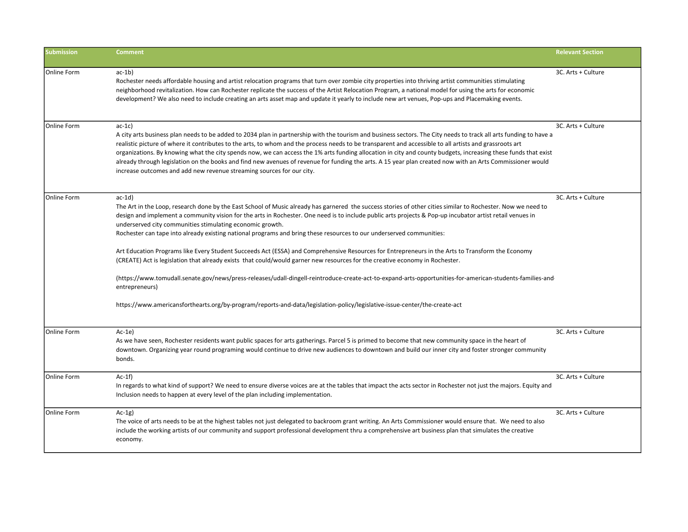| <b>Submission</b> | <b>Comment</b>                                                                                                                                                                                                                                                                                                                                                                                                                                                                                                                                                                                                                                                                                                                                                                                                                                                                                                                                                                                                                                                                                                               | <b>Relevant Section</b> |
|-------------------|------------------------------------------------------------------------------------------------------------------------------------------------------------------------------------------------------------------------------------------------------------------------------------------------------------------------------------------------------------------------------------------------------------------------------------------------------------------------------------------------------------------------------------------------------------------------------------------------------------------------------------------------------------------------------------------------------------------------------------------------------------------------------------------------------------------------------------------------------------------------------------------------------------------------------------------------------------------------------------------------------------------------------------------------------------------------------------------------------------------------------|-------------------------|
| Online Form       | $ac-1b)$<br>Rochester needs affordable housing and artist relocation programs that turn over zombie city properties into thriving artist communities stimulating<br>neighborhood revitalization. How can Rochester replicate the success of the Artist Relocation Program, a national model for using the arts for economic<br>development? We also need to include creating an arts asset map and update it yearly to include new art venues, Pop-ups and Placemaking events.                                                                                                                                                                                                                                                                                                                                                                                                                                                                                                                                                                                                                                               | 3C. Arts + Culture      |
| Online Form       | $ac-1c$<br>A city arts business plan needs to be added to 2034 plan in partnership with the tourism and business sectors. The City needs to track all arts funding to have a<br>realistic picture of where it contributes to the arts, to whom and the process needs to be transparent and accessible to all artists and grassroots art<br>organizations. By knowing what the city spends now, we can access the 1% arts funding allocation in city and county budgets, increasing these funds that exist<br>already through legislation on the books and find new avenues of revenue for funding the arts. A 15 year plan created now with an Arts Commissioner would<br>increase outcomes and add new revenue streaming sources for our city.                                                                                                                                                                                                                                                                                                                                                                              | 3C. Arts + Culture      |
| Online Form       | $ac-1d)$<br>The Art in the Loop, research done by the East School of Music already has garnered the success stories of other cities similar to Rochester. Now we need to<br>design and implement a community vision for the arts in Rochester. One need is to include public arts projects & Pop-up incubator artist retail venues in<br>underserved city communities stimulating economic growth.<br>Rochester can tape into already existing national programs and bring these resources to our underserved communities:<br>Art Education Programs like Every Student Succeeds Act (ESSA) and Comprehensive Resources for Entrepreneurs in the Arts to Transform the Economy<br>(CREATE) Act is legislation that already exists that could/would garner new resources for the creative economy in Rochester.<br>(https://www.tomudall.senate.gov/news/press-releases/udall-dingell-reintroduce-create-act-to-expand-arts-opportunities-for-american-students-families-and-<br>entrepreneurs)<br>https://www.americansforthearts.org/by-program/reports-and-data/legislation-policy/legislative-issue-center/the-create-act | 3C. Arts + Culture      |
| Online Form       | $Ac-1e$<br>As we have seen, Rochester residents want public spaces for arts gatherings. Parcel 5 is primed to become that new community space in the heart of<br>downtown. Organizing year round programing would continue to drive new audiences to downtown and build our inner city and foster stronger community<br>bonds.                                                                                                                                                                                                                                                                                                                                                                                                                                                                                                                                                                                                                                                                                                                                                                                               | 3C. Arts + Culture      |
| Online Form       | $Ac-1f$<br>In regards to what kind of support? We need to ensure diverse voices are at the tables that impact the acts sector in Rochester not just the majors. Equity and<br>Inclusion needs to happen at every level of the plan including implementation.                                                                                                                                                                                                                                                                                                                                                                                                                                                                                                                                                                                                                                                                                                                                                                                                                                                                 | 3C. Arts + Culture      |
| Online Form       | $Ac-1g$<br>The voice of arts needs to be at the highest tables not just delegated to backroom grant writing. An Arts Commissioner would ensure that. We need to also<br>include the working artists of our community and support professional development thru a comprehensive art business plan that simulates the creative<br>economy.                                                                                                                                                                                                                                                                                                                                                                                                                                                                                                                                                                                                                                                                                                                                                                                     | 3C. Arts + Culture      |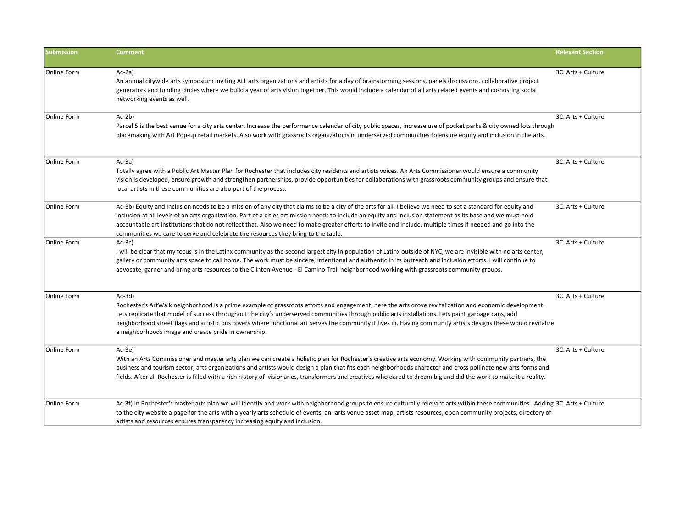| <b>Submission</b>  | <b>Comment</b>                                                                                                                                                                                                                                                                                                                                                                                                                                                                                                                                                                      | <b>Relevant Section</b> |
|--------------------|-------------------------------------------------------------------------------------------------------------------------------------------------------------------------------------------------------------------------------------------------------------------------------------------------------------------------------------------------------------------------------------------------------------------------------------------------------------------------------------------------------------------------------------------------------------------------------------|-------------------------|
| Online Form        | $Ac-2a$<br>An annual citywide arts symposium inviting ALL arts organizations and artists for a day of brainstorming sessions, panels discussions, collaborative project<br>generators and funding circles where we build a year of arts vision together. This would include a calendar of all arts related events and co-hosting social<br>networking events as well.                                                                                                                                                                                                               | 3C. Arts + Culture      |
| Online Form        | $Ac-2b$<br>Parcel 5 is the best venue for a city arts center. Increase the performance calendar of city public spaces, increase use of pocket parks & city owned lots through<br>placemaking with Art Pop-up retail markets. Also work with grassroots organizations in underserved communities to ensure equity and inclusion in the arts.                                                                                                                                                                                                                                         | 3C. Arts + Culture      |
| Online Form        | $Ac-3a)$<br>Totally agree with a Public Art Master Plan for Rochester that includes city residents and artists voices. An Arts Commissioner would ensure a community<br>vision is developed, ensure growth and strengthen partnerships, provide opportunities for collaborations with grassroots community groups and ensure that<br>local artists in these communities are also part of the process.                                                                                                                                                                               | 3C. Arts + Culture      |
| Online Form        | Ac-3b) Equity and Inclusion needs to be a mission of any city that claims to be a city of the arts for all. I believe we need to set a standard for equity and<br>inclusion at all levels of an arts organization. Part of a cities art mission needs to include an equity and inclusion statement as its base and we must hold<br>accountable art institutions that do not reflect that. Also we need to make greater efforts to invite and include, multiple times if needed and go into the<br>communities we care to serve and celebrate the resources they bring to the table. | 3C. Arts + Culture      |
| Online Form        | $Ac-3c)$<br>I will be clear that my focus is in the Latinx community as the second largest city in population of Latinx outside of NYC, we are invisible with no arts center,<br>gallery or community arts space to call home. The work must be sincere, intentional and authentic in its outreach and inclusion efforts. I will continue to<br>advocate, garner and bring arts resources to the Clinton Avenue - El Camino Trail neighborhood working with grassroots community groups.                                                                                            | 3C. Arts + Culture      |
| Online Form        | $Ac-3d)$<br>Rochester's ArtWalk neighborhood is a prime example of grassroots efforts and engagement, here the arts drove revitalization and economic development.<br>Lets replicate that model of success throughout the city's underserved communities through public arts installations. Lets paint garbage cans, add<br>neighborhood street flags and artistic bus covers where functional art serves the community it lives in. Having community artists designs these would revitalize<br>a neighborhoods image and create pride in ownership.                                | 3C. Arts + Culture      |
| <b>Online Form</b> | $Ac-3e$<br>With an Arts Commissioner and master arts plan we can create a holistic plan for Rochester's creative arts economy. Working with community partners, the<br>business and tourism sector, arts organizations and artists would design a plan that fits each neighborhoods character and cross pollinate new arts forms and<br>fields. After all Rochester is filled with a rich history of visionaries, transformers and creatives who dared to dream big and did the work to make it a reality.                                                                          | 3C. Arts + Culture      |
| Online Form        | Ac-3f) In Rochester's master arts plan we will identify and work with neighborhood groups to ensure culturally relevant arts within these communities. Adding 3C. Arts + Culture<br>to the city website a page for the arts with a yearly arts schedule of events, an -arts venue asset map, artists resources, open community projects, directory of<br>artists and resources ensures transparency increasing equity and inclusion.                                                                                                                                                |                         |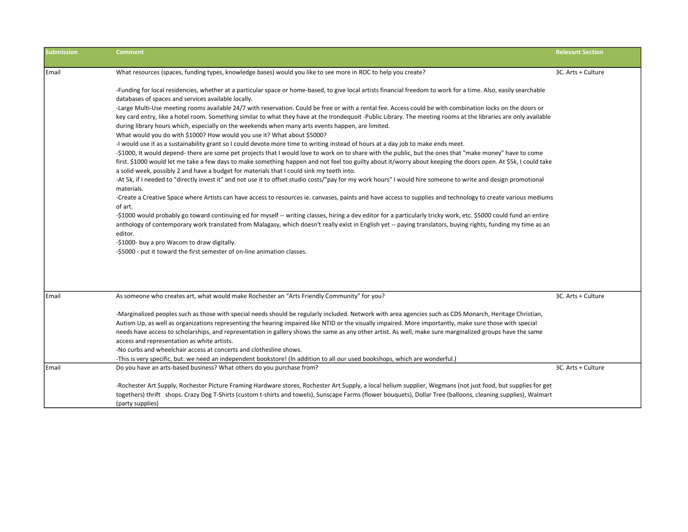| <b>Submission</b> | Comment                                                                                                                                                                                                                                                     | <b>Relevant Section</b> |
|-------------------|-------------------------------------------------------------------------------------------------------------------------------------------------------------------------------------------------------------------------------------------------------------|-------------------------|
|                   |                                                                                                                                                                                                                                                             |                         |
| Email             | What resources (spaces, funding types, knowledge bases) would you like to see more in ROC to help you create?                                                                                                                                               | 3C. Arts + Culture      |
|                   | -Funding for local residencies, whether at a particular space or home-based, to give local artists financial freedom to work for a time. Also, easily searchable                                                                                            |                         |
|                   | databases of spaces and services available locally.                                                                                                                                                                                                         |                         |
|                   | -Large Multi-Use meeting rooms available 24/7 with reservation. Could be free or with a rental fee. Access could be with combination locks on the doors or                                                                                                  |                         |
|                   | key card entry, like a hotel room. Something similar to what they have at the Irondequoit -Public Library. The meeting rooms at the libraries are only available                                                                                            |                         |
|                   | during library hours which, especially on the weekends when many arts events happen, are limited.                                                                                                                                                           |                         |
|                   | What would you do with \$1000? How would you use it? What about \$5000?                                                                                                                                                                                     |                         |
|                   | -I would use it as a sustainability grant so I could devote more time to writing instead of hours at a day job to make ends meet.                                                                                                                           |                         |
|                   | -\$1000, It would depend- there are some pet projects that I would love to work on to share with the public, but the ones that "make money" have to come                                                                                                    |                         |
|                   | first. \$1000 would let me take a few days to make something happen and not feel too guilty about it/worry about keeping the doors open. At \$5k, I could take<br>a solid week, possibly 2 and have a budget for materials that I could sink my teeth into. |                         |
|                   | -At 5k, if I needed to "directly invest it" and not use it to offset studio costs/"pay for my work hours" I would hire someone to write and design promotional                                                                                              |                         |
|                   | materials.                                                                                                                                                                                                                                                  |                         |
|                   | -Create a Creative Space where Artists can have access to resources ie. canvases, paints and have access to supplies and technology to create various mediums                                                                                               |                         |
|                   | of art.                                                                                                                                                                                                                                                     |                         |
|                   | -\$1000 would probably go toward continuing ed for myself -- writing classes, hiring a dev editor for a particularly tricky work, etc. \$5000 could fund an entire                                                                                          |                         |
|                   | anthology of contemporary work translated from Malagasy, which doesn't really exist in English yet -- paying translators, buying rights, funding my time as an                                                                                              |                         |
|                   | editor.                                                                                                                                                                                                                                                     |                         |
|                   | -\$1000- buy a pro Wacom to draw digitally.                                                                                                                                                                                                                 |                         |
|                   | -\$5000 - put it toward the first semester of on-line animation classes.                                                                                                                                                                                    |                         |
|                   |                                                                                                                                                                                                                                                             |                         |
|                   |                                                                                                                                                                                                                                                             |                         |
| Email             | As someone who creates art, what would make Rochester an "Arts Friendly Community" for you?                                                                                                                                                                 | 3C. Arts + Culture      |
|                   | -Marginalized peoples such as those with special needs should be regularly included. Network with area agencies such as CDS Monarch, Heritage Christian,                                                                                                    |                         |
|                   | Autism Up, as well as organizations representing the hearing impaired like NTID or the visually impaired. More importantly, make sure those with special                                                                                                    |                         |
|                   | needs have access to scholarships, and representation in gallery shows the same as any other artist. As well, make sure marginalized groups have the same                                                                                                   |                         |
|                   | access and representation as white artists.                                                                                                                                                                                                                 |                         |
|                   | -No curbs and wheelchair access at concerts and clothesline shows.                                                                                                                                                                                          |                         |
|                   | -This is very specific, but: we need an independent bookstore! (In addition to all our used bookshops, which are wonderful.)                                                                                                                                |                         |
| Email             | Do you have an arts-based business? What others do you purchase from?                                                                                                                                                                                       | 3C. Arts + Culture      |
|                   | -Rochester Art Supply, Rochester Picture Framing Hardware stores, Rochester Art Supply, a local helium supplier, Wegmans (not just food, but supplies for get                                                                                               |                         |
|                   | togethers) thrift shops. Crazy Dog T-Shirts (custom t-shirts and towels), Sunscape Farms (flower bouquets), Dollar Tree (balloons, cleaning supplies), Walmart                                                                                              |                         |
|                   | (party supplies)                                                                                                                                                                                                                                            |                         |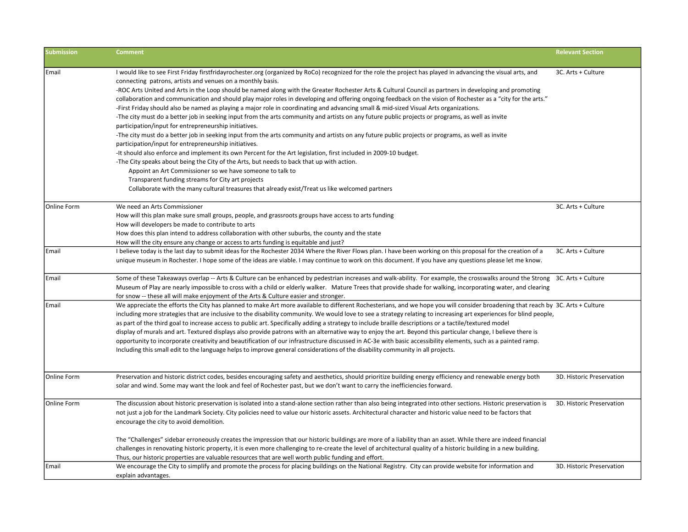| <b>Submission</b> | <b>Comment</b>                                                                                                                                                                                                                                                                                                                                                                                                                                                                                                                                                                                                                                                                                                                                                                                                                                                                                                                                                                                                                                                                                                                                                                                                                                                                                                                                                                                                                                                                                                                                                  | <b>Relevant Section</b>   |
|-------------------|-----------------------------------------------------------------------------------------------------------------------------------------------------------------------------------------------------------------------------------------------------------------------------------------------------------------------------------------------------------------------------------------------------------------------------------------------------------------------------------------------------------------------------------------------------------------------------------------------------------------------------------------------------------------------------------------------------------------------------------------------------------------------------------------------------------------------------------------------------------------------------------------------------------------------------------------------------------------------------------------------------------------------------------------------------------------------------------------------------------------------------------------------------------------------------------------------------------------------------------------------------------------------------------------------------------------------------------------------------------------------------------------------------------------------------------------------------------------------------------------------------------------------------------------------------------------|---------------------------|
| Email             | I would like to see First Friday firstfridayrochester.org (organized by RoCo) recognized for the role the project has played in advancing the visual arts, and<br>connecting patrons, artists and venues on a monthly basis.<br>-ROC Arts United and Arts in the Loop should be named along with the Greater Rochester Arts & Cultural Council as partners in developing and promoting<br>collaboration and communication and should play major roles in developing and offering ongoing feedback on the vision of Rochester as a "city for the arts."<br>-First Friday should also be named as playing a major role in coordinating and advancing small & mid-sized Visual Arts organizations.<br>-The city must do a better job in seeking input from the arts community and artists on any future public projects or programs, as well as invite<br>participation/input for entrepreneurship initiatives.<br>-The city must do a better job in seeking input from the arts community and artists on any future public projects or programs, as well as invite<br>participation/input for entrepreneurship initiatives.<br>-It should also enforce and implement its own Percent for the Art legislation, first included in 2009-10 budget.<br>-The City speaks about being the City of the Arts, but needs to back that up with action.<br>Appoint an Art Commissioner so we have someone to talk to<br>Transparent funding streams for City art projects<br>Collaborate with the many cultural treasures that already exist/Treat us like welcomed partners | 3C. Arts + Culture        |
| Online Form       | We need an Arts Commissioner<br>How will this plan make sure small groups, people, and grassroots groups have access to arts funding<br>How will developers be made to contribute to arts<br>How does this plan intend to address collaboration with other suburbs, the county and the state<br>How will the city ensure any change or access to arts funding is equitable and just?                                                                                                                                                                                                                                                                                                                                                                                                                                                                                                                                                                                                                                                                                                                                                                                                                                                                                                                                                                                                                                                                                                                                                                            | 3C. Arts + Culture        |
| Email             | I believe today is the last day to submit ideas for the Rochester 2034 Where the River Flows plan. I have been working on this proposal for the creation of a<br>unique museum in Rochester. I hope some of the ideas are viable. I may continue to work on this document. If you have any questions please let me know.                                                                                                                                                                                                                                                                                                                                                                                                                                                                                                                                                                                                                                                                                                                                                                                                                                                                                                                                                                                                                                                                                                                                                                                                                                        | 3C. Arts + Culture        |
| Email             | Some of these Takeaways overlap -- Arts & Culture can be enhanced by pedestrian increases and walk-ability. For example, the crosswalks around the Strong 3C. Arts + Culture<br>Museum of Play are nearly impossible to cross with a child or elderly walker. Mature Trees that provide shade for walking, incorporating water, and clearing<br>for snow -- these all will make enjoyment of the Arts & Culture easier and stronger.                                                                                                                                                                                                                                                                                                                                                                                                                                                                                                                                                                                                                                                                                                                                                                                                                                                                                                                                                                                                                                                                                                                            |                           |
| Email             | We appreciate the efforts the City has planned to make Art more available to different Rochesterians, and we hope you will consider broadening that reach by 3C. Arts + Culture<br>including more strategies that are inclusive to the disability community. We would love to see a strategy relating to increasing art experiences for blind people,<br>as part of the third goal to increase access to public art. Specifically adding a strategy to include braille descriptions or a tactile/textured model<br>display of murals and art. Textured displays also provide patrons with an alternative way to enjoy the art. Beyond this particular change, I believe there is<br>opportunity to incorporate creativity and beautification of our infrastructure discussed in AC-3e with basic accessibility elements, such as a painted ramp.<br>Including this small edit to the language helps to improve general considerations of the disability community in all projects.                                                                                                                                                                                                                                                                                                                                                                                                                                                                                                                                                                              |                           |
| Online Form       | Preservation and historic district codes, besides encouraging safety and aesthetics, should prioritize building energy efficiency and renewable energy both<br>solar and wind. Some may want the look and feel of Rochester past, but we don't want to carry the inefficiencies forward.                                                                                                                                                                                                                                                                                                                                                                                                                                                                                                                                                                                                                                                                                                                                                                                                                                                                                                                                                                                                                                                                                                                                                                                                                                                                        | 3D. Historic Preservation |
| Online Form       | The discussion about historic preservation is isolated into a stand-alone section rather than also being integrated into other sections. Historic preservation is<br>not just a job for the Landmark Society. City policies need to value our historic assets. Architectural character and historic value need to be factors that<br>encourage the city to avoid demolition.<br>The "Challenges" sidebar erroneously creates the impression that our historic buildings are more of a liability than an asset. While there are indeed financial<br>challenges in renovating historic property, it is even more challenging to re-create the level of architectural quality of a historic building in a new building.<br>Thus, our historic properties are valuable resources that are well worth public funding and effort.                                                                                                                                                                                                                                                                                                                                                                                                                                                                                                                                                                                                                                                                                                                                     | 3D. Historic Preservation |
| Email             | We encourage the City to simplify and promote the process for placing buildings on the National Registry. City can provide website for information and<br>explain advantages.                                                                                                                                                                                                                                                                                                                                                                                                                                                                                                                                                                                                                                                                                                                                                                                                                                                                                                                                                                                                                                                                                                                                                                                                                                                                                                                                                                                   | 3D. Historic Preservation |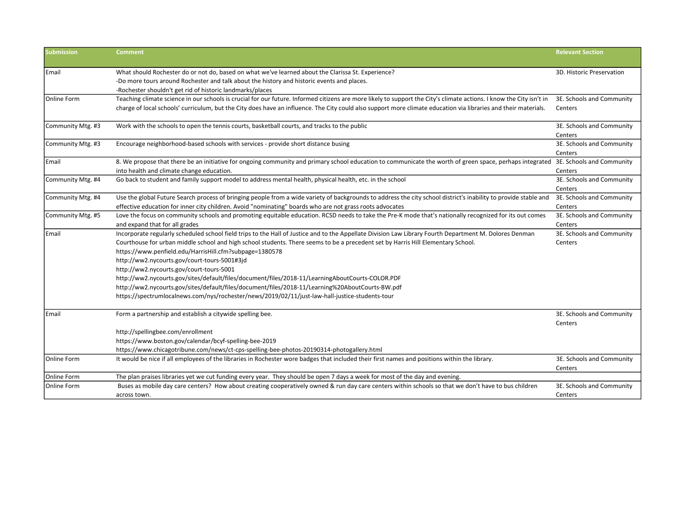| <b>Submission</b> | <b>Comment</b>                                                                                                                                                       | <b>Relevant Section</b>              |
|-------------------|----------------------------------------------------------------------------------------------------------------------------------------------------------------------|--------------------------------------|
| Email             | What should Rochester do or not do, based on what we've learned about the Clarissa St. Experience?                                                                   | 3D. Historic Preservation            |
|                   | -Do more tours around Rochester and talk about the history and historic events and places.                                                                           |                                      |
|                   | -Rochester shouldn't get rid of historic landmarks/places                                                                                                            |                                      |
| Online Form       | Teaching climate science in our schools is crucial for our future. Informed citizens are more likely to support the City's climate actions. I know the City isn't in | 3E. Schools and Community            |
|                   | charge of local schools' curriculum, but the City does have an influence. The City could also support more climate education via libraries and their materials.      | Centers                              |
| Community Mtg. #3 | Work with the schools to open the tennis courts, basketball courts, and tracks to the public                                                                         | 3E. Schools and Community<br>Centers |
| Community Mtg. #3 | Encourage neighborhood-based schools with services - provide short distance busing                                                                                   | 3E. Schools and Community<br>Centers |
| Email             | 8. We propose that there be an initiative for ongoing community and primary school education to communicate the worth of green space, perhaps integrated             | 3E. Schools and Community            |
|                   | into health and climate change education.                                                                                                                            | Centers                              |
| Community Mtg. #4 | Go back to student and family support model to address mental health, physical health, etc. in the school                                                            | 3E. Schools and Community<br>Centers |
| Community Mtg. #4 | Use the global Future Search process of bringing people from a wide variety of backgrounds to address the city school district's inability to provide stable and     | 3E. Schools and Community            |
|                   | effective education for inner city children. Avoid "nominating" boards who are not grass roots advocates                                                             | Centers                              |
| Community Mtg. #5 | Love the focus on community schools and promoting equitable education. RCSD needs to take the Pre-K mode that's nationally recognized for its out comes              | 3E. Schools and Community            |
|                   | and expand that for all grades                                                                                                                                       | Centers                              |
| <b>Email</b>      | Incorporate regularly scheduled school field trips to the Hall of Justice and to the Appellate Division Law Library Fourth Department M. Dolores Denman              | 3E. Schools and Community            |
|                   | Courthouse for urban middle school and high school students. There seems to be a precedent set by Harris Hill Elementary School.                                     | Centers                              |
|                   | https://www.penfield.edu/HarrisHill.cfm?subpage=1380578                                                                                                              |                                      |
|                   | http://ww2.nycourts.gov/court-tours-5001#3jd                                                                                                                         |                                      |
|                   | http://ww2.nycourts.gov/court-tours-5001                                                                                                                             |                                      |
|                   | http://ww2.nycourts.gov/sites/default/files/document/files/2018-11/LearningAboutCourts-COLOR.PDF                                                                     |                                      |
|                   | http://ww2.nycourts.gov/sites/default/files/document/files/2018-11/Learning%20AboutCourts-BW.pdf                                                                     |                                      |
|                   | https://spectrumlocalnews.com/nys/rochester/news/2019/02/11/just-law-hall-justice-students-tour                                                                      |                                      |
| <b>Email</b>      | Form a partnership and establish a citywide spelling bee.                                                                                                            | 3E. Schools and Community<br>Centers |
|                   | http://spellingbee.com/enrollment                                                                                                                                    |                                      |
|                   | https://www.boston.gov/calendar/bcyf-spelling-bee-2019                                                                                                               |                                      |
|                   | https://www.chicagotribune.com/news/ct-cps-spelling-bee-photos-20190314-photogallery.html                                                                            |                                      |
| Online Form       | It would be nice if all employees of the libraries in Rochester wore badges that included their first names and positions within the library.                        | 3E. Schools and Community<br>Centers |
| Online Form       | The plan praises libraries yet we cut funding every year. They should be open 7 days a week for most of the day and evening.                                         |                                      |
| Online Form       | Buses as mobile day care centers? How about creating cooperatively owned & run day care centers within schools so that we don't have to bus children                 | 3E. Schools and Community            |
|                   | across town.                                                                                                                                                         | Centers                              |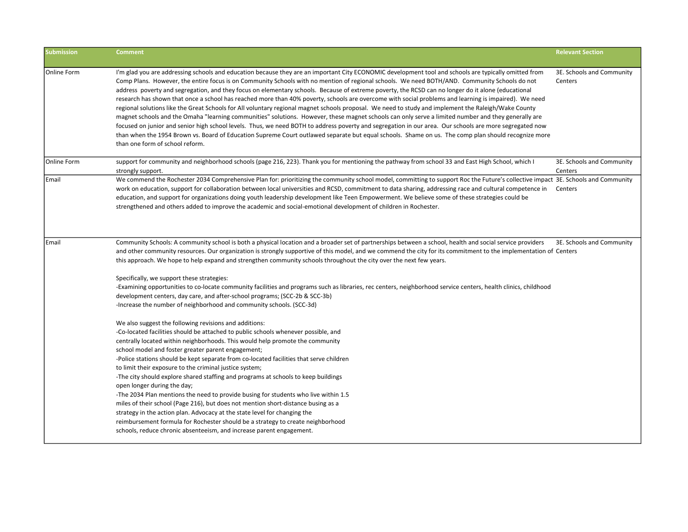| <b>Submission</b> | <b>Comment</b>                                                                                                                                                                                                                                                                                                                                                                                                                                                                                                                                                                                                                                                                                                                                                                                                                                                                                                                                                                                                                                                                                                                                                                                                                                                                                                                                             | <b>Relevant Section</b>              |
|-------------------|------------------------------------------------------------------------------------------------------------------------------------------------------------------------------------------------------------------------------------------------------------------------------------------------------------------------------------------------------------------------------------------------------------------------------------------------------------------------------------------------------------------------------------------------------------------------------------------------------------------------------------------------------------------------------------------------------------------------------------------------------------------------------------------------------------------------------------------------------------------------------------------------------------------------------------------------------------------------------------------------------------------------------------------------------------------------------------------------------------------------------------------------------------------------------------------------------------------------------------------------------------------------------------------------------------------------------------------------------------|--------------------------------------|
| Online Form       | I'm glad you are addressing schools and education because they are an important City ECONOMIC development tool and schools are typically omitted from<br>Comp Plans. However, the entire focus is on Community Schools with no mention of regional schools. We need BOTH/AND. Community Schools do not<br>address poverty and segregation, and they focus on elementary schools. Because of extreme poverty, the RCSD can no longer do it alone (educational<br>research has shown that once a school has reached more than 40% poverty, schools are overcome with social problems and learning is impaired). We need<br>regional solutions like the Great Schools for All voluntary regional magnet schools proposal. We need to study and implement the Raleigh/Wake County<br>magnet schools and the Omaha "learning communities" solutions. However, these magnet schools can only serve a limited number and they generally are<br>focused on junior and senior high school levels. Thus, we need BOTH to address poverty and segregation in our area. Our schools are more segregated now<br>than when the 1954 Brown vs. Board of Education Supreme Court outlawed separate but equal schools. Shame on us. The comp plan should recognize more<br>than one form of school reform.                                                                  | 3E. Schools and Community<br>Centers |
| Online Form       | support for community and neighborhood schools (page 216, 223). Thank you for mentioning the pathway from school 33 and East High School, which I<br>strongly support.                                                                                                                                                                                                                                                                                                                                                                                                                                                                                                                                                                                                                                                                                                                                                                                                                                                                                                                                                                                                                                                                                                                                                                                     | 3E. Schools and Community<br>Centers |
| Email             | We commend the Rochester 2034 Comprehensive Plan for: prioritizing the community school model, committing to support Roc the Future's collective impact 3E. Schools and Community<br>work on education, support for collaboration between local universities and RCSD, commitment to data sharing, addressing race and cultural competence in<br>education, and support for organizations doing youth leadership development like Teen Empowerment. We believe some of these strategies could be<br>strengthened and others added to improve the academic and social-emotional development of children in Rochester.                                                                                                                                                                                                                                                                                                                                                                                                                                                                                                                                                                                                                                                                                                                                       | Centers                              |
| Email             | Community Schools: A community school is both a physical location and a broader set of partnerships between a school, health and social service providers<br>and other community resources. Our organization is strongly supportive of this model, and we commend the city for its commitment to the implementation of Centers<br>this approach. We hope to help expand and strengthen community schools throughout the city over the next few years.                                                                                                                                                                                                                                                                                                                                                                                                                                                                                                                                                                                                                                                                                                                                                                                                                                                                                                      | 3E. Schools and Community            |
|                   | Specifically, we support these strategies:<br>-Examining opportunities to co-locate community facilities and programs such as libraries, rec centers, neighborhood service centers, health clinics, childhood<br>development centers, day care, and after-school programs; (SCC-2b & SCC-3b)<br>-Increase the number of neighborhood and community schools. (SCC-3d)<br>We also suggest the following revisions and additions:<br>-Co-located facilities should be attached to public schools whenever possible, and<br>centrally located within neighborhoods. This would help promote the community<br>school model and foster greater parent engagement;<br>-Police stations should be kept separate from co-located facilities that serve children<br>to limit their exposure to the criminal justice system;<br>-The city should explore shared staffing and programs at schools to keep buildings<br>open longer during the day;<br>-The 2034 Plan mentions the need to provide busing for students who live within 1.5<br>miles of their school (Page 216), but does not mention short-distance busing as a<br>strategy in the action plan. Advocacy at the state level for changing the<br>reimbursement formula for Rochester should be a strategy to create neighborhood<br>schools, reduce chronic absenteeism, and increase parent engagement. |                                      |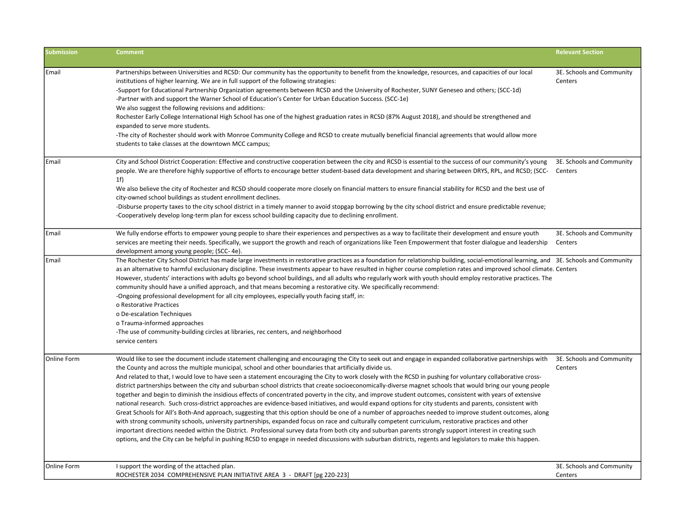| <b>Submission</b> | <b>Comment</b>                                                                                                                                                                                                                                                                                                                                                                                                                                                                                                                                                                                                                                                                                                                                                                                                                                                                                                                                                                                                                                                                                                                                                                                                                                                                                                                                                                                                                                                                                                                                                           | <b>Relevant Section</b>              |
|-------------------|--------------------------------------------------------------------------------------------------------------------------------------------------------------------------------------------------------------------------------------------------------------------------------------------------------------------------------------------------------------------------------------------------------------------------------------------------------------------------------------------------------------------------------------------------------------------------------------------------------------------------------------------------------------------------------------------------------------------------------------------------------------------------------------------------------------------------------------------------------------------------------------------------------------------------------------------------------------------------------------------------------------------------------------------------------------------------------------------------------------------------------------------------------------------------------------------------------------------------------------------------------------------------------------------------------------------------------------------------------------------------------------------------------------------------------------------------------------------------------------------------------------------------------------------------------------------------|--------------------------------------|
| Email             | Partnerships between Universities and RCSD: Our community has the opportunity to benefit from the knowledge, resources, and capacities of our local<br>institutions of higher learning. We are in full support of the following strategies:<br>-Support for Educational Partnership Organization agreements between RCSD and the University of Rochester, SUNY Geneseo and others; (SCC-1d)<br>-Partner with and support the Warner School of Education's Center for Urban Education Success. (SCC-1e)<br>We also suggest the following revisions and additions:<br>Rochester Early College International High School has one of the highest graduation rates in RCSD (87% August 2018), and should be strengthened and<br>expanded to serve more students.<br>-The city of Rochester should work with Monroe Community College and RCSD to create mutually beneficial financial agreements that would allow more<br>students to take classes at the downtown MCC campus;                                                                                                                                                                                                                                                                                                                                                                                                                                                                                                                                                                                                | 3E. Schools and Community<br>Centers |
| Email             | City and School District Cooperation: Effective and constructive cooperation between the city and RCSD is essential to the success of our community's young<br>people. We are therefore highly supportive of efforts to encourage better student-based data development and sharing between DRYS, RPL, and RCSD; (SCC-<br>1 <sub>f</sub><br>We also believe the city of Rochester and RCSD should cooperate more closely on financial matters to ensure financial stability for RCSD and the best use of<br>city-owned school buildings as student enrollment declines.<br>-Disburse property taxes to the city school district in a timely manner to avoid stopgap borrowing by the city school district and ensure predictable revenue;<br>-Cooperatively develop long-term plan for excess school building capacity due to declining enrollment.                                                                                                                                                                                                                                                                                                                                                                                                                                                                                                                                                                                                                                                                                                                      | 3E. Schools and Community<br>Centers |
| Email             | We fully endorse efforts to empower young people to share their experiences and perspectives as a way to facilitate their development and ensure youth<br>services are meeting their needs. Specifically, we support the growth and reach of organizations like Teen Empowerment that foster dialogue and leadership<br>development among young people; (SCC-4e).                                                                                                                                                                                                                                                                                                                                                                                                                                                                                                                                                                                                                                                                                                                                                                                                                                                                                                                                                                                                                                                                                                                                                                                                        | 3E. Schools and Community<br>Centers |
| Email             | The Rochester City School District has made large investments in restorative practices as a foundation for relationship building, social-emotional learning, and 3E. Schools and Community<br>as an alternative to harmful exclusionary discipline. These investments appear to have resulted in higher course completion rates and improved school climate. Centers<br>However, students' interactions with adults go beyond school buildings, and all adults who regularly work with youth should employ restorative practices. The<br>community should have a unified approach, and that means becoming a restorative city. We specifically recommend:<br>-Ongoing professional development for all city employees, especially youth facing staff, in:<br>o Restorative Practices<br>o De-escalation Techniques<br>o Trauma-informed approaches<br>-The use of community-building circles at libraries, rec centers, and neighborhood<br>service centers                                                                                                                                                                                                                                                                                                                                                                                                                                                                                                                                                                                                              |                                      |
| Online Form       | Would like to see the document include statement challenging and encouraging the City to seek out and engage in expanded collaborative partnerships with<br>the County and across the multiple municipal, school and other boundaries that artificially divide us.<br>And related to that, I would love to have seen a statement encouraging the City to work closely with the RCSD in pushing for voluntary collaborative cross-<br>district partnerships between the city and suburban school districts that create socioeconomically-diverse magnet schools that would bring our young people<br>together and begin to diminish the insidious effects of concentrated poverty in the city, and improve student outcomes, consistent with years of extensive<br>national research. Such cross-district approaches are evidence-based initiatives, and would expand options for city students and parents, consistent with<br>Great Schools for All's Both-And approach, suggesting that this option should be one of a number of approaches needed to improve student outcomes, along<br>with strong community schools, university partnerships, expanded focus on race and culturally competent curriculum, restorative practices and other<br>important directions needed within the District. Professional survey data from both city and suburban parents strongly support interest in creating such<br>options, and the City can be helpful in pushing RCSD to engage in needed discussions with suburban districts, regents and legislators to make this happen. | 3E. Schools and Community<br>Centers |
| Online Form       | I support the wording of the attached plan.<br>ROCHESTER 2034 COMPREHENSIVE PLAN INITIATIVE AREA 3 - DRAFT [pg 220-223]                                                                                                                                                                                                                                                                                                                                                                                                                                                                                                                                                                                                                                                                                                                                                                                                                                                                                                                                                                                                                                                                                                                                                                                                                                                                                                                                                                                                                                                  | 3E. Schools and Community<br>Centers |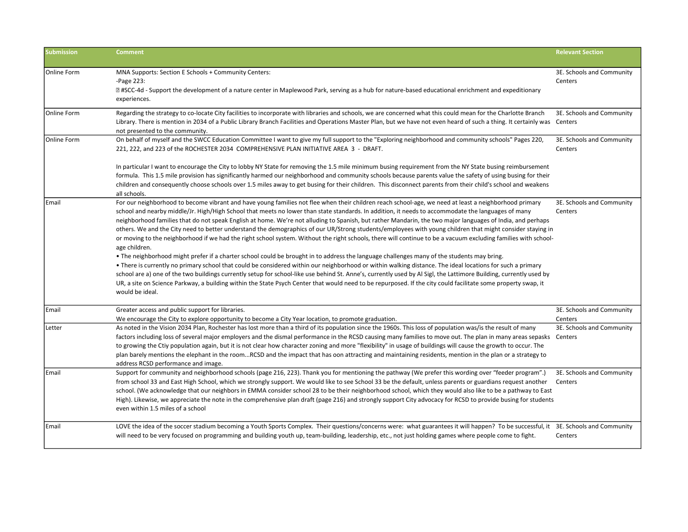| <b>Submission</b> | <b>Comment</b>                                                                                                                                                                                                                                                                                                                                                                                                                                                                                                                                                                                                                                                                                                                                                                                                                                                                                                                                                                                                                                                                                                                                                                                                                                                                                                                                                                                                                                                                                  | <b>Relevant Section</b>              |
|-------------------|-------------------------------------------------------------------------------------------------------------------------------------------------------------------------------------------------------------------------------------------------------------------------------------------------------------------------------------------------------------------------------------------------------------------------------------------------------------------------------------------------------------------------------------------------------------------------------------------------------------------------------------------------------------------------------------------------------------------------------------------------------------------------------------------------------------------------------------------------------------------------------------------------------------------------------------------------------------------------------------------------------------------------------------------------------------------------------------------------------------------------------------------------------------------------------------------------------------------------------------------------------------------------------------------------------------------------------------------------------------------------------------------------------------------------------------------------------------------------------------------------|--------------------------------------|
| Online Form       | MNA Supports: Section E Schools + Community Centers:<br>-Page 223:<br><b>If #SCC-4d - Support the development of a nature center in Maplewood Park, serving as a hub for nature-based educational enrichment and expeditionary</b><br>experiences.                                                                                                                                                                                                                                                                                                                                                                                                                                                                                                                                                                                                                                                                                                                                                                                                                                                                                                                                                                                                                                                                                                                                                                                                                                              | 3E. Schools and Community<br>Centers |
| Online Form       | Regarding the strategy to co-locate City facilities to incorporate with libraries and schools, we are concerned what this could mean for the Charlotte Branch<br>Library. There is mention in 2034 of a Public Library Branch Facilities and Operations Master Plan, but we have not even heard of such a thing. It certainly was Centers<br>not presented to the community.                                                                                                                                                                                                                                                                                                                                                                                                                                                                                                                                                                                                                                                                                                                                                                                                                                                                                                                                                                                                                                                                                                                    | 3E. Schools and Community            |
| Online Form       | On behalf of myself and the SWCC Education Committee I want to give my full support to the "Exploring neighborhood and community schools" Pages 220,<br>221, 222, and 223 of the ROCHESTER 2034 COMPREHENSIVE PLAN INITIATIVE AREA 3 - DRAFT.                                                                                                                                                                                                                                                                                                                                                                                                                                                                                                                                                                                                                                                                                                                                                                                                                                                                                                                                                                                                                                                                                                                                                                                                                                                   | 3E. Schools and Community<br>Centers |
|                   | In particular I want to encourage the City to lobby NY State for removing the 1.5 mile minimum busing requirement from the NY State busing reimbursement<br>formula. This 1.5 mile provision has significantly harmed our neighborhood and community schools because parents value the safety of using busing for their<br>children and consequently choose schools over 1.5 miles away to get busing for their children. This disconnect parents from their child's school and weakens<br>all schools.                                                                                                                                                                                                                                                                                                                                                                                                                                                                                                                                                                                                                                                                                                                                                                                                                                                                                                                                                                                         |                                      |
| Email             | For our neighborhood to become vibrant and have young families not flee when their children reach school-age, we need at least a neighborhood primary<br>school and nearby middle/Jr. High/High School that meets no lower than state standards. In addition, it needs to accommodate the languages of many<br>neighborhood families that do not speak English at home. We're not alluding to Spanish, but rather Mandarin, the two major languages of India, and perhaps<br>others. We and the City need to better understand the demographics of our UR/Strong students/employees with young children that might consider staying in<br>or moving to the neighborhood if we had the right school system. Without the right schools, there will continue to be a vacuum excluding families with school-<br>age children.<br>• The neighborhood might prefer if a charter school could be brought in to address the language challenges many of the students may bring.<br>• There is currently no primary school that could be considered within our neighborhood or within walking distance. The ideal locations for such a primary<br>school are a) one of the two buildings currently setup for school-like use behind St. Anne's, currently used by Al Sigl, the Lattimore Building, currently used by<br>UR, a site on Science Parkway, a building within the State Psych Center that would need to be repurposed. If the city could facilitate some property swap, it<br>would be ideal. | 3E. Schools and Community<br>Centers |
| Email             | Greater access and public support for libraries.<br>We encourage the City to explore opportunity to become a City Year location, to promote graduation.                                                                                                                                                                                                                                                                                                                                                                                                                                                                                                                                                                                                                                                                                                                                                                                                                                                                                                                                                                                                                                                                                                                                                                                                                                                                                                                                         | 3E. Schools and Community<br>Centers |
| Letter            | As noted in the Vision 2034 Plan, Rochester has lost more than a third of its population since the 1960s. This loss of population was/is the result of many<br>factors including loss of several major employers and the dismal performance in the RCSD causing many families to move out. The plan in many areas sepasks Centers<br>to growing the Ctiy population again, but it is not clear how character zoning and more "flexibility" in usage of buildings will cause the growth to occur. The<br>plan barely mentions the elephant in the roomRCSD and the impact that has oon attracting and maintaining residents, mention in the plan or a strategy to<br>address RCSD performance and image.                                                                                                                                                                                                                                                                                                                                                                                                                                                                                                                                                                                                                                                                                                                                                                                         | 3E. Schools and Community            |
| Email             | Support for community and neighborhood schools (page 216, 223). Thank you for mentioning the pathway (We prefer this wording over "feeder program".)<br>from school 33 and East High School, which we strongly support. We would like to see School 33 be the default, unless parents or guardians request another<br>school. (We acknowledge that our neighbors in EMMA consider school 28 to be their neighborhood school, which they would also like to be a pathway to East<br>High). Likewise, we appreciate the note in the comprehensive plan draft (page 216) and strongly support City advocacy for RCSD to provide busing for students<br>even within 1.5 miles of a school                                                                                                                                                                                                                                                                                                                                                                                                                                                                                                                                                                                                                                                                                                                                                                                                           | 3E. Schools and Community<br>Centers |
| Email             | LOVE the idea of the soccer stadium becoming a Youth Sports Complex. Their questions/concerns were: what guarantees it will happen? To be successful, it 3E. Schools and Community<br>will need to be very focused on programming and building youth up, team-building, leadership, etc., not just holding games where people come to fight.                                                                                                                                                                                                                                                                                                                                                                                                                                                                                                                                                                                                                                                                                                                                                                                                                                                                                                                                                                                                                                                                                                                                                    | Centers                              |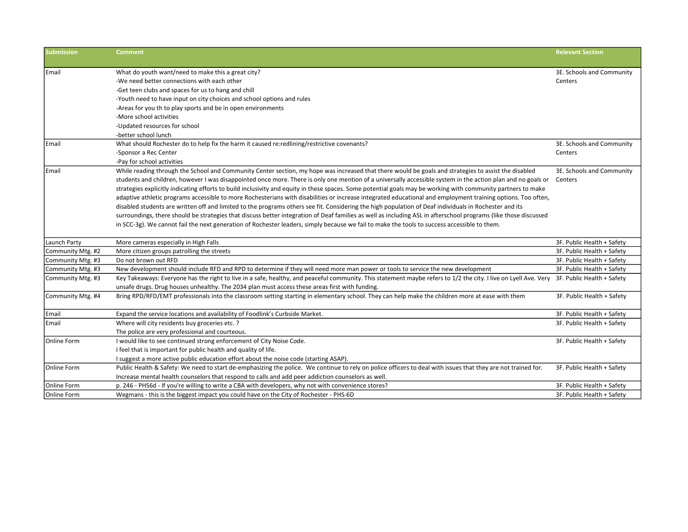| <b>Submission</b> | Comment                                                                                                                                                                                     | <b>Relevant Section</b>    |
|-------------------|---------------------------------------------------------------------------------------------------------------------------------------------------------------------------------------------|----------------------------|
|                   |                                                                                                                                                                                             |                            |
| Email             | What do youth want/need to make this a great city?                                                                                                                                          | 3E. Schools and Community  |
|                   | -We need better connections with each other                                                                                                                                                 | Centers                    |
|                   | -Get teen clubs and spaces for us to hang and chill                                                                                                                                         |                            |
|                   | -Youth need to have input on city choices and school options and rules                                                                                                                      |                            |
|                   | -Areas for you th to play sports and be in open environments                                                                                                                                |                            |
|                   | -More school activities                                                                                                                                                                     |                            |
|                   | -Updated resources for school                                                                                                                                                               |                            |
|                   | -better school lunch                                                                                                                                                                        |                            |
| Email             | What should Rochester do to help fix the harm it caused re:redlining/restrictive covenants?                                                                                                 | 3E. Schools and Community  |
|                   | -Sponsor a Rec Center                                                                                                                                                                       | Centers                    |
|                   | -Pay for school activities                                                                                                                                                                  |                            |
| Email             | While reading through the School and Community Center section, my hope was increased that there would be goals and strategies to assist the disabled                                        | 3E. Schools and Community  |
|                   | students and children, however I was disappointed once more. There is only one mention of a universally accessible system in the action plan and no goals or                                | Centers                    |
|                   | strategies explicitly indicating efforts to build inclusivity and equity in these spaces. Some potential goals may be working with community partners to make                               |                            |
|                   | adaptive athletic programs accessible to more Rochesterians with disabilities or increase integrated educational and employment training options. Too often,                                |                            |
|                   | disabled students are written off and limited to the programs others see fit. Considering the high population of Deaf individuals in Rochester and its                                      |                            |
|                   | surroundings, there should be strategies that discuss better integration of Deaf families as well as including ASL in afterschool programs (like those discussed                            |                            |
|                   | in SCC-3g). We cannot fail the next generation of Rochester leaders, simply because we fail to make the tools to success accessible to them.                                                |                            |
| Launch Party      | More cameras especially in High Falls                                                                                                                                                       | 3F. Public Health + Safety |
| Community Mtg. #2 | More citizen groups patrolling the streets                                                                                                                                                  | 3F. Public Health + Safety |
| Community Mtg. #3 | Do not brown out RFD                                                                                                                                                                        | 3F. Public Health + Safety |
| Community Mtg. #3 | New development should include RFD and RPD to determine if they will need more man power or tools to service the new development                                                            | 3F. Public Health + Safety |
| Community Mtg. #3 | Key Takeaways: Everyone has the right to live in a safe, healthy, and peaceful community. This statement maybe refers to 1/2 the city. I live on Lyell Ave. Very 3F. Public Health + Safety |                            |
|                   | unsafe drugs. Drug houses unhealthy. The 2034 plan must access these areas first with funding.                                                                                              |                            |
| Community Mtg. #4 | Bring RPD/RFD/EMT professionals into the classroom setting starting in elementary school. They can help make the children more at ease with them                                            | 3F. Public Health + Safety |
| Email             | Expand the service locations and availability of Foodlink's Curbside Market.                                                                                                                | 3F. Public Health + Safety |
| Email             | Where will city residents buy groceries etc. ?                                                                                                                                              | 3F. Public Health + Safety |
|                   | The police are very professional and courteous.                                                                                                                                             |                            |
| Online Form       | I would like to see continued strong enforcement of City Noise Code.                                                                                                                        | 3F. Public Health + Safety |
|                   | I feel that is important for public health and quality of life.                                                                                                                             |                            |
|                   | I suggest a more active public education effort about the noise code (starting ASAP).                                                                                                       |                            |
| Online Form       | Public Health & Safety: We need to start de-emphasizing the police. We continue to rely on police officers to deal with issues that they are not trained for.                               | 3F. Public Health + Safety |
|                   | Increase mental health counselors that respond to calls and add peer addiction counselors as well.                                                                                          |                            |
| Online Form       | p. 246 - PHS6d - If you're willing to write a CBA with developers, why not with convenience stores?                                                                                         | 3F. Public Health + Safety |
| Online Form       | Wegmans - this is the biggest impact you could have on the City of Rochester - PHS-6D                                                                                                       | 3F. Public Health + Safety |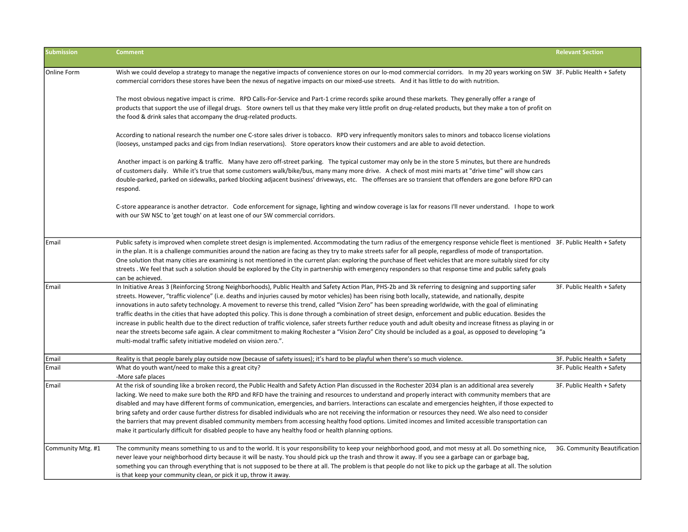| <b>Submission</b> | <b>Comment</b>                                                                                                                                                                                                                                                                                                                                                                                                                                                                                                                                                                                                                                                                                                                                                                                                                                                                                                                                                                                                                                                | <b>Relevant Section</b>      |
|-------------------|---------------------------------------------------------------------------------------------------------------------------------------------------------------------------------------------------------------------------------------------------------------------------------------------------------------------------------------------------------------------------------------------------------------------------------------------------------------------------------------------------------------------------------------------------------------------------------------------------------------------------------------------------------------------------------------------------------------------------------------------------------------------------------------------------------------------------------------------------------------------------------------------------------------------------------------------------------------------------------------------------------------------------------------------------------------|------------------------------|
| Online Form       | Wish we could develop a strategy to manage the negative impacts of convenience stores on our lo-mod commercial corridors. In my 20 years working on SW 3F. Public Health + Safety<br>commercial corridors these stores have been the nexus of negative impacts on our mixed-use streets. And it has little to do with nutrition.                                                                                                                                                                                                                                                                                                                                                                                                                                                                                                                                                                                                                                                                                                                              |                              |
|                   | The most obvious negative impact is crime. RPD Calls-For-Service and Part-1 crime records spike around these markets. They generally offer a range of<br>products that support the use of illegal drugs. Store owners tell us that they make very little profit on drug-related products, but they make a ton of profit on<br>the food & drink sales that accompany the drug-related products.                                                                                                                                                                                                                                                                                                                                                                                                                                                                                                                                                                                                                                                                |                              |
|                   | According to national research the number one C-store sales driver is tobacco. RPD very infrequently monitors sales to minors and tobacco license violations<br>(looseys, unstamped packs and cigs from Indian reservations). Store operators know their customers and are able to avoid detection.                                                                                                                                                                                                                                                                                                                                                                                                                                                                                                                                                                                                                                                                                                                                                           |                              |
|                   | Another impact is on parking & traffic. Many have zero off-street parking. The typical customer may only be in the store 5 minutes, but there are hundreds<br>of customers daily. While it's true that some customers walk/bike/bus, many many more drive. A check of most mini marts at "drive time" will show cars<br>double-parked, parked on sidewalks, parked blocking adjacent business' driveways, etc. The offenses are so transient that offenders are gone before RPD can<br>respond.                                                                                                                                                                                                                                                                                                                                                                                                                                                                                                                                                               |                              |
|                   | C-store appearance is another detractor. Code enforcement for signage, lighting and window coverage is lax for reasons I'll never understand. I hope to work<br>with our SW NSC to 'get tough' on at least one of our SW commercial corridors.                                                                                                                                                                                                                                                                                                                                                                                                                                                                                                                                                                                                                                                                                                                                                                                                                |                              |
| Email             | Public safety is improved when complete street design is implemented. Accommodating the turn radius of the emergency response vehicle fleet is mentioned 3F. Public Health + Safety<br>in the plan. It is a challenge communities around the nation are facing as they try to make streets safer for all people, regardless of mode of transportation.<br>One solution that many cities are examining is not mentioned in the current plan: exploring the purchase of fleet vehicles that are more suitably sized for city<br>streets. We feel that such a solution should be explored by the City in partnership with emergency responders so that response time and public safety goals<br>can be achieved.                                                                                                                                                                                                                                                                                                                                                 |                              |
| Email             | In Initiative Areas 3 (Reinforcing Strong Neighborhoods), Public Health and Safety Action Plan, PHS-2b and 3k referring to designing and supporting safer<br>streets. However, "traffic violence" (i.e. deaths and injuries caused by motor vehicles) has been rising both locally, statewide, and nationally, despite<br>innovations in auto safety technology. A movement to reverse this trend, called "Vision Zero" has been spreading worldwide, with the goal of eliminating<br>traffic deaths in the cities that have adopted this policy. This is done through a combination of street design, enforcement and public education. Besides the<br>increase in public health due to the direct reduction of traffic violence, safer streets further reduce youth and adult obesity and increase fitness as playing in or<br>near the streets become safe again. A clear commitment to making Rochester a "Vision Zero" City should be included as a goal, as opposed to developing "a<br>multi-modal traffic safety initiative modeled on vision zero.". | 3F. Public Health + Safety   |
| Email             | Reality is that people barely play outside now (because of safety issues); it's hard to be playful when there's so much violence.                                                                                                                                                                                                                                                                                                                                                                                                                                                                                                                                                                                                                                                                                                                                                                                                                                                                                                                             | 3F. Public Health + Safety   |
| Email             | What do youth want/need to make this a great city?<br>-More safe places                                                                                                                                                                                                                                                                                                                                                                                                                                                                                                                                                                                                                                                                                                                                                                                                                                                                                                                                                                                       | 3F. Public Health + Safety   |
| Email             | At the risk of sounding like a broken record, the Public Health and Safety Action Plan discussed in the Rochester 2034 plan is an additional area severely<br>lacking. We need to make sure both the RPD and RFD have the training and resources to understand and properly interact with community members that are<br>disabled and may have different forms of communication, emergencies, and barriers. Interactions can escalate and emergencies heighten, if those expected to<br>bring safety and order cause further distress for disabled individuals who are not receiving the information or resources they need. We also need to consider<br>the barriers that may prevent disabled community members from accessing healthy food options. Limited incomes and limited accessible transportation can<br>make it particularly difficult for disabled people to have any healthy food or health planning options.                                                                                                                                    | 3F. Public Health + Safety   |
| Community Mtg. #1 | The community means something to us and to the world. It is your responsibility to keep your neighborhood good, and mot messy at all. Do something nice,<br>never leave your neighborhood dirty because it will be nasty. You should pick up the trash and throw it away. If you see a garbage can or garbage bag,<br>something you can through everything that is not supposed to be there at all. The problem is that people do not like to pick up the garbage at all. The solution<br>is that keep your community clean, or pick it up, throw it away.                                                                                                                                                                                                                                                                                                                                                                                                                                                                                                    | 3G. Community Beautification |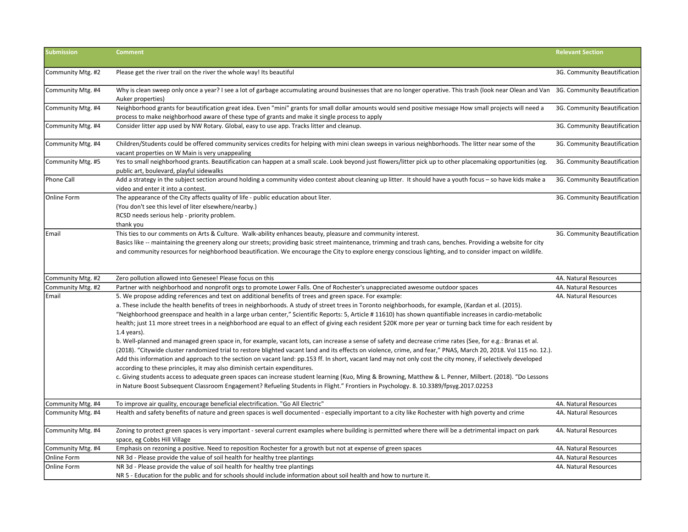| <b>Submission</b> | <b>Comment</b>                                                                                                                                                                                                                                                                                                                                                                                                                                                                                                                                                                                                                                                                                                                                                                                                                                                                                                                                                                                                                                                                                                                                                                                                                                                                                                                                                                                                                                                                                           | <b>Relevant Section</b>      |
|-------------------|----------------------------------------------------------------------------------------------------------------------------------------------------------------------------------------------------------------------------------------------------------------------------------------------------------------------------------------------------------------------------------------------------------------------------------------------------------------------------------------------------------------------------------------------------------------------------------------------------------------------------------------------------------------------------------------------------------------------------------------------------------------------------------------------------------------------------------------------------------------------------------------------------------------------------------------------------------------------------------------------------------------------------------------------------------------------------------------------------------------------------------------------------------------------------------------------------------------------------------------------------------------------------------------------------------------------------------------------------------------------------------------------------------------------------------------------------------------------------------------------------------|------------------------------|
| Community Mtg. #2 | Please get the river trail on the river the whole way! Its beautiful                                                                                                                                                                                                                                                                                                                                                                                                                                                                                                                                                                                                                                                                                                                                                                                                                                                                                                                                                                                                                                                                                                                                                                                                                                                                                                                                                                                                                                     | 3G. Community Beautification |
| Community Mtg. #4 | Why is clean sweep only once a year? I see a lot of garbage accumulating around businesses that are no longer operative. This trash (look near Olean and Van 3G. Community Beautification<br>Auker properties)                                                                                                                                                                                                                                                                                                                                                                                                                                                                                                                                                                                                                                                                                                                                                                                                                                                                                                                                                                                                                                                                                                                                                                                                                                                                                           |                              |
| Community Mtg. #4 | Neighborhood grants for beautification great idea. Even "mini" grants for small dollar amounts would send positive message How small projects will need a<br>process to make neighborhood aware of these type of grants and make it single process to apply                                                                                                                                                                                                                                                                                                                                                                                                                                                                                                                                                                                                                                                                                                                                                                                                                                                                                                                                                                                                                                                                                                                                                                                                                                              | 3G. Community Beautification |
| Community Mtg. #4 | Consider litter app used by NW Rotary. Global, easy to use app. Tracks litter and cleanup.                                                                                                                                                                                                                                                                                                                                                                                                                                                                                                                                                                                                                                                                                                                                                                                                                                                                                                                                                                                                                                                                                                                                                                                                                                                                                                                                                                                                               | 3G. Community Beautification |
| Community Mtg. #4 | Children/Students could be offered community services credits for helping with mini clean sweeps in various neighborhoods. The litter near some of the<br>vacant properties on W Main is very unappealing                                                                                                                                                                                                                                                                                                                                                                                                                                                                                                                                                                                                                                                                                                                                                                                                                                                                                                                                                                                                                                                                                                                                                                                                                                                                                                | 3G. Community Beautification |
| Community Mtg. #5 | Yes to small neighborhood grants. Beautification can happen at a small scale. Look beyond just flowers/litter pick up to other placemaking opportunities (eg.<br>public art, boulevard, playful sidewalks                                                                                                                                                                                                                                                                                                                                                                                                                                                                                                                                                                                                                                                                                                                                                                                                                                                                                                                                                                                                                                                                                                                                                                                                                                                                                                | 3G. Community Beautification |
| Phone Call        | Add a strategy in the subject section around holding a community video contest about cleaning up litter. It should have a youth focus - so have kids make a<br>video and enter it into a contest.                                                                                                                                                                                                                                                                                                                                                                                                                                                                                                                                                                                                                                                                                                                                                                                                                                                                                                                                                                                                                                                                                                                                                                                                                                                                                                        | 3G. Community Beautification |
| Online Form       | The appearance of the City affects quality of life - public education about liter.<br>(You don't see this level of liter elsewhere/nearby.)<br>RCSD needs serious help - priority problem.<br>thank you                                                                                                                                                                                                                                                                                                                                                                                                                                                                                                                                                                                                                                                                                                                                                                                                                                                                                                                                                                                                                                                                                                                                                                                                                                                                                                  | 3G. Community Beautification |
| Email             | This ties to our comments on Arts & Culture. Walk-ability enhances beauty, pleasure and community interest.<br>Basics like -- maintaining the greenery along our streets; providing basic street maintenance, trimming and trash cans, benches. Providing a website for city<br>and community resources for neighborhood beautification. We encourage the City to explore energy conscious lighting, and to consider impact on wildlife.                                                                                                                                                                                                                                                                                                                                                                                                                                                                                                                                                                                                                                                                                                                                                                                                                                                                                                                                                                                                                                                                 | 3G. Community Beautification |
| Community Mtg. #2 | Zero pollution allowed into Genesee! Please focus on this                                                                                                                                                                                                                                                                                                                                                                                                                                                                                                                                                                                                                                                                                                                                                                                                                                                                                                                                                                                                                                                                                                                                                                                                                                                                                                                                                                                                                                                | 4A. Natural Resources        |
| Community Mtg. #2 | Partner with neighborhood and nonprofit orgs to promote Lower Falls. One of Rochester's unappreciated awesome outdoor spaces                                                                                                                                                                                                                                                                                                                                                                                                                                                                                                                                                                                                                                                                                                                                                                                                                                                                                                                                                                                                                                                                                                                                                                                                                                                                                                                                                                             | 4A. Natural Resources        |
| Email             | 5. We propose adding references and text on additional benefits of trees and green space. For example:<br>a. These include the health benefits of trees in neighborhoods. A study of street trees in Toronto neighborhoods, for example, (Kardan et al. (2015).<br>"Neighborhood greenspace and health in a large urban center," Scientific Reports: 5, Article # 11610) has shown quantifiable increases in cardio-metabolic<br>health; just 11 more street trees in a neighborhood are equal to an effect of giving each resident \$20K more per year or turning back time for each resident by<br>$1.4$ years).<br>b. Well-planned and managed green space in, for example, vacant lots, can increase a sense of safety and decrease crime rates (See, for e.g.: Branas et al.<br>(2018). "Citywide cluster randomized trial to restore blighted vacant land and its effects on violence, crime, and fear," PNAS, March 20, 2018. Vol 115 no. 12.).<br>Add this information and approach to the section on vacant land: pp.153 ff. In short, vacant land may not only cost the city money, if selectively developed<br>according to these principles, it may also diminish certain expenditures.<br>c. Giving students access to adequate green spaces can increase student learning (Kuo, Ming & Browning, Matthew & L. Penner, Milbert. (2018). "Do Lessons<br>in Nature Boost Subsequent Classroom Engagement? Refueling Students in Flight." Frontiers in Psychology. 8. 10.3389/fpsyg.2017.02253 | 4A. Natural Resources        |
| Community Mtg. #4 | To improve air quality, encourage beneficial electrification. "Go All Electric"                                                                                                                                                                                                                                                                                                                                                                                                                                                                                                                                                                                                                                                                                                                                                                                                                                                                                                                                                                                                                                                                                                                                                                                                                                                                                                                                                                                                                          | 4A. Natural Resources        |
| Community Mtg. #4 | Health and safety benefits of nature and green spaces is well documented - especially important to a city like Rochester with high poverty and crime                                                                                                                                                                                                                                                                                                                                                                                                                                                                                                                                                                                                                                                                                                                                                                                                                                                                                                                                                                                                                                                                                                                                                                                                                                                                                                                                                     | 4A. Natural Resources        |
| Community Mtg. #4 | Zoning to protect green spaces is very important - several current examples where building is permitted where there will be a detrimental impact on park<br>space, eg Cobbs Hill Village                                                                                                                                                                                                                                                                                                                                                                                                                                                                                                                                                                                                                                                                                                                                                                                                                                                                                                                                                                                                                                                                                                                                                                                                                                                                                                                 | 4A. Natural Resources        |
| Community Mtg. #4 | Emphasis on rezoning a positive. Need to reposition Rochester for a growth but not at expense of green spaces                                                                                                                                                                                                                                                                                                                                                                                                                                                                                                                                                                                                                                                                                                                                                                                                                                                                                                                                                                                                                                                                                                                                                                                                                                                                                                                                                                                            | 4A. Natural Resources        |
| Online Form       | NR 3d - Please provide the value of soil health for healthy tree plantings                                                                                                                                                                                                                                                                                                                                                                                                                                                                                                                                                                                                                                                                                                                                                                                                                                                                                                                                                                                                                                                                                                                                                                                                                                                                                                                                                                                                                               | 4A. Natural Resources        |
| Online Form       | NR 3d - Please provide the value of soil health for healthy tree plantings<br>NR 5 - Education for the public and for schools should include information about soil health and how to nurture it.                                                                                                                                                                                                                                                                                                                                                                                                                                                                                                                                                                                                                                                                                                                                                                                                                                                                                                                                                                                                                                                                                                                                                                                                                                                                                                        | 4A. Natural Resources        |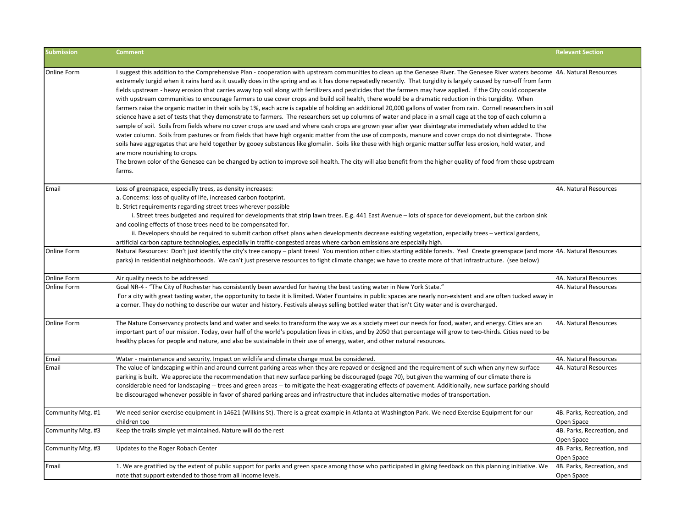| <b>Submission</b>          | <b>Comment</b>                                                                                                                                                                                                                                                                                                                                                                                                                                                                                                                                                                                                                                                                                                                                                                                                                                                                                                                                                                                                                                                                                                                                                                                                                                                                                                                                                                                                                                                                                                                                                                                                                                                                                                                  | <b>Relevant Section</b>                        |
|----------------------------|---------------------------------------------------------------------------------------------------------------------------------------------------------------------------------------------------------------------------------------------------------------------------------------------------------------------------------------------------------------------------------------------------------------------------------------------------------------------------------------------------------------------------------------------------------------------------------------------------------------------------------------------------------------------------------------------------------------------------------------------------------------------------------------------------------------------------------------------------------------------------------------------------------------------------------------------------------------------------------------------------------------------------------------------------------------------------------------------------------------------------------------------------------------------------------------------------------------------------------------------------------------------------------------------------------------------------------------------------------------------------------------------------------------------------------------------------------------------------------------------------------------------------------------------------------------------------------------------------------------------------------------------------------------------------------------------------------------------------------|------------------------------------------------|
| Online Form                | I suggest this addition to the Comprehensive Plan - cooperation with upstream communities to clean up the Genesee River. The Genesee River waters become 4A. Natural Resources<br>extremely turgid when it rains hard as it usually does in the spring and as it has done repeatedly recently. That turgidity is largely caused by run-off from farm<br>fields upstream - heavy erosion that carries away top soil along with fertilizers and pesticides that the farmers may have applied. If the City could cooperate<br>with upstream communities to encourage farmers to use cover crops and build soil health, there would be a dramatic reduction in this turgidity. When<br>farmers raise the organic matter in their soils by 1%, each acre is capable of holding an additional 20,000 gallons of water from rain. Cornell researchers in soil<br>science have a set of tests that they demonstrate to farmers. The researchers set up columns of water and place in a small cage at the top of each column a<br>sample of soil. Soils from fields where no cover crops are used and where cash crops are grown year after year disintegrate immediately when added to the<br>water column. Soils from pastures or from fields that have high organic matter from the use of composts, manure and cover crops do not disintegrate. Those<br>soils have aggregates that are held together by gooey substances like glomalin. Soils like these with high organic matter suffer less erosion, hold water, and<br>are more nourishing to crops.<br>The brown color of the Genesee can be changed by action to improve soil health. The city will also benefit from the higher quality of food from those upstream<br>farms. |                                                |
| Email<br>Online Form       | Loss of greenspace, especially trees, as density increases:<br>a. Concerns: loss of quality of life, increased carbon footprint.<br>b. Strict requirements regarding street trees wherever possible<br>i. Street trees budgeted and required for developments that strip lawn trees. E.g. 441 East Avenue – lots of space for development, but the carbon sink<br>and cooling effects of those trees need to be compensated for.<br>ii. Developers should be required to submit carbon offset plans when developments decrease existing vegetation, especially trees - vertical gardens,<br>artificial carbon capture technologies, especially in traffic-congested areas where carbon emissions are especially high.<br>Natural Resources: Don't just identify the city's tree canopy - plant trees! You mention other cities starting edible forests. Yes! Create greenspace (and more 4A. Natural Resources                                                                                                                                                                                                                                                                                                                                                                                                                                                                                                                                                                                                                                                                                                                                                                                                                  | 4A. Natural Resources                          |
|                            | parks) in residential neighborhoods. We can't just preserve resources to fight climate change; we have to create more of that infrastructure. (see below)                                                                                                                                                                                                                                                                                                                                                                                                                                                                                                                                                                                                                                                                                                                                                                                                                                                                                                                                                                                                                                                                                                                                                                                                                                                                                                                                                                                                                                                                                                                                                                       |                                                |
| Online Form<br>Online Form | Air quality needs to be addressed<br>Goal NR-4 - "The City of Rochester has consistently been awarded for having the best tasting water in New York State."<br>For a city with great tasting water, the opportunity to taste it is limited. Water Fountains in public spaces are nearly non-existent and are often tucked away in<br>a corner. They do nothing to describe our water and history. Festivals always selling bottled water that isn't City water and is overcharged.                                                                                                                                                                                                                                                                                                                                                                                                                                                                                                                                                                                                                                                                                                                                                                                                                                                                                                                                                                                                                                                                                                                                                                                                                                              | 4A. Natural Resources<br>4A. Natural Resources |
| <b>Online Form</b>         | The Nature Conservancy protects land and water and seeks to transform the way we as a society meet our needs for food, water, and energy. Cities are an<br>important part of our mission. Today, over half of the world's population lives in cities, and by 2050 that percentage will grow to two-thirds. Cities need to be<br>healthy places for people and nature, and also be sustainable in their use of energy, water, and other natural resources.                                                                                                                                                                                                                                                                                                                                                                                                                                                                                                                                                                                                                                                                                                                                                                                                                                                                                                                                                                                                                                                                                                                                                                                                                                                                       | 4A. Natural Resources                          |
| Email                      | Water - maintenance and security. Impact on wildlife and climate change must be considered.                                                                                                                                                                                                                                                                                                                                                                                                                                                                                                                                                                                                                                                                                                                                                                                                                                                                                                                                                                                                                                                                                                                                                                                                                                                                                                                                                                                                                                                                                                                                                                                                                                     | 4A. Natural Resources                          |
| Email                      | The value of landscaping within and around current parking areas when they are repaved or designed and the requirement of such when any new surface<br>parking is built. We appreciate the recommendation that new surface parking be discouraged (page 70), but given the warming of our climate there is<br>considerable need for landscaping -- trees and green areas -- to mitigate the heat-exaggerating effects of pavement. Additionally, new surface parking should<br>be discouraged whenever possible in favor of shared parking areas and infrastructure that includes alternative modes of transportation.                                                                                                                                                                                                                                                                                                                                                                                                                                                                                                                                                                                                                                                                                                                                                                                                                                                                                                                                                                                                                                                                                                          | 4A. Natural Resources                          |
| Community Mtg. #1          | We need senior exercise equipment in 14621 (Wilkins St). There is a great example in Atlanta at Washington Park. We need Exercise Equipment for our<br>children too                                                                                                                                                                                                                                                                                                                                                                                                                                                                                                                                                                                                                                                                                                                                                                                                                                                                                                                                                                                                                                                                                                                                                                                                                                                                                                                                                                                                                                                                                                                                                             | 4B. Parks, Recreation, and<br>Open Space       |
| Community Mtg. #3          | Keep the trails simple yet maintained. Nature will do the rest                                                                                                                                                                                                                                                                                                                                                                                                                                                                                                                                                                                                                                                                                                                                                                                                                                                                                                                                                                                                                                                                                                                                                                                                                                                                                                                                                                                                                                                                                                                                                                                                                                                                  | 4B. Parks, Recreation, and<br>Open Space       |
| Community Mtg. #3          | Updates to the Roger Robach Center                                                                                                                                                                                                                                                                                                                                                                                                                                                                                                                                                                                                                                                                                                                                                                                                                                                                                                                                                                                                                                                                                                                                                                                                                                                                                                                                                                                                                                                                                                                                                                                                                                                                                              | 4B. Parks, Recreation, and<br>Open Space       |
| Email                      | 1. We are gratified by the extent of public support for parks and green space among those who participated in giving feedback on this planning initiative. We<br>note that support extended to those from all income levels.                                                                                                                                                                                                                                                                                                                                                                                                                                                                                                                                                                                                                                                                                                                                                                                                                                                                                                                                                                                                                                                                                                                                                                                                                                                                                                                                                                                                                                                                                                    | 4B. Parks, Recreation, and<br>Open Space       |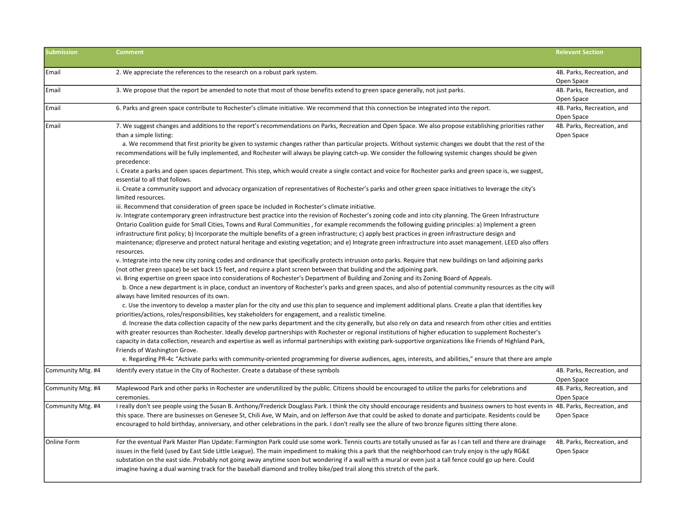| <b>Submission</b>  | <b>Comment</b>                                                                                                                                                                                                                                                                                                                                                                                                                                                                                                                                                                                                                                                                                                                                                                                                                                                                                                                                                                                                                                                                                                                                                                                                                                                                                                                                                                                                                                                                                                                                                                                                                                                                                                                                                                                                                                                                                                                                                                                                                                                                                                          | <b>Relevant Section</b>                  |
|--------------------|-------------------------------------------------------------------------------------------------------------------------------------------------------------------------------------------------------------------------------------------------------------------------------------------------------------------------------------------------------------------------------------------------------------------------------------------------------------------------------------------------------------------------------------------------------------------------------------------------------------------------------------------------------------------------------------------------------------------------------------------------------------------------------------------------------------------------------------------------------------------------------------------------------------------------------------------------------------------------------------------------------------------------------------------------------------------------------------------------------------------------------------------------------------------------------------------------------------------------------------------------------------------------------------------------------------------------------------------------------------------------------------------------------------------------------------------------------------------------------------------------------------------------------------------------------------------------------------------------------------------------------------------------------------------------------------------------------------------------------------------------------------------------------------------------------------------------------------------------------------------------------------------------------------------------------------------------------------------------------------------------------------------------------------------------------------------------------------------------------------------------|------------------------------------------|
| Email              | 2. We appreciate the references to the research on a robust park system.                                                                                                                                                                                                                                                                                                                                                                                                                                                                                                                                                                                                                                                                                                                                                                                                                                                                                                                                                                                                                                                                                                                                                                                                                                                                                                                                                                                                                                                                                                                                                                                                                                                                                                                                                                                                                                                                                                                                                                                                                                                | 4B. Parks, Recreation, and<br>Open Space |
| Email              | 3. We propose that the report be amended to note that most of those benefits extend to green space generally, not just parks.                                                                                                                                                                                                                                                                                                                                                                                                                                                                                                                                                                                                                                                                                                                                                                                                                                                                                                                                                                                                                                                                                                                                                                                                                                                                                                                                                                                                                                                                                                                                                                                                                                                                                                                                                                                                                                                                                                                                                                                           | 4B. Parks, Recreation, and<br>Open Space |
| Email              | 6. Parks and green space contribute to Rochester's climate initiative. We recommend that this connection be integrated into the report.                                                                                                                                                                                                                                                                                                                                                                                                                                                                                                                                                                                                                                                                                                                                                                                                                                                                                                                                                                                                                                                                                                                                                                                                                                                                                                                                                                                                                                                                                                                                                                                                                                                                                                                                                                                                                                                                                                                                                                                 | 4B. Parks, Recreation, and<br>Open Space |
| Email              | 7. We suggest changes and additions to the report's recommendations on Parks, Recreation and Open Space. We also propose establishing priorities rather<br>than a simple listing:<br>a. We recommend that first priority be given to systemic changes rather than particular projects. Without systemic changes we doubt that the rest of the<br>recommendations will be fully implemented, and Rochester will always be playing catch-up. We consider the following systemic changes should be given<br>precedence:<br>i. Create a parks and open spaces department. This step, which would create a single contact and voice for Rochester parks and green space is, we suggest,<br>essential to all that follows.<br>ii. Create a community support and advocacy organization of representatives of Rochester's parks and other green space initiatives to leverage the city's<br>limited resources.<br>iii. Recommend that consideration of green space be included in Rochester's climate initiative.<br>iv. Integrate contemporary green infrastructure best practice into the revision of Rochester's zoning code and into city planning. The Green Infrastructure                                                                                                                                                                                                                                                                                                                                                                                                                                                                                                                                                                                                                                                                                                                                                                                                                                                                                                                                               | 4B. Parks, Recreation, and<br>Open Space |
|                    | Ontario Coalition guide for Small Cities, Towns and Rural Communities, for example recommends the following guiding principles: a) Implement a green<br>infrastructure first policy; b) Incorporate the multiple benefits of a green infrastructure; c) apply best practices in green infrastructure design and<br>maintenance; d)preserve and protect natural heritage and existing vegetation; and e) Integrate green infrastructure into asset management. LEED also offers<br>resources.<br>v. Integrate into the new city zoning codes and ordinance that specifically protects intrusion onto parks. Require that new buildings on land adjoining parks<br>(not other green space) be set back 15 feet, and require a plant screen between that building and the adjoining park.<br>vi. Bring expertise on green space into considerations of Rochester's Department of Building and Zoning and its Zoning Board of Appeals.<br>b. Once a new department is in place, conduct an inventory of Rochester's parks and green spaces, and also of potential community resources as the city will<br>always have limited resources of its own.<br>c. Use the inventory to develop a master plan for the city and use this plan to sequence and implement additional plans. Create a plan that identifies key<br>priorities/actions, roles/responsibilities, key stakeholders for engagement, and a realistic timeline.<br>d. Increase the data collection capacity of the new parks department and the city generally, but also rely on data and research from other cities and entities<br>with greater resources than Rochester. Ideally develop partnerships with Rochester or regional institutions of higher education to supplement Rochester's<br>capacity in data collection, research and expertise as well as informal partnerships with existing park-supportive organizations like Friends of Highland Park,<br>Friends of Washington Grove.<br>e. Regarding PR-4c "Activate parks with community-oriented programming for diverse audiences, ages, interests, and abilities," ensure that there are ample |                                          |
| Community Mtg. #4  | Identify every statue in the City of Rochester. Create a database of these symbols                                                                                                                                                                                                                                                                                                                                                                                                                                                                                                                                                                                                                                                                                                                                                                                                                                                                                                                                                                                                                                                                                                                                                                                                                                                                                                                                                                                                                                                                                                                                                                                                                                                                                                                                                                                                                                                                                                                                                                                                                                      | 4B. Parks, Recreation, and<br>Open Space |
| Community Mtg. #4  | Maplewood Park and other parks in Rochester are underutilized by the public. Citizens should be encouraged to utilize the parks for celebrations and<br>ceremonies.                                                                                                                                                                                                                                                                                                                                                                                                                                                                                                                                                                                                                                                                                                                                                                                                                                                                                                                                                                                                                                                                                                                                                                                                                                                                                                                                                                                                                                                                                                                                                                                                                                                                                                                                                                                                                                                                                                                                                     | 4B. Parks, Recreation, and<br>Open Space |
| Community Mtg. #4  | I really don't see people using the Susan B. Anthony/Frederick Douglass Park. I think the city should encourage residents and business owners to host events in 4B. Parks, Recreation, and<br>this space. There are businesses on Genesee St, Chili Ave, W Main, and on Jefferson Ave that could be asked to donate and participate. Residents could be<br>encouraged to hold birthday, anniversary, and other celebrations in the park. I don't really see the allure of two bronze figures sitting there alone.                                                                                                                                                                                                                                                                                                                                                                                                                                                                                                                                                                                                                                                                                                                                                                                                                                                                                                                                                                                                                                                                                                                                                                                                                                                                                                                                                                                                                                                                                                                                                                                                       | Open Space                               |
| <b>Online Form</b> | For the eventual Park Master Plan Update: Farmington Park could use some work. Tennis courts are totally unused as far as I can tell and there are drainage<br>issues in the field (used by East Side Little League). The main impediment to making this a park that the neighborhood can truly enjoy is the ugly RG&E<br>substation on the east side. Probably not going away anytime soon but wondering if a wall with a mural or even just a tall fence could go up here. Could<br>imagine having a dual warning track for the baseball diamond and trolley bike/ped trail along this stretch of the park.                                                                                                                                                                                                                                                                                                                                                                                                                                                                                                                                                                                                                                                                                                                                                                                                                                                                                                                                                                                                                                                                                                                                                                                                                                                                                                                                                                                                                                                                                                           | 4B. Parks, Recreation, and<br>Open Space |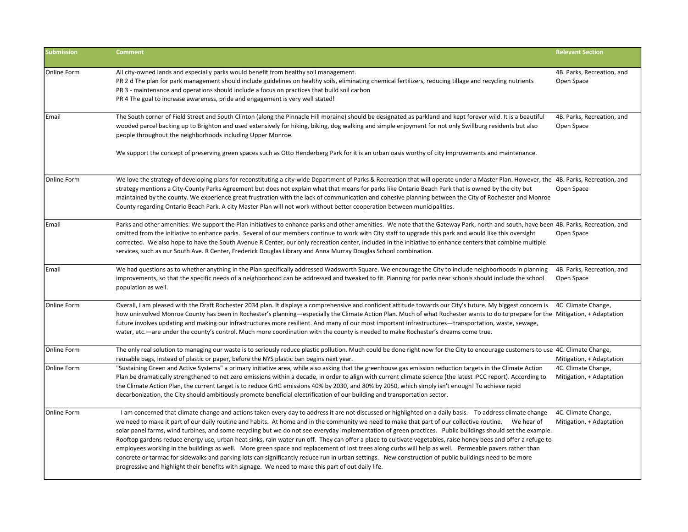| <b>Submission</b> | <b>Comment</b>                                                                                                                                                                                                                                                                                                                                                                                                                                                                                                                                                                                                                                                                                                                                                                                                                                                                                                                                                                                                                                                                  | <b>Relevant Section</b>                         |
|-------------------|---------------------------------------------------------------------------------------------------------------------------------------------------------------------------------------------------------------------------------------------------------------------------------------------------------------------------------------------------------------------------------------------------------------------------------------------------------------------------------------------------------------------------------------------------------------------------------------------------------------------------------------------------------------------------------------------------------------------------------------------------------------------------------------------------------------------------------------------------------------------------------------------------------------------------------------------------------------------------------------------------------------------------------------------------------------------------------|-------------------------------------------------|
| Online Form       | All city-owned lands and especially parks would benefit from healthy soil management.<br>PR 2 d The plan for park management should include guidelines on healthy soils, eliminating chemical fertilizers, reducing tillage and recycling nutrients<br>PR 3 - maintenance and operations should include a focus on practices that build soil carbon<br>PR 4 The goal to increase awareness, pride and engagement is very well stated!                                                                                                                                                                                                                                                                                                                                                                                                                                                                                                                                                                                                                                           | 4B. Parks, Recreation, and<br>Open Space        |
| Email             | The South corner of Field Street and South Clinton (along the Pinnacle Hill moraine) should be designated as parkland and kept forever wild. It is a beautiful<br>wooded parcel backing up to Brighton and used extensively for hiking, biking, dog walking and simple enjoyment for not only Swillburg residents but also<br>people throughout the neighborhoods including Upper Monroe.                                                                                                                                                                                                                                                                                                                                                                                                                                                                                                                                                                                                                                                                                       | 4B. Parks, Recreation, and<br>Open Space        |
|                   | We support the concept of preserving green spaces such as Otto Henderberg Park for it is an urban oasis worthy of city improvements and maintenance.                                                                                                                                                                                                                                                                                                                                                                                                                                                                                                                                                                                                                                                                                                                                                                                                                                                                                                                            |                                                 |
| Online Form       | We love the strategy of developing plans for reconstituting a city-wide Department of Parks & Recreation that will operate under a Master Plan. However, the 4B. Parks, Recreation, and<br>strategy mentions a City-County Parks Agreement but does not explain what that means for parks like Ontario Beach Park that is owned by the city but<br>maintained by the county. We experience great frustration with the lack of communication and cohesive planning between the City of Rochester and Monroe<br>County regarding Ontario Beach Park. A city Master Plan will not work without better cooperation between municipalities.                                                                                                                                                                                                                                                                                                                                                                                                                                          | Open Space                                      |
| Email             | Parks and other amenities: We support the Plan initiatives to enhance parks and other amenities. We note that the Gateway Park, north and south, have been 4B. Parks, Recreation, and<br>omitted from the initiative to enhance parks. Several of our members continue to work with City staff to upgrade this park and would like this oversight<br>corrected. We also hope to have the South Avenue R Center, our only recreation center, included in the initiative to enhance centers that combine multiple<br>services, such as our South Ave. R Center, Frederick Douglas Library and Anna Murray Douglas School combination.                                                                                                                                                                                                                                                                                                                                                                                                                                             | Open Space                                      |
| Email             | We had questions as to whether anything in the Plan specifically addressed Wadsworth Square. We encourage the City to include neighborhoods in planning<br>improvements, so that the specific needs of a neighborhood can be addressed and tweaked to fit. Planning for parks near schools should include the school<br>population as well.                                                                                                                                                                                                                                                                                                                                                                                                                                                                                                                                                                                                                                                                                                                                     | 4B. Parks, Recreation, and<br>Open Space        |
| Online Form       | Overall, I am pleased with the Draft Rochester 2034 plan. It displays a comprehensive and confident attitude towards our City's future. My biggest concern is 4C. Climate Change,<br>how uninvolved Monroe County has been in Rochester's planning—especially the Climate Action Plan. Much of what Rochester wants to do to prepare for the Mitigation, + Adaptation<br>future involves updating and making our infrastructures more resilient. And many of our most important infrastructures—transportation, waste, sewage,<br>water, etc.—are under the county's control. Much more coordination with the county is needed to make Rochester's dreams come true.                                                                                                                                                                                                                                                                                                                                                                                                            |                                                 |
| Online Form       | The only real solution to managing our waste is to seriously reduce plastic pollution. Much could be done right now for the City to encourage customers to use 4C. Climate Change,<br>reusable bags, instead of plastic or paper, before the NYS plastic ban begins next year.                                                                                                                                                                                                                                                                                                                                                                                                                                                                                                                                                                                                                                                                                                                                                                                                  | Mitigation, + Adaptation                        |
| Online Form       | "Sustaining Green and Active Systems" a primary initiative area, while also asking that the greenhouse gas emission reduction targets in the Climate Action<br>Plan be dramatically strengthened to net zero emissions within a decade, in order to align with current climate science (the latest IPCC report). According to<br>the Climate Action Plan, the current target is to reduce GHG emissions 40% by 2030, and 80% by 2050, which simply isn't enough! To achieve rapid<br>decarbonization, the City should ambitiously promote beneficial electrification of our building and transportation sector.                                                                                                                                                                                                                                                                                                                                                                                                                                                                 | 4C. Climate Change,<br>Mitigation, + Adaptation |
| Online Form       | I am concerned that climate change and actions taken every day to address it are not discussed or highlighted on a daily basis. To address climate change<br>we need to make it part of our daily routine and habits. At home and in the community we need to make that part of our collective routine. We hear of<br>solar panel farms, wind turbines, and some recycling but we do not see everyday implementation of green practices. Public buildings should set the example.<br>Rooftop gardens reduce energy use, urban heat sinks, rain water run off. They can offer a place to cultivate vegetables, raise honey bees and offer a refuge to<br>employees working in the buildings as well. More green space and replacement of lost trees along curbs will help as well. Permeable pavers rather than<br>concrete or tarmac for sidewalks and parking lots can significantly reduce run in urban settings. New construction of public buildings need to be more<br>progressive and highlight their benefits with signage. We need to make this part of out daily life. | 4C. Climate Change,<br>Mitigation, + Adaptation |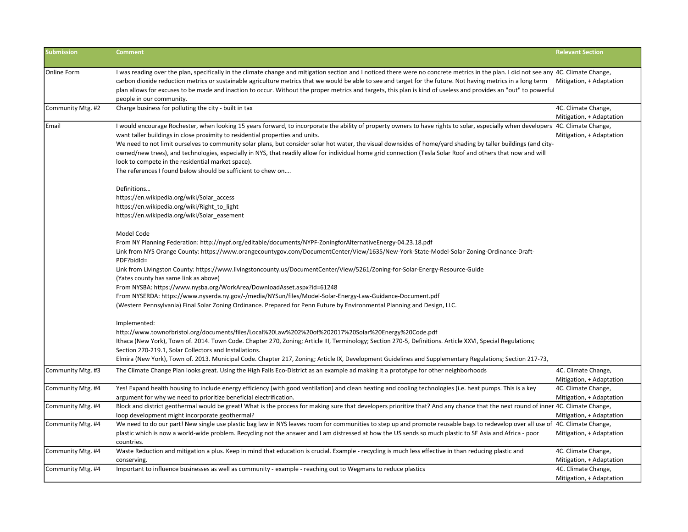| <b>Submission</b> | <b>Comment</b>                                                                                                                                                                         | <b>Relevant Section</b>                         |
|-------------------|----------------------------------------------------------------------------------------------------------------------------------------------------------------------------------------|-------------------------------------------------|
|                   |                                                                                                                                                                                        |                                                 |
| Online Form       | I was reading over the plan, specifically in the climate change and mitigation section and I noticed there were no concrete metrics in the plan. I did not see any 4C. Climate Change, |                                                 |
|                   | carbon dioxide reduction metrics or sustainable agriculture metrics that we would be able to see and target for the future. Not having metrics in a long term Mitigation, + Adaptation |                                                 |
|                   | plan allows for excuses to be made and inaction to occur. Without the proper metrics and targets, this plan is kind of useless and provides an "out" to powerful                       |                                                 |
|                   | people in our community.                                                                                                                                                               |                                                 |
| Community Mtg. #2 | Charge business for polluting the city - built in tax                                                                                                                                  | 4C. Climate Change,<br>Mitigation, + Adaptation |
| Email             | I would encourage Rochester, when looking 15 years forward, to incorporate the ability of property owners to have rights to solar, especially when developers 4C. Climate Change,      |                                                 |
|                   | want taller buildings in close proximity to residential properties and units.                                                                                                          | Mitigation, + Adaptation                        |
|                   | We need to not limit ourselves to community solar plans, but consider solar hot water, the visual downsides of home/yard shading by taller buildings (and city-                        |                                                 |
|                   | owned/new trees), and technologies, especially in NYS, that readily allow for individual home grid connection (Tesla Solar Roof and others that now and will                           |                                                 |
|                   | look to compete in the residential market space).                                                                                                                                      |                                                 |
|                   | The references I found below should be sufficient to chew on                                                                                                                           |                                                 |
|                   | Definitions                                                                                                                                                                            |                                                 |
|                   | https://en.wikipedia.org/wiki/Solar access                                                                                                                                             |                                                 |
|                   | https://en.wikipedia.org/wiki/Right_to_light                                                                                                                                           |                                                 |
|                   | https://en.wikipedia.org/wiki/Solar_easement                                                                                                                                           |                                                 |
|                   | Model Code                                                                                                                                                                             |                                                 |
|                   | From NY Planning Federation: http://nypf.org/editable/documents/NYPF-ZoningforAlternativeEnergy-04.23.18.pdf                                                                           |                                                 |
|                   | Link from NYS Orange County: https://www.orangecountygov.com/DocumentCenter/View/1635/New-York-State-Model-Solar-Zoning-Ordinance-Draft-<br>PDF?bidId=                                 |                                                 |
|                   | Link from Livingston County: https://www.livingstoncounty.us/DocumentCenter/View/5261/Zoning-for-Solar-Energy-Resource-Guide                                                           |                                                 |
|                   | (Yates county has same link as above)                                                                                                                                                  |                                                 |
|                   | From NYSBA: https://www.nysba.org/WorkArea/DownloadAsset.aspx?id=61248                                                                                                                 |                                                 |
|                   | From NYSERDA: https://www.nyserda.ny.gov/-/media/NYSun/files/Model-Solar-Energy-Law-Guidance-Document.pdf                                                                              |                                                 |
|                   | (Western Pennsylvania) Final Solar Zoning Ordinance. Prepared for Penn Future by Environmental Planning and Design, LLC.                                                               |                                                 |
|                   | Implemented:                                                                                                                                                                           |                                                 |
|                   | http://www.townofbristol.org/documents/files/Local%20Law%202%20of%202017%20Solar%20Energy%20Code.pdf                                                                                   |                                                 |
|                   | Ithaca (New York), Town of. 2014. Town Code. Chapter 270, Zoning; Article III, Terminology; Section 270-5, Definitions. Article XXVI, Special Regulations;                             |                                                 |
|                   | Section 270-219.1, Solar Collectors and Installations.                                                                                                                                 |                                                 |
|                   | Elmira (New York), Town of. 2013. Municipal Code. Chapter 217, Zoning; Article IX, Development Guidelines and Supplementary Regulations; Section 217-73,                               |                                                 |
| Community Mtg. #3 | The Climate Change Plan looks great. Using the High Falls Eco-District as an example ad making it a prototype for other neighborhoods                                                  | 4C. Climate Change,                             |
|                   |                                                                                                                                                                                        | Mitigation, + Adaptation                        |
| Community Mtg. #4 | Yes! Expand health housing to include energy efficiency (with good ventilation) and clean heating and cooling technologies (i.e. heat pumps. This is a key                             | 4C. Climate Change,                             |
|                   | argument for why we need to prioritize beneficial electrification.                                                                                                                     | Mitigation, + Adaptation                        |
| Community Mtg. #4 | Block and district geothermal would be great! What is the process for making sure that developers prioritize that? And any chance that the next round of inner 4C. Climate Change,     |                                                 |
|                   | loop development might incorporate geothermal?                                                                                                                                         | Mitigation, + Adaptation                        |
| Community Mtg. #4 | We need to do our part! New single use plastic bag law in NYS leaves room for communities to step up and promote reusable bags to redevelop over all use of 4C. Climate Change,        |                                                 |
|                   | plastic which is now a world-wide problem. Recycling not the answer and I am distressed at how the US sends so much plastic to SE Asia and Africa - poor                               | Mitigation, + Adaptation                        |
|                   | countries.                                                                                                                                                                             |                                                 |
| Community Mtg. #4 | Waste Reduction and mitigation a plus. Keep in mind that education is crucial. Example - recycling is much less effective in than reducing plastic and                                 | 4C. Climate Change,                             |
|                   | conserving                                                                                                                                                                             | Mitigation, + Adaptation                        |
| Community Mtg. #4 | Important to influence businesses as well as community - example - reaching out to Wegmans to reduce plastics                                                                          | 4C. Climate Change,                             |
|                   |                                                                                                                                                                                        | Mitigation, + Adaptation                        |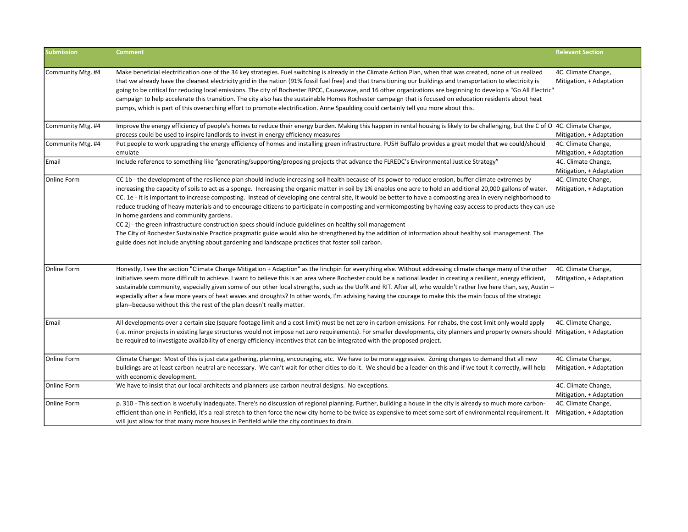| <b>Submission</b> | <b>Comment</b>                                                                                                                                                                                                                                                                                                                                                                                                                                                                                                                                                                                                                                                                                                                                                                                                                                                                                                                                                                                                                                                                     | <b>Relevant Section</b>                         |
|-------------------|------------------------------------------------------------------------------------------------------------------------------------------------------------------------------------------------------------------------------------------------------------------------------------------------------------------------------------------------------------------------------------------------------------------------------------------------------------------------------------------------------------------------------------------------------------------------------------------------------------------------------------------------------------------------------------------------------------------------------------------------------------------------------------------------------------------------------------------------------------------------------------------------------------------------------------------------------------------------------------------------------------------------------------------------------------------------------------|-------------------------------------------------|
| Community Mtg. #4 | Make beneficial electrification one of the 34 key strategies. Fuel switching is already in the Climate Action Plan, when that was created, none of us realized<br>that we already have the cleanest electricity grid in the nation (91% fossil fuel free) and that transitioning our buildings and transportation to electricity is<br>going to be critical for reducing local emissions. The city of Rochester RPCC, Causewave, and 16 other organizations are beginning to develop a "Go All Electric"<br>campaign to help accelerate this transition. The city also has the sustainable Homes Rochester campaign that is focused on education residents about heat<br>pumps, which is part of this overarching effort to promote electrification. Anne Spaulding could certainly tell you more about this.                                                                                                                                                                                                                                                                      | 4C. Climate Change,<br>Mitigation, + Adaptation |
| Community Mtg. #4 | Improve the energy efficiency of people's homes to reduce their energy burden. Making this happen in rental housing is likely to be challenging, but the C of O 4C. Climate Change,<br>process could be used to inspire landlords to invest in energy efficiency measures                                                                                                                                                                                                                                                                                                                                                                                                                                                                                                                                                                                                                                                                                                                                                                                                          | Mitigation, + Adaptation                        |
| Community Mtg. #4 | Put people to work upgrading the energy efficiency of homes and installing green infrastructure. PUSH Buffalo provides a great model that we could/should<br>emulate                                                                                                                                                                                                                                                                                                                                                                                                                                                                                                                                                                                                                                                                                                                                                                                                                                                                                                               | 4C. Climate Change,<br>Mitigation, + Adaptation |
| Email             | Include reference to something like "generating/supporting/proposing projects that advance the FLREDC's Environmental Justice Strategy"                                                                                                                                                                                                                                                                                                                                                                                                                                                                                                                                                                                                                                                                                                                                                                                                                                                                                                                                            | 4C. Climate Change,<br>Mitigation, + Adaptation |
| Online Form       | CC 1b - the development of the resilience plan should include increasing soil health because of its power to reduce erosion, buffer climate extremes by<br>increasing the capacity of soils to act as a sponge. Increasing the organic matter in soil by 1% enables one acre to hold an additional 20,000 gallons of water.<br>CC. 1e - It is important to increase composting. Instead of developing one central site, it would be better to have a composting area in every neighborhood to<br>reduce trucking of heavy materials and to encourage citizens to participate in composting and vermicomposting by having easy access to products they can use<br>in home gardens and community gardens.<br>CC 2j - the green infrastructure construction specs should include guidelines on healthy soil management<br>The City of Rochester Sustainable Practice pragmatic guide would also be strengthened by the addition of information about healthy soil management. The<br>guide does not include anything about gardening and landscape practices that foster soil carbon. | 4C. Climate Change,<br>Mitigation, + Adaptation |
| Online Form       | Honestly, I see the section "Climate Change Mitigation + Adaption" as the linchpin for everything else. Without addressing climate change many of the other<br>initiatives seem more difficult to achieve. I want to believe this is an area where Rochester could be a national leader in creating a resilient, energy efficient,<br>sustainable community, especially given some of our other local strengths, such as the UofR and RIT. After all, who wouldn't rather live here than, say, Austin --<br>especially after a few more years of heat waves and droughts? In other words, I'm advising having the courage to make this the main focus of the strategic<br>plan--because without this the rest of the plan doesn't really matter.                                                                                                                                                                                                                                                                                                                                   | 4C. Climate Change,<br>Mitigation, + Adaptation |
| Email             | All developments over a certain size (square footage limit and a cost limit) must be net zero in carbon emissions. For rehabs, the cost limit only would apply<br>(i.e. minor projects in existing large structures would not impose net zero requirements). For smaller developments, city planners and property owners should Mitigation, + Adaptation<br>be required to investigate availability of energy efficiency incentives that can be integrated with the proposed project.                                                                                                                                                                                                                                                                                                                                                                                                                                                                                                                                                                                              | 4C. Climate Change,                             |
| Online Form       | Climate Change: Most of this is just data gathering, planning, encouraging, etc. We have to be more aggressive. Zoning changes to demand that all new<br>buildings are at least carbon neutral are necessary. We can't wait for other cities to do it. We should be a leader on this and if we tout it correctly, will help<br>with economic development.                                                                                                                                                                                                                                                                                                                                                                                                                                                                                                                                                                                                                                                                                                                          | 4C. Climate Change,<br>Mitigation, + Adaptation |
| Online Form       | We have to insist that our local architects and planners use carbon neutral designs. No exceptions.                                                                                                                                                                                                                                                                                                                                                                                                                                                                                                                                                                                                                                                                                                                                                                                                                                                                                                                                                                                | 4C. Climate Change,<br>Mitigation, + Adaptation |
| Online Form       | p. 310 - This section is woefully inadequate. There's no discussion of regional planning. Further, building a house in the city is already so much more carbon-<br>efficient than one in Penfield, it's a real stretch to then force the new city home to be twice as expensive to meet some sort of environmental requirement. It<br>will just allow for that many more houses in Penfield while the city continues to drain.                                                                                                                                                                                                                                                                                                                                                                                                                                                                                                                                                                                                                                                     | 4C. Climate Change,<br>Mitigation, + Adaptation |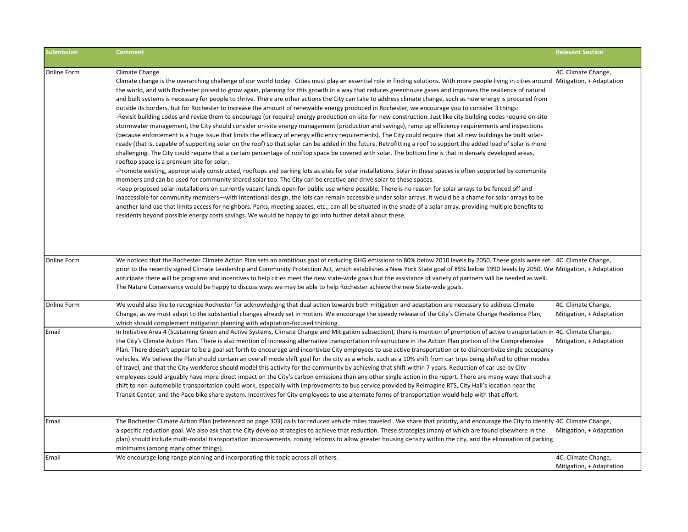| <b>Submission</b> | <b>Comment</b>                                                                                                                                                                                                                                                                                                                                                                                                                                                                                                                                                                                                                                                                                                                                                                                                                                                                                                                                                                                                                                                                                                                                                                                                                                                                                                                                                                                                                                                                                                                                                                                                                                                                                                                                                                                                                                                                                                                                                                                                                                                                                                                                                                                                                                                                                                                                                                                                                                                                 | <b>Relevant Section</b>                         |
|-------------------|--------------------------------------------------------------------------------------------------------------------------------------------------------------------------------------------------------------------------------------------------------------------------------------------------------------------------------------------------------------------------------------------------------------------------------------------------------------------------------------------------------------------------------------------------------------------------------------------------------------------------------------------------------------------------------------------------------------------------------------------------------------------------------------------------------------------------------------------------------------------------------------------------------------------------------------------------------------------------------------------------------------------------------------------------------------------------------------------------------------------------------------------------------------------------------------------------------------------------------------------------------------------------------------------------------------------------------------------------------------------------------------------------------------------------------------------------------------------------------------------------------------------------------------------------------------------------------------------------------------------------------------------------------------------------------------------------------------------------------------------------------------------------------------------------------------------------------------------------------------------------------------------------------------------------------------------------------------------------------------------------------------------------------------------------------------------------------------------------------------------------------------------------------------------------------------------------------------------------------------------------------------------------------------------------------------------------------------------------------------------------------------------------------------------------------------------------------------------------------|-------------------------------------------------|
| Online Form       | Climate Change<br>Climate change is the overarching challenge of our world today. Cities must play an essential role in finding solutions. With more people living in cities around Mitigation, + Adaptation<br>the world, and with Rochester poised to grow again, planning for this growth in a way that reduces greenhouse gases and improves the resilience of natural<br>and built systems is necessary for people to thrive. There are other actions the City can take to address climate change, such as how energy is procured from<br>outside its borders, but for Rochester to increase the amount of renewable energy produced in Rochester, we encourage you to consider 3 things:<br>-Revisit building codes and revise them to encourage (or require) energy production on-site for new construction. Just like city building codes require on-site<br>stormwater management, the City should consider on-site energy management (production and savings), ramp up efficiency requirements and inspections<br>(because enforcement is a huge issue that limits the efficacy of energy efficiency requirements). The City could require that all new buildings be built solar-<br>ready (that is, capable of supporting solar on the roof) so that solar can be added in the future. Retrofitting a roof to support the added load of solar is more<br>challenging. The City could require that a certain percentage of rooftop space be covered with solar. The bottom line is that in densely developed areas,<br>rooftop space is a premium site for solar.<br>-Promote existing, appropriately constructed, rooftops and parking lots as sites for solar installations. Solar in these spaces is often supported by community<br>members and can be used for community shared solar too. The City can be creative and drive solar to these spaces.<br>-Keep proposed solar installations on currently vacant lands open for public use where possible. There is no reason for solar arrays to be fenced off and<br>inaccessible for community members—with intentional design, the lots can remain accessible under solar arrays. It would be a shame for solar arrays to be<br>another land use that limits access for neighbors. Parks, meeting spaces, etc., can all be situated in the shade of a solar array, providing multiple benefits to<br>residents beyond possible energy costs savings. We would be happy to go into further detail about these. | 4C. Climate Change,                             |
| Online Form       | We noticed that the Rochester Climate Action Plan sets an ambitious goal of reducing GHG emissions to 80% below 2010 levels by 2050. These goals were set 4C. Climate Change,<br>prior to the recently signed Climate Leadership and Community Protection Act, which establishes a New York State goal of 85% below 1990 levels by 2050. We Mitigation, + Adaptation<br>anticipate there will be programs and incentives to help cities meet the new state-wide goals but the assistance of variety of partners will be needed as well.<br>The Nature Conservancy would be happy to discuss ways we may be able to help Rochester achieve the new State-wide goals.                                                                                                                                                                                                                                                                                                                                                                                                                                                                                                                                                                                                                                                                                                                                                                                                                                                                                                                                                                                                                                                                                                                                                                                                                                                                                                                                                                                                                                                                                                                                                                                                                                                                                                                                                                                                            |                                                 |
| Online Form       | We would also like to recognize Rochester for acknowledging that dual action towards both mitigation and adaptation are necessary to address Climate<br>Change, as we must adapt to the substantial changes already set in motion. We encourage the speedy release of the City's Climate Change Resilience Plan,<br>which should complement mitigation planning with adaptation-focused thinking.                                                                                                                                                                                                                                                                                                                                                                                                                                                                                                                                                                                                                                                                                                                                                                                                                                                                                                                                                                                                                                                                                                                                                                                                                                                                                                                                                                                                                                                                                                                                                                                                                                                                                                                                                                                                                                                                                                                                                                                                                                                                              | 4C. Climate Change,<br>Mitigation, + Adaptation |
| Email             | In Initiative Area 4 (Sustaining Green and Active Systems, Climate Change and Mitigation subsection), there is mention of promotion of active transportation in 4C. Climate Change,<br>the City's Climate Action Plan. There is also mention of increasing alternative transportation infrastructure in the Action Plan portion of the Comprehensive<br>Plan. There doesn't appear to be a goal set forth to encourage and incentivize City employees to use active transportation or to disincentivize single occupancy<br>vehicles. We believe the Plan should contain an overall mode shift goal for the city as a whole, such as a 10% shift from car trips being shifted to other modes<br>of travel, and that the City workforce should model this activity for the community by achieving that shift within 7 years. Reduction of car use by City<br>employees could arguably have more direct impact on the City's carbon emissions than any other single action in the report. There are many ways that such a<br>shift to non-automobile transportation could work, especially with improvements to bus service provided by Reimagine RTS, City Hall's location near the<br>Transit Center, and the Pace bike share system. Incentives for City employees to use alternate forms of transportation would help with that effort.                                                                                                                                                                                                                                                                                                                                                                                                                                                                                                                                                                                                                                                                                                                                                                                                                                                                                                                                                                                                                                                                                                                                      | Mitigation, + Adaptation                        |
| Email             | The Rochester Climate Action Plan (referenced on page 303) calls for reduced vehicle miles traveled. We share that priority, and encourage the City to identify 4C. Climate Change,<br>a specific reduction goal. We also ask that the City develop strategies to achieve that reduction. These strategies (many of which are found elsewhere in the<br>plan) should include multi-modal transportation improvements, zoning reforms to allow greater housing density within the city, and the elimination of parking<br>minimums (among many other things).                                                                                                                                                                                                                                                                                                                                                                                                                                                                                                                                                                                                                                                                                                                                                                                                                                                                                                                                                                                                                                                                                                                                                                                                                                                                                                                                                                                                                                                                                                                                                                                                                                                                                                                                                                                                                                                                                                                   | Mitigation, + Adaptation                        |
| Email             | We encourage long range planning and incorporating this topic across all others.                                                                                                                                                                                                                                                                                                                                                                                                                                                                                                                                                                                                                                                                                                                                                                                                                                                                                                                                                                                                                                                                                                                                                                                                                                                                                                                                                                                                                                                                                                                                                                                                                                                                                                                                                                                                                                                                                                                                                                                                                                                                                                                                                                                                                                                                                                                                                                                               | 4C. Climate Change,<br>Mitigation, + Adaptation |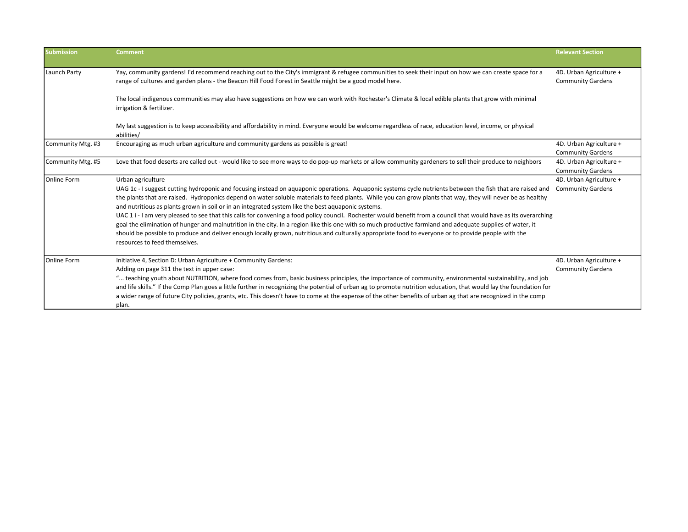| <b>Submission</b> | <b>Comment</b>                                                                                                                                                                                                                                                                                                                                                                                                                  | <b>Relevant Section</b>                             |
|-------------------|---------------------------------------------------------------------------------------------------------------------------------------------------------------------------------------------------------------------------------------------------------------------------------------------------------------------------------------------------------------------------------------------------------------------------------|-----------------------------------------------------|
| Launch Party      | Yay, community gardens! I'd recommend reaching out to the City's immigrant & refugee communities to seek their input on how we can create space for a<br>range of cultures and garden plans - the Beacon Hill Food Forest in Seattle might be a good model here.                                                                                                                                                                | 4D. Urban Agriculture +<br><b>Community Gardens</b> |
|                   | The local indigenous communities may also have suggestions on how we can work with Rochester's Climate & local edible plants that grow with minimal<br>irrigation & fertilizer.                                                                                                                                                                                                                                                 |                                                     |
|                   | My last suggestion is to keep accessibility and affordability in mind. Everyone would be welcome regardless of race, education level, income, or physical<br>abilities/                                                                                                                                                                                                                                                         |                                                     |
| Community Mtg. #3 | Encouraging as much urban agriculture and community gardens as possible is great!                                                                                                                                                                                                                                                                                                                                               | 4D. Urban Agriculture +<br><b>Community Gardens</b> |
| Community Mtg. #5 | Love that food deserts are called out - would like to see more ways to do pop-up markets or allow community gardeners to sell their produce to neighbors                                                                                                                                                                                                                                                                        | 4D. Urban Agriculture +<br><b>Community Gardens</b> |
| Online Form       | Urban agriculture                                                                                                                                                                                                                                                                                                                                                                                                               | 4D. Urban Agriculture +                             |
|                   | UAG 1c - I suggest cutting hydroponic and focusing instead on aquaponic operations. Aquaponic systems cycle nutrients between the fish that are raised and<br>the plants that are raised. Hydroponics depend on water soluble materials to feed plants. While you can grow plants that way, they will never be as healthy<br>and nutritious as plants grown in soil or in an integrated system like the best aquaponic systems. | <b>Community Gardens</b>                            |
|                   | UAC 1 i - I am very pleased to see that this calls for convening a food policy council. Rochester would benefit from a council that would have as its overarching                                                                                                                                                                                                                                                               |                                                     |
|                   | goal the elimination of hunger and malnutrition in the city. In a region like this one with so much productive farmland and adequate supplies of water, it                                                                                                                                                                                                                                                                      |                                                     |
|                   | should be possible to produce and deliver enough locally grown, nutritious and culturally appropriate food to everyone or to provide people with the<br>resources to feed themselves.                                                                                                                                                                                                                                           |                                                     |
| Online Form       | Initiative 4, Section D: Urban Agriculture + Community Gardens:                                                                                                                                                                                                                                                                                                                                                                 | 4D. Urban Agriculture +                             |
|                   | Adding on page 311 the text in upper case:                                                                                                                                                                                                                                                                                                                                                                                      | <b>Community Gardens</b>                            |
|                   | " teaching youth about NUTRITION, where food comes from, basic business principles, the importance of community, environmental sustainability, and job<br>and life skills." If the Comp Plan goes a little further in recognizing the potential of urban ag to promote nutrition education, that would lay the foundation for                                                                                                   |                                                     |
|                   | a wider range of future City policies, grants, etc. This doesn't have to come at the expense of the other benefits of urban ag that are recognized in the comp<br>plan.                                                                                                                                                                                                                                                         |                                                     |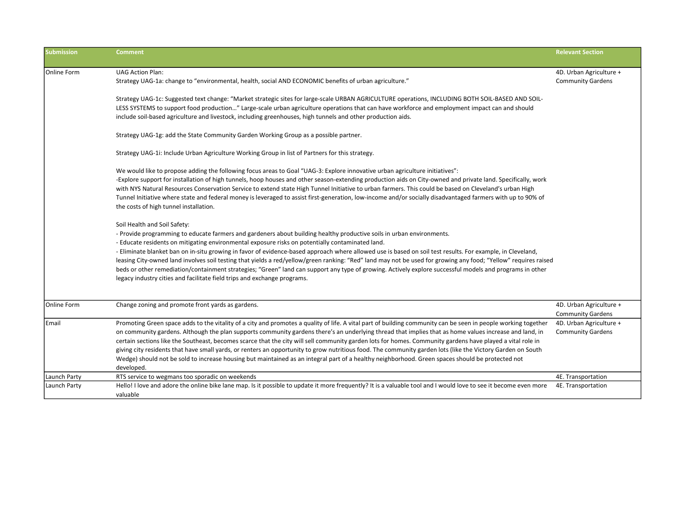| <b>Submission</b> | <b>Comment</b>                                                                                                                                                                                                                                                                                                                                                                                                                                                                                                                                                                                                                                                                                                                                                                                                                                                                                                                                                                                                                                                                                                                                                                                                                                                | <b>Relevant Section</b>                             |
|-------------------|---------------------------------------------------------------------------------------------------------------------------------------------------------------------------------------------------------------------------------------------------------------------------------------------------------------------------------------------------------------------------------------------------------------------------------------------------------------------------------------------------------------------------------------------------------------------------------------------------------------------------------------------------------------------------------------------------------------------------------------------------------------------------------------------------------------------------------------------------------------------------------------------------------------------------------------------------------------------------------------------------------------------------------------------------------------------------------------------------------------------------------------------------------------------------------------------------------------------------------------------------------------|-----------------------------------------------------|
| lOnline Form      | <b>UAG Action Plan:</b><br>".Strategy UAG-1a: change to "environmental, health, social AND ECONOMIC benefits of urban agriculture.                                                                                                                                                                                                                                                                                                                                                                                                                                                                                                                                                                                                                                                                                                                                                                                                                                                                                                                                                                                                                                                                                                                            | 4D. Urban Agriculture +<br><b>Community Gardens</b> |
|                   | Strategy UAG-1c: Suggested text change: "Market strategic sites for large-scale URBAN AGRICULTURE operations, INCLUDING BOTH SOIL-BASED AND SOIL-<br>LESS SYSTEMS to support food production" Large-scale urban agriculture operations that can have workforce and employment impact can and should<br>include soil-based agriculture and livestock, including greenhouses, high tunnels and other production aids.                                                                                                                                                                                                                                                                                                                                                                                                                                                                                                                                                                                                                                                                                                                                                                                                                                           |                                                     |
|                   | Strategy UAG-1g: add the State Community Garden Working Group as a possible partner.                                                                                                                                                                                                                                                                                                                                                                                                                                                                                                                                                                                                                                                                                                                                                                                                                                                                                                                                                                                                                                                                                                                                                                          |                                                     |
|                   | Strategy UAG-1i: Include Urban Agriculture Working Group in list of Partners for this strategy.                                                                                                                                                                                                                                                                                                                                                                                                                                                                                                                                                                                                                                                                                                                                                                                                                                                                                                                                                                                                                                                                                                                                                               |                                                     |
|                   | We would like to propose adding the following focus areas to Goal "UAG-3: Explore innovative urban agriculture initiatives":<br>-Explore support for installation of high tunnels, hoop houses and other season-extending production aids on City-owned and private land. Specifically, work<br>with NYS Natural Resources Conservation Service to extend state High Tunnel Initiative to urban farmers. This could be based on Cleveland's urban High<br>Tunnel Initiative where state and federal money is leveraged to assist first-generation, low-income and/or socially disadvantaged farmers with up to 90% of<br>the costs of high tunnel installation.<br>Soil Health and Soil Safety:<br>- Provide programming to educate farmers and gardeners about building healthy productive soils in urban environments.<br>- Educate residents on mitigating environmental exposure risks on potentially contaminated land.<br>- Eliminate blanket ban on in-situ growing in favor of evidence-based approach where allowed use is based on soil test results. For example, in Cleveland,<br>leasing City-owned land involves soil testing that yields a red/yellow/green ranking: "Red" land may not be used for growing any food; "Yellow" requires raised |                                                     |
|                   | beds or other remediation/containment strategies; "Green" land can support any type of growing. Actively explore successful models and programs in other<br>legacy industry cities and facilitate field trips and exchange programs.                                                                                                                                                                                                                                                                                                                                                                                                                                                                                                                                                                                                                                                                                                                                                                                                                                                                                                                                                                                                                          |                                                     |
| Online Form       | Change zoning and promote front yards as gardens.                                                                                                                                                                                                                                                                                                                                                                                                                                                                                                                                                                                                                                                                                                                                                                                                                                                                                                                                                                                                                                                                                                                                                                                                             | 4D. Urban Agriculture +<br><b>Community Gardens</b> |
| Email             | Promoting Green space adds to the vitality of a city and promotes a quality of life. A vital part of building community can be seen in people working together<br>on community gardens. Although the plan supports community gardens there's an underlying thread that implies that as home values increase and land, in<br>certain sections like the Southeast, becomes scarce that the city will sell community garden lots for homes. Community gardens have played a vital role in<br>giving city residents that have small yards, or renters an opportunity to grow nutritious food. The community garden lots (like the Victory Garden on South<br>Wedge) should not be sold to increase housing but maintained as an integral part of a healthy neighborhood. Green spaces should be protected not<br>developed.                                                                                                                                                                                                                                                                                                                                                                                                                                       | 4D. Urban Agriculture +<br><b>Community Gardens</b> |
| Launch Party      | RTS service to wegmans too sporadic on weekends                                                                                                                                                                                                                                                                                                                                                                                                                                                                                                                                                                                                                                                                                                                                                                                                                                                                                                                                                                                                                                                                                                                                                                                                               | 4E. Transportation                                  |
| Launch Party      | Hello! I love and adore the online bike lane map. Is it possible to update it more frequently? It is a valuable tool and I would love to see it become even more<br>valuable                                                                                                                                                                                                                                                                                                                                                                                                                                                                                                                                                                                                                                                                                                                                                                                                                                                                                                                                                                                                                                                                                  | 4E. Transportation                                  |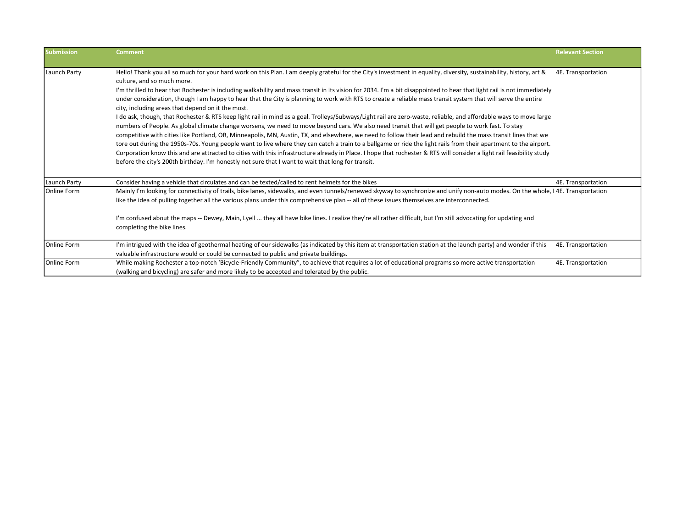| <b>Submission</b> | <b>Comment</b>                                                                                                                                                                                                                                                                                                                                                                                                                                                                                                                                                                                                                                                                                                                                                                                                                                                                                                                                                                                                                                                                                                                                                                                                                                                                                                                                                                                                                                                                                                                                    | <b>Relevant Section</b> |
|-------------------|---------------------------------------------------------------------------------------------------------------------------------------------------------------------------------------------------------------------------------------------------------------------------------------------------------------------------------------------------------------------------------------------------------------------------------------------------------------------------------------------------------------------------------------------------------------------------------------------------------------------------------------------------------------------------------------------------------------------------------------------------------------------------------------------------------------------------------------------------------------------------------------------------------------------------------------------------------------------------------------------------------------------------------------------------------------------------------------------------------------------------------------------------------------------------------------------------------------------------------------------------------------------------------------------------------------------------------------------------------------------------------------------------------------------------------------------------------------------------------------------------------------------------------------------------|-------------------------|
| Launch Party      | Hello! Thank you all so much for your hard work on this Plan. I am deeply grateful for the City's investment in equality, diversity, sustainability, history, art &<br>culture, and so much more.<br>I'm thrilled to hear that Rochester is including walkability and mass transit in its vision for 2034. I'm a bit disappointed to hear that light rail is not immediately<br>under consideration, though I am happy to hear that the City is planning to work with RTS to create a reliable mass transit system that will serve the entire<br>city, including areas that depend on it the most.<br>I do ask, though, that Rochester & RTS keep light rail in mind as a goal. Trolleys/Subways/Light rail are zero-waste, reliable, and affordable ways to move large<br>numbers of People. As global climate change worsens, we need to move beyond cars. We also need transit that will get people to work fast. To stay<br>competitive with cities like Portland, OR, Minneapolis, MN, Austin, TX, and elsewhere, we need to follow their lead and rebuild the mass transit lines that we<br>tore out during the 1950s-70s. Young people want to live where they can catch a train to a ballgame or ride the light rails from their apartment to the airport.<br>Corporation know this and are attracted to cities with this infrastructure already in Place. I hope that rochester & RTS will consider a light rail feasibility study<br>before the city's 200th birthday. I'm honestly not sure that I want to wait that long for transit. | 4E. Transportation      |
| Launch Party      | Consider having a vehicle that circulates and can be texted/called to rent helmets for the bikes                                                                                                                                                                                                                                                                                                                                                                                                                                                                                                                                                                                                                                                                                                                                                                                                                                                                                                                                                                                                                                                                                                                                                                                                                                                                                                                                                                                                                                                  | 4E. Transportation      |
| Online Form       | Mainly I'm looking for connectivity of trails, bike lanes, sidewalks, and even tunnels/renewed skyway to synchronize and unify non-auto modes. On the whole, I 4E. Transportation<br>like the idea of pulling together all the various plans under this comprehensive plan -- all of these issues themselves are interconnected.<br>I'm confused about the maps -- Dewey, Main, Lyell  they all have bike lines. I realize they're all rather difficult, but I'm still advocating for updating and<br>completing the bike lines.                                                                                                                                                                                                                                                                                                                                                                                                                                                                                                                                                                                                                                                                                                                                                                                                                                                                                                                                                                                                                  |                         |
| Online Form       | I'm intrigued with the idea of geothermal heating of our sidewalks (as indicated by this item at transportation station at the launch party) and wonder if this<br>valuable infrastructure would or could be connected to public and private buildings.                                                                                                                                                                                                                                                                                                                                                                                                                                                                                                                                                                                                                                                                                                                                                                                                                                                                                                                                                                                                                                                                                                                                                                                                                                                                                           | 4E. Transportation      |
| Online Form       | While making Rochester a top-notch 'Bicycle-Friendly Community", to achieve that requires a lot of educational programs so more active transportation<br>(walking and bicycling) are safer and more likely to be accepted and tolerated by the public.                                                                                                                                                                                                                                                                                                                                                                                                                                                                                                                                                                                                                                                                                                                                                                                                                                                                                                                                                                                                                                                                                                                                                                                                                                                                                            | 4E. Transportation      |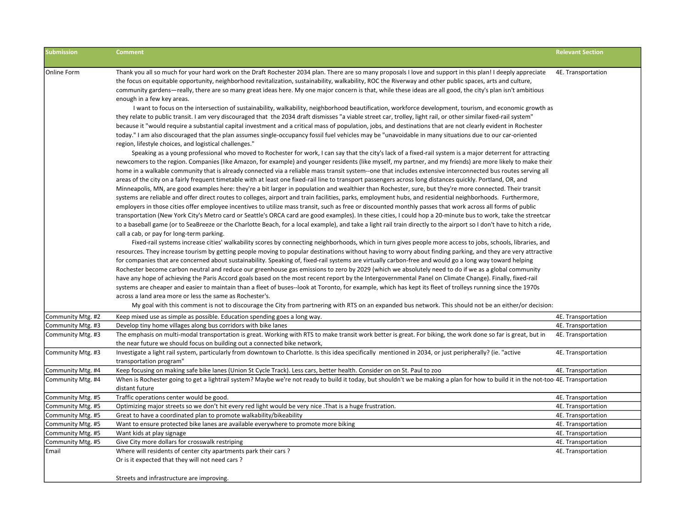| <b>Submission</b>  | <b>Comment</b>                                                                                                                                                                                                                                                                                                                                                                                                                                                                                                                                                                                                                                                                                                                                                                                                                                                                                                                                                                                                                                                                                                                                                                                                                                                                                                                                                                                                                                                                                                                                                                                                                                                                                                                                                                                                                                                                                                                                                                                                                                                                                                                                                                                                                                                                                                                                                                                                                                                                                                                                                                                                                                                                                                                                                                                                                                                                                                                                                                                                                                                                                                                                                                                                                                                                                                                                                                                                                                                                                                                                                                                                                                                                                                                                                                                                                                                                                                                                                                                     | <b>Relevant Section</b> |
|--------------------|----------------------------------------------------------------------------------------------------------------------------------------------------------------------------------------------------------------------------------------------------------------------------------------------------------------------------------------------------------------------------------------------------------------------------------------------------------------------------------------------------------------------------------------------------------------------------------------------------------------------------------------------------------------------------------------------------------------------------------------------------------------------------------------------------------------------------------------------------------------------------------------------------------------------------------------------------------------------------------------------------------------------------------------------------------------------------------------------------------------------------------------------------------------------------------------------------------------------------------------------------------------------------------------------------------------------------------------------------------------------------------------------------------------------------------------------------------------------------------------------------------------------------------------------------------------------------------------------------------------------------------------------------------------------------------------------------------------------------------------------------------------------------------------------------------------------------------------------------------------------------------------------------------------------------------------------------------------------------------------------------------------------------------------------------------------------------------------------------------------------------------------------------------------------------------------------------------------------------------------------------------------------------------------------------------------------------------------------------------------------------------------------------------------------------------------------------------------------------------------------------------------------------------------------------------------------------------------------------------------------------------------------------------------------------------------------------------------------------------------------------------------------------------------------------------------------------------------------------------------------------------------------------------------------------------------------------------------------------------------------------------------------------------------------------------------------------------------------------------------------------------------------------------------------------------------------------------------------------------------------------------------------------------------------------------------------------------------------------------------------------------------------------------------------------------------------------------------------------------------------------------------------------------------------------------------------------------------------------------------------------------------------------------------------------------------------------------------------------------------------------------------------------------------------------------------------------------------------------------------------------------------------------------------------------------------------------------------------------------------------------|-------------------------|
| <b>Online Form</b> | Thank you all so much for your hard work on the Draft Rochester 2034 plan. There are so many proposals I love and support in this plan! I deeply appreciate<br>the focus on equitable opportunity, neighborhood revitalization, sustainability, walkability, ROC the Riverway and other public spaces, arts and culture,<br>community gardens—really, there are so many great ideas here. My one major concern is that, while these ideas are all good, the city's plan isn't ambitious<br>enough in a few key areas.<br>I want to focus on the intersection of sustainability, walkability, neighborhood beautification, workforce development, tourism, and economic growth as<br>they relate to public transit. I am very discouraged that the 2034 draft dismisses "a viable street car, trolley, light rail, or other similar fixed-rail system"<br>because it "would require a substantial capital investment and a critical mass of population, jobs, and destinations that are not clearly evident in Rochester<br>today." I am also discouraged that the plan assumes single-occupancy fossil fuel vehicles may be "unavoidable in many situations due to our car-oriented<br>region, lifestyle choices, and logistical challenges."<br>Speaking as a young professional who moved to Rochester for work, I can say that the city's lack of a fixed-rail system is a major deterrent for attracting<br>newcomers to the region. Companies (like Amazon, for example) and younger residents (like myself, my partner, and my friends) are more likely to make their<br>home in a walkable community that is already connected via a reliable mass transit system--one that includes extensive interconnected bus routes serving all<br>areas of the city on a fairly frequent timetable with at least one fixed-rail line to transport passengers across long distances quickly. Portland, OR, and<br>Minneapolis, MN, are good examples here: they're a bit larger in population and wealthier than Rochester, sure, but they're more connected. Their transit<br>systems are reliable and offer direct routes to colleges, airport and train facilities, parks, employment hubs, and residential neighborhoods. Furthermore,<br>employers in those cities offer employee incentives to utilize mass transit, such as free or discounted monthly passes that work across all forms of public<br>transportation (New York City's Metro card or Seattle's ORCA card are good examples). In these cities, I could hop a 20-minute bus to work, take the streetcar<br>to a baseball game (or to SeaBreeze or the Charlotte Beach, for a local example), and take a light rail train directly to the airport so I don't have to hitch a ride,<br>call a cab, or pay for long-term parking.<br>Fixed-rail systems increase cities' walkability scores by connecting neighborhoods, which in turn gives people more access to jobs, schools, libraries, and<br>resources. They increase tourism by getting people moving to popular destinations without having to worry about finding parking, and they are very attractive<br>for companies that are concerned about sustainability. Speaking of, fixed-rail systems are virtually carbon-free and would go a long way toward helping<br>Rochester become carbon neutral and reduce our greenhouse gas emissions to zero by 2029 (which we absolutely need to do if we as a global community<br>have any hope of achieving the Paris Accord goals based on the most recent report by the Intergovernmental Panel on Climate Change). Finally, fixed-rail<br>systems are cheaper and easier to maintain than a fleet of buses--look at Toronto, for example, which has kept its fleet of trolleys running since the 1970s<br>across a land area more or less the same as Rochester's.<br>My goal with this comment is not to discourage the City from partnering with RTS on an expanded bus network. This should not be an either/or decision: | 4E. Transportation      |
| Community Mtg. #2  | Keep mixed use as simple as possible. Education spending goes a long way.                                                                                                                                                                                                                                                                                                                                                                                                                                                                                                                                                                                                                                                                                                                                                                                                                                                                                                                                                                                                                                                                                                                                                                                                                                                                                                                                                                                                                                                                                                                                                                                                                                                                                                                                                                                                                                                                                                                                                                                                                                                                                                                                                                                                                                                                                                                                                                                                                                                                                                                                                                                                                                                                                                                                                                                                                                                                                                                                                                                                                                                                                                                                                                                                                                                                                                                                                                                                                                                                                                                                                                                                                                                                                                                                                                                                                                                                                                                          | 4E. Transportation      |
| Community Mtg. #3  | Develop tiny home villages along bus corridors with bike lanes                                                                                                                                                                                                                                                                                                                                                                                                                                                                                                                                                                                                                                                                                                                                                                                                                                                                                                                                                                                                                                                                                                                                                                                                                                                                                                                                                                                                                                                                                                                                                                                                                                                                                                                                                                                                                                                                                                                                                                                                                                                                                                                                                                                                                                                                                                                                                                                                                                                                                                                                                                                                                                                                                                                                                                                                                                                                                                                                                                                                                                                                                                                                                                                                                                                                                                                                                                                                                                                                                                                                                                                                                                                                                                                                                                                                                                                                                                                                     | 4E. Transportation      |
| Community Mtg. #3  | The emphasis on multi-modal transportation is great. Working with RTS to make transit work better is great. For biking, the work done so far is great, but in<br>the near future we should focus on building out a connected bike network,                                                                                                                                                                                                                                                                                                                                                                                                                                                                                                                                                                                                                                                                                                                                                                                                                                                                                                                                                                                                                                                                                                                                                                                                                                                                                                                                                                                                                                                                                                                                                                                                                                                                                                                                                                                                                                                                                                                                                                                                                                                                                                                                                                                                                                                                                                                                                                                                                                                                                                                                                                                                                                                                                                                                                                                                                                                                                                                                                                                                                                                                                                                                                                                                                                                                                                                                                                                                                                                                                                                                                                                                                                                                                                                                                         | 4E. Transportation      |
| Community Mtg. #3  | Investigate a light rail system, particularly from downtown to Charlotte. Is this idea specifically mentioned in 2034, or just peripherally? (ie. "active<br>transportation program"                                                                                                                                                                                                                                                                                                                                                                                                                                                                                                                                                                                                                                                                                                                                                                                                                                                                                                                                                                                                                                                                                                                                                                                                                                                                                                                                                                                                                                                                                                                                                                                                                                                                                                                                                                                                                                                                                                                                                                                                                                                                                                                                                                                                                                                                                                                                                                                                                                                                                                                                                                                                                                                                                                                                                                                                                                                                                                                                                                                                                                                                                                                                                                                                                                                                                                                                                                                                                                                                                                                                                                                                                                                                                                                                                                                                               | 4E. Transportation      |
| Community Mtg. #4  | Keep focusing on making safe bike lanes (Union St Cycle Track). Less cars, better health. Consider on on St. Paul to zoo                                                                                                                                                                                                                                                                                                                                                                                                                                                                                                                                                                                                                                                                                                                                                                                                                                                                                                                                                                                                                                                                                                                                                                                                                                                                                                                                                                                                                                                                                                                                                                                                                                                                                                                                                                                                                                                                                                                                                                                                                                                                                                                                                                                                                                                                                                                                                                                                                                                                                                                                                                                                                                                                                                                                                                                                                                                                                                                                                                                                                                                                                                                                                                                                                                                                                                                                                                                                                                                                                                                                                                                                                                                                                                                                                                                                                                                                           | 4E. Transportation      |
| Community Mtg. #4  | When is Rochester going to get a lightrail system? Maybe we're not ready to build it today, but shouldn't we be making a plan for how to build it in the not-too-4E. Transportation<br>distant future                                                                                                                                                                                                                                                                                                                                                                                                                                                                                                                                                                                                                                                                                                                                                                                                                                                                                                                                                                                                                                                                                                                                                                                                                                                                                                                                                                                                                                                                                                                                                                                                                                                                                                                                                                                                                                                                                                                                                                                                                                                                                                                                                                                                                                                                                                                                                                                                                                                                                                                                                                                                                                                                                                                                                                                                                                                                                                                                                                                                                                                                                                                                                                                                                                                                                                                                                                                                                                                                                                                                                                                                                                                                                                                                                                                              |                         |
| Community Mtg. #5  | Traffic operations center would be good.                                                                                                                                                                                                                                                                                                                                                                                                                                                                                                                                                                                                                                                                                                                                                                                                                                                                                                                                                                                                                                                                                                                                                                                                                                                                                                                                                                                                                                                                                                                                                                                                                                                                                                                                                                                                                                                                                                                                                                                                                                                                                                                                                                                                                                                                                                                                                                                                                                                                                                                                                                                                                                                                                                                                                                                                                                                                                                                                                                                                                                                                                                                                                                                                                                                                                                                                                                                                                                                                                                                                                                                                                                                                                                                                                                                                                                                                                                                                                           | 4E. Transportation      |
| Community Mtg. #5  | Optimizing major streets so we don't hit every red light would be very nice . That is a huge frustration.                                                                                                                                                                                                                                                                                                                                                                                                                                                                                                                                                                                                                                                                                                                                                                                                                                                                                                                                                                                                                                                                                                                                                                                                                                                                                                                                                                                                                                                                                                                                                                                                                                                                                                                                                                                                                                                                                                                                                                                                                                                                                                                                                                                                                                                                                                                                                                                                                                                                                                                                                                                                                                                                                                                                                                                                                                                                                                                                                                                                                                                                                                                                                                                                                                                                                                                                                                                                                                                                                                                                                                                                                                                                                                                                                                                                                                                                                          | 4E. Transportation      |
| Community Mtg. #5  | Great to have a coordinated plan to promote walkability/bikeability                                                                                                                                                                                                                                                                                                                                                                                                                                                                                                                                                                                                                                                                                                                                                                                                                                                                                                                                                                                                                                                                                                                                                                                                                                                                                                                                                                                                                                                                                                                                                                                                                                                                                                                                                                                                                                                                                                                                                                                                                                                                                                                                                                                                                                                                                                                                                                                                                                                                                                                                                                                                                                                                                                                                                                                                                                                                                                                                                                                                                                                                                                                                                                                                                                                                                                                                                                                                                                                                                                                                                                                                                                                                                                                                                                                                                                                                                                                                | 4E. Transportation      |
| Community Mtg. #5  | Want to ensure protected bike lanes are available everywhere to promote more biking                                                                                                                                                                                                                                                                                                                                                                                                                                                                                                                                                                                                                                                                                                                                                                                                                                                                                                                                                                                                                                                                                                                                                                                                                                                                                                                                                                                                                                                                                                                                                                                                                                                                                                                                                                                                                                                                                                                                                                                                                                                                                                                                                                                                                                                                                                                                                                                                                                                                                                                                                                                                                                                                                                                                                                                                                                                                                                                                                                                                                                                                                                                                                                                                                                                                                                                                                                                                                                                                                                                                                                                                                                                                                                                                                                                                                                                                                                                | 4E. Transportation      |
| Community Mtg. #5  | Want kids at play signage                                                                                                                                                                                                                                                                                                                                                                                                                                                                                                                                                                                                                                                                                                                                                                                                                                                                                                                                                                                                                                                                                                                                                                                                                                                                                                                                                                                                                                                                                                                                                                                                                                                                                                                                                                                                                                                                                                                                                                                                                                                                                                                                                                                                                                                                                                                                                                                                                                                                                                                                                                                                                                                                                                                                                                                                                                                                                                                                                                                                                                                                                                                                                                                                                                                                                                                                                                                                                                                                                                                                                                                                                                                                                                                                                                                                                                                                                                                                                                          | 4E. Transportation      |
| Community Mtg. #5  | Give City more dollars for crosswalk restriping                                                                                                                                                                                                                                                                                                                                                                                                                                                                                                                                                                                                                                                                                                                                                                                                                                                                                                                                                                                                                                                                                                                                                                                                                                                                                                                                                                                                                                                                                                                                                                                                                                                                                                                                                                                                                                                                                                                                                                                                                                                                                                                                                                                                                                                                                                                                                                                                                                                                                                                                                                                                                                                                                                                                                                                                                                                                                                                                                                                                                                                                                                                                                                                                                                                                                                                                                                                                                                                                                                                                                                                                                                                                                                                                                                                                                                                                                                                                                    | 4E. Transportation      |
| Email              | Where will residents of center city apartments park their cars?                                                                                                                                                                                                                                                                                                                                                                                                                                                                                                                                                                                                                                                                                                                                                                                                                                                                                                                                                                                                                                                                                                                                                                                                                                                                                                                                                                                                                                                                                                                                                                                                                                                                                                                                                                                                                                                                                                                                                                                                                                                                                                                                                                                                                                                                                                                                                                                                                                                                                                                                                                                                                                                                                                                                                                                                                                                                                                                                                                                                                                                                                                                                                                                                                                                                                                                                                                                                                                                                                                                                                                                                                                                                                                                                                                                                                                                                                                                                    | 4E. Transportation      |
|                    | Or is it expected that they will not need cars?                                                                                                                                                                                                                                                                                                                                                                                                                                                                                                                                                                                                                                                                                                                                                                                                                                                                                                                                                                                                                                                                                                                                                                                                                                                                                                                                                                                                                                                                                                                                                                                                                                                                                                                                                                                                                                                                                                                                                                                                                                                                                                                                                                                                                                                                                                                                                                                                                                                                                                                                                                                                                                                                                                                                                                                                                                                                                                                                                                                                                                                                                                                                                                                                                                                                                                                                                                                                                                                                                                                                                                                                                                                                                                                                                                                                                                                                                                                                                    |                         |
|                    | Streets and infrastructure are improving.                                                                                                                                                                                                                                                                                                                                                                                                                                                                                                                                                                                                                                                                                                                                                                                                                                                                                                                                                                                                                                                                                                                                                                                                                                                                                                                                                                                                                                                                                                                                                                                                                                                                                                                                                                                                                                                                                                                                                                                                                                                                                                                                                                                                                                                                                                                                                                                                                                                                                                                                                                                                                                                                                                                                                                                                                                                                                                                                                                                                                                                                                                                                                                                                                                                                                                                                                                                                                                                                                                                                                                                                                                                                                                                                                                                                                                                                                                                                                          |                         |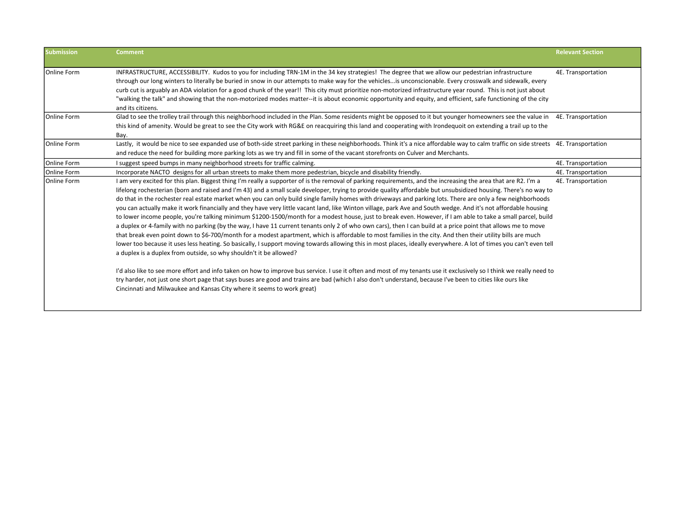| <b>Submission</b>  | <b>Comment</b>                                                                                                                                                                                                                                                                                                                                                                                                                                                                                                                                                                                                                                                                                                                                                                                                                                                                                                                                                                                                                                                                                                                                                                                                                                                                                                                                                                                                                                                                                                                                                                             | <b>Relevant Section</b> |
|--------------------|--------------------------------------------------------------------------------------------------------------------------------------------------------------------------------------------------------------------------------------------------------------------------------------------------------------------------------------------------------------------------------------------------------------------------------------------------------------------------------------------------------------------------------------------------------------------------------------------------------------------------------------------------------------------------------------------------------------------------------------------------------------------------------------------------------------------------------------------------------------------------------------------------------------------------------------------------------------------------------------------------------------------------------------------------------------------------------------------------------------------------------------------------------------------------------------------------------------------------------------------------------------------------------------------------------------------------------------------------------------------------------------------------------------------------------------------------------------------------------------------------------------------------------------------------------------------------------------------|-------------------------|
| Online Form        | INFRASTRUCTURE, ACCESSIBILITY. Kudos to you for including TRN-1M in the 34 key strategies! The degree that we allow our pedestrian infrastructure<br>through our long winters to literally be buried in snow in our attempts to make way for the vehicles is unconscionable. Every crosswalk and sidewalk, every<br>curb cut is arguably an ADA violation for a good chunk of the year!! This city must prioritize non-motorized infrastructure year round. This is not just about<br>"walking the talk" and showing that the non-motorized modes matter--it is about economic opportunity and equity, and efficient, safe functioning of the city<br>and its citizens.                                                                                                                                                                                                                                                                                                                                                                                                                                                                                                                                                                                                                                                                                                                                                                                                                                                                                                                    | 4E. Transportation      |
| <b>Online Form</b> | Glad to see the trolley trail through this neighborhood included in the Plan. Some residents might be opposed to it but younger homeowners see the value in 4E. Transportation<br>this kind of amenity. Would be great to see the City work with RG&E on reacquiring this land and cooperating with Irondequoit on extending a trail up to the<br>Bay.                                                                                                                                                                                                                                                                                                                                                                                                                                                                                                                                                                                                                                                                                                                                                                                                                                                                                                                                                                                                                                                                                                                                                                                                                                     |                         |
| <b>Online Form</b> | Lastly, it would be nice to see expanded use of both-side street parking in these neighborhoods. Think it's a nice affordable way to calm traffic on side streets 4E. Transportation<br>and reduce the need for building more parking lots as we try and fill in some of the vacant storefronts on Culver and Merchants.                                                                                                                                                                                                                                                                                                                                                                                                                                                                                                                                                                                                                                                                                                                                                                                                                                                                                                                                                                                                                                                                                                                                                                                                                                                                   |                         |
| Online Form        | I suggest speed bumps in many neighborhood streets for traffic calming.                                                                                                                                                                                                                                                                                                                                                                                                                                                                                                                                                                                                                                                                                                                                                                                                                                                                                                                                                                                                                                                                                                                                                                                                                                                                                                                                                                                                                                                                                                                    | 4E. Transportation      |
| Online Form        | Incorporate NACTO designs for all urban streets to make them more pedestrian, bicycle and disability friendly.                                                                                                                                                                                                                                                                                                                                                                                                                                                                                                                                                                                                                                                                                                                                                                                                                                                                                                                                                                                                                                                                                                                                                                                                                                                                                                                                                                                                                                                                             | 4E. Transportation      |
| Online Form        | I am very excited for this plan. Biggest thing I'm really a supporter of is the removal of parking requirements, and the increasing the area that are R2. I'm a<br>lifelong rochesterian (born and raised and I'm 43) and a small scale developer, trying to provide quality affordable but unsubsidized housing. There's no way to<br>do that in the rochester real estate market when you can only build single family homes with driveways and parking lots. There are only a few neighborhoods<br>you can actually make it work financially and they have very little vacant land, like Winton village, park Ave and South wedge. And it's not affordable housing<br>to lower income people, you're talking minimum \$1200-1500/month for a modest house, just to break even. However, if I am able to take a small parcel, build<br>a duplex or 4-family with no parking (by the way, I have 11 current tenants only 2 of who own cars), then I can build at a price point that allows me to move<br>that break even point down to \$6-700/month for a modest apartment, which is affordable to most families in the city. And then their utility bills are much<br>lower too because it uses less heating. So basically, I support moving towards allowing this in most places, ideally everywhere. A lot of times you can't even tell<br>a duplex is a duplex from outside, so why shouldn't it be allowed?<br>I'd also like to see more effort and info taken on how to improve bus service. I use it often and most of my tenants use it exclusively so I think we really need to | 4E. Transportation      |
|                    | try harder, not just one short page that says buses are good and trains are bad (which I also don't understand, because I've been to cities like ours like<br>Cincinnati and Milwaukee and Kansas City where it seems to work great)                                                                                                                                                                                                                                                                                                                                                                                                                                                                                                                                                                                                                                                                                                                                                                                                                                                                                                                                                                                                                                                                                                                                                                                                                                                                                                                                                       |                         |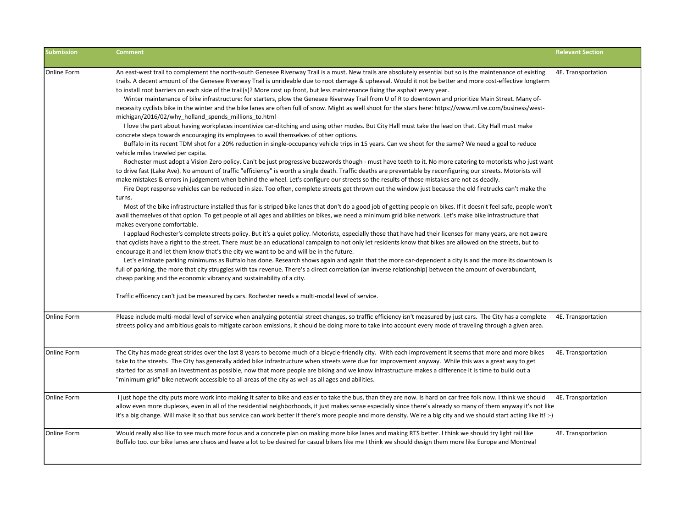| <b>Submission</b>  | <b>Comment</b>                                                                                                                                                                                                                                                                                                                                                                                                                                                                                                                                                                                                                                                                                                                                                                                                                                                                                                                                                                                                                                                                                                                                                                                                                                                                                                                                                                                                                                                                                                                                                                                                                                                                                                                                                                                                                                                                                                                                                                                                                                                                                                                                                                                                                                                                                                                                                                                                                                                                                                                                                                                                                                                                                                                                                                                                                                                                                                                                                                                                                                                                                                                                             | <b>Relevant Section</b> |
|--------------------|------------------------------------------------------------------------------------------------------------------------------------------------------------------------------------------------------------------------------------------------------------------------------------------------------------------------------------------------------------------------------------------------------------------------------------------------------------------------------------------------------------------------------------------------------------------------------------------------------------------------------------------------------------------------------------------------------------------------------------------------------------------------------------------------------------------------------------------------------------------------------------------------------------------------------------------------------------------------------------------------------------------------------------------------------------------------------------------------------------------------------------------------------------------------------------------------------------------------------------------------------------------------------------------------------------------------------------------------------------------------------------------------------------------------------------------------------------------------------------------------------------------------------------------------------------------------------------------------------------------------------------------------------------------------------------------------------------------------------------------------------------------------------------------------------------------------------------------------------------------------------------------------------------------------------------------------------------------------------------------------------------------------------------------------------------------------------------------------------------------------------------------------------------------------------------------------------------------------------------------------------------------------------------------------------------------------------------------------------------------------------------------------------------------------------------------------------------------------------------------------------------------------------------------------------------------------------------------------------------------------------------------------------------------------------------------------------------------------------------------------------------------------------------------------------------------------------------------------------------------------------------------------------------------------------------------------------------------------------------------------------------------------------------------------------------------------------------------------------------------------------------------------------------|-------------------------|
| <b>Online Form</b> | An east-west trail to complement the north-south Genesee Riverway Trail is a must. New trails are absolutely essential but so is the maintenance of existing<br>trails. A decent amount of the Genesee Riverway Trail is unrideable due to root damage & upheaval. Would it not be better and more cost-effective longterm<br>to install root barriers on each side of the trail(s)? More cost up front, but less maintenance fixing the asphalt every year.<br>Winter maintenance of bike infrastructure: for starters, plow the Genesee Riverway Trail from U of R to downtown and prioritize Main Street. Many of-<br>necessity cyclists bike in the winter and the bike lanes are often full of snow. Might as well shoot for the stars here: https://www.mlive.com/business/west-<br>michigan/2016/02/why_holland_spends_millions_to.html<br>I love the part about having workplaces incentivize car-ditching and using other modes. But City Hall must take the lead on that. City Hall must make<br>concrete steps towards encouraging its employees to avail themselves of other options.<br>Buffalo in its recent TDM shot for a 20% reduction in single-occupancy vehicle trips in 15 years. Can we shoot for the same? We need a goal to reduce<br>vehicle miles traveled per capita.<br>Rochester must adopt a Vision Zero policy. Can't be just progressive buzzwords though - must have teeth to it. No more catering to motorists who just want<br>to drive fast (Lake Ave). No amount of traffic "efficiency" is worth a single death. Traffic deaths are preventable by reconfiguring our streets. Motorists will<br>make mistakes & errors in judgement when behind the wheel. Let's configure our streets so the results of those mistakes are not as deadly.<br>Fire Dept response vehicles can be reduced in size. Too often, complete streets get thrown out the window just because the old firetrucks can't make the<br>turns.<br>Most of the bike infrastructure installed thus far is striped bike lanes that don't do a good job of getting people on bikes. If it doesn't feel safe, people won't<br>avail themselves of that option. To get people of all ages and abilities on bikes, we need a minimum grid bike network. Let's make bike infrastructure that<br>makes everyone comfortable.<br>I applaud Rochester's complete streets policy. But it's a quiet policy. Motorists, especially those that have had their licenses for many years, are not aware<br>that cyclists have a right to the street. There must be an educational campaign to not only let residents know that bikes are allowed on the streets, but to<br>encourage it and let them know that's the city we want to be and will be in the future.<br>Let's eliminate parking minimums as Buffalo has done. Research shows again and again that the more car-dependent a city is and the more its downtown is<br>full of parking, the more that city struggles with tax revenue. There's a direct correlation (an inverse relationship) between the amount of overabundant,<br>cheap parking and the economic vibrancy and sustainability of a city. | 4E. Transportation      |
|                    | Traffic efficency can't just be measured by cars. Rochester needs a multi-modal level of service.                                                                                                                                                                                                                                                                                                                                                                                                                                                                                                                                                                                                                                                                                                                                                                                                                                                                                                                                                                                                                                                                                                                                                                                                                                                                                                                                                                                                                                                                                                                                                                                                                                                                                                                                                                                                                                                                                                                                                                                                                                                                                                                                                                                                                                                                                                                                                                                                                                                                                                                                                                                                                                                                                                                                                                                                                                                                                                                                                                                                                                                          |                         |
| <b>Online Form</b> | Please include multi-modal level of service when analyzing potential street changes, so traffic efficiency isn't measured by just cars. The City has a complete<br>streets policy and ambitious goals to mitigate carbon emissions, it should be doing more to take into account every mode of traveling through a given area.                                                                                                                                                                                                                                                                                                                                                                                                                                                                                                                                                                                                                                                                                                                                                                                                                                                                                                                                                                                                                                                                                                                                                                                                                                                                                                                                                                                                                                                                                                                                                                                                                                                                                                                                                                                                                                                                                                                                                                                                                                                                                                                                                                                                                                                                                                                                                                                                                                                                                                                                                                                                                                                                                                                                                                                                                             | 4E. Transportation      |
| <b>Online Form</b> | The City has made great strides over the last 8 years to become much of a bicycle-friendly city. With each improvement it seems that more and more bikes<br>take to the streets. The City has generally added bike infrastructure when streets were due for improvement anyway. While this was a great way to get<br>started for as small an investment as possible, now that more people are biking and we know infrastructure makes a difference it is time to build out a<br>"minimum grid" bike network accessible to all areas of the city as well as all ages and abilities.                                                                                                                                                                                                                                                                                                                                                                                                                                                                                                                                                                                                                                                                                                                                                                                                                                                                                                                                                                                                                                                                                                                                                                                                                                                                                                                                                                                                                                                                                                                                                                                                                                                                                                                                                                                                                                                                                                                                                                                                                                                                                                                                                                                                                                                                                                                                                                                                                                                                                                                                                                         | 4E. Transportation      |
| <b>Online Form</b> | I just hope the city puts more work into making it safer to bike and easier to take the bus, than they are now. Is hard on car free folk now. I think we should<br>allow even more duplexes, even in all of the residential neighborhoods, it just makes sense especially since there's already so many of them anyway it's not like<br>it's a big change. Will make it so that bus service can work better if there's more people and more density. We're a big city and we should start acting like it! :-)                                                                                                                                                                                                                                                                                                                                                                                                                                                                                                                                                                                                                                                                                                                                                                                                                                                                                                                                                                                                                                                                                                                                                                                                                                                                                                                                                                                                                                                                                                                                                                                                                                                                                                                                                                                                                                                                                                                                                                                                                                                                                                                                                                                                                                                                                                                                                                                                                                                                                                                                                                                                                                              | 4E. Transportation      |
| Online Form        | Would really also like to see much more focus and a concrete plan on making more bike lanes and making RTS better. I think we should try light rail like<br>Buffalo too. our bike lanes are chaos and leave a lot to be desired for casual bikers like me I think we should design them more like Europe and Montreal                                                                                                                                                                                                                                                                                                                                                                                                                                                                                                                                                                                                                                                                                                                                                                                                                                                                                                                                                                                                                                                                                                                                                                                                                                                                                                                                                                                                                                                                                                                                                                                                                                                                                                                                                                                                                                                                                                                                                                                                                                                                                                                                                                                                                                                                                                                                                                                                                                                                                                                                                                                                                                                                                                                                                                                                                                      | 4E. Transportation      |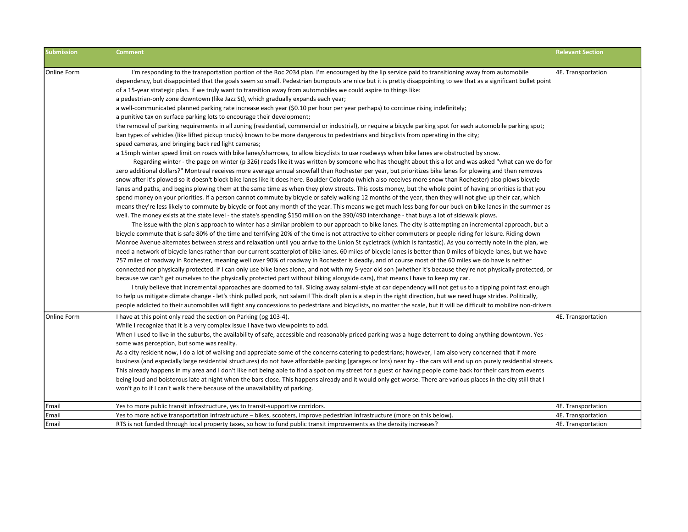| <b>Submission</b> | <b>Comment</b>                                                                                                                                                        | <b>Relevant Section</b> |
|-------------------|-----------------------------------------------------------------------------------------------------------------------------------------------------------------------|-------------------------|
|                   |                                                                                                                                                                       |                         |
| Online Form       | I'm responding to the transportation portion of the Roc 2034 plan. I'm encouraged by the lip service paid to transitioning away from automobile                       | 4E. Transportation      |
|                   | dependency, but disappointed that the goals seem so small. Pedestrian bumpouts are nice but it is pretty disappointing to see that as a significant bullet point      |                         |
|                   | of a 15-year strategic plan. If we truly want to transition away from automobiles we could aspire to things like:                                                     |                         |
|                   | a pedestrian-only zone downtown (like Jazz St), which gradually expands each year;                                                                                    |                         |
|                   | a well-communicated planned parking rate increase each year (\$0.10 per hour per year perhaps) to continue rising indefinitely;                                       |                         |
|                   | a punitive tax on surface parking lots to encourage their development;                                                                                                |                         |
|                   | the removal of parking requirements in all zoning (residential, commercial or industrial), or require a bicycle parking spot for each automobile parking spot;        |                         |
|                   | ban types of vehicles (like lifted pickup trucks) known to be more dangerous to pedestrians and bicyclists from operating in the city;                                |                         |
|                   | speed cameras, and bringing back red light cameras;                                                                                                                   |                         |
|                   | a 15mph winter speed limit on roads with bike lanes/sharrows, to allow bicyclists to use roadways when bike lanes are obstructed by snow.                             |                         |
|                   | Regarding winter - the page on winter (p 326) reads like it was written by someone who has thought about this a lot and was asked "what can we do for                 |                         |
|                   | zero additional dollars?" Montreal receives more average annual snowfall than Rochester per year, but prioritizes bike lanes for plowing and then removes             |                         |
|                   | snow after it's plowed so it doesn't block bike lanes like it does here. Boulder Colorado (which also receives more snow than Rochester) also plows bicycle           |                         |
|                   | lanes and paths, and begins plowing them at the same time as when they plow streets. This costs money, but the whole point of having priorities is that you           |                         |
|                   | spend money on your priorities. If a person cannot commute by bicycle or safely walking 12 months of the year, then they will not give up their car, which            |                         |
|                   | means they're less likely to commute by bicycle or foot any month of the year. This means we get much less bang for our buck on bike lanes in the summer as           |                         |
|                   | well. The money exists at the state level - the state's spending \$150 million on the 390/490 interchange - that buys a lot of sidewalk plows.                        |                         |
|                   | The issue with the plan's approach to winter has a similar problem to our approach to bike lanes. The city is attempting an incremental approach, but a               |                         |
|                   | bicycle commute that is safe 80% of the time and terrifying 20% of the time is not attractive to either commuters or people riding for leisure. Riding down           |                         |
|                   | Monroe Avenue alternates between stress and relaxation until you arrive to the Union St cycletrack (which is fantastic). As you correctly note in the plan, we        |                         |
|                   | need a network of bicycle lanes rather than our current scatterplot of bike lanes. 60 miles of bicycle lanes is better than 0 miles of bicycle lanes, but we have     |                         |
|                   | 757 miles of roadway in Rochester, meaning well over 90% of roadway in Rochester is deadly, and of course most of the 60 miles we do have is neither                  |                         |
|                   | connected nor physically protected. If I can only use bike lanes alone, and not with my 5-year old son (whether it's because they're not physically protected, or     |                         |
|                   | because we can't get ourselves to the physically protected part without biking alongside cars), that means I have to keep my car.                                     |                         |
|                   | I truly believe that incremental approaches are doomed to fail. Slicing away salami-style at car dependency will not get us to a tipping point fast enough            |                         |
|                   | to help us mitigate climate change - let's think pulled pork, not salami! This draft plan is a step in the right direction, but we need huge strides. Politically,    |                         |
|                   | people addicted to their automobiles will fight any concessions to pedestrians and bicyclists, no matter the scale, but it will be difficult to mobilize non-drivers  |                         |
| Online Form       | I have at this point only read the section on Parking (pg 103-4).                                                                                                     | 4E. Transportation      |
|                   | While I recognize that it is a very complex issue I have two viewpoints to add.                                                                                       |                         |
|                   | When I used to live in the suburbs, the availability of safe, accessible and reasonably priced parking was a huge deterrent to doing anything downtown. Yes -         |                         |
|                   | some was perception, but some was reality.                                                                                                                            |                         |
|                   | As a city resident now, I do a lot of walking and appreciate some of the concerns catering to pedestrians; however, I am also very concerned that if more             |                         |
|                   | business (and especially large residential structures) do not have affordable parking (garages or lots) near by - the cars will end up on purely residential streets. |                         |
|                   | This already happens in my area and I don't like not being able to find a spot on my street for a guest or having people come back for their cars from events         |                         |
|                   | being loud and boisterous late at night when the bars close. This happens already and it would only get worse. There are various places in the city still that I      |                         |
|                   | won't go to if I can't walk there because of the unavailability of parking.                                                                                           |                         |
| Email             | Yes to more public transit infrastructure, yes to transit-supportive corridors.                                                                                       | 4E. Transportation      |
| Email             | Yes to more active transportation infrastructure – bikes, scooters, improve pedestrian infrastructure (more on this below).                                           | 4E. Transportation      |
| Email             | RTS is not funded through local property taxes, so how to fund public transit improvements as the density increases?                                                  | 4E. Transportation      |
|                   |                                                                                                                                                                       |                         |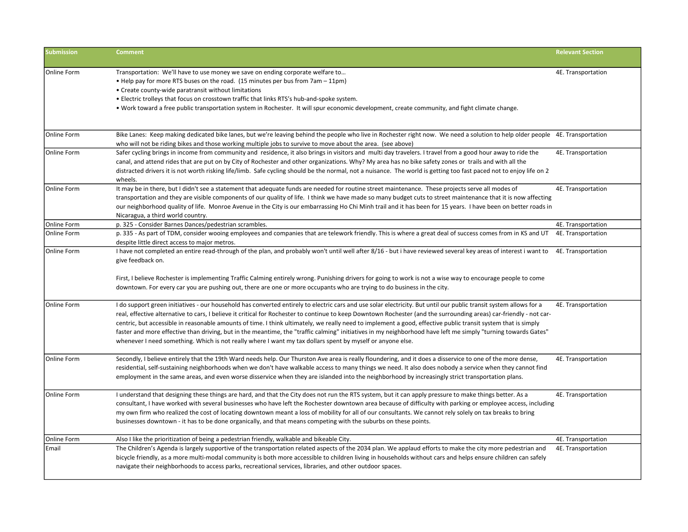| <b>Submission</b>  | <b>Comment</b>                                                                                                                                                                                                                                                                                                                                                                                                                                                                                                                                                                                                                                                                                                                                                                            | <b>Relevant Section</b> |
|--------------------|-------------------------------------------------------------------------------------------------------------------------------------------------------------------------------------------------------------------------------------------------------------------------------------------------------------------------------------------------------------------------------------------------------------------------------------------------------------------------------------------------------------------------------------------------------------------------------------------------------------------------------------------------------------------------------------------------------------------------------------------------------------------------------------------|-------------------------|
| <b>Online Form</b> | Transportation: We'll have to use money we save on ending corporate welfare to<br>• Help pay for more RTS buses on the road. (15 minutes per bus from 7am – 11pm)<br>• Create county-wide paratransit without limitations<br>. Electric trolleys that focus on crosstown traffic that links RTS's hub-and-spoke system.<br>. Work toward a free public transportation system in Rochester. It will spur economic development, create community, and fight climate change.                                                                                                                                                                                                                                                                                                                 | 4E. Transportation      |
| <b>Online Form</b> | Bike Lanes: Keep making dedicated bike lanes, but we're leaving behind the people who live in Rochester right now. We need a solution to help older people 4E. Transportation<br>who will not be riding bikes and those working multiple jobs to survive to move about the area. (see above)                                                                                                                                                                                                                                                                                                                                                                                                                                                                                              |                         |
| Online Form        | Safer cycling brings in income from community and residence, it also brings in visitors and multi day travelers. I travel from a good hour away to ride the<br>canal, and attend rides that are put on by City of Rochester and other organizations. Why? My area has no bike safety zones or trails and with all the<br>distracted drivers it is not worth risking life/limb. Safe cycling should be the normal, not a nuisance. The world is getting too fast paced not to enjoy life on 2<br>wheels.                                                                                                                                                                                                                                                                                   | 4E. Transportation      |
| <b>Online Form</b> | It may be in there, but I didn't see a statement that adequate funds are needed for routine street maintenance. These projects serve all modes of<br>transportation and they are visible components of our quality of life. I think we have made so many budget cuts to street maintenance that it is now affecting<br>our neighborhood quality of life. Monroe Avenue in the City is our embarrassing Ho Chi Minh trail and it has been for 15 years. I have been on better roads in<br>Nicaragua, a third world country.                                                                                                                                                                                                                                                                | 4E. Transportation      |
| Online Form        | p. 325 - Consider Barnes Dances/pedestrian scrambles.                                                                                                                                                                                                                                                                                                                                                                                                                                                                                                                                                                                                                                                                                                                                     | 4E. Transportation      |
| Online Form        | p. 335 - As part of TDM, consider wooing employees and companies that are telework friendly. This is where a great deal of success comes from in KS and UT<br>despite little direct access to major metros.                                                                                                                                                                                                                                                                                                                                                                                                                                                                                                                                                                               | 4E. Transportation      |
| <b>Online Form</b> | I have not completed an entire read-through of the plan, and probably won't until well after 8/16 - but i have reviewed several key areas of interest i want to<br>give feedback on.<br>First, I believe Rochester is implementing Traffic Calming entirely wrong. Punishing drivers for going to work is not a wise way to encourage people to come<br>downtown. For every car you are pushing out, there are one or more occupants who are trying to do business in the city.                                                                                                                                                                                                                                                                                                           | 4E. Transportation      |
| Online Form        | I do support green initiatives - our household has converted entirely to electric cars and use solar electricity. But until our public transit system allows for a<br>real, effective alternative to cars, I believe it critical for Rochester to continue to keep Downtown Rochester (and the surrounding areas) car-friendly - not car-<br>centric, but accessible in reasonable amounts of time. I think ultimately, we really need to implement a good, effective public transit system that is simply<br>faster and more effective than driving, but in the meantime, the "traffic calming" initiatives in my neighborhood have left me simply "turning towards Gates"<br>whenever I need something. Which is not really where I want my tax dollars spent by myself or anyone else. | 4E. Transportation      |
| Online Form        | Secondly, I believe entirely that the 19th Ward needs help. Our Thurston Ave area is really floundering, and it does a disservice to one of the more dense,<br>residential, self-sustaining neighborhoods when we don't have walkable access to many things we need. It also does nobody a service when they cannot find<br>employment in the same areas, and even worse disservice when they are islanded into the neighborhood by increasingly strict transportation plans.                                                                                                                                                                                                                                                                                                             | 4E. Transportation      |
| <b>Online Form</b> | I understand that designing these things are hard, and that the City does not run the RTS system, but it can apply pressure to make things better. As a<br>consultant, I have worked with several businesses who have left the Rochester downtown area because of difficulty with parking or employee access, including<br>my own firm who realized the cost of locating downtown meant a loss of mobility for all of our consultants. We cannot rely solely on tax breaks to bring<br>businesses downtown - it has to be done organically, and that means competing with the suburbs on these points.                                                                                                                                                                                    | 4E. Transportation      |
| <b>Online Form</b> | Also I like the prioritization of being a pedestrian friendly, walkable and bikeable City.                                                                                                                                                                                                                                                                                                                                                                                                                                                                                                                                                                                                                                                                                                | 4E. Transportation      |
| Email              | The Children's Agenda is largely supportive of the transportation related aspects of the 2034 plan. We applaud efforts to make the city more pedestrian and<br>bicycle friendly, as a more multi-modal community is both more accessible to children living in households without cars and helps ensure children can safely<br>navigate their neighborhoods to access parks, recreational services, libraries, and other outdoor spaces.                                                                                                                                                                                                                                                                                                                                                  | 4E. Transportation      |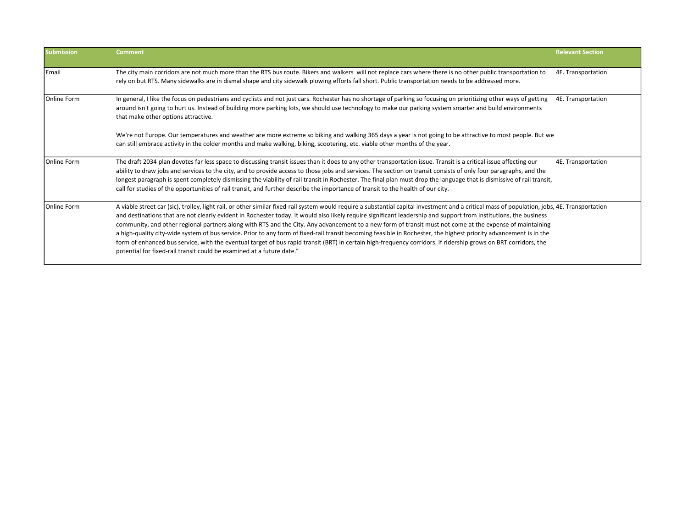| <b>Submission</b> | <b>Comment</b>                                                                                                                                                                                                                                                                                                                                                                                                                                                                                                                                                                                                                                                                                                                                                                                                                                                                                                                                   | <b>Relevant Section</b> |
|-------------------|--------------------------------------------------------------------------------------------------------------------------------------------------------------------------------------------------------------------------------------------------------------------------------------------------------------------------------------------------------------------------------------------------------------------------------------------------------------------------------------------------------------------------------------------------------------------------------------------------------------------------------------------------------------------------------------------------------------------------------------------------------------------------------------------------------------------------------------------------------------------------------------------------------------------------------------------------|-------------------------|
| Email             | The city main corridors are not much more than the RTS bus route. Bikers and walkers will not replace cars where there is no other public transportation to<br>rely on but RTS. Many sidewalks are in dismal shape and city sidewalk plowing efforts fall short. Public transportation needs to be addressed more.                                                                                                                                                                                                                                                                                                                                                                                                                                                                                                                                                                                                                               | 4E. Transportation      |
| Online Form       | In general, I like the focus on pedestrians and cyclists and not just cars. Rochester has no shortage of parking so focusing on prioritizing other ways of getting<br>around isn't going to hurt us. Instead of building more parking lots, we should use technology to make our parking system smarter and build environments<br>that make other options attractive.                                                                                                                                                                                                                                                                                                                                                                                                                                                                                                                                                                            | 4E. Transportation      |
|                   | We're not Europe. Our temperatures and weather are more extreme so biking and walking 365 days a year is not going to be attractive to most people. But we<br>can still embrace activity in the colder months and make walking, biking, scootering, etc. viable other months of the year.                                                                                                                                                                                                                                                                                                                                                                                                                                                                                                                                                                                                                                                        |                         |
| Online Form       | The draft 2034 plan devotes far less space to discussing transit issues than it does to any other transportation issue. Transit is a critical issue affecting our<br>ability to draw jobs and services to the city, and to provide access to those jobs and services. The section on transit consists of only four paragraphs, and the<br>longest paragraph is spent completely dismissing the viability of rail transit in Rochester. The final plan must drop the language that is dismissive of rail transit,<br>call for studies of the opportunities of rail transit, and further describe the importance of transit to the health of our city.                                                                                                                                                                                                                                                                                             | 4E. Transportation      |
| Online Form       | A viable street car (sic), trolley, light rail, or other similar fixed-rail system would require a substantial capital investment and a critical mass of population, jobs, 4E. Transportation<br>and destinations that are not clearly evident in Rochester today. It would also likely require significant leadership and support from institutions, the business<br>community, and other regional partners along with RTS and the City. Any advancement to a new form of transit must not come at the expense of maintaining<br>a high-quality city-wide system of bus service. Prior to any form of fixed-rail transit becoming feasible in Rochester, the highest priority advancement is in the<br>form of enhanced bus service, with the eventual target of bus rapid transit (BRT) in certain high-frequency corridors. If ridership grows on BRT corridors, the<br>potential for fixed-rail transit could be examined at a future date." |                         |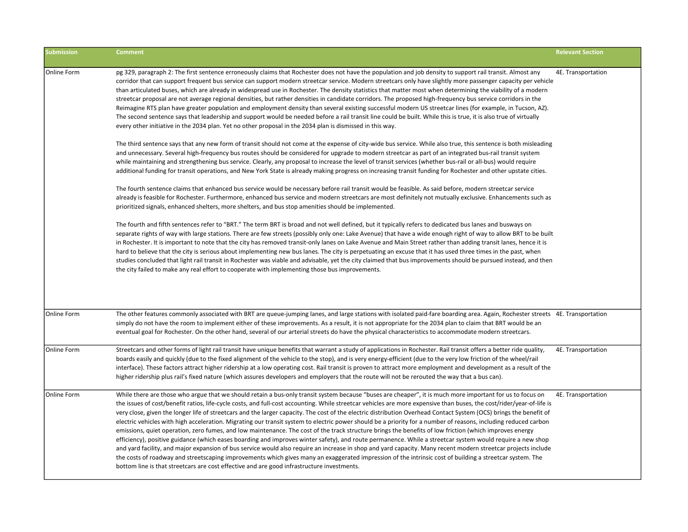| <b>Submission</b>  | <b>Comment</b>                                                                                                                                                                                                                                                                                                                                                                                                                                                                                                                                                                                                                                                                                                                                                                                                                                                                                                                                                                                                                                                                                                                                                                                                                                                                                                                                                                                                                 | <b>Relevant Section</b> |
|--------------------|--------------------------------------------------------------------------------------------------------------------------------------------------------------------------------------------------------------------------------------------------------------------------------------------------------------------------------------------------------------------------------------------------------------------------------------------------------------------------------------------------------------------------------------------------------------------------------------------------------------------------------------------------------------------------------------------------------------------------------------------------------------------------------------------------------------------------------------------------------------------------------------------------------------------------------------------------------------------------------------------------------------------------------------------------------------------------------------------------------------------------------------------------------------------------------------------------------------------------------------------------------------------------------------------------------------------------------------------------------------------------------------------------------------------------------|-------------------------|
| Online Form        | pg 329, paragraph 2: The first sentence erroneously claims that Rochester does not have the population and job density to support rail transit. Almost any<br>corridor that can support frequent bus service can support modern streetcar service. Modern streetcars only have slightly more passenger capacity per vehicle<br>than articulated buses, which are already in widespread use in Rochester. The density statistics that matter most when determining the viability of a modern<br>streetcar proposal are not average regional densities, but rather densities in candidate corridors. The proposed high-frequency bus service corridors in the<br>Reimagine RTS plan have greater population and employment density than several existing successful modern US streetcar lines (for example, in Tucson, AZ).<br>The second sentence says that leadership and support would be needed before a rail transit line could be built. While this is true, it is also true of virtually<br>every other initiative in the 2034 plan. Yet no other proposal in the 2034 plan is dismissed in this way.                                                                                                                                                                                                                                                                                                                     | 4E. Transportation      |
|                    | The third sentence says that any new form of transit should not come at the expense of city-wide bus service. While also true, this sentence is both misleading<br>and unnecessary. Several high-frequency bus routes should be considered for upgrade to modern streetcar as part of an integrated bus-rail transit system<br>while maintaining and strengthening bus service. Clearly, any proposal to increase the level of transit services (whether bus-rail or all-bus) would require<br>additional funding for transit operations, and New York State is already making progress on increasing transit funding for Rochester and other upstate cities.                                                                                                                                                                                                                                                                                                                                                                                                                                                                                                                                                                                                                                                                                                                                                                  |                         |
|                    | The fourth sentence claims that enhanced bus service would be necessary before rail transit would be feasible. As said before, modern streetcar service<br>already is feasible for Rochester. Furthermore, enhanced bus service and modern streetcars are most definitely not mutually exclusive. Enhancements such as<br>prioritized signals, enhanced shelters, more shelters, and bus stop amenities should be implemented.                                                                                                                                                                                                                                                                                                                                                                                                                                                                                                                                                                                                                                                                                                                                                                                                                                                                                                                                                                                                 |                         |
|                    | The fourth and fifth sentences refer to "BRT." The term BRT is broad and not well defined, but it typically refers to dedicated bus lanes and busways on<br>separate rights of way with large stations. There are few streets (possibly only one: Lake Avenue) that have a wide enough right of way to allow BRT to be built<br>in Rochester. It is important to note that the city has removed transit-only lanes on Lake Avenue and Main Street rather than adding transit lanes, hence it is<br>hard to believe that the city is serious about implementing new bus lanes. The city is perpetuating an excuse that it has used three times in the past, when<br>studies concluded that light rail transit in Rochester was viable and advisable, yet the city claimed that bus improvements should be pursued instead, and then<br>the city failed to make any real effort to cooperate with implementing those bus improvements.                                                                                                                                                                                                                                                                                                                                                                                                                                                                                           |                         |
| <b>Online Form</b> | The other features commonly associated with BRT are queue-jumping lanes, and large stations with isolated paid-fare boarding area. Again, Rochester streets 4E. Transportation<br>simply do not have the room to implement either of these improvements. As a result, it is not appropriate for the 2034 plan to claim that BRT would be an<br>eventual goal for Rochester. On the other hand, several of our arterial streets do have the physical characteristics to accommodate modern streetcars.                                                                                                                                                                                                                                                                                                                                                                                                                                                                                                                                                                                                                                                                                                                                                                                                                                                                                                                          |                         |
| <b>Online Form</b> | Streetcars and other forms of light rail transit have unique benefits that warrant a study of applications in Rochester. Rail transit offers a better ride quality,<br>boards easily and quickly (due to the fixed alignment of the vehicle to the stop), and is very energy-efficient (due to the very low friction of the wheel/rail<br>interface). These factors attract higher ridership at a low operating cost. Rail transit is proven to attract more employment and development as a result of the<br>higher ridership plus rail's fixed nature (which assures developers and employers that the route will not be rerouted the way that a bus can).                                                                                                                                                                                                                                                                                                                                                                                                                                                                                                                                                                                                                                                                                                                                                                   | 4E. Transportation      |
| <b>Online Form</b> | While there are those who argue that we should retain a bus-only transit system because "buses are cheaper", it is much more important for us to focus on<br>the issues of cost/benefit ratios, life-cycle costs, and full-cost accounting. While streetcar vehicles are more expensive than buses, the cost/rider/year-of-life is<br>very close, given the longer life of streetcars and the larger capacity. The cost of the electric distribution Overhead Contact System (OCS) brings the benefit of<br>electric vehicles with high acceleration. Migrating our transit system to electric power should be a priority for a number of reasons, including reduced carbon<br>emissions, quiet operation, zero fumes, and low maintenance. The cost of the track structure brings the benefits of low friction (which improves energy<br>efficiency), positive guidance (which eases boarding and improves winter safety), and route permanence. While a streetcar system would require a new shop<br>and yard facility, and major expansion of bus service would also require an increase in shop and yard capacity. Many recent modern streetcar projects include<br>the costs of roadway and streetscaping improvements which gives many an exaggerated impression of the intrinsic cost of building a streetcar system. The<br>bottom line is that streetcars are cost effective and are good infrastructure investments. | 4E. Transportation      |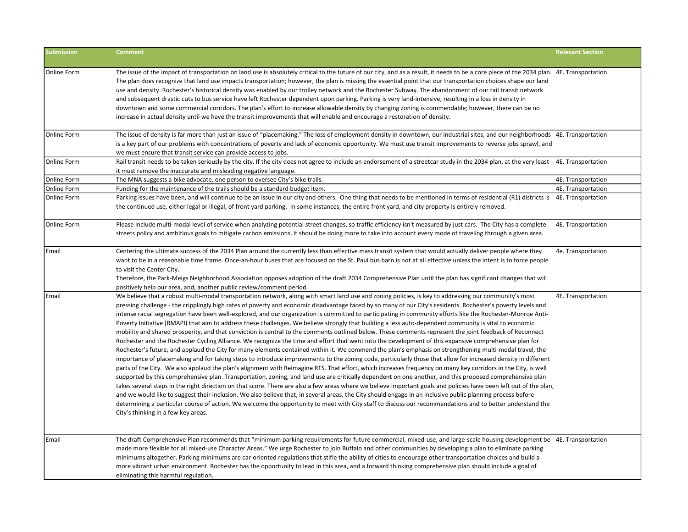| <b>Submission</b> | <b>Comment</b>                                                                                                                                                                                                                                                                                                                                                                                                                                                                                                                                                                                                                                                                                                                                                                                                                                                                                                                                                                                                                                                                                                                                                                                                                                                                                                                                                                                                                                                                                                                                                                                                                                                                                                                                                                                                                                                                                                                                                                                                                                                                                                                                                          | <b>Relevant Section</b> |
|-------------------|-------------------------------------------------------------------------------------------------------------------------------------------------------------------------------------------------------------------------------------------------------------------------------------------------------------------------------------------------------------------------------------------------------------------------------------------------------------------------------------------------------------------------------------------------------------------------------------------------------------------------------------------------------------------------------------------------------------------------------------------------------------------------------------------------------------------------------------------------------------------------------------------------------------------------------------------------------------------------------------------------------------------------------------------------------------------------------------------------------------------------------------------------------------------------------------------------------------------------------------------------------------------------------------------------------------------------------------------------------------------------------------------------------------------------------------------------------------------------------------------------------------------------------------------------------------------------------------------------------------------------------------------------------------------------------------------------------------------------------------------------------------------------------------------------------------------------------------------------------------------------------------------------------------------------------------------------------------------------------------------------------------------------------------------------------------------------------------------------------------------------------------------------------------------------|-------------------------|
| Online Form       | The issue of the impact of transportation on land use is absolutely critical to the future of our city, and as a result, it needs to be a core piece of the 2034 plan. 4E. Transportation<br>The plan does recognize that land use impacts transportation; however, the plan is missing the essential point that our transportation choices shape our land<br>use and density. Rochester's historical density was enabled by our trolley network and the Rochester Subway. The abandonment of our rail transit network<br>and subsequent drastic cuts to bus service have left Rochester dependent upon parking, Parking is very land-intensive, resulting in a loss in density in<br>downtown and some commercial corridors. The plan's effort to increase allowable density by changing zoning is commendable; however, there can be no<br>increase in actual density until we have the transit improvements that will enable and encourage a restoration of density.                                                                                                                                                                                                                                                                                                                                                                                                                                                                                                                                                                                                                                                                                                                                                                                                                                                                                                                                                                                                                                                                                                                                                                                                 |                         |
| Online Form       | The issue of density is far more than just an issue of "placemaking." The loss of employment density in downtown, our industrial sites, and our neighborhoods 4E. Transportation<br>is a key part of our problems with concentrations of poverty and lack of economic opportunity. We must use transit improvements to reverse jobs sprawl, and<br>we must ensure that transit service can provide access to jobs.                                                                                                                                                                                                                                                                                                                                                                                                                                                                                                                                                                                                                                                                                                                                                                                                                                                                                                                                                                                                                                                                                                                                                                                                                                                                                                                                                                                                                                                                                                                                                                                                                                                                                                                                                      |                         |
| Online Form       | Rail transit needs to be taken seriously by the city. If the city does not agree to include an endorsement of a streetcar study in the 2034 plan, at the very least 4E. Transportation<br>it must remove the inaccurate and misleading negative language.                                                                                                                                                                                                                                                                                                                                                                                                                                                                                                                                                                                                                                                                                                                                                                                                                                                                                                                                                                                                                                                                                                                                                                                                                                                                                                                                                                                                                                                                                                                                                                                                                                                                                                                                                                                                                                                                                                               |                         |
| Online Form       | The MNA suggests a bike advocate, one person to oversee City's bike trails.                                                                                                                                                                                                                                                                                                                                                                                                                                                                                                                                                                                                                                                                                                                                                                                                                                                                                                                                                                                                                                                                                                                                                                                                                                                                                                                                                                                                                                                                                                                                                                                                                                                                                                                                                                                                                                                                                                                                                                                                                                                                                             | 4E. Transportation      |
| Online Form       | Funding for the maintenance of the trails should be a standard budget item.                                                                                                                                                                                                                                                                                                                                                                                                                                                                                                                                                                                                                                                                                                                                                                                                                                                                                                                                                                                                                                                                                                                                                                                                                                                                                                                                                                                                                                                                                                                                                                                                                                                                                                                                                                                                                                                                                                                                                                                                                                                                                             | 4E. Transportation      |
| Online Form       | Parking issues have been, and will continue to be an issue in our city and others. One thing that needs to be mentioned in terms of residential (R1) districts is 4E. Transportation<br>the continued use, either legal or illegal, of front yard parking. In some instances, the entire front yard, and city property is entirely removed.                                                                                                                                                                                                                                                                                                                                                                                                                                                                                                                                                                                                                                                                                                                                                                                                                                                                                                                                                                                                                                                                                                                                                                                                                                                                                                                                                                                                                                                                                                                                                                                                                                                                                                                                                                                                                             |                         |
| Online Form       | Please include multi-modal level of service when analyzing potential street changes, so traffic efficiency isn't measured by just cars. The City has a complete<br>streets policy and ambitious goals to mitigate carbon emissions, it should be doing more to take into account every mode of traveling through a given area.                                                                                                                                                                                                                                                                                                                                                                                                                                                                                                                                                                                                                                                                                                                                                                                                                                                                                                                                                                                                                                                                                                                                                                                                                                                                                                                                                                                                                                                                                                                                                                                                                                                                                                                                                                                                                                          | 4E. Transportation      |
| Email             | Centering the ultimate success of the 2034 Plan around the currently less than effective mass transit system that would actually deliver people where they<br>want to be in a reasonable time frame. Once-an-hour buses that are focused on the St. Paul bus barn is not at all effective unless the intent is to force people<br>to visit the Center City.<br>Therefore, the Park-Meigs Neighborhood Association opposes adoption of the draft 2034 Comprehensive Plan until the plan has significant changes that will<br>positively help our area, and, another public review/comment period.                                                                                                                                                                                                                                                                                                                                                                                                                                                                                                                                                                                                                                                                                                                                                                                                                                                                                                                                                                                                                                                                                                                                                                                                                                                                                                                                                                                                                                                                                                                                                                        | 4e. Transportation      |
| Email             | We believe that a robust multi-modal transportation network, along with smart land use and zoning policies, is key to addressing our community's most<br>pressing challenge - the cripplingly high rates of poverty and economic disadvantage faced by so many of our City's residents. Rochester's poverty levels and<br>intense racial segregation have been well-explored, and our organization is committed to participating in community efforts like the Rochester-Monroe Anti-<br>Poverty Initiative (RMAPI) that aim to address these challenges. We believe strongly that building a less auto-dependent community is vital to economic<br>mobility and shared prosperity, and that conviction is central to the comments outlined below. These comments represent the joint feedback of Reconnect<br>Rochester and the Rochester Cycling Alliance. We recognize the time and effort that went into the development of this expansive comprehensive plan for<br>Rochester's future, and applaud the City for many elements contained within it. We commend the plan's emphasis on strengthening multi-modal travel, the<br>importance of placemaking and for taking steps to introduce improvements to the zoning code, particularly those that allow for increased density in different<br>parts of the City. We also applaud the plan's alignment with Reimagine RTS. That effort, which increases frequency on many key corridors in the City, is well<br>supported by this comprehensive plan. Transportation, zoning, and land use are critically dependent on one another, and this proposed comprehensive plan<br>takes several steps in the right direction on that score. There are also a few areas where we believe important goals and policies have been left out of the plan,<br>and we would like to suggest their inclusion. We also believe that, in several areas, the City should engage in an inclusive public planning process before<br>determining a particular course of action. We welcome the opportunity to meet with City staff to discuss our recommendations and to better understand the<br>City's thinking in a few key areas. | 4E. Transportation      |
| Email             | The draft Comprehensive Plan recommends that "minimum parking requirements for future commercial, mixed-use, and large-scale housing development be 4E. Transportation<br>made more flexible for all mixed-use Character Areas." We urge Rochester to join Buffalo and other communities by developing a plan to eliminate parking<br>minimums altogether. Parking minimums are car-oriented regulations that stifle the ability of cities to encourage other transportation choices and build a<br>more vibrant urban environment. Rochester has the opportunity to lead in this area, and a forward thinking comprehensive plan should include a goal of<br>eliminating this harmful regulation.                                                                                                                                                                                                                                                                                                                                                                                                                                                                                                                                                                                                                                                                                                                                                                                                                                                                                                                                                                                                                                                                                                                                                                                                                                                                                                                                                                                                                                                                      |                         |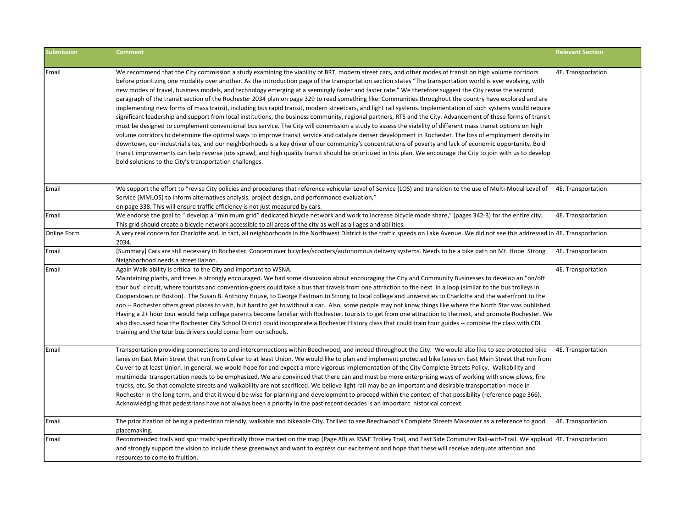| <b>Submission</b> | <b>Comment</b>                                                                                                                                                                                                                                                                                                                                                                                                                                                                                                                                                                                                                                                                                                                                                                                                                                                                                                                                                                                                                                                                                                                                                                                                                                                                                                                                                                                                                                                                                                                                                                                                                                                                                        | <b>Relevant Section</b> |
|-------------------|-------------------------------------------------------------------------------------------------------------------------------------------------------------------------------------------------------------------------------------------------------------------------------------------------------------------------------------------------------------------------------------------------------------------------------------------------------------------------------------------------------------------------------------------------------------------------------------------------------------------------------------------------------------------------------------------------------------------------------------------------------------------------------------------------------------------------------------------------------------------------------------------------------------------------------------------------------------------------------------------------------------------------------------------------------------------------------------------------------------------------------------------------------------------------------------------------------------------------------------------------------------------------------------------------------------------------------------------------------------------------------------------------------------------------------------------------------------------------------------------------------------------------------------------------------------------------------------------------------------------------------------------------------------------------------------------------------|-------------------------|
| Email             | We recommend that the City commission a study examining the viability of BRT, modern street cars, and other modes of transit on high volume corridors<br>before prioritizing one modality over another. As the introduction page of the transportation section states "The transportation world is ever evolving, with<br>new modes of travel, business models, and technology emerging at a seemingly faster and faster rate." We therefore suggest the City revise the second<br>paragraph of the transit section of the Rochester 2034 plan on page 329 to read something like: Communities throughout the country have explored and are<br>implementing new forms of mass transit, including bus rapid transit, modern streetcars, and light rail systems. Implementation of such systems would require<br>significant leadership and support from local institutions, the business community, regional partners, RTS and the City. Advancement of these forms of transit<br>must be designed to complement conventional bus service. The City will commission a study to assess the viability of different mass transit options on high<br>volume corridors to determine the optimal ways to improve transit service and catalyze denser development in Rochester. The loss of employment density in<br>downtown, our industrial sites, and our neighborhoods is a key driver of our community's concentrations of poverty and lack of economic opportunity. Bold<br>transit improvements can help reverse jobs sprawl, and high quality transit should be prioritized in this plan. We encourage the City to join with us to develop<br>bold solutions to the City's transportation challenges. | 4E. Transportation      |
| Email             | We support the effort to "revise City policies and procedures that reference vehicular Level of Service (LOS) and transition to the use of Multi-Modal Level of 4E. Transportation<br>Service (MMLOS) to inform alternatives analysis, project design, and performance evaluation,"<br>on page 338. This will ensure traffic efficiency is not just measured by cars.                                                                                                                                                                                                                                                                                                                                                                                                                                                                                                                                                                                                                                                                                                                                                                                                                                                                                                                                                                                                                                                                                                                                                                                                                                                                                                                                 |                         |
| Email             | We endorse the goal to " develop a "minimum grid" dedicated bicycle network and work to increase bicycle mode share," (pages 342-3) for the entire city.<br>This grid should create a bicycle network accessible to all areas of the city as well as all ages and abilities.                                                                                                                                                                                                                                                                                                                                                                                                                                                                                                                                                                                                                                                                                                                                                                                                                                                                                                                                                                                                                                                                                                                                                                                                                                                                                                                                                                                                                          | 4E. Transportation      |
| Online Form       | A very real concern for Charlotte and, in fact, all neighborhoods in the Northwest District is the traffic speeds on Lake Avenue. We did not see this addressed in 4E. Transportation<br>2034.                                                                                                                                                                                                                                                                                                                                                                                                                                                                                                                                                                                                                                                                                                                                                                                                                                                                                                                                                                                                                                                                                                                                                                                                                                                                                                                                                                                                                                                                                                        |                         |
| Email             | [Summary] Cars are still necessary in Rochester. Concern over bicycles/scooters/autonomous delivery systems. Needs to be a bike path on Mt. Hope. Strong<br>Neighborhood needs a street liaison.                                                                                                                                                                                                                                                                                                                                                                                                                                                                                                                                                                                                                                                                                                                                                                                                                                                                                                                                                                                                                                                                                                                                                                                                                                                                                                                                                                                                                                                                                                      | 4E. Transportation      |
| Email             | Again Walk-ability is critical to the City and important to WSNA.<br>Maintaining plants, and trees is strongly encouraged. We had some discussion about encouraging the City and Community Businesses to develop an "on/off<br>tour bus" circuit, where tourists and convention-goers could take a bus that travels from one attraction to the next in a loop (similar to the bus trolleys in<br>Cooperstown or Boston). The Susan B. Anthony House, to George Eastman to Strong to local college and universities to Charlotte and the waterfront to the<br>zoo -- Rochester offers great places to visit, but hard to get to without a car. Also, some people may not know things like where the North Star was published.<br>Having a 2+ hour tour would help college parents become familiar with Rochester, tourists to get from one attraction to the next, and promote Rochester. We<br>also discussed how the Rochester City School District could incorporate a Rochester History class that could train tour guides -- combine the class with CDL<br>training and the tour bus drivers could come from our schools.                                                                                                                                                                                                                                                                                                                                                                                                                                                                                                                                                                         | 4E. Transportation      |
| Email             | Transportation providing connections to and interconnections within Beechwood, and indeed throughout the City. We would also like to see protected bike<br>lanes on East Main Street that run from Culver to at least Union. We would like to plan and implement protected bike lanes on East Main Street that run from<br>Culver to at least Union. In general, we would hope for and expect a more vigorous implementation of the City Complete Streets Policy. Walkability and<br>multimodal transportation needs to be emphasized. We are convinced that there can and must be more enterprising ways of working with snow plows, fire<br>trucks, etc. So that complete streets and walkability are not sacrificed. We believe light rail may be an important and desirable transportation mode in<br>Rochester in the long term, and that it would be wise for planning and development to proceed within the context of that possibility (reference page 366).<br>Acknowledging that pedestrians have not always been a priority in the past recent decades is an important historical context.                                                                                                                                                                                                                                                                                                                                                                                                                                                                                                                                                                                                 | 4E. Transportation      |
| Email             | The prioritization of being a pedestrian friendly, walkable and bikeable City. Thrilled to see Beechwood's Complete Streets Makeover as a reference to good<br>placemaking.                                                                                                                                                                                                                                                                                                                                                                                                                                                                                                                                                                                                                                                                                                                                                                                                                                                                                                                                                                                                                                                                                                                                                                                                                                                                                                                                                                                                                                                                                                                           | 4E. Transportation      |
| Email             | Recommended trails and spur trails: specifically those marked on the map (Page 80) as RS&E Trolley Trail, and East Side Commuter Rail-with-Trail. We applaud 4E. Transportation<br>and strongly support the vision to include these greenways and want to express our excitement and hope that these will receive adequate attention and<br>resources to come to fruition.                                                                                                                                                                                                                                                                                                                                                                                                                                                                                                                                                                                                                                                                                                                                                                                                                                                                                                                                                                                                                                                                                                                                                                                                                                                                                                                            |                         |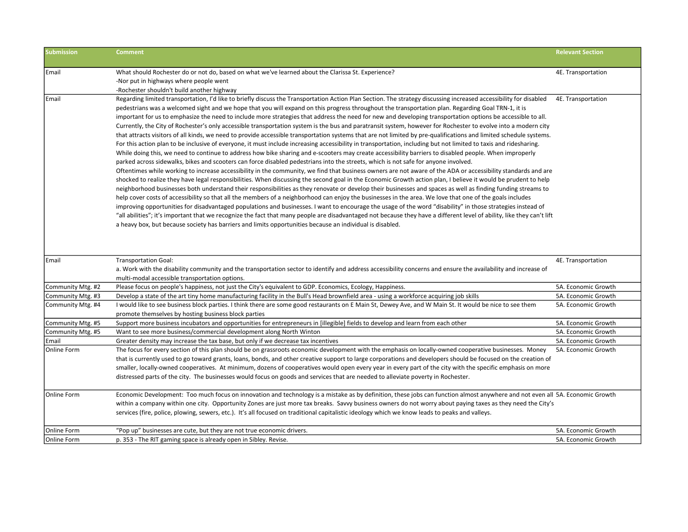| <b>Submission</b> | <b>Comment</b>                                                                                                                                                                                                                                                                      | <b>Relevant Section</b> |
|-------------------|-------------------------------------------------------------------------------------------------------------------------------------------------------------------------------------------------------------------------------------------------------------------------------------|-------------------------|
| Email             | What should Rochester do or not do, based on what we've learned about the Clarissa St. Experience?                                                                                                                                                                                  | 4E. Transportation      |
|                   | -Nor put in highways where people went                                                                                                                                                                                                                                              |                         |
|                   | -Rochester shouldn't build another highway                                                                                                                                                                                                                                          |                         |
| Email             | Regarding limited transportation, I'd like to briefly discuss the Transportation Action Plan Section. The strategy discussing increased accessibility for disabled                                                                                                                  | 4E. Transportation      |
|                   | pedestrians was a welcomed sight and we hope that you will expand on this progress throughout the transportation plan. Regarding Goal TRN-1, it is                                                                                                                                  |                         |
|                   | important for us to emphasize the need to include more strategies that address the need for new and developing transportation options be accessible to all.                                                                                                                         |                         |
|                   | Currently, the City of Rochester's only accessible transportation system is the bus and paratransit system, however for Rochester to evolve into a modern city                                                                                                                      |                         |
|                   | that attracts visitors of all kinds, we need to provide accessible transportation systems that are not limited by pre-qualifications and limited schedule systems.                                                                                                                  |                         |
|                   | For this action plan to be inclusive of everyone, it must include increasing accessibility in transportation, including but not limited to taxis and ridesharing.                                                                                                                   |                         |
|                   | While doing this, we need to continue to address how bike sharing and e-scooters may create accessibility barriers to disabled people. When improperly                                                                                                                              |                         |
|                   | parked across sidewalks, bikes and scooters can force disabled pedestrians into the streets, which is not safe for anyone involved.                                                                                                                                                 |                         |
|                   | Oftentimes while working to increase accessibility in the community, we find that business owners are not aware of the ADA or accessibility standards and are                                                                                                                       |                         |
|                   | shocked to realize they have legal responsibilities. When discussing the second goal in the Economic Growth action plan, I believe it would be prudent to help                                                                                                                      |                         |
|                   | neighborhood businesses both understand their responsibilities as they renovate or develop their businesses and spaces as well as finding funding streams to                                                                                                                        |                         |
|                   | help cover costs of accessibility so that all the members of a neighborhood can enjoy the businesses in the area. We love that one of the goals includes                                                                                                                            |                         |
|                   | improving opportunities for disadvantaged populations and businesses. I want to encourage the usage of the word "disability" in those strategies instead of                                                                                                                         |                         |
|                   | "all abilities"; it's important that we recognize the fact that many people are disadvantaged not because they have a different level of ability, like they can't lift<br>a heavy box, but because society has barriers and limits opportunities because an individual is disabled. |                         |
| Email             | <b>Transportation Goal:</b>                                                                                                                                                                                                                                                         | 4E. Transportation      |
|                   | a. Work with the disability community and the transportation sector to identify and address accessibility concerns and ensure the availability and increase of                                                                                                                      |                         |
|                   | multi-modal accessible transportation options.                                                                                                                                                                                                                                      |                         |
| Community Mtg. #2 | Please focus on people's happiness, not just the City's equivalent to GDP. Economics, Ecology, Happiness.                                                                                                                                                                           | 5A. Economic Growth     |
| Community Mtg. #3 | Develop a state of the art tiny home manufacturing facility in the Bull's Head brownfield area - using a workforce acquiring job skills                                                                                                                                             | 5A. Economic Growth     |
| Community Mtg. #4 | I would like to see business block parties. I think there are some good restaurants on E Main St, Dewey Ave, and W Main St. It would be nice to see them<br>promote themselves by hosting business block parties                                                                    | 5A. Economic Growth     |
| Community Mtg. #5 | Support more business incubators and opportunities for entrepreneurs in [illegible] fields to develop and learn from each other                                                                                                                                                     | 5A. Economic Growth     |
| Community Mtg. #5 | Want to see more business/commercial development along North Winton                                                                                                                                                                                                                 | 5A. Economic Growth     |
| Email             | Greater density may increase the tax base, but only if we decrease tax incentives                                                                                                                                                                                                   | 5A. Economic Growth     |
| Online Form       | The focus for every section of this plan should be on grassroots economic development with the emphasis on locally-owned cooperative businesses. Money                                                                                                                              | 5A. Economic Growth     |
|                   | that is currently used to go toward grants, loans, bonds, and other creative support to large corporations and developers should be focused on the creation of                                                                                                                      |                         |
|                   | smaller, locally-owned cooperatives. At minimum, dozens of cooperatives would open every year in every part of the city with the specific emphasis on more                                                                                                                          |                         |
|                   | distressed parts of the city. The businesses would focus on goods and services that are needed to alleviate poverty in Rochester.                                                                                                                                                   |                         |
| Online Form       | Economic Development: Too much focus on innovation and technology is a mistake as by definition, these jobs can function almost anywhere and not even all 5A. Economic Growth                                                                                                       |                         |
|                   | within a company within one city. Opportunity Zones are just more tax breaks. Savvy business owners do not worry about paying taxes as they need the City's                                                                                                                         |                         |
|                   | services (fire, police, plowing, sewers, etc.). It's all focused on traditional capitalistic ideology which we know leads to peaks and valleys.                                                                                                                                     |                         |
| Online Form       | "Pop up" businesses are cute, but they are not true economic drivers.                                                                                                                                                                                                               | 5A. Economic Growth     |
| Online Form       | p. 353 - The RIT gaming space is already open in Sibley. Revise.                                                                                                                                                                                                                    | 5A. Economic Growth     |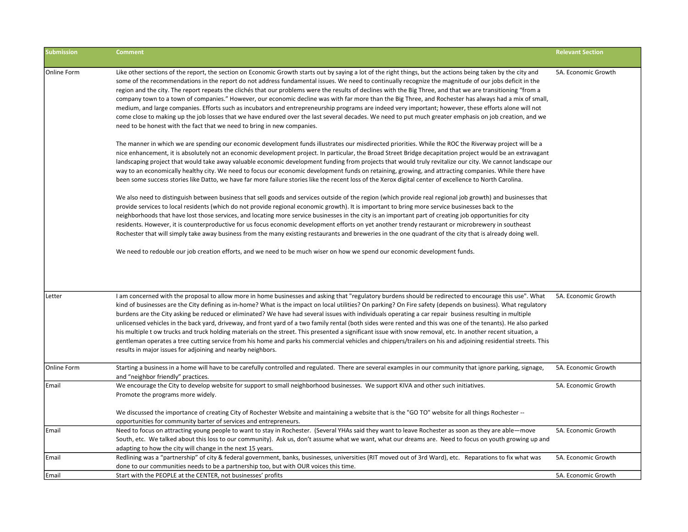| <b>Submission</b> | <b>Comment</b>                                                                                                                                                                                                                                                                                                                                                                                                                                                                                                                                                                                                                                                                                                                                                                                                                                                                                                                                                                                                                                                                                                                                                                                                                                                                                                                                                                                                                                                                                                                                                                                                                                                                                                                                                                                                                                                                                                                                                                                                                                                                                                                                                                                                                                                                                                                                                                                                                                                                                                                                                                                                                                                                                                                                                                                       | <b>Relevant Section</b> |
|-------------------|------------------------------------------------------------------------------------------------------------------------------------------------------------------------------------------------------------------------------------------------------------------------------------------------------------------------------------------------------------------------------------------------------------------------------------------------------------------------------------------------------------------------------------------------------------------------------------------------------------------------------------------------------------------------------------------------------------------------------------------------------------------------------------------------------------------------------------------------------------------------------------------------------------------------------------------------------------------------------------------------------------------------------------------------------------------------------------------------------------------------------------------------------------------------------------------------------------------------------------------------------------------------------------------------------------------------------------------------------------------------------------------------------------------------------------------------------------------------------------------------------------------------------------------------------------------------------------------------------------------------------------------------------------------------------------------------------------------------------------------------------------------------------------------------------------------------------------------------------------------------------------------------------------------------------------------------------------------------------------------------------------------------------------------------------------------------------------------------------------------------------------------------------------------------------------------------------------------------------------------------------------------------------------------------------------------------------------------------------------------------------------------------------------------------------------------------------------------------------------------------------------------------------------------------------------------------------------------------------------------------------------------------------------------------------------------------------------------------------------------------------------------------------------------------------|-------------------------|
| Online Form       | Like other sections of the report, the section on Economic Growth starts out by saying a lot of the right things, but the actions being taken by the city and<br>some of the recommendations in the report do not address fundamental issues. We need to continually recognize the magnitude of our jobs deficit in the<br>region and the city. The report repeats the clichés that our problems were the results of declines with the Big Three, and that we are transitioning "from a<br>company town to a town of companies." However, our economic decline was with far more than the Big Three, and Rochester has always had a mix of small,<br>medium, and large companies. Efforts such as incubators and entrepreneurship programs are indeed very important; however, these efforts alone will not<br>come close to making up the job losses that we have endured over the last several decades. We need to put much greater emphasis on job creation, and we<br>need to be honest with the fact that we need to bring in new companies.<br>The manner in which we are spending our economic development funds illustrates our misdirected priorities. While the ROC the Riverway project will be a<br>nice enhancement, it is absolutely not an economic development project. In particular, the Broad Street Bridge decapitation project would be an extravagant<br>landscaping project that would take away valuable economic development funding from projects that would truly revitalize our city. We cannot landscape our<br>way to an economically healthy city. We need to focus our economic development funds on retaining, growing, and attracting companies. While there have<br>been some success stories like Datto, we have far more failure stories like the recent loss of the Xerox digital center of excellence to North Carolina.<br>We also need to distinguish between business that sell goods and services outside of the region (which provide real regional job growth) and businesses that<br>provide services to local residents (which do not provide regional economic growth). It is important to bring more service businesses back to the<br>neighborhoods that have lost those services, and locating more service businesses in the city is an important part of creating job opportunities for city<br>residents. However, it is counterproductive for us focus economic development efforts on yet another trendy restaurant or microbrewery in southeast<br>Rochester that will simply take away business from the many existing restaurants and breweries in the one quadrant of the city that is already doing well.<br>We need to redouble our job creation efforts, and we need to be much wiser on how we spend our economic development funds. | 5A. Economic Growth     |
| Letter            | I am concerned with the proposal to allow more in home businesses and asking that "regulatory burdens should be redirected to encourage this use". What<br>kind of businesses are the City defining as in-home? What is the impact on local utilities? On parking? On Fire safety (depends on business). What regulatory<br>burdens are the City asking be reduced or eliminated? We have had several issues with individuals operating a car repair business resulting in multiple<br>unlicensed vehicles in the back yard, driveway, and front yard of a two family rental (both sides were rented and this was one of the tenants). He also parked<br>his multiple t ow trucks and truck holding materials on the street. This presented a significant issue with snow removal, etc. In another recent situation, a<br>gentleman operates a tree cutting service from his home and parks his commercial vehicles and chippers/trailers on his and adjoining residential streets. This<br>results in major issues for adjoining and nearby neighbors.                                                                                                                                                                                                                                                                                                                                                                                                                                                                                                                                                                                                                                                                                                                                                                                                                                                                                                                                                                                                                                                                                                                                                                                                                                                                                                                                                                                                                                                                                                                                                                                                                                                                                                                                              | 5A. Economic Growth     |
| Online Form       | Starting a business in a home will have to be carefully controlled and regulated. There are several examples in our community that ignore parking, signage,<br>and "neighbor friendly" practices.                                                                                                                                                                                                                                                                                                                                                                                                                                                                                                                                                                                                                                                                                                                                                                                                                                                                                                                                                                                                                                                                                                                                                                                                                                                                                                                                                                                                                                                                                                                                                                                                                                                                                                                                                                                                                                                                                                                                                                                                                                                                                                                                                                                                                                                                                                                                                                                                                                                                                                                                                                                                    | 5A. Economic Growth     |
| Email             | We encourage the City to develop website for support to small neighborhood businesses. We support KIVA and other such initiatives.<br>Promote the programs more widely.<br>We discussed the importance of creating City of Rochester Website and maintaining a website that is the "GO TO" website for all things Rochester --<br>opportunities for community barter of services and entrepreneurs.                                                                                                                                                                                                                                                                                                                                                                                                                                                                                                                                                                                                                                                                                                                                                                                                                                                                                                                                                                                                                                                                                                                                                                                                                                                                                                                                                                                                                                                                                                                                                                                                                                                                                                                                                                                                                                                                                                                                                                                                                                                                                                                                                                                                                                                                                                                                                                                                  | 5A. Economic Growth     |
| Email             | Need to focus on attracting young people to want to stay in Rochester. (Several YHAs said they want to leave Rochester as soon as they are able—move<br>South, etc. We talked about this loss to our community). Ask us, don't assume what we want, what our dreams are. Need to focus on youth growing up and<br>adapting to how the city will change in the next 15 years.                                                                                                                                                                                                                                                                                                                                                                                                                                                                                                                                                                                                                                                                                                                                                                                                                                                                                                                                                                                                                                                                                                                                                                                                                                                                                                                                                                                                                                                                                                                                                                                                                                                                                                                                                                                                                                                                                                                                                                                                                                                                                                                                                                                                                                                                                                                                                                                                                         | 5A. Economic Growth     |
| Email             | Redlining was a "partnership" of city & federal government, banks, businesses, universities (RIT moved out of 3rd Ward), etc. Reparations to fix what was<br>done to our communities needs to be a partnership too, but with OUR voices this time.                                                                                                                                                                                                                                                                                                                                                                                                                                                                                                                                                                                                                                                                                                                                                                                                                                                                                                                                                                                                                                                                                                                                                                                                                                                                                                                                                                                                                                                                                                                                                                                                                                                                                                                                                                                                                                                                                                                                                                                                                                                                                                                                                                                                                                                                                                                                                                                                                                                                                                                                                   | 5A. Economic Growth     |
| Email             | Start with the PEOPLE at the CENTER, not businesses' profits                                                                                                                                                                                                                                                                                                                                                                                                                                                                                                                                                                                                                                                                                                                                                                                                                                                                                                                                                                                                                                                                                                                                                                                                                                                                                                                                                                                                                                                                                                                                                                                                                                                                                                                                                                                                                                                                                                                                                                                                                                                                                                                                                                                                                                                                                                                                                                                                                                                                                                                                                                                                                                                                                                                                         | 5A. Economic Growth     |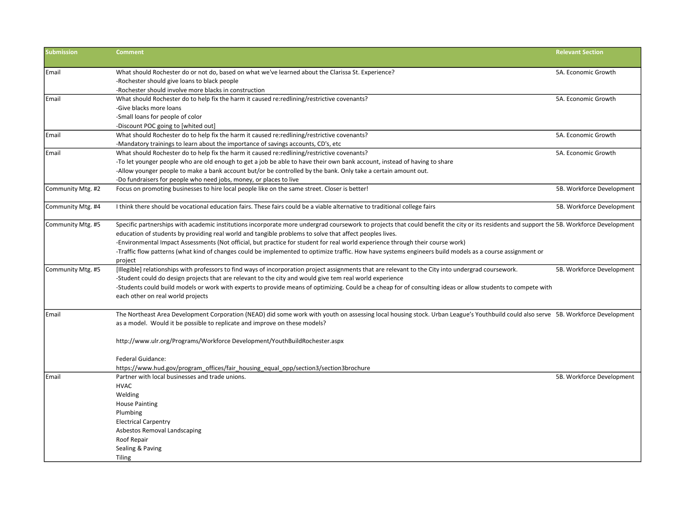| <b>Submission</b> | <b>Comment</b>                                                                                                                                                                                                                                                                                                                                                                                                                                                                                                                                                                                                | <b>Relevant Section</b>   |
|-------------------|---------------------------------------------------------------------------------------------------------------------------------------------------------------------------------------------------------------------------------------------------------------------------------------------------------------------------------------------------------------------------------------------------------------------------------------------------------------------------------------------------------------------------------------------------------------------------------------------------------------|---------------------------|
| Email             | What should Rochester do or not do, based on what we've learned about the Clarissa St. Experience?                                                                                                                                                                                                                                                                                                                                                                                                                                                                                                            | 5A. Economic Growth       |
|                   | -Rochester should give loans to black people                                                                                                                                                                                                                                                                                                                                                                                                                                                                                                                                                                  |                           |
|                   | -Rochester should involve more blacks in construction                                                                                                                                                                                                                                                                                                                                                                                                                                                                                                                                                         |                           |
| Email             | What should Rochester do to help fix the harm it caused re:redlining/restrictive covenants?                                                                                                                                                                                                                                                                                                                                                                                                                                                                                                                   | 5A. Economic Growth       |
|                   | -Give blacks more loans                                                                                                                                                                                                                                                                                                                                                                                                                                                                                                                                                                                       |                           |
|                   | -Small loans for people of color                                                                                                                                                                                                                                                                                                                                                                                                                                                                                                                                                                              |                           |
|                   | -Discount POC going to [whited out]                                                                                                                                                                                                                                                                                                                                                                                                                                                                                                                                                                           |                           |
| Email             | What should Rochester do to help fix the harm it caused re:redlining/restrictive covenants?                                                                                                                                                                                                                                                                                                                                                                                                                                                                                                                   | 5A. Economic Growth       |
|                   | -Mandatory trainings to learn about the importance of savings accounts, CD's, etc                                                                                                                                                                                                                                                                                                                                                                                                                                                                                                                             |                           |
| Email             | What should Rochester do to help fix the harm it caused re:redlining/restrictive covenants?                                                                                                                                                                                                                                                                                                                                                                                                                                                                                                                   | 5A. Economic Growth       |
|                   | -To let younger people who are old enough to get a job be able to have their own bank account, instead of having to share                                                                                                                                                                                                                                                                                                                                                                                                                                                                                     |                           |
|                   | -Allow younger people to make a bank account but/or be controlled by the bank. Only take a certain amount out.                                                                                                                                                                                                                                                                                                                                                                                                                                                                                                |                           |
|                   | -Do fundraisers for people who need jobs, money, or places to live                                                                                                                                                                                                                                                                                                                                                                                                                                                                                                                                            |                           |
| Community Mtg. #2 | Focus on promoting businesses to hire local people like on the same street. Closer is better!                                                                                                                                                                                                                                                                                                                                                                                                                                                                                                                 | 5B. Workforce Development |
| Community Mtg. #4 | I think there should be vocational education fairs. These fairs could be a viable alternative to traditional college fairs                                                                                                                                                                                                                                                                                                                                                                                                                                                                                    | 5B. Workforce Development |
| Community Mtg. #5 | Specific partnerships with academic institutions incorporate more undergrad coursework to projects that could benefit the city or its residents and support the 5B. Workforce Development<br>education of students by providing real world and tangible problems to solve that affect peoples lives.<br>-Environmental Impact Assessments (Not official, but practice for student for real world experience through their course work)<br>-Traffic flow patterns (what kind of changes could be implemented to optimize traffic. How have systems engineers build models as a course assignment or<br>project |                           |
| Community Mtg. #5 | [Illegible] relationships with professors to find ways of incorporation project assignments that are relevant to the City into undergrad coursework.<br>-Student could do design projects that are relevant to the city and would give tem real world experience<br>-Students could build models or work with experts to provide means of optimizing. Could be a cheap for of consulting ideas or allow students to compete with<br>each other on real world projects                                                                                                                                         | 5B. Workforce Development |
| Email             | The Northeast Area Development Corporation (NEAD) did some work with youth on assessing local housing stock. Urban League's Youthbuild could also serve 5B. Workforce Development<br>as a model. Would it be possible to replicate and improve on these models?<br>http://www.ulr.org/Programs/Workforce Development/YouthBuildRochester.aspx                                                                                                                                                                                                                                                                 |                           |
|                   | Federal Guidance:<br>https://www.hud.gov/program_offices/fair_housing_equal_opp/section3/section3brochure                                                                                                                                                                                                                                                                                                                                                                                                                                                                                                     |                           |
| Email             | Partner with local businesses and trade unions.                                                                                                                                                                                                                                                                                                                                                                                                                                                                                                                                                               | 5B. Workforce Development |
|                   | <b>HVAC</b>                                                                                                                                                                                                                                                                                                                                                                                                                                                                                                                                                                                                   |                           |
|                   | Welding                                                                                                                                                                                                                                                                                                                                                                                                                                                                                                                                                                                                       |                           |
|                   | <b>House Painting</b>                                                                                                                                                                                                                                                                                                                                                                                                                                                                                                                                                                                         |                           |
|                   | Plumbing                                                                                                                                                                                                                                                                                                                                                                                                                                                                                                                                                                                                      |                           |
|                   | <b>Electrical Carpentry</b>                                                                                                                                                                                                                                                                                                                                                                                                                                                                                                                                                                                   |                           |
|                   | Asbestos Removal Landscaping                                                                                                                                                                                                                                                                                                                                                                                                                                                                                                                                                                                  |                           |
|                   | Roof Repair                                                                                                                                                                                                                                                                                                                                                                                                                                                                                                                                                                                                   |                           |
|                   | Sealing & Paving                                                                                                                                                                                                                                                                                                                                                                                                                                                                                                                                                                                              |                           |
|                   | <b>Tiling</b>                                                                                                                                                                                                                                                                                                                                                                                                                                                                                                                                                                                                 |                           |
|                   |                                                                                                                                                                                                                                                                                                                                                                                                                                                                                                                                                                                                               |                           |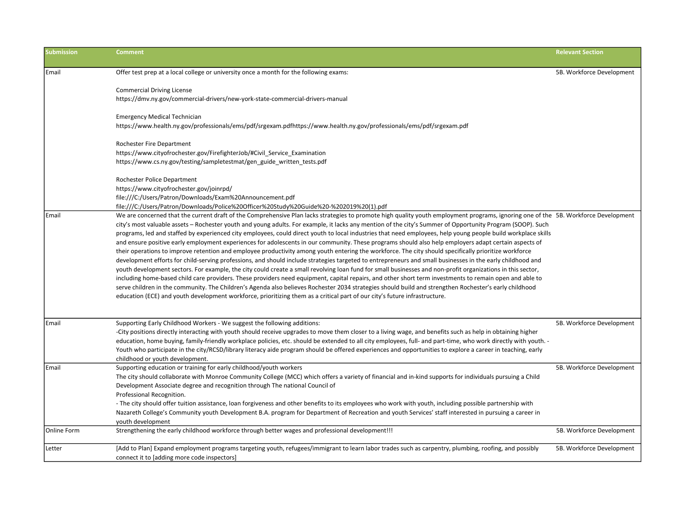| <b>Submission</b> | <b>Comment</b>                                                                                                                                                                                                                                                                                                                                                                                                                                                                                                                                                                                                                                                                                                                                                                                                                                                                                                                                                                                                                                                                                                                                                                                                                                                                                                                                                                                                                                                                                                                                                                                                       | <b>Relevant Section</b>   |
|-------------------|----------------------------------------------------------------------------------------------------------------------------------------------------------------------------------------------------------------------------------------------------------------------------------------------------------------------------------------------------------------------------------------------------------------------------------------------------------------------------------------------------------------------------------------------------------------------------------------------------------------------------------------------------------------------------------------------------------------------------------------------------------------------------------------------------------------------------------------------------------------------------------------------------------------------------------------------------------------------------------------------------------------------------------------------------------------------------------------------------------------------------------------------------------------------------------------------------------------------------------------------------------------------------------------------------------------------------------------------------------------------------------------------------------------------------------------------------------------------------------------------------------------------------------------------------------------------------------------------------------------------|---------------------------|
| Email             | Offer test prep at a local college or university once a month for the following exams:                                                                                                                                                                                                                                                                                                                                                                                                                                                                                                                                                                                                                                                                                                                                                                                                                                                                                                                                                                                                                                                                                                                                                                                                                                                                                                                                                                                                                                                                                                                               | 5B. Workforce Development |
|                   | <b>Commercial Driving License</b><br>https://dmv.ny.gov/commercial-drivers/new-york-state-commercial-drivers-manual                                                                                                                                                                                                                                                                                                                                                                                                                                                                                                                                                                                                                                                                                                                                                                                                                                                                                                                                                                                                                                                                                                                                                                                                                                                                                                                                                                                                                                                                                                  |                           |
|                   | <b>Emergency Medical Technician</b><br>https://www.health.ny.gov/professionals/ems/pdf/srgexam.pdfhttps://www.health.ny.gov/professionals/ems/pdf/srgexam.pdf                                                                                                                                                                                                                                                                                                                                                                                                                                                                                                                                                                                                                                                                                                                                                                                                                                                                                                                                                                                                                                                                                                                                                                                                                                                                                                                                                                                                                                                        |                           |
|                   | Rochester Fire Department<br>https://www.cityofrochester.gov/FirefighterJob/#Civil_Service_Examination<br>https://www.cs.ny.gov/testing/sampletestmat/gen_guide_written_tests.pdf                                                                                                                                                                                                                                                                                                                                                                                                                                                                                                                                                                                                                                                                                                                                                                                                                                                                                                                                                                                                                                                                                                                                                                                                                                                                                                                                                                                                                                    |                           |
|                   | Rochester Police Department<br>https://www.cityofrochester.gov/joinrpd/<br>file:///C:/Users/Patron/Downloads/Exam%20Announcement.pdf<br>file:///C:/Users/Patron/Downloads/Police%20Officer%20Study%20Guide%20-%202019%20(1).pdf                                                                                                                                                                                                                                                                                                                                                                                                                                                                                                                                                                                                                                                                                                                                                                                                                                                                                                                                                                                                                                                                                                                                                                                                                                                                                                                                                                                      |                           |
| Email             | We are concerned that the current draft of the Comprehensive Plan lacks strategies to promote high quality youth employment programs, ignoring one of the 5B. Workforce Development<br>city's most valuable assets - Rochester youth and young adults. For example, it lacks any mention of the city's Summer of Opportunity Program (SOOP). Such<br>programs, led and staffed by experienced city employees, could direct youth to local industries that need employees, help young people build workplace skills<br>and ensure positive early employment experiences for adolescents in our community. These programs should also help employers adapt certain aspects of<br>their operations to improve retention and employee productivity among youth entering the workforce. The city should specifically prioritize workforce<br>development efforts for child-serving professions, and should include strategies targeted to entrepreneurs and small businesses in the early childhood and<br>youth development sectors. For example, the city could create a small revolving loan fund for small businesses and non-profit organizations in this sector,<br>including home-based child care providers. These providers need equipment, capital repairs, and other short term investments to remain open and able to<br>serve children in the community. The Children's Agenda also believes Rochester 2034 strategies should build and strengthen Rochester's early childhood<br>education (ECE) and youth development workforce, prioritizing them as a critical part of our city's future infrastructure. |                           |
| Email             | Supporting Early Childhood Workers - We suggest the following additions:<br>-City positions directly interacting with youth should receive upgrades to move them closer to a living wage, and benefits such as help in obtaining higher<br>education, home buying, family-friendly workplace policies, etc. should be extended to all city employees, full- and part-time, who work directly with youth. -<br>Youth who participate in the city/RCSD/library literacy aide program should be offered experiences and opportunities to explore a career in teaching, early<br>childhood or youth development.                                                                                                                                                                                                                                                                                                                                                                                                                                                                                                                                                                                                                                                                                                                                                                                                                                                                                                                                                                                                         | 5B. Workforce Development |
| Email             | Supporting education or training for early childhood/youth workers<br>The city should collaborate with Monroe Community College (MCC) which offers a variety of financial and in-kind supports for individuals pursuing a Child<br>Development Associate degree and recognition through The national Council of<br>Professional Recognition.<br>- The city should offer tuition assistance, loan forgiveness and other benefits to its employees who work with youth, including possible partnership with<br>Nazareth College's Community youth Development B.A. program for Department of Recreation and youth Services' staff interested in pursuing a career in                                                                                                                                                                                                                                                                                                                                                                                                                                                                                                                                                                                                                                                                                                                                                                                                                                                                                                                                                   | 5B. Workforce Development |
| Online Form       | youth development<br>Strengthening the early childhood workforce through better wages and professional development!!!                                                                                                                                                                                                                                                                                                                                                                                                                                                                                                                                                                                                                                                                                                                                                                                                                                                                                                                                                                                                                                                                                                                                                                                                                                                                                                                                                                                                                                                                                                | 5B. Workforce Development |
| Letter            | [Add to Plan] Expand employment programs targeting youth, refugees/immigrant to learn labor trades such as carpentry, plumbing, roofing, and possibly<br>connect it to [adding more code inspectors]                                                                                                                                                                                                                                                                                                                                                                                                                                                                                                                                                                                                                                                                                                                                                                                                                                                                                                                                                                                                                                                                                                                                                                                                                                                                                                                                                                                                                 | 5B. Workforce Development |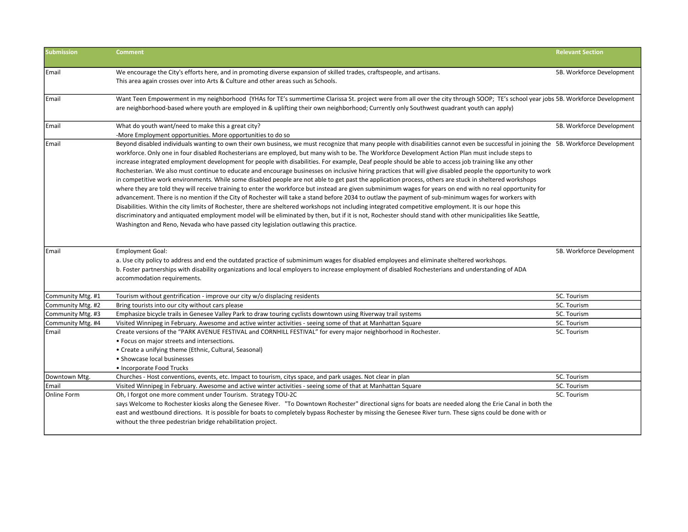| <b>Submission</b> | <b>Comment</b>                                                                                                                                                                                                                                                                                                                                                                                                                                                                                                                                                                                                                                                                                                                                                                                                                                                                                                                                                                                                                                                                                                                                                                                                                                                                                                                                                                                                                                                                                                                                                        | <b>Relevant Section</b>   |
|-------------------|-----------------------------------------------------------------------------------------------------------------------------------------------------------------------------------------------------------------------------------------------------------------------------------------------------------------------------------------------------------------------------------------------------------------------------------------------------------------------------------------------------------------------------------------------------------------------------------------------------------------------------------------------------------------------------------------------------------------------------------------------------------------------------------------------------------------------------------------------------------------------------------------------------------------------------------------------------------------------------------------------------------------------------------------------------------------------------------------------------------------------------------------------------------------------------------------------------------------------------------------------------------------------------------------------------------------------------------------------------------------------------------------------------------------------------------------------------------------------------------------------------------------------------------------------------------------------|---------------------------|
| Email             | We encourage the City's efforts here, and in promoting diverse expansion of skilled trades, craftspeople, and artisans.<br>This area again crosses over into Arts & Culture and other areas such as Schools.                                                                                                                                                                                                                                                                                                                                                                                                                                                                                                                                                                                                                                                                                                                                                                                                                                                                                                                                                                                                                                                                                                                                                                                                                                                                                                                                                          | 5B. Workforce Development |
| Email             | Want Teen Empowerment in my neighborhood (YHAs for TE's summertime Clarissa St. project were from all over the city through SOOP; TE's school year jobs 5B. Workforce Development<br>are neighborhood-based where youth are employed in & uplifting their own neighborhood; Currently only Southwest quadrant youth can apply)                                                                                                                                                                                                                                                                                                                                                                                                                                                                                                                                                                                                                                                                                                                                                                                                                                                                                                                                                                                                                                                                                                                                                                                                                                        |                           |
| Email             | What do youth want/need to make this a great city?<br>-More Employment opportunities. More opportunities to do so                                                                                                                                                                                                                                                                                                                                                                                                                                                                                                                                                                                                                                                                                                                                                                                                                                                                                                                                                                                                                                                                                                                                                                                                                                                                                                                                                                                                                                                     | 5B. Workforce Development |
| Email             | Beyond disabled individuals wanting to own their own business, we must recognize that many people with disabilities cannot even be successful in joining the 5B. Workforce Development<br>workforce. Only one in four disabled Rochesterians are employed, but many wish to be. The Workforce Development Action Plan must include steps to<br>increase integrated employment development for people with disabilities. For example, Deaf people should be able to access job training like any other<br>Rochesterian. We also must continue to educate and encourage businesses on inclusive hiring practices that will give disabled people the opportunity to work<br>in competitive work environments. While some disabled people are not able to get past the application process, others are stuck in sheltered workshops<br>where they are told they will receive training to enter the workforce but instead are given subminimum wages for years on end with no real opportunity for<br>advancement. There is no mention if the City of Rochester will take a stand before 2034 to outlaw the payment of sub-minimum wages for workers with<br>Disabilities. Within the city limits of Rochester, there are sheltered workshops not including integrated competitive employment. It is our hope this<br>discriminatory and antiquated employment model will be eliminated by then, but if it is not, Rochester should stand with other municipalities like Seattle,<br>Washington and Reno, Nevada who have passed city legislation outlawing this practice. |                           |
| Email             | <b>Employment Goal:</b><br>a. Use city policy to address and end the outdated practice of subminimum wages for disabled employees and eliminate sheltered workshops.<br>b. Foster partnerships with disability organizations and local employers to increase employment of disabled Rochesterians and understanding of ADA<br>accommodation requirements.                                                                                                                                                                                                                                                                                                                                                                                                                                                                                                                                                                                                                                                                                                                                                                                                                                                                                                                                                                                                                                                                                                                                                                                                             | 5B. Workforce Development |
| Community Mtg. #1 | Tourism without gentrification - improve our city w/o displacing residents                                                                                                                                                                                                                                                                                                                                                                                                                                                                                                                                                                                                                                                                                                                                                                                                                                                                                                                                                                                                                                                                                                                                                                                                                                                                                                                                                                                                                                                                                            | 5C. Tourism               |
| Community Mtg. #2 | Bring tourists into our city without cars please                                                                                                                                                                                                                                                                                                                                                                                                                                                                                                                                                                                                                                                                                                                                                                                                                                                                                                                                                                                                                                                                                                                                                                                                                                                                                                                                                                                                                                                                                                                      | 5C. Tourism               |
| Community Mtg. #3 | Emphasize bicycle trails in Genesee Valley Park to draw touring cyclists downtown using Riverway trail systems                                                                                                                                                                                                                                                                                                                                                                                                                                                                                                                                                                                                                                                                                                                                                                                                                                                                                                                                                                                                                                                                                                                                                                                                                                                                                                                                                                                                                                                        | 5C. Tourism               |
| Community Mtg. #4 | Visited Winnipeg in February. Awesome and active winter activities - seeing some of that at Manhattan Square                                                                                                                                                                                                                                                                                                                                                                                                                                                                                                                                                                                                                                                                                                                                                                                                                                                                                                                                                                                                                                                                                                                                                                                                                                                                                                                                                                                                                                                          | 5C. Tourism               |
| Email             | Create versions of the "PARK AVENUE FESTIVAL and CORNHILL FESTIVAL" for every major neighborhood in Rochester.<br>• Focus on major streets and intersections.<br>• Create a unifying theme (Ethnic, Cultural, Seasonal)<br>• Showcase local businesses<br>• Incorporate Food Trucks                                                                                                                                                                                                                                                                                                                                                                                                                                                                                                                                                                                                                                                                                                                                                                                                                                                                                                                                                                                                                                                                                                                                                                                                                                                                                   | 5C. Tourism               |
| Downtown Mtg.     | Churches - Host conventions, events, etc. Impact to tourism, citys space, and park usages. Not clear in plan                                                                                                                                                                                                                                                                                                                                                                                                                                                                                                                                                                                                                                                                                                                                                                                                                                                                                                                                                                                                                                                                                                                                                                                                                                                                                                                                                                                                                                                          | 5C. Tourism               |
| Email             | Visited Winnipeg in February. Awesome and active winter activities - seeing some of that at Manhattan Square                                                                                                                                                                                                                                                                                                                                                                                                                                                                                                                                                                                                                                                                                                                                                                                                                                                                                                                                                                                                                                                                                                                                                                                                                                                                                                                                                                                                                                                          | 5C. Tourism               |
| Online Form       | Oh, I forgot one more comment under Tourism. Strategy TOU-2C<br>says Welcome to Rochester kiosks along the Genesee River. "To Downtown Rochester" directional signs for boats are needed along the Erie Canal in both the<br>east and westbound directions. It is possible for boats to completely bypass Rochester by missing the Genesee River turn. These signs could be done with or<br>without the three pedestrian bridge rehabilitation project.                                                                                                                                                                                                                                                                                                                                                                                                                                                                                                                                                                                                                                                                                                                                                                                                                                                                                                                                                                                                                                                                                                               | 5C. Tourism               |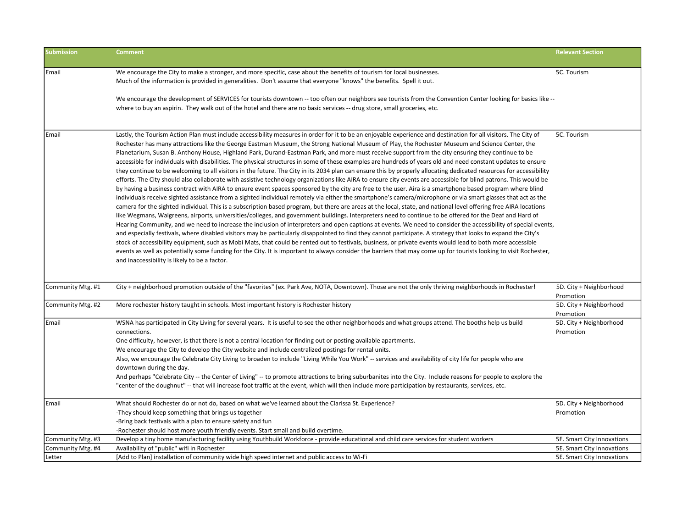| <b>Submission</b> | <b>Comment</b>                                                                                                                                                                                                                                                                                                                                                                                                                                                                                                                                                                                                                                                                                                                                                                                                                                                                                                                                                                                                                                                                                                                                                                                                                                                                                                                                                                                                                                                                                                                                                                                                                                                                                                                                                                                                                                                                                                                                                                                                                                                                                                                                                                                                                                                                                                                                                              | <b>Relevant Section</b>              |
|-------------------|-----------------------------------------------------------------------------------------------------------------------------------------------------------------------------------------------------------------------------------------------------------------------------------------------------------------------------------------------------------------------------------------------------------------------------------------------------------------------------------------------------------------------------------------------------------------------------------------------------------------------------------------------------------------------------------------------------------------------------------------------------------------------------------------------------------------------------------------------------------------------------------------------------------------------------------------------------------------------------------------------------------------------------------------------------------------------------------------------------------------------------------------------------------------------------------------------------------------------------------------------------------------------------------------------------------------------------------------------------------------------------------------------------------------------------------------------------------------------------------------------------------------------------------------------------------------------------------------------------------------------------------------------------------------------------------------------------------------------------------------------------------------------------------------------------------------------------------------------------------------------------------------------------------------------------------------------------------------------------------------------------------------------------------------------------------------------------------------------------------------------------------------------------------------------------------------------------------------------------------------------------------------------------------------------------------------------------------------------------------------------------|--------------------------------------|
| Email             | We encourage the City to make a stronger, and more specific, case about the benefits of tourism for local businesses.                                                                                                                                                                                                                                                                                                                                                                                                                                                                                                                                                                                                                                                                                                                                                                                                                                                                                                                                                                                                                                                                                                                                                                                                                                                                                                                                                                                                                                                                                                                                                                                                                                                                                                                                                                                                                                                                                                                                                                                                                                                                                                                                                                                                                                                       | 5C. Tourism                          |
|                   | Much of the information is provided in generalities. Don't assume that everyone "knows" the benefits. Spell it out.                                                                                                                                                                                                                                                                                                                                                                                                                                                                                                                                                                                                                                                                                                                                                                                                                                                                                                                                                                                                                                                                                                                                                                                                                                                                                                                                                                                                                                                                                                                                                                                                                                                                                                                                                                                                                                                                                                                                                                                                                                                                                                                                                                                                                                                         |                                      |
|                   | We encourage the development of SERVICES for tourists downtown -- too often our neighbors see tourists from the Convention Center looking for basics like --                                                                                                                                                                                                                                                                                                                                                                                                                                                                                                                                                                                                                                                                                                                                                                                                                                                                                                                                                                                                                                                                                                                                                                                                                                                                                                                                                                                                                                                                                                                                                                                                                                                                                                                                                                                                                                                                                                                                                                                                                                                                                                                                                                                                                |                                      |
|                   | where to buy an aspirin. They walk out of the hotel and there are no basic services -- drug store, small groceries, etc.                                                                                                                                                                                                                                                                                                                                                                                                                                                                                                                                                                                                                                                                                                                                                                                                                                                                                                                                                                                                                                                                                                                                                                                                                                                                                                                                                                                                                                                                                                                                                                                                                                                                                                                                                                                                                                                                                                                                                                                                                                                                                                                                                                                                                                                    |                                      |
| Email             | Lastly, the Tourism Action Plan must include accessibility measures in order for it to be an enjoyable experience and destination for all visitors. The City of<br>Rochester has many attractions like the George Eastman Museum, the Strong National Museum of Play, the Rochester Museum and Science Center, the<br>Planetarium, Susan B. Anthony House, Highland Park, Durand-Eastman Park, and more must receive support from the city ensuring they continue to be<br>accessible for individuals with disabilities. The physical structures in some of these examples are hundreds of years old and need constant updates to ensure<br>they continue to be welcoming to all visitors in the future. The City in its 2034 plan can ensure this by properly allocating dedicated resources for accessibility<br>efforts. The City should also collaborate with assistive technology organizations like AIRA to ensure city events are accessible for blind patrons. This would be<br>by having a business contract with AIRA to ensure event spaces sponsored by the city are free to the user. Aira is a smartphone based program where blind<br>individuals receive sighted assistance from a sighted individual remotely via either the smartphone's camera/microphone or via smart glasses that act as the<br>camera for the sighted individual. This is a subscription based program, but there are areas at the local, state, and national level offering free AIRA locations<br>like Wegmans, Walgreens, airports, universities/colleges, and government buildings. Interpreters need to continue to be offered for the Deaf and Hard of<br>Hearing Community, and we need to increase the inclusion of interpreters and open captions at events. We need to consider the accessibility of special events,<br>and especially festivals, where disabled visitors may be particularly disappointed to find they cannot participate. A strategy that looks to expand the City's<br>stock of accessibility equipment, such as Mobi Mats, that could be rented out to festivals, business, or private events would lead to both more accessible<br>events as well as potentially some funding for the City. It is important to always consider the barriers that may come up for tourists looking to visit Rochester,<br>and inaccessibility is likely to be a factor. | 5C. Tourism                          |
| Community Mtg. #1 | City + neighborhood promotion outside of the "favorites" (ex. Park Ave, NOTA, Downtown). Those are not the only thriving neighborhoods in Rochester!                                                                                                                                                                                                                                                                                                                                                                                                                                                                                                                                                                                                                                                                                                                                                                                                                                                                                                                                                                                                                                                                                                                                                                                                                                                                                                                                                                                                                                                                                                                                                                                                                                                                                                                                                                                                                                                                                                                                                                                                                                                                                                                                                                                                                        | 5D. City + Neighborhood<br>Promotion |
| Community Mtg. #2 | More rochester history taught in schools. Most important history is Rochester history                                                                                                                                                                                                                                                                                                                                                                                                                                                                                                                                                                                                                                                                                                                                                                                                                                                                                                                                                                                                                                                                                                                                                                                                                                                                                                                                                                                                                                                                                                                                                                                                                                                                                                                                                                                                                                                                                                                                                                                                                                                                                                                                                                                                                                                                                       | 5D. City + Neighborhood<br>Promotion |
| Email             | WSNA has participated in City Living for several years. It is useful to see the other neighborhoods and what groups attend. The booths help us build<br>connections.                                                                                                                                                                                                                                                                                                                                                                                                                                                                                                                                                                                                                                                                                                                                                                                                                                                                                                                                                                                                                                                                                                                                                                                                                                                                                                                                                                                                                                                                                                                                                                                                                                                                                                                                                                                                                                                                                                                                                                                                                                                                                                                                                                                                        | 5D. City + Neighborhood<br>Promotion |
|                   | One difficulty, however, is that there is not a central location for finding out or posting available apartments.<br>We encourage the City to develop the City website and include centralized postings for rental units.                                                                                                                                                                                                                                                                                                                                                                                                                                                                                                                                                                                                                                                                                                                                                                                                                                                                                                                                                                                                                                                                                                                                                                                                                                                                                                                                                                                                                                                                                                                                                                                                                                                                                                                                                                                                                                                                                                                                                                                                                                                                                                                                                   |                                      |
|                   | Also, we encourage the Celebrate City Living to broaden to include "Living While You Work" -- services and availability of city life for people who are<br>downtown during the day.                                                                                                                                                                                                                                                                                                                                                                                                                                                                                                                                                                                                                                                                                                                                                                                                                                                                                                                                                                                                                                                                                                                                                                                                                                                                                                                                                                                                                                                                                                                                                                                                                                                                                                                                                                                                                                                                                                                                                                                                                                                                                                                                                                                         |                                      |
|                   | And perhaps "Celebrate City -- the Center of Living" -- to promote attractions to bring suburbanites into the City. Include reasons for people to explore the                                                                                                                                                                                                                                                                                                                                                                                                                                                                                                                                                                                                                                                                                                                                                                                                                                                                                                                                                                                                                                                                                                                                                                                                                                                                                                                                                                                                                                                                                                                                                                                                                                                                                                                                                                                                                                                                                                                                                                                                                                                                                                                                                                                                               |                                      |
|                   | "center of the doughnut" -- that will increase foot traffic at the event, which will then include more participation by restaurants, services, etc.                                                                                                                                                                                                                                                                                                                                                                                                                                                                                                                                                                                                                                                                                                                                                                                                                                                                                                                                                                                                                                                                                                                                                                                                                                                                                                                                                                                                                                                                                                                                                                                                                                                                                                                                                                                                                                                                                                                                                                                                                                                                                                                                                                                                                         |                                      |
| Email             | What should Rochester do or not do, based on what we've learned about the Clarissa St. Experience?                                                                                                                                                                                                                                                                                                                                                                                                                                                                                                                                                                                                                                                                                                                                                                                                                                                                                                                                                                                                                                                                                                                                                                                                                                                                                                                                                                                                                                                                                                                                                                                                                                                                                                                                                                                                                                                                                                                                                                                                                                                                                                                                                                                                                                                                          | 5D. City + Neighborhood              |
|                   | -They should keep something that brings us together                                                                                                                                                                                                                                                                                                                                                                                                                                                                                                                                                                                                                                                                                                                                                                                                                                                                                                                                                                                                                                                                                                                                                                                                                                                                                                                                                                                                                                                                                                                                                                                                                                                                                                                                                                                                                                                                                                                                                                                                                                                                                                                                                                                                                                                                                                                         | Promotion                            |
|                   | -Bring back festivals with a plan to ensure safety and fun                                                                                                                                                                                                                                                                                                                                                                                                                                                                                                                                                                                                                                                                                                                                                                                                                                                                                                                                                                                                                                                                                                                                                                                                                                                                                                                                                                                                                                                                                                                                                                                                                                                                                                                                                                                                                                                                                                                                                                                                                                                                                                                                                                                                                                                                                                                  |                                      |
|                   | -Rochester should host more youth friendly events. Start small and build overtime.                                                                                                                                                                                                                                                                                                                                                                                                                                                                                                                                                                                                                                                                                                                                                                                                                                                                                                                                                                                                                                                                                                                                                                                                                                                                                                                                                                                                                                                                                                                                                                                                                                                                                                                                                                                                                                                                                                                                                                                                                                                                                                                                                                                                                                                                                          |                                      |
| Community Mtg. #3 | Develop a tiny home manufacturing facility using Youthbuild Workforce - provide educational and child care services for student workers                                                                                                                                                                                                                                                                                                                                                                                                                                                                                                                                                                                                                                                                                                                                                                                                                                                                                                                                                                                                                                                                                                                                                                                                                                                                                                                                                                                                                                                                                                                                                                                                                                                                                                                                                                                                                                                                                                                                                                                                                                                                                                                                                                                                                                     | 5E. Smart City Innovations           |
| Community Mtg. #4 | Availability of "public" wifi in Rochester                                                                                                                                                                                                                                                                                                                                                                                                                                                                                                                                                                                                                                                                                                                                                                                                                                                                                                                                                                                                                                                                                                                                                                                                                                                                                                                                                                                                                                                                                                                                                                                                                                                                                                                                                                                                                                                                                                                                                                                                                                                                                                                                                                                                                                                                                                                                  | 5E. Smart City Innovations           |
| Letter            | [Add to Plan] installation of community wide high speed internet and public access to Wi-Fi                                                                                                                                                                                                                                                                                                                                                                                                                                                                                                                                                                                                                                                                                                                                                                                                                                                                                                                                                                                                                                                                                                                                                                                                                                                                                                                                                                                                                                                                                                                                                                                                                                                                                                                                                                                                                                                                                                                                                                                                                                                                                                                                                                                                                                                                                 | 5E. Smart City Innovations           |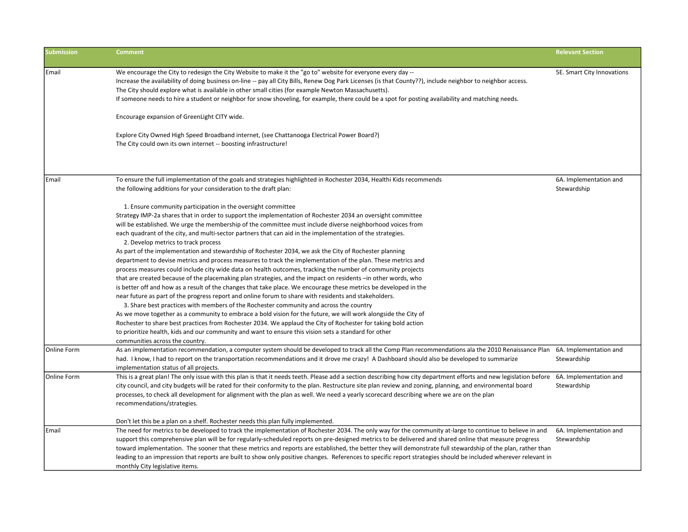| <b>Submission</b> | <b>Comment</b>                                                                                                                                                                                                                                                                                                                                                                                                                                                                                                                                                                                                                                                                                                                                                                                                                                                                                           | <b>Relevant Section</b>               |
|-------------------|----------------------------------------------------------------------------------------------------------------------------------------------------------------------------------------------------------------------------------------------------------------------------------------------------------------------------------------------------------------------------------------------------------------------------------------------------------------------------------------------------------------------------------------------------------------------------------------------------------------------------------------------------------------------------------------------------------------------------------------------------------------------------------------------------------------------------------------------------------------------------------------------------------|---------------------------------------|
| Email             | We encourage the City to redesign the City Website to make it the "go to" website for everyone every day --<br>Increase the availability of doing business on-line -- pay all City Bills, Renew Dog Park Licenses (is that County??), include neighbor to neighbor access.<br>The City should explore what is available in other small cities (for example Newton Massachusetts).<br>If someone needs to hire a student or neighbor for snow shoveling, for example, there could be a spot for posting availability and matching needs.                                                                                                                                                                                                                                                                                                                                                                  | 5E. Smart City Innovations            |
|                   | Encourage expansion of GreenLight CITY wide.                                                                                                                                                                                                                                                                                                                                                                                                                                                                                                                                                                                                                                                                                                                                                                                                                                                             |                                       |
|                   | Explore City Owned High Speed Broadband internet, (see Chattanooga Electrical Power Board?)<br>The City could own its own internet -- boosting infrastructure!                                                                                                                                                                                                                                                                                                                                                                                                                                                                                                                                                                                                                                                                                                                                           |                                       |
| Email             | To ensure the full implementation of the goals and strategies highlighted in Rochester 2034, Healthi Kids recommends                                                                                                                                                                                                                                                                                                                                                                                                                                                                                                                                                                                                                                                                                                                                                                                     | 6A. Implementation and                |
|                   | the following additions for your consideration to the draft plan:                                                                                                                                                                                                                                                                                                                                                                                                                                                                                                                                                                                                                                                                                                                                                                                                                                        | Stewardship                           |
|                   | 1. Ensure community participation in the oversight committee<br>Strategy IMP-2a shares that in order to support the implementation of Rochester 2034 an oversight committee<br>will be established. We urge the membership of the committee must include diverse neighborhood voices from<br>each quadrant of the city, and multi-sector partners that can aid in the implementation of the strategies.<br>2. Develop metrics to track process<br>As part of the implementation and stewardship of Rochester 2034, we ask the City of Rochester planning<br>department to devise metrics and process measures to track the implementation of the plan. These metrics and<br>process measures could include city wide data on health outcomes, tracking the number of community projects<br>that are created because of the placemaking plan strategies, and the impact on residents -in other words, who |                                       |
|                   | is better off and how as a result of the changes that take place. We encourage these metrics be developed in the<br>near future as part of the progress report and online forum to share with residents and stakeholders.<br>3. Share best practices with members of the Rochester community and across the country<br>As we move together as a community to embrace a bold vision for the future, we will work alongside the City of                                                                                                                                                                                                                                                                                                                                                                                                                                                                    |                                       |
|                   | Rochester to share best practices from Rochester 2034. We applaud the City of Rochester for taking bold action<br>to prioritize health, kids and our community and want to ensure this vision sets a standard for other                                                                                                                                                                                                                                                                                                                                                                                                                                                                                                                                                                                                                                                                                  |                                       |
| Online Form       | communities across the country.<br>As an implementation recommendation, a computer system should be developed to track all the Comp Plan recommendations ala the 2010 Renaissance Plan<br>had. I know, I had to report on the transportation recommendations and it drove me crazy! A Dashboard should also be developed to summarize<br>implementation status of all projects.                                                                                                                                                                                                                                                                                                                                                                                                                                                                                                                          | 6A. Implementation and<br>Stewardship |
| Online Form       | This is a great plan! The only issue with this plan is that it needs teeth. Please add a section describing how city department efforts and new legislation before 6A. Implementation and<br>city council, and city budgets will be rated for their conformity to the plan. Restructure site plan review and zoning, planning, and environmental board<br>processes, to check all development for alignment with the plan as well. We need a yearly scorecard describing where we are on the plan<br>recommendations/strategies.                                                                                                                                                                                                                                                                                                                                                                         | Stewardship                           |
| Email             | Don't let this be a plan on a shelf. Rochester needs this plan fully implemented.<br>The need for metrics to be developed to track the implementation of Rochester 2034. The only way for the community at-large to continue to believe in and<br>support this comprehensive plan will be for regularly-scheduled reports on pre-designed metrics to be delivered and shared online that measure progress<br>toward implementation. The sooner that these metrics and reports are established, the better they will demonstrate full stewardship of the plan, rather than<br>leading to an impression that reports are built to show only positive changes. References to specific report strategies should be included wherever relevant in<br>monthly City legislative items.                                                                                                                          | 6A. Implementation and<br>Stewardship |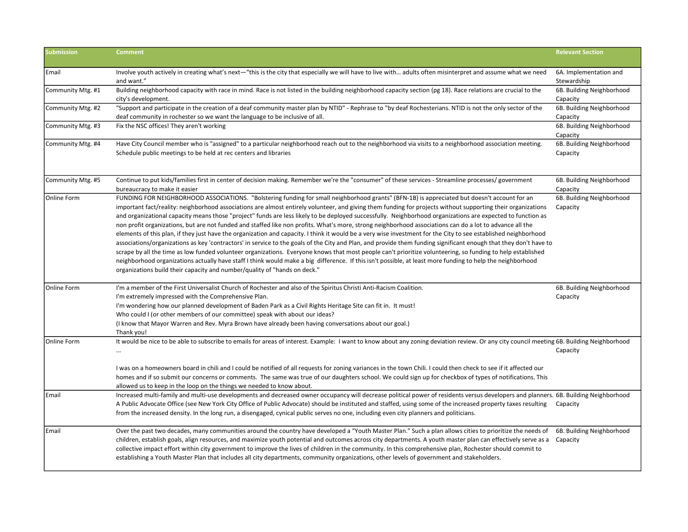| <b>Submission</b> | <b>Comment</b>                                                                                                                                                                                                                                                                                                                                                                                                                                                                                                                                                                                                                                                                                                                                                                                                                                                                                                                                                                                                                                                                                                                                                                                                                                                                                                                                                                            | <b>Relevant Section</b>               |
|-------------------|-------------------------------------------------------------------------------------------------------------------------------------------------------------------------------------------------------------------------------------------------------------------------------------------------------------------------------------------------------------------------------------------------------------------------------------------------------------------------------------------------------------------------------------------------------------------------------------------------------------------------------------------------------------------------------------------------------------------------------------------------------------------------------------------------------------------------------------------------------------------------------------------------------------------------------------------------------------------------------------------------------------------------------------------------------------------------------------------------------------------------------------------------------------------------------------------------------------------------------------------------------------------------------------------------------------------------------------------------------------------------------------------|---------------------------------------|
| Email             | Involve youth actively in creating what's next-"this is the city that especially we will have to live with adults often misinterpret and assume what we need<br>and want."                                                                                                                                                                                                                                                                                                                                                                                                                                                                                                                                                                                                                                                                                                                                                                                                                                                                                                                                                                                                                                                                                                                                                                                                                | 6A. Implementation and<br>Stewardship |
| Community Mtg. #1 | Building neighborhood capacity with race in mind. Race is not listed in the building neighborhood capacity section (pg 18). Race relations are crucial to the<br>city's development.                                                                                                                                                                                                                                                                                                                                                                                                                                                                                                                                                                                                                                                                                                                                                                                                                                                                                                                                                                                                                                                                                                                                                                                                      | 6B. Building Neighborhood<br>Capacity |
| Community Mtg. #2 | "Support and participate in the creation of a deaf community master plan by NTID" - Rephrase to "by deaf Rochesterians. NTID is not the only sector of the<br>deaf community in rochester so we want the language to be inclusive of all.                                                                                                                                                                                                                                                                                                                                                                                                                                                                                                                                                                                                                                                                                                                                                                                                                                                                                                                                                                                                                                                                                                                                                 | 6B. Building Neighborhood<br>Capacity |
| Community Mtg. #3 | Fix the NSC offices! They aren't working                                                                                                                                                                                                                                                                                                                                                                                                                                                                                                                                                                                                                                                                                                                                                                                                                                                                                                                                                                                                                                                                                                                                                                                                                                                                                                                                                  | 6B. Building Neighborhood<br>Capacity |
| Community Mtg. #4 | Have City Council member who is "assigned" to a particular neighborhood reach out to the neighborhood via visits to a neighborhood association meeting.<br>Schedule public meetings to be held at rec centers and libraries                                                                                                                                                                                                                                                                                                                                                                                                                                                                                                                                                                                                                                                                                                                                                                                                                                                                                                                                                                                                                                                                                                                                                               | 6B. Building Neighborhood<br>Capacity |
| Community Mtg. #5 | Continue to put kids/families first in center of decision making. Remember we're the "consumer" of these services - Streamline processes/ government<br>bureaucracy to make it easier                                                                                                                                                                                                                                                                                                                                                                                                                                                                                                                                                                                                                                                                                                                                                                                                                                                                                                                                                                                                                                                                                                                                                                                                     | 6B. Building Neighborhood<br>Capacity |
| Online Form       | FUNDING FOR NEIGHBORHOOD ASSOCIATIONS. "Bolstering funding for small neighborhood grants" (BFN-1B) is appreciated but doesn't account for an<br>important fact/reality: neighborhood associations are almost entirely volunteer, and giving them funding for projects without supporting their organizations<br>and organizational capacity means those "project" funds are less likely to be deployed successfully. Neighborhood organizations are expected to function as<br>non profit organizations, but are not funded and staffed like non profits. What's more, strong neighborhood associations can do a lot to advance all the<br>elements of this plan, if they just have the organization and capacity. I think it would be a very wise investment for the City to see established neighborhood<br>associations/organizations as key 'contractors' in service to the goals of the City and Plan, and provide them funding significant enough that they don't have to<br>scrape by all the time as low funded volunteer organizations. Everyone knows that most people can't prioritize volunteering, so funding to help established<br>neighborhood organizations actually have staff I think would make a big difference. If this isn't possible, at least more funding to help the neighborhood<br>organizations build their capacity and number/quality of "hands on deck." | 6B. Building Neighborhood<br>Capacity |
| Online Form       | I'm a member of the First Universalist Church of Rochester and also of the Spiritus Christi Anti-Racism Coalition.<br>I'm extremely impressed with the Comprehensive Plan.<br>I'm wondering how our planned development of Baden Park as a Civil Rights Heritage Site can fit in. It must!<br>Who could I (or other members of our committee) speak with about our ideas?<br>(I know that Mayor Warren and Rev. Myra Brown have already been having conversations about our goal.)<br>Thank you!                                                                                                                                                                                                                                                                                                                                                                                                                                                                                                                                                                                                                                                                                                                                                                                                                                                                                          | 6B. Building Neighborhood<br>Capacity |
| Online Form       | It would be nice to be able to subscribe to emails for areas of interest. Example: I want to know about any zoning deviation review. Or any city council meeting 6B. Building Neighborhood<br>$\cdots$                                                                                                                                                                                                                                                                                                                                                                                                                                                                                                                                                                                                                                                                                                                                                                                                                                                                                                                                                                                                                                                                                                                                                                                    | Capacity                              |
|                   | I was on a homeowners board in chili and I could be notified of all requests for zoning variances in the town Chili. I could then check to see if it affected our<br>homes and if so submit our concerns or comments. The same was true of our daughters school. We could sign up for checkbox of types of notifications. This<br>allowed us to keep in the loop on the things we needed to know about.                                                                                                                                                                                                                                                                                                                                                                                                                                                                                                                                                                                                                                                                                                                                                                                                                                                                                                                                                                                   |                                       |
| Email             | Increased multi-family and multi-use developments and decreased owner occupancy will decrease political power of residents versus developers and planners. 6B. Building Neighborhood<br>A Public Advocate Office (see New York City Office of Public Advocate) should be instituted and staffed, using some of the increased property taxes resulting<br>from the increased density. In the long run, a disengaged, cynical public serves no one, including even city planners and politicians.                                                                                                                                                                                                                                                                                                                                                                                                                                                                                                                                                                                                                                                                                                                                                                                                                                                                                           | Capacity                              |
| Email             | Over the past two decades, many communities around the country have developed a "Youth Master Plan." Such a plan allows cities to prioritize the needs of<br>children, establish goals, align resources, and maximize youth potential and outcomes across city departments. A youth master plan can effectively serve as a<br>collective impact effort within city government to improve the lives of children in the community. In this comprehensive plan, Rochester should commit to<br>establishing a Youth Master Plan that includes all city departments, community organizations, other levels of government and stakeholders.                                                                                                                                                                                                                                                                                                                                                                                                                                                                                                                                                                                                                                                                                                                                                     | 6B. Building Neighborhood<br>Capacity |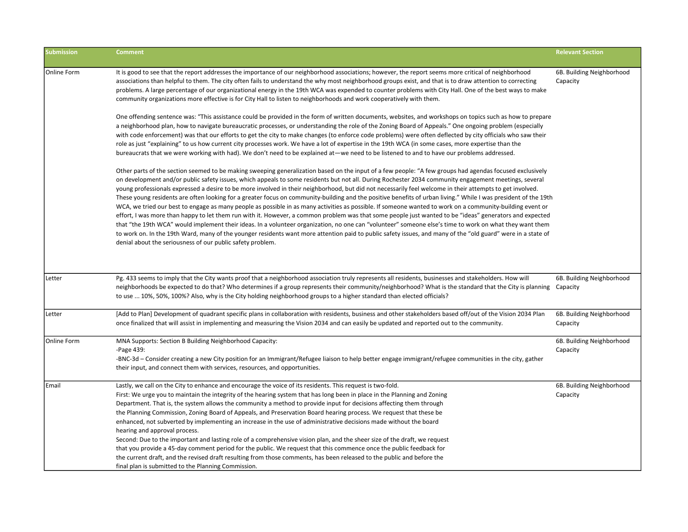| <b>Submission</b>  | <b>Comment</b>                                                                                                                                                                                                                                                                                                                                                                                                                                                                                                                                                                                                                                                                                                                                                                                                                                                                                                                                                                                                                                                                                                                                                                                                                                                                                                                                                     | <b>Relevant Section</b>               |
|--------------------|--------------------------------------------------------------------------------------------------------------------------------------------------------------------------------------------------------------------------------------------------------------------------------------------------------------------------------------------------------------------------------------------------------------------------------------------------------------------------------------------------------------------------------------------------------------------------------------------------------------------------------------------------------------------------------------------------------------------------------------------------------------------------------------------------------------------------------------------------------------------------------------------------------------------------------------------------------------------------------------------------------------------------------------------------------------------------------------------------------------------------------------------------------------------------------------------------------------------------------------------------------------------------------------------------------------------------------------------------------------------|---------------------------------------|
| Online Form        | It is good to see that the report addresses the importance of our neighborhood associations; however, the report seems more critical of neighborhood<br>associations than helpful to them. The city often fails to understand the why most neighborhood groups exist, and that is to draw attention to correcting<br>problems. A large percentage of our organizational energy in the 19th WCA was expended to counter problems with City Hall. One of the best ways to make<br>community organizations more effective is for City Hall to listen to neighborhoods and work cooperatively with them.                                                                                                                                                                                                                                                                                                                                                                                                                                                                                                                                                                                                                                                                                                                                                               | 6B. Building Neighborhood<br>Capacity |
|                    | One offending sentence was: "This assistance could be provided in the form of written documents, websites, and workshops on topics such as how to prepare<br>a neighborhood plan, how to navigate bureaucratic processes, or understanding the role of the Zoning Board of Appeals." One ongoing problem (especially<br>with code enforcement) was that our efforts to get the city to make changes (to enforce code problems) were often deflected by city officials who saw their<br>role as just "explaining" to us how current city processes work. We have a lot of expertise in the 19th WCA (in some cases, more expertise than the<br>bureaucrats that we were working with had). We don't need to be explained at—we need to be listened to and to have our problems addressed.                                                                                                                                                                                                                                                                                                                                                                                                                                                                                                                                                                           |                                       |
|                    | Other parts of the section seemed to be making sweeping generalization based on the input of a few people: "A few groups had agendas focused exclusively<br>on development and/or public safety issues, which appeals to some residents but not all. During Rochester 2034 community engagement meetings, several<br>young professionals expressed a desire to be more involved in their neighborhood, but did not necessarily feel welcome in their attempts to get involved.<br>These young residents are often looking for a greater focus on community-building and the positive benefits of urban living." While I was president of the 19th<br>WCA, we tried our best to engage as many people as possible in as many activities as possible. If someone wanted to work on a community-building event or<br>effort, I was more than happy to let them run with it. However, a common problem was that some people just wanted to be "ideas" generators and expected<br>that "the 19th WCA" would implement their ideas. In a volunteer organization, no one can "volunteer" someone else's time to work on what they want them<br>to work on. In the 19th Ward, many of the younger residents want more attention paid to public safety issues, and many of the "old guard" were in a state of<br>denial about the seriousness of our public safety problem. |                                       |
| Letter             | Pg. 433 seems to imply that the City wants proof that a neighborhood association truly represents all residents, businesses and stakeholders. How will<br>neighborhoods be expected to do that? Who determines if a group represents their community/neighborhood? What is the standard that the City is planning<br>to use  10%, 50%, 100%? Also, why is the City holding neighborhood groups to a higher standard than elected officials?                                                                                                                                                                                                                                                                                                                                                                                                                                                                                                                                                                                                                                                                                                                                                                                                                                                                                                                        | 6B. Building Neighborhood<br>Capacity |
| Letter             | [Add to Plan] Development of quadrant specific plans in collaboration with residents, business and other stakeholders based off/out of the Vision 2034 Plan<br>once finalized that will assist in implementing and measuring the Vision 2034 and can easily be updated and reported out to the community.                                                                                                                                                                                                                                                                                                                                                                                                                                                                                                                                                                                                                                                                                                                                                                                                                                                                                                                                                                                                                                                          | 6B. Building Neighborhood<br>Capacity |
| <b>Online Form</b> | MNA Supports: Section B Building Neighborhood Capacity:<br>-Page 439:<br>-BNC-3d – Consider creating a new City position for an Immigrant/Refugee liaison to help better engage immigrant/refugee communities in the city, gather<br>their input, and connect them with services, resources, and opportunities.                                                                                                                                                                                                                                                                                                                                                                                                                                                                                                                                                                                                                                                                                                                                                                                                                                                                                                                                                                                                                                                    | 6B. Building Neighborhood<br>Capacity |
| Email              | Lastly, we call on the City to enhance and encourage the voice of its residents. This request is two-fold.<br>First: We urge you to maintain the integrity of the hearing system that has long been in place in the Planning and Zoning<br>Department. That is, the system allows the community a method to provide input for decisions affecting them through<br>the Planning Commission, Zoning Board of Appeals, and Preservation Board hearing process. We request that these be<br>enhanced, not subverted by implementing an increase in the use of administrative decisions made without the board<br>hearing and approval process.<br>Second: Due to the important and lasting role of a comprehensive vision plan, and the sheer size of the draft, we request<br>that you provide a 45-day comment period for the public. We request that this commence once the public feedback for<br>the current draft, and the revised draft resulting from those comments, has been released to the public and before the<br>final plan is submitted to the Planning Commission.                                                                                                                                                                                                                                                                                    | 6B. Building Neighborhood<br>Capacity |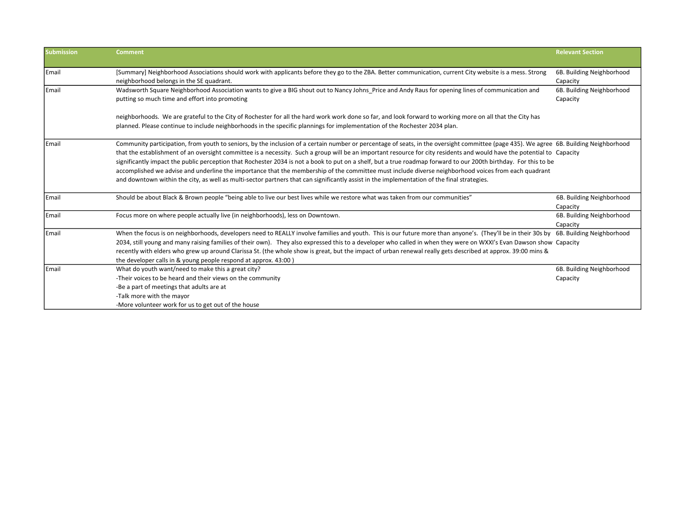| <b>Submission</b> | <b>Comment</b>                                                                                                                                                                                                                                                                                                                                                                                                                                                                                                                                                                                                                                                                                                                                                                                                                               | <b>Relevant Section</b>               |
|-------------------|----------------------------------------------------------------------------------------------------------------------------------------------------------------------------------------------------------------------------------------------------------------------------------------------------------------------------------------------------------------------------------------------------------------------------------------------------------------------------------------------------------------------------------------------------------------------------------------------------------------------------------------------------------------------------------------------------------------------------------------------------------------------------------------------------------------------------------------------|---------------------------------------|
| Email             | [Summary] Neighborhood Associations should work with applicants before they go to the ZBA. Better communication, current City website is a mess. Strong<br>neighborhood belongs in the SE quadrant.                                                                                                                                                                                                                                                                                                                                                                                                                                                                                                                                                                                                                                          | 6B. Building Neighborhood<br>Capacity |
| <b>LEmail</b>     | Wadsworth Square Neighborhood Association wants to give a BIG shout out to Nancy Johns Price and Andy Raus for opening lines of communication and<br>putting so much time and effort into promoting                                                                                                                                                                                                                                                                                                                                                                                                                                                                                                                                                                                                                                          | 6B. Building Neighborhood<br>Capacity |
|                   | neighborhoods. We are grateful to the City of Rochester for all the hard work work done so far, and look forward to working more on all that the City has<br>planned. Please continue to include neighborhoods in the specific plannings for implementation of the Rochester 2034 plan.                                                                                                                                                                                                                                                                                                                                                                                                                                                                                                                                                      |                                       |
| <b>IEmail</b>     | Community participation, from youth to seniors, by the inclusion of a certain number or percentage of seats, in the oversight committee (page 435). We agree 6B. Building Neighborhood<br>that the establishment of an oversight committee is a necessity. Such a group will be an important resource for city residents and would have the potential to Capacity<br>significantly impact the public perception that Rochester 2034 is not a book to put on a shelf, but a true roadmap forward to our 200th birthday. For this to be<br>accomplished we advise and underline the importance that the membership of the committee must include diverse neighborhood voices from each quadrant<br>and downtown within the city, as well as multi-sector partners that can significantly assist in the implementation of the final strategies. |                                       |
| Email             | Should be about Black & Brown people "being able to live our best lives while we restore what was taken from our communities"                                                                                                                                                                                                                                                                                                                                                                                                                                                                                                                                                                                                                                                                                                                | 6B. Building Neighborhood<br>Capacity |
| Email             | Focus more on where people actually live (in neighborhoods), less on Downtown.                                                                                                                                                                                                                                                                                                                                                                                                                                                                                                                                                                                                                                                                                                                                                               | 6B. Building Neighborhood<br>Capacity |
| Email             | When the focus is on neighborhoods, developers need to REALLY involve families and youth. This is our future more than anyone's. (They'll be in their 30s by 6B. Building Neighborhood<br>2034, still young and many raising families of their own). They also expressed this to a developer who called in when they were on WXXI's Evan Dawson show Capacity<br>recently with elders who grew up around Clarissa St. (the whole show is great, but the impact of urban renewal really gets described at approx. 39:00 mins &<br>the developer calls in & young people respond at approx. 43:00)                                                                                                                                                                                                                                             |                                       |
| <b>LEmail</b>     | What do youth want/need to make this a great city?<br>-Their voices to be heard and their views on the community<br>-Be a part of meetings that adults are at<br>-Talk more with the mayor<br>-More volunteer work for us to get out of the house                                                                                                                                                                                                                                                                                                                                                                                                                                                                                                                                                                                            | 6B. Building Neighborhood<br>Capacity |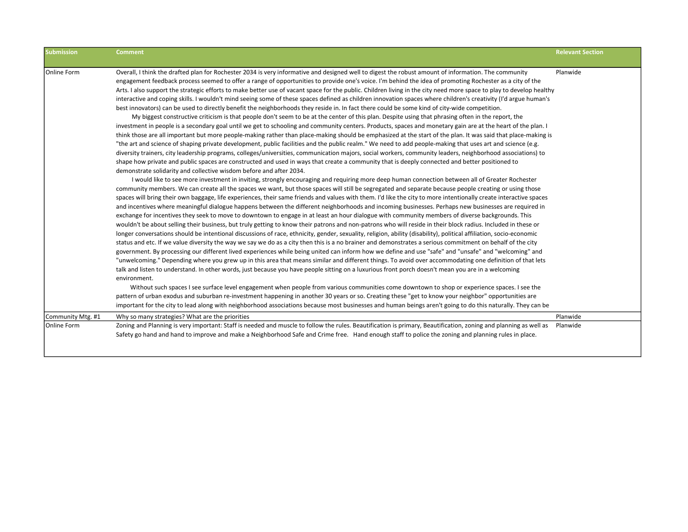| <b>Submission</b> | <b>Comment</b>                                                                                                                                                                                                                                                                                                                                                                                                                                                                                                                                                                                                                                                                                                                                                                                                                                                                                                                                                                                                                                                                                                                                                                                                                                                                                                                                                                                                                                                                                                                                                                                                                                                                                                                                                                                                                                                                                                                                                                                                                                                                                                                                                                                                                                                                                                                                                                                                                                                                                                                                                                                                                                                                                                                                                                                                                                                                                                                                                                                                                                                                                                                                                                                                                                                                                                                                                                                                                                                                                                                                                                                                                                                                                                                                                                                                                                                                                                                                                                                                                                                                                                                   | <b>Relevant Section</b> |
|-------------------|----------------------------------------------------------------------------------------------------------------------------------------------------------------------------------------------------------------------------------------------------------------------------------------------------------------------------------------------------------------------------------------------------------------------------------------------------------------------------------------------------------------------------------------------------------------------------------------------------------------------------------------------------------------------------------------------------------------------------------------------------------------------------------------------------------------------------------------------------------------------------------------------------------------------------------------------------------------------------------------------------------------------------------------------------------------------------------------------------------------------------------------------------------------------------------------------------------------------------------------------------------------------------------------------------------------------------------------------------------------------------------------------------------------------------------------------------------------------------------------------------------------------------------------------------------------------------------------------------------------------------------------------------------------------------------------------------------------------------------------------------------------------------------------------------------------------------------------------------------------------------------------------------------------------------------------------------------------------------------------------------------------------------------------------------------------------------------------------------------------------------------------------------------------------------------------------------------------------------------------------------------------------------------------------------------------------------------------------------------------------------------------------------------------------------------------------------------------------------------------------------------------------------------------------------------------------------------------------------------------------------------------------------------------------------------------------------------------------------------------------------------------------------------------------------------------------------------------------------------------------------------------------------------------------------------------------------------------------------------------------------------------------------------------------------------------------------------------------------------------------------------------------------------------------------------------------------------------------------------------------------------------------------------------------------------------------------------------------------------------------------------------------------------------------------------------------------------------------------------------------------------------------------------------------------------------------------------------------------------------------------------------------------------------------------------------------------------------------------------------------------------------------------------------------------------------------------------------------------------------------------------------------------------------------------------------------------------------------------------------------------------------------------------------------------------------------------------------------------------------------------------|-------------------------|
| Online Form       | Overall, I think the drafted plan for Rochester 2034 is very informative and designed well to digest the robust amount of information. The community<br>engagement feedback process seemed to offer a range of opportunities to provide one's voice. I'm behind the idea of promoting Rochester as a city of the<br>Arts. I also support the strategic efforts to make better use of vacant space for the public. Children living in the city need more space to play to develop healthy<br>interactive and coping skills. I wouldn't mind seeing some of these spaces defined as children innovation spaces where children's creativity (I'd argue human's<br>best innovators) can be used to directly benefit the neighborhoods they reside in. In fact there could be some kind of city-wide competition.<br>My biggest constructive criticism is that people don't seem to be at the center of this plan. Despite using that phrasing often in the report, the<br>investment in people is a secondary goal until we get to schooling and community centers. Products, spaces and monetary gain are at the heart of the plan. I<br>think those are all important but more people-making rather than place-making should be emphasized at the start of the plan. It was said that place-making is<br>"the art and science of shaping private development, public facilities and the public realm." We need to add people-making that uses art and science (e.g.<br>diversity trainers, city leadership programs, colleges/universities, communication majors, social workers, community leaders, neighborhood associations) to<br>shape how private and public spaces are constructed and used in ways that create a community that is deeply connected and better positioned to<br>demonstrate solidarity and collective wisdom before and after 2034.<br>I would like to see more investment in inviting, strongly encouraging and requiring more deep human connection between all of Greater Rochester<br>community members. We can create all the spaces we want, but those spaces will still be segregated and separate because people creating or using those<br>spaces will bring their own baggage, life experiences, their same friends and values with them. I'd like the city to more intentionally create interactive spaces<br>and incentives where meaningful dialogue happens between the different neighborhoods and incoming businesses. Perhaps new businesses are required in<br>exchange for incentives they seek to move to downtown to engage in at least an hour dialogue with community members of diverse backgrounds. This<br>wouldn't be about selling their business, but truly getting to know their patrons and non-patrons who will reside in their block radius. Included in these or<br>longer conversations should be intentional discussions of race, ethnicity, gender, sexuality, religion, ability (disability), political affiliation, socio-economic<br>status and etc. If we value diversity the way we say we do as a city then this is a no brainer and demonstrates a serious commitment on behalf of the city<br>government. By processing our different lived experiences while being united can inform how we define and use "safe" and "unsafe" and "welcoming" and<br>"unwelcoming." Depending where you grew up in this area that means similar and different things. To avoid over accommodating one definition of that lets<br>talk and listen to understand. In other words, just because you have people sitting on a luxurious front porch doesn't mean you are in a welcoming<br>environment.<br>Without such spaces I see surface level engagement when people from various communities come downtown to shop or experience spaces. I see the<br>pattern of urban exodus and suburban re-investment happening in another 30 years or so. Creating these "get to know your neighbor" opportunities are<br>important for the city to lead along with neighborhood associations because most businesses and human beings aren't going to do this naturally. They can be | Planwide                |
| Community Mtg. #1 | Why so many strategies? What are the priorities                                                                                                                                                                                                                                                                                                                                                                                                                                                                                                                                                                                                                                                                                                                                                                                                                                                                                                                                                                                                                                                                                                                                                                                                                                                                                                                                                                                                                                                                                                                                                                                                                                                                                                                                                                                                                                                                                                                                                                                                                                                                                                                                                                                                                                                                                                                                                                                                                                                                                                                                                                                                                                                                                                                                                                                                                                                                                                                                                                                                                                                                                                                                                                                                                                                                                                                                                                                                                                                                                                                                                                                                                                                                                                                                                                                                                                                                                                                                                                                                                                                                                  | Planwide                |
| Online Form       | Zoning and Planning is very important: Staff is needed and muscle to follow the rules. Beautification is primary, Beautification, zoning and planning as well as<br>Safety go hand and hand to improve and make a Neighborhood Safe and Crime free. Hand enough staff to police the zoning and planning rules in place.                                                                                                                                                                                                                                                                                                                                                                                                                                                                                                                                                                                                                                                                                                                                                                                                                                                                                                                                                                                                                                                                                                                                                                                                                                                                                                                                                                                                                                                                                                                                                                                                                                                                                                                                                                                                                                                                                                                                                                                                                                                                                                                                                                                                                                                                                                                                                                                                                                                                                                                                                                                                                                                                                                                                                                                                                                                                                                                                                                                                                                                                                                                                                                                                                                                                                                                                                                                                                                                                                                                                                                                                                                                                                                                                                                                                          | Planwide                |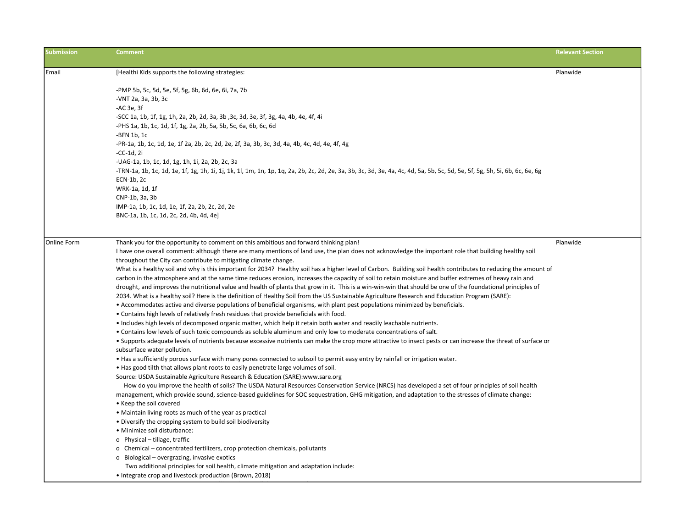| <b>Submission</b> | <b>Comment</b>                                                                                                                                                                                                                                                                                                             | <b>Relevant Section</b> |
|-------------------|----------------------------------------------------------------------------------------------------------------------------------------------------------------------------------------------------------------------------------------------------------------------------------------------------------------------------|-------------------------|
| Email             | [Healthi Kids supports the following strategies:                                                                                                                                                                                                                                                                           | Planwide                |
|                   |                                                                                                                                                                                                                                                                                                                            |                         |
|                   | -PMP 5b, 5c, 5d, 5e, 5f, 5g, 6b, 6d, 6e, 6i, 7a, 7b                                                                                                                                                                                                                                                                        |                         |
|                   | -VNT 2a, 3a, 3b, 3c<br>-AC 3e, 3f                                                                                                                                                                                                                                                                                          |                         |
|                   | -SCC 1a, 1b, 1f, 1g, 1h, 2a, 2b, 2d, 3a, 3b, 3c, 3d, 3e, 3f, 3g, 4a, 4b, 4e, 4f, 4i                                                                                                                                                                                                                                        |                         |
|                   | -PHS 1a, 1b, 1c, 1d, 1f, 1g, 2a, 2b, 5a, 5b, 5c, 6a, 6b, 6c, 6d                                                                                                                                                                                                                                                            |                         |
|                   | $-BFN$ 1b, 1c                                                                                                                                                                                                                                                                                                              |                         |
|                   | -PR-1a, 1b, 1c, 1d, 1e, 1f 2a, 2b, 2c, 2d, 2e, 2f, 3a, 3b, 3c, 3d, 4a, 4b, 4c, 4d, 4e, 4f, 4g                                                                                                                                                                                                                              |                         |
|                   | $-CC-1d$ , 2i                                                                                                                                                                                                                                                                                                              |                         |
|                   | -UAG-1a, 1b, 1c, 1d, 1g, 1h, 1i, 2a, 2b, 2c, 3a                                                                                                                                                                                                                                                                            |                         |
|                   | -TRN-1a, 1b, 1c, 1d, 1e, 1f, 1g, 1h, 1i, 1j, 1k, 1l, 1m, 1m, 1p, 1q, 2a, 2b, 2c, 2d, 2e, 3a, 3b, 3c, 3d, 3e, 4a, 4c, 4d, 5a, 5b, 5c, 5d, 5e, 5f, 5g, 5h, 5i, 6b, 6c, 6e, 6g                                                                                                                                                |                         |
|                   | ECN-1b, 2c                                                                                                                                                                                                                                                                                                                 |                         |
|                   | WRK-1a, 1d, 1f                                                                                                                                                                                                                                                                                                             |                         |
|                   | CNP-1b, 3a, 3b                                                                                                                                                                                                                                                                                                             |                         |
|                   | IMP-1a, 1b, 1c, 1d, 1e, 1f, 2a, 2b, 2c, 2d, 2e                                                                                                                                                                                                                                                                             |                         |
|                   | BNC-1a, 1b, 1c, 1d, 2c, 2d, 4b, 4d, 4e]                                                                                                                                                                                                                                                                                    |                         |
|                   |                                                                                                                                                                                                                                                                                                                            |                         |
| Online Form       | Thank you for the opportunity to comment on this ambitious and forward thinking plan!                                                                                                                                                                                                                                      | Planwide                |
|                   | I have one overall comment: although there are many mentions of land use, the plan does not acknowledge the important role that building healthy soil                                                                                                                                                                      |                         |
|                   | throughout the City can contribute to mitigating climate change.                                                                                                                                                                                                                                                           |                         |
|                   | What is a healthy soil and why is this important for 2034? Healthy soil has a higher level of Carbon. Building soil health contributes to reducing the amount of<br>carbon in the atmosphere and at the same time reduces erosion, increases the capacity of soil to retain moisture and buffer extremes of heavy rain and |                         |
|                   | drought, and improves the nutritional value and health of plants that grow in it. This is a win-win-win that should be one of the foundational principles of                                                                                                                                                               |                         |
|                   | 2034. What is a healthy soil? Here is the definition of Healthy Soil from the US Sustainable Agriculture Research and Education Program (SARE):                                                                                                                                                                            |                         |
|                   | • Accommodates active and diverse populations of beneficial organisms, with plant pest populations minimized by beneficials.                                                                                                                                                                                               |                         |
|                   | . Contains high levels of relatively fresh residues that provide beneficials with food.                                                                                                                                                                                                                                    |                         |
|                   | . Includes high levels of decomposed organic matter, which help it retain both water and readily leachable nutrients.                                                                                                                                                                                                      |                         |
|                   | • Contains low levels of such toxic compounds as soluble aluminum and only low to moderate concentrations of salt.                                                                                                                                                                                                         |                         |
|                   | • Supports adequate levels of nutrients because excessive nutrients can make the crop more attractive to insect pests or can increase the threat of surface or                                                                                                                                                             |                         |
|                   | subsurface water pollution.                                                                                                                                                                                                                                                                                                |                         |
|                   | • Has a sufficiently porous surface with many pores connected to subsoil to permit easy entry by rainfall or irrigation water.                                                                                                                                                                                             |                         |
|                   | . Has good tilth that allows plant roots to easily penetrate large volumes of soil.                                                                                                                                                                                                                                        |                         |
|                   | Source: USDA Sustainable Agriculture Research & Education (SARE):www.sare.org                                                                                                                                                                                                                                              |                         |
|                   | How do you improve the health of soils? The USDA Natural Resources Conservation Service (NRCS) has developed a set of four principles of soil health                                                                                                                                                                       |                         |
|                   | management, which provide sound, science-based guidelines for SOC sequestration, GHG mitigation, and adaptation to the stresses of climate change:<br>• Keep the soil covered                                                                                                                                              |                         |
|                   | • Maintain living roots as much of the year as practical                                                                                                                                                                                                                                                                   |                         |
|                   | • Diversify the cropping system to build soil biodiversity                                                                                                                                                                                                                                                                 |                         |
|                   | · Minimize soil disturbance:                                                                                                                                                                                                                                                                                               |                         |
|                   | o Physical - tillage, traffic                                                                                                                                                                                                                                                                                              |                         |
|                   | o Chemical – concentrated fertilizers, crop protection chemicals, pollutants                                                                                                                                                                                                                                               |                         |
|                   | o Biological - overgrazing, invasive exotics                                                                                                                                                                                                                                                                               |                         |
|                   | Two additional principles for soil health, climate mitigation and adaptation include:                                                                                                                                                                                                                                      |                         |
|                   | • Integrate crop and livestock production (Brown, 2018)                                                                                                                                                                                                                                                                    |                         |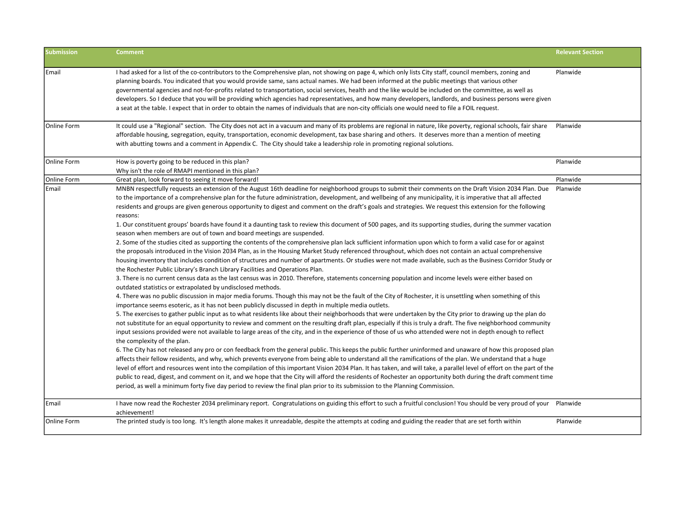| <b>Submission</b> | <b>Comment</b>                                                                                                                                                                                                                                                                                                                                                                                                                                                                                                                                                                                                                                                                                                                                                                                                                                                                                                                                                                                                                                                                                                                                                                                                                                                                                                                                                                                                                                                                                                                                                                                                                                                                                                                                                                                                                                                                                                                                                                                                                                                                                                                                                                                                                                                                                                                                                                                                                                                                                                                                                                                                                                                                                                                                                                                                                                                                                                                                                                                                                  | <b>Relevant Section</b> |
|-------------------|---------------------------------------------------------------------------------------------------------------------------------------------------------------------------------------------------------------------------------------------------------------------------------------------------------------------------------------------------------------------------------------------------------------------------------------------------------------------------------------------------------------------------------------------------------------------------------------------------------------------------------------------------------------------------------------------------------------------------------------------------------------------------------------------------------------------------------------------------------------------------------------------------------------------------------------------------------------------------------------------------------------------------------------------------------------------------------------------------------------------------------------------------------------------------------------------------------------------------------------------------------------------------------------------------------------------------------------------------------------------------------------------------------------------------------------------------------------------------------------------------------------------------------------------------------------------------------------------------------------------------------------------------------------------------------------------------------------------------------------------------------------------------------------------------------------------------------------------------------------------------------------------------------------------------------------------------------------------------------------------------------------------------------------------------------------------------------------------------------------------------------------------------------------------------------------------------------------------------------------------------------------------------------------------------------------------------------------------------------------------------------------------------------------------------------------------------------------------------------------------------------------------------------------------------------------------------------------------------------------------------------------------------------------------------------------------------------------------------------------------------------------------------------------------------------------------------------------------------------------------------------------------------------------------------------------------------------------------------------------------------------------------------------|-------------------------|
| Email             | I had asked for a list of the co-contributors to the Comprehensive plan, not showing on page 4, which only lists City staff, council members, zoning and<br>planning boards. You indicated that you would provide same, sans actual names. We had been informed at the public meetings that various other<br>governmental agencies and not-for-profits related to transportation, social services, health and the like would be included on the committee, as well as<br>developers. So I deduce that you will be providing which agencies had representatives, and how many developers, landlords, and business persons were given<br>a seat at the table. I expect that in order to obtain the names of individuals that are non-city officials one would need to file a FOIL request.                                                                                                                                                                                                                                                                                                                                                                                                                                                                                                                                                                                                                                                                                                                                                                                                                                                                                                                                                                                                                                                                                                                                                                                                                                                                                                                                                                                                                                                                                                                                                                                                                                                                                                                                                                                                                                                                                                                                                                                                                                                                                                                                                                                                                                        | Planwide                |
| Online Form       | It could use a "Regional" section. The City does not act in a vacuum and many of its problems are regional in nature, like poverty, regional schools, fair share<br>affordable housing, segregation, equity, transportation, economic development, tax base sharing and others. It deserves more than a mention of meeting<br>with abutting towns and a comment in Appendix C. The City should take a leadership role in promoting regional solutions.                                                                                                                                                                                                                                                                                                                                                                                                                                                                                                                                                                                                                                                                                                                                                                                                                                                                                                                                                                                                                                                                                                                                                                                                                                                                                                                                                                                                                                                                                                                                                                                                                                                                                                                                                                                                                                                                                                                                                                                                                                                                                                                                                                                                                                                                                                                                                                                                                                                                                                                                                                          | Planwide                |
|                   |                                                                                                                                                                                                                                                                                                                                                                                                                                                                                                                                                                                                                                                                                                                                                                                                                                                                                                                                                                                                                                                                                                                                                                                                                                                                                                                                                                                                                                                                                                                                                                                                                                                                                                                                                                                                                                                                                                                                                                                                                                                                                                                                                                                                                                                                                                                                                                                                                                                                                                                                                                                                                                                                                                                                                                                                                                                                                                                                                                                                                                 |                         |
| Online Form       | How is poverty going to be reduced in this plan?<br>Why isn't the role of RMAPI mentioned in this plan?                                                                                                                                                                                                                                                                                                                                                                                                                                                                                                                                                                                                                                                                                                                                                                                                                                                                                                                                                                                                                                                                                                                                                                                                                                                                                                                                                                                                                                                                                                                                                                                                                                                                                                                                                                                                                                                                                                                                                                                                                                                                                                                                                                                                                                                                                                                                                                                                                                                                                                                                                                                                                                                                                                                                                                                                                                                                                                                         | Planwide                |
| Online Form       | Great plan, look forward to seeing it move forward!                                                                                                                                                                                                                                                                                                                                                                                                                                                                                                                                                                                                                                                                                                                                                                                                                                                                                                                                                                                                                                                                                                                                                                                                                                                                                                                                                                                                                                                                                                                                                                                                                                                                                                                                                                                                                                                                                                                                                                                                                                                                                                                                                                                                                                                                                                                                                                                                                                                                                                                                                                                                                                                                                                                                                                                                                                                                                                                                                                             | Planwide                |
| Email             | MNBN respectfully requests an extension of the August 16th deadline for neighborhood groups to submit their comments on the Draft Vision 2034 Plan. Due<br>to the importance of a comprehensive plan for the future administration, development, and wellbeing of any municipality, it is imperative that all affected<br>residents and groups are given generous opportunity to digest and comment on the draft's goals and strategies. We request this extension for the following<br>reasons:<br>1. Our constituent groups' boards have found it a daunting task to review this document of 500 pages, and its supporting studies, during the summer vacation<br>season when members are out of town and board meetings are suspended.<br>2. Some of the studies cited as supporting the contents of the comprehensive plan lack sufficient information upon which to form a valid case for or against<br>the proposals introduced in the Vision 2034 Plan, as in the Housing Market Study referenced throughout, which does not contain an actual comprehensive<br>housing inventory that includes condition of structures and number of apartments. Or studies were not made available, such as the Business Corridor Study or<br>the Rochester Public Library's Branch Library Facilities and Operations Plan.<br>3. There is no current census data as the last census was in 2010. Therefore, statements concerning population and income levels were either based on<br>outdated statistics or extrapolated by undisclosed methods.<br>4. There was no public discussion in major media forums. Though this may not be the fault of the City of Rochester, it is unsettling when something of this<br>importance seems esoteric, as it has not been publicly discussed in depth in multiple media outlets.<br>5. The exercises to gather public input as to what residents like about their neighborhoods that were undertaken by the City prior to drawing up the plan do<br>not substitute for an equal opportunity to review and comment on the resulting draft plan, especially if this is truly a draft. The five neighborhood community<br>input sessions provided were not available to large areas of the city, and in the experience of those of us who attended were not in depth enough to reflect<br>the complexity of the plan.<br>6. The City has not released any pro or con feedback from the general public. This keeps the public further uninformed and unaware of how this proposed plan<br>affects their fellow residents, and why, which prevents everyone from being able to understand all the ramifications of the plan. We understand that a huge<br>level of effort and resources went into the compilation of this important Vision 2034 Plan. It has taken, and will take, a parallel level of effort on the part of the<br>public to read, digest, and comment on it, and we hope that the City will afford the residents of Rochester an opportunity both during the draft comment time | Planwide                |
| Email             | period, as well a minimum forty five day period to review the final plan prior to its submission to the Planning Commission.<br>I have now read the Rochester 2034 preliminary report. Congratulations on guiding this effort to such a fruitful conclusion! You should be very proud of your Planwide                                                                                                                                                                                                                                                                                                                                                                                                                                                                                                                                                                                                                                                                                                                                                                                                                                                                                                                                                                                                                                                                                                                                                                                                                                                                                                                                                                                                                                                                                                                                                                                                                                                                                                                                                                                                                                                                                                                                                                                                                                                                                                                                                                                                                                                                                                                                                                                                                                                                                                                                                                                                                                                                                                                          |                         |
|                   | achievement!                                                                                                                                                                                                                                                                                                                                                                                                                                                                                                                                                                                                                                                                                                                                                                                                                                                                                                                                                                                                                                                                                                                                                                                                                                                                                                                                                                                                                                                                                                                                                                                                                                                                                                                                                                                                                                                                                                                                                                                                                                                                                                                                                                                                                                                                                                                                                                                                                                                                                                                                                                                                                                                                                                                                                                                                                                                                                                                                                                                                                    |                         |
| Online Form       | The printed study is too long. It's length alone makes it unreadable, despite the attempts at coding and guiding the reader that are set forth within                                                                                                                                                                                                                                                                                                                                                                                                                                                                                                                                                                                                                                                                                                                                                                                                                                                                                                                                                                                                                                                                                                                                                                                                                                                                                                                                                                                                                                                                                                                                                                                                                                                                                                                                                                                                                                                                                                                                                                                                                                                                                                                                                                                                                                                                                                                                                                                                                                                                                                                                                                                                                                                                                                                                                                                                                                                                           | Planwide                |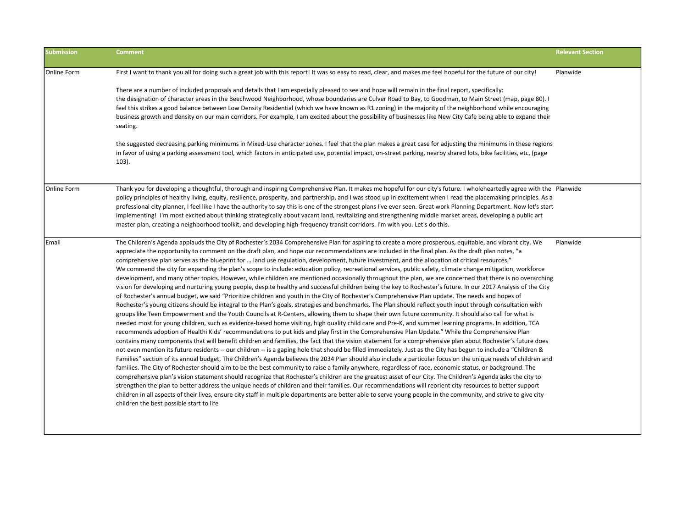| <b>Submission</b> | <b>Comment</b>                                                                                                                                                                                                                                                                                                                                                                                                                                                                                                                                                                                                                                                                                                                                                                                                                                                                                                                                                                                                                                                                                                                                                                                                                                                                                                                                                                                                                                                                                                                                                                                                                                                                                                                                                                                                                                                                                                                                                                                                                                                                                                                                                                                                                                                                                                                                                                                                                                                                                                                                                                                                                                                                                                                                                                                                                                                                                                                                                          | <b>Relevant Section</b> |
|-------------------|-------------------------------------------------------------------------------------------------------------------------------------------------------------------------------------------------------------------------------------------------------------------------------------------------------------------------------------------------------------------------------------------------------------------------------------------------------------------------------------------------------------------------------------------------------------------------------------------------------------------------------------------------------------------------------------------------------------------------------------------------------------------------------------------------------------------------------------------------------------------------------------------------------------------------------------------------------------------------------------------------------------------------------------------------------------------------------------------------------------------------------------------------------------------------------------------------------------------------------------------------------------------------------------------------------------------------------------------------------------------------------------------------------------------------------------------------------------------------------------------------------------------------------------------------------------------------------------------------------------------------------------------------------------------------------------------------------------------------------------------------------------------------------------------------------------------------------------------------------------------------------------------------------------------------------------------------------------------------------------------------------------------------------------------------------------------------------------------------------------------------------------------------------------------------------------------------------------------------------------------------------------------------------------------------------------------------------------------------------------------------------------------------------------------------------------------------------------------------------------------------------------------------------------------------------------------------------------------------------------------------------------------------------------------------------------------------------------------------------------------------------------------------------------------------------------------------------------------------------------------------------------------------------------------------------------------------------------------------|-------------------------|
| Online Form       | First I want to thank you all for doing such a great job with this report! It was so easy to read, clear, and makes me feel hopeful for the future of our city!                                                                                                                                                                                                                                                                                                                                                                                                                                                                                                                                                                                                                                                                                                                                                                                                                                                                                                                                                                                                                                                                                                                                                                                                                                                                                                                                                                                                                                                                                                                                                                                                                                                                                                                                                                                                                                                                                                                                                                                                                                                                                                                                                                                                                                                                                                                                                                                                                                                                                                                                                                                                                                                                                                                                                                                                         | Planwide                |
|                   | There are a number of included proposals and details that I am especially pleased to see and hope will remain in the final report, specifically:<br>the designation of character areas in the Beechwood Neighborhood, whose boundaries are Culver Road to Bay, to Goodman, to Main Street (map, page 80). I<br>feel this strikes a good balance between Low Density Residential (which we have known as R1 zoning) in the majority of the neighborhood while encouraging<br>business growth and density on our main corridors. For example, I am excited about the possibility of businesses like New City Cafe being able to expand their<br>seating.                                                                                                                                                                                                                                                                                                                                                                                                                                                                                                                                                                                                                                                                                                                                                                                                                                                                                                                                                                                                                                                                                                                                                                                                                                                                                                                                                                                                                                                                                                                                                                                                                                                                                                                                                                                                                                                                                                                                                                                                                                                                                                                                                                                                                                                                                                                  |                         |
|                   | the suggested decreasing parking minimums in Mixed-Use character zones. I feel that the plan makes a great case for adjusting the minimums in these regions<br>in favor of using a parking assessment tool, which factors in anticipated use, potential impact, on-street parking, nearby shared lots, bike facilities, etc, (page<br>$103$ ).                                                                                                                                                                                                                                                                                                                                                                                                                                                                                                                                                                                                                                                                                                                                                                                                                                                                                                                                                                                                                                                                                                                                                                                                                                                                                                                                                                                                                                                                                                                                                                                                                                                                                                                                                                                                                                                                                                                                                                                                                                                                                                                                                                                                                                                                                                                                                                                                                                                                                                                                                                                                                          |                         |
| Online Form       | Thank you for developing a thoughtful, thorough and inspiring Comprehensive Plan. It makes me hopeful for our city's future. I wholeheartedly agree with the Planwide<br>policy principles of healthy living, equity, resilience, prosperity, and partnership, and I was stood up in excitement when I read the placemaking principles. As a<br>professional city planner, I feel like I have the authority to say this is one of the strongest plans I've ever seen. Great work Planning Department. Now let's start<br>implementing! I'm most excited about thinking strategically about vacant land, revitalizing and strengthening middle market areas, developing a public art<br>master plan, creating a neighborhood toolkit, and developing high-frequency transit corridors. I'm with you. Let's do this.                                                                                                                                                                                                                                                                                                                                                                                                                                                                                                                                                                                                                                                                                                                                                                                                                                                                                                                                                                                                                                                                                                                                                                                                                                                                                                                                                                                                                                                                                                                                                                                                                                                                                                                                                                                                                                                                                                                                                                                                                                                                                                                                                      |                         |
| Email             | The Children's Agenda applauds the City of Rochester's 2034 Comprehensive Plan for aspiring to create a more prosperous, equitable, and vibrant city. We<br>appreciate the opportunity to comment on the draft plan, and hope our recommendations are included in the final plan. As the draft plan notes, "a<br>comprehensive plan serves as the blueprint for  land use regulation, development, future investment, and the allocation of critical resources."<br>We commend the city for expanding the plan's scope to include: education policy, recreational services, public safety, climate change mitigation, workforce<br>development, and many other topics. However, while children are mentioned occasionally throughout the plan, we are concerned that there is no overarching<br>vision for developing and nurturing young people, despite healthy and successful children being the key to Rochester's future. In our 2017 Analysis of the City<br>of Rochester's annual budget, we said "Prioritize children and youth in the City of Rochester's Comprehensive Plan update. The needs and hopes of<br>Rochester's young citizens should be integral to the Plan's goals, strategies and benchmarks. The Plan should reflect youth input through consultation with<br>groups like Teen Empowerment and the Youth Councils at R-Centers, allowing them to shape their own future community. It should also call for what is<br>needed most for young children, such as evidence-based home visiting, high quality child care and Pre-K, and summer learning programs. In addition, TCA<br>recommends adoption of Healthi Kids' recommendations to put kids and play first in the Comprehensive Plan Update." While the Comprehensive Plan<br>contains many components that will benefit children and families, the fact that the vision statement for a comprehensive plan about Rochester's future does<br>not even mention its future residents -- our children -- is a gaping hole that should be filled immediately. Just as the City has begun to include a "Children &<br>Families" section of its annual budget, The Children's Agenda believes the 2034 Plan should also include a particular focus on the unique needs of children and<br>families. The City of Rochester should aim to be the best community to raise a family anywhere, regardless of race, economic status, or background. The<br>comprehensive plan's vision statement should recognize that Rochester's children are the greatest asset of our City. The Children's Agenda asks the city to<br>strengthen the plan to better address the unique needs of children and their families. Our recommendations will reorient city resources to better support<br>children in all aspects of their lives, ensure city staff in multiple departments are better able to serve young people in the community, and strive to give city<br>children the best possible start to life | Planwide                |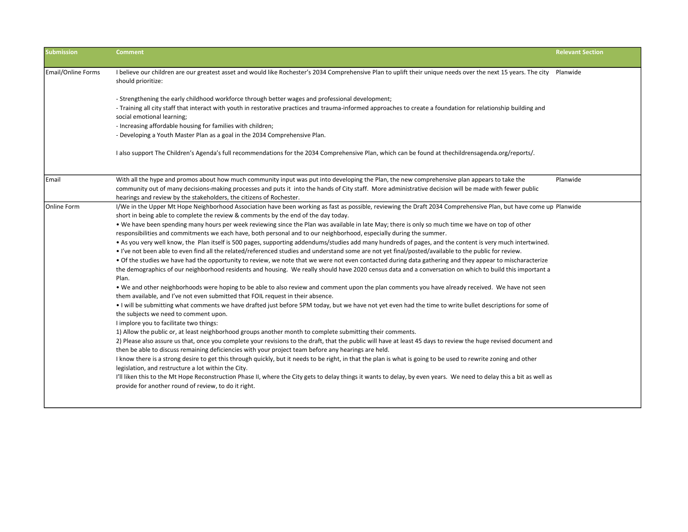| <b>Submission</b>  | <b>Comment</b>                                                                                                                                                                                                                                                          | <b>Relevant Section</b> |
|--------------------|-------------------------------------------------------------------------------------------------------------------------------------------------------------------------------------------------------------------------------------------------------------------------|-------------------------|
| Email/Online Forms | I believe our children are our greatest asset and would like Rochester's 2034 Comprehensive Plan to uplift their unique needs over the next 15 years. The city<br>should prioritize:                                                                                    | Planwide                |
|                    | - Strengthening the early childhood workforce through better wages and professional development;                                                                                                                                                                        |                         |
|                    | - Training all city staff that interact with youth in restorative practices and trauma-informed approaches to create a foundation for relationship building and<br>social emotional learning;                                                                           |                         |
|                    | - Increasing affordable housing for families with children;<br>- Developing a Youth Master Plan as a goal in the 2034 Comprehensive Plan.                                                                                                                               |                         |
|                    | I also support The Children's Agenda's full recommendations for the 2034 Comprehensive Plan, which can be found at thechildrensagenda.org/reports/.                                                                                                                     |                         |
| Email              | With all the hype and promos about how much community input was put into developing the Plan, the new comprehensive plan appears to take the                                                                                                                            | Planwide                |
|                    | community out of many decisions-making processes and puts it into the hands of City staff. More administrative decision will be made with fewer public<br>hearings and review by the stakeholders, the citizens of Rochester.                                           |                         |
| Online Form        | I/We in the Upper Mt Hope Neighborhood Association have been working as fast as possible, reviewing the Draft 2034 Comprehensive Plan, but have come up Planwide<br>short in being able to complete the review & comments by the end of the day today.                  |                         |
|                    | . We have been spending many hours per week reviewing since the Plan was available in late May; there is only so much time we have on top of other                                                                                                                      |                         |
|                    | responsibilities and commitments we each have, both personal and to our neighborhood, especially during the summer.                                                                                                                                                     |                         |
|                    | • As you very well know, the Plan itself is 500 pages, supporting addendums/studies add many hundreds of pages, and the content is very much intertwined.                                                                                                               |                         |
|                    | • I've not been able to even find all the related/referenced studies and understand some are not yet final/posted/available to the public for review.                                                                                                                   |                         |
|                    | • Of the studies we have had the opportunity to review, we note that we were not even contacted during data gathering and they appear to mischaracterize                                                                                                                |                         |
|                    | the demographics of our neighborhood residents and housing. We really should have 2020 census data and a conversation on which to build this important a<br>Plan.                                                                                                       |                         |
|                    | . We and other neighborhoods were hoping to be able to also review and comment upon the plan comments you have already received. We have not seen<br>them available, and I've not even submitted that FOIL request in their absence.                                    |                         |
|                    | . I will be submitting what comments we have drafted just before 5PM today, but we have not yet even had the time to write bullet descriptions for some of<br>the subjects we need to comment upon.<br>I implore you to facilitate two things:                          |                         |
|                    | 1) Allow the public or, at least neighborhood groups another month to complete submitting their comments.                                                                                                                                                               |                         |
|                    | 2) Please also assure us that, once you complete your revisions to the draft, that the public will have at least 45 days to review the huge revised document and<br>then be able to discuss remaining deficiencies with your project team before any hearings are held. |                         |
|                    | I know there is a strong desire to get this through quickly, but it needs to be right, in that the plan is what is going to be used to rewrite zoning and other<br>legislation, and restructure a lot within the City.                                                  |                         |
|                    | I'll liken this to the Mt Hope Reconstruction Phase II, where the City gets to delay things it wants to delay, by even years. We need to delay this a bit as well as<br>provide for another round of review, to do it right.                                            |                         |
|                    |                                                                                                                                                                                                                                                                         |                         |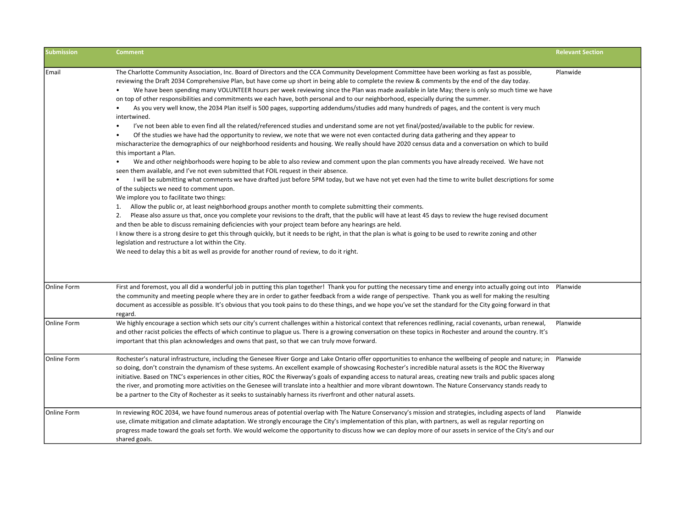| <b>Submission</b>  | <b>Comment</b>                                                                                                                                                                                                                                                                                                                                                                                                                                                                                                                                                                                                                                                                                                                                                                                                                                                                                                                                                                                                                                                                                                                                                                                                                                                                                                                                                                                                                                                                                                                                                                                                                                                                                                                                                                                                                                                                                                                                                                                                                                                                                                                                                                                                                                                                                                                                                                                                                                                                                                                    | <b>Relevant Section</b> |
|--------------------|-----------------------------------------------------------------------------------------------------------------------------------------------------------------------------------------------------------------------------------------------------------------------------------------------------------------------------------------------------------------------------------------------------------------------------------------------------------------------------------------------------------------------------------------------------------------------------------------------------------------------------------------------------------------------------------------------------------------------------------------------------------------------------------------------------------------------------------------------------------------------------------------------------------------------------------------------------------------------------------------------------------------------------------------------------------------------------------------------------------------------------------------------------------------------------------------------------------------------------------------------------------------------------------------------------------------------------------------------------------------------------------------------------------------------------------------------------------------------------------------------------------------------------------------------------------------------------------------------------------------------------------------------------------------------------------------------------------------------------------------------------------------------------------------------------------------------------------------------------------------------------------------------------------------------------------------------------------------------------------------------------------------------------------------------------------------------------------------------------------------------------------------------------------------------------------------------------------------------------------------------------------------------------------------------------------------------------------------------------------------------------------------------------------------------------------------------------------------------------------------------------------------------------------|-------------------------|
| Email              | The Charlotte Community Association, Inc. Board of Directors and the CCA Community Development Committee have been working as fast as possible,<br>reviewing the Draft 2034 Comprehensive Plan, but have come up short in being able to complete the review & comments by the end of the day today.<br>We have been spending many VOLUNTEER hours per week reviewing since the Plan was made available in late May; there is only so much time we have<br>on top of other responsibilities and commitments we each have, both personal and to our neighborhood, especially during the summer.<br>As you very well know, the 2034 Plan itself is 500 pages, supporting addendums/studies add many hundreds of pages, and the content is very much<br>$\bullet$<br>intertwined.<br>I've not been able to even find all the related/referenced studies and understand some are not yet final/posted/available to the public for review.<br>$\bullet$<br>Of the studies we have had the opportunity to review, we note that we were not even contacted during data gathering and they appear to<br>$\bullet$<br>mischaracterize the demographics of our neighborhood residents and housing. We really should have 2020 census data and a conversation on which to build<br>this important a Plan.<br>We and other neighborhoods were hoping to be able to also review and comment upon the plan comments you have already received. We have not<br>$\bullet$<br>seen them available, and I've not even submitted that FOIL request in their absence.<br>I will be submitting what comments we have drafted just before 5PM today, but we have not yet even had the time to write bullet descriptions for some<br>$\bullet$<br>of the subjects we need to comment upon.<br>We implore you to facilitate two things:<br>1. Allow the public or, at least neighborhood groups another month to complete submitting their comments.<br>Please also assure us that, once you complete your revisions to the draft, that the public will have at least 45 days to review the huge revised document<br>2.<br>and then be able to discuss remaining deficiencies with your project team before any hearings are held.<br>I know there is a strong desire to get this through quickly, but it needs to be right, in that the plan is what is going to be used to rewrite zoning and other<br>legislation and restructure a lot within the City.<br>We need to delay this a bit as well as provide for another round of review, to do it right. | Planwide                |
| Online Form        | First and foremost, you all did a wonderful job in putting this plan together! Thank you for putting the necessary time and energy into actually going out into Planwide<br>the community and meeting people where they are in order to gather feedback from a wide range of perspective. Thank you as well for making the resulting<br>document as accessible as possible. It's obvious that you took pains to do these things, and we hope you've set the standard for the City going forward in that<br>regard.                                                                                                                                                                                                                                                                                                                                                                                                                                                                                                                                                                                                                                                                                                                                                                                                                                                                                                                                                                                                                                                                                                                                                                                                                                                                                                                                                                                                                                                                                                                                                                                                                                                                                                                                                                                                                                                                                                                                                                                                                |                         |
| Online Form        | We highly encourage a section which sets our city's current challenges within a historical context that references redlining, racial covenants, urban renewal,<br>and other racist policies the effects of which continue to plague us. There is a growing conversation on these topics in Rochester and around the country. It's<br>important that this plan acknowledges and owns that past, so that we can truly move forward.                                                                                                                                                                                                                                                                                                                                                                                                                                                                                                                                                                                                                                                                                                                                                                                                                                                                                                                                                                                                                                                                                                                                                                                                                                                                                                                                                                                                                                                                                                                                                                                                                                                                                                                                                                                                                                                                                                                                                                                                                                                                                                 | Planwide                |
| Online Form        | Rochester's natural infrastructure, including the Genesee River Gorge and Lake Ontario offer opportunities to enhance the wellbeing of people and nature; in Planwide<br>so doing, don't constrain the dynamism of these systems. An excellent example of showcasing Rochester's incredible natural assets is the ROC the Riverway<br>initiative. Based on TNC's experiences in other cities, ROC the Riverway's goals of expanding access to natural areas, creating new trails and public spaces along<br>the river, and promoting more activities on the Genesee will translate into a healthier and more vibrant downtown. The Nature Conservancy stands ready to<br>be a partner to the City of Rochester as it seeks to sustainably harness its riverfront and other natural assets.                                                                                                                                                                                                                                                                                                                                                                                                                                                                                                                                                                                                                                                                                                                                                                                                                                                                                                                                                                                                                                                                                                                                                                                                                                                                                                                                                                                                                                                                                                                                                                                                                                                                                                                                        |                         |
| <b>Online Form</b> | In reviewing ROC 2034, we have found numerous areas of potential overlap with The Nature Conservancy's mission and strategies, including aspects of land<br>use, climate mitigation and climate adaptation. We strongly encourage the City's implementation of this plan, with partners, as well as regular reporting on<br>progress made toward the goals set forth. We would welcome the opportunity to discuss how we can deploy more of our assets in service of the City's and our<br>shared goals.                                                                                                                                                                                                                                                                                                                                                                                                                                                                                                                                                                                                                                                                                                                                                                                                                                                                                                                                                                                                                                                                                                                                                                                                                                                                                                                                                                                                                                                                                                                                                                                                                                                                                                                                                                                                                                                                                                                                                                                                                          | Planwide                |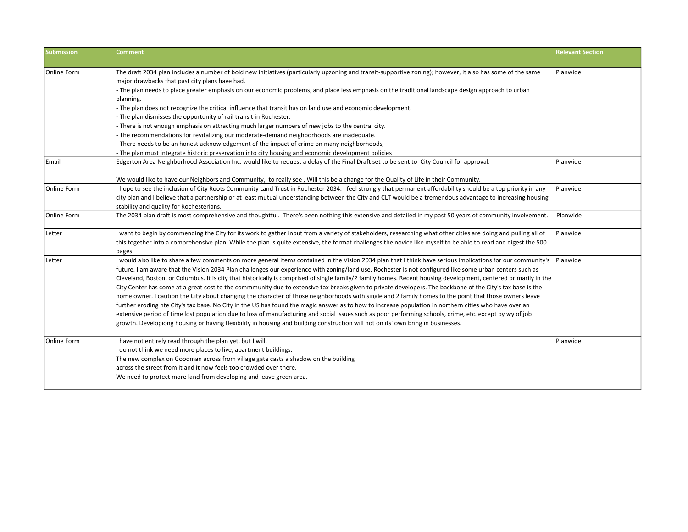| <b>Submission</b>  | <b>Comment</b>                                                                                                                                                                                       | <b>Relevant Section</b> |
|--------------------|------------------------------------------------------------------------------------------------------------------------------------------------------------------------------------------------------|-------------------------|
| Online Form        | The draft 2034 plan includes a number of bold new initiatives (particularly upzoning and transit-supportive zoning); however, it also has some of the same                                           | Planwide                |
|                    | major drawbacks that past city plans have had.<br>- The plan needs to place greater emphasis on our economic problems, and place less emphasis on the traditional landscape design approach to urban |                         |
|                    | planning.                                                                                                                                                                                            |                         |
|                    | - The plan does not recognize the critical influence that transit has on land use and economic development.                                                                                          |                         |
|                    | - The plan dismisses the opportunity of rail transit in Rochester.                                                                                                                                   |                         |
|                    | - There is not enough emphasis on attracting much larger numbers of new jobs to the central city.                                                                                                    |                         |
|                    | - The recommendations for revitalizing our moderate-demand neighborhoods are inadequate.                                                                                                             |                         |
|                    | - There needs to be an honest acknowledgement of the impact of crime on many neighborhoods,                                                                                                          |                         |
|                    | - The plan must integrate historic preservation into city housing and economic development policies                                                                                                  |                         |
| Email              | Edgerton Area Neighborhood Association Inc. would like to request a delay of the Final Draft set to be sent to City Council for approval.                                                            | Planwide                |
|                    | We would like to have our Neighbors and Community, to really see, Will this be a change for the Quality of Life in their Community.                                                                  |                         |
| Online Form        | I hope to see the inclusion of City Roots Community Land Trust in Rochester 2034. I feel strongly that permanent affordability should be a top priority in any                                       | Planwide                |
|                    | city plan and I believe that a partnership or at least mutual understanding between the City and CLT would be a tremendous advantage to increasing housing                                           |                         |
|                    | stability and quality for Rochesterians.                                                                                                                                                             |                         |
| <b>Online Form</b> | The 2034 plan draft is most comprehensive and thoughtful. There's been nothing this extensive and detailed in my past 50 years of community involvement.                                             | Planwide                |
| Letter             | I want to begin by commending the City for its work to gather input from a variety of stakeholders, researching what other cities are doing and pulling all of                                       | Planwide                |
|                    | this together into a comprehensive plan. While the plan is quite extensive, the format challenges the novice like myself to be able to read and digest the 500                                       |                         |
|                    | pages                                                                                                                                                                                                |                         |
| Letter             | I would also like to share a few comments on more general items contained in the Vision 2034 plan that I think have serious implications for our community's Planwide                                |                         |
|                    | future. I am aware that the Vision 2034 Plan challenges our experience with zoning/land use. Rochester is not configured like some urban centers such as                                             |                         |
|                    | Cleveland, Boston, or Columbus. It is city that historically is comprised of single family/2 family homes. Recent housing development, centered primarily in the                                     |                         |
|                    | City Center has come at a great cost to the commmunity due to extensive tax breaks given to private developers. The backbone of the City's tax base is the                                           |                         |
|                    | home owner. I caution the City about changing the character of those neighborhoods with single and 2 family homes to the point that those owners leave                                               |                         |
|                    | further eroding hte City's tax base. No City in the US has found the magic answer as to how to increase population in northern cities who have over an                                               |                         |
|                    | extensive period of time lost population due to loss of manufacturing and social issues such as poor performing schools, crime, etc. except by wy of job                                             |                         |
|                    | growth. Developiong housing or having flexibility in housing and building construction will not on its' own bring in businesses.                                                                     |                         |
| Online Form        | I have not entirely read through the plan yet, but I will.                                                                                                                                           | Planwide                |
|                    | I do not think we need more places to live, apartment buildings.                                                                                                                                     |                         |
|                    | The new complex on Goodman across from village gate casts a shadow on the building                                                                                                                   |                         |
|                    | across the street from it and it now feels too crowded over there.                                                                                                                                   |                         |
|                    | We need to protect more land from developing and leave green area.                                                                                                                                   |                         |
|                    |                                                                                                                                                                                                      |                         |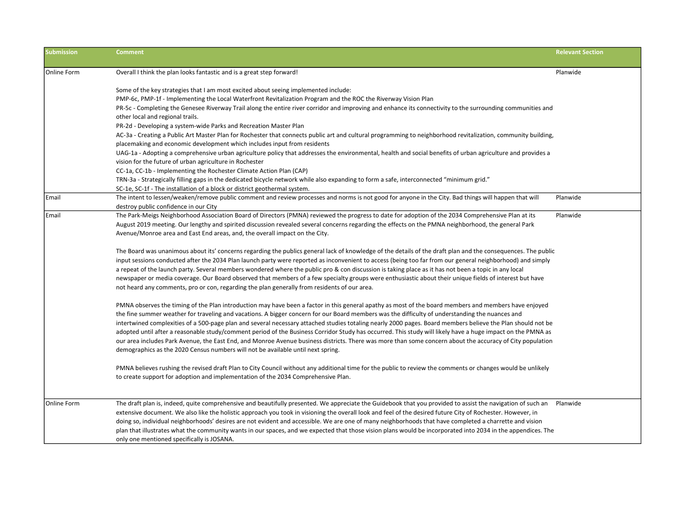| <b>Submission</b> | <b>Comment</b>                                                                                                                                                                              | <b>Relevant Section</b> |
|-------------------|---------------------------------------------------------------------------------------------------------------------------------------------------------------------------------------------|-------------------------|
| Online Form       | Overall I think the plan looks fantastic and is a great step forward!                                                                                                                       | Planwide                |
|                   | Some of the key strategies that I am most excited about seeing implemented include:                                                                                                         |                         |
|                   | PMP-6c, PMP-1f - Implementing the Local Waterfront Revitalization Program and the ROC the Riverway Vision Plan                                                                              |                         |
|                   | PR-5c - Completing the Genesee Riverway Trail along the entire river corridor and improving and enhance its connectivity to the surrounding communities and                                 |                         |
|                   | other local and regional trails.                                                                                                                                                            |                         |
|                   | PR-2d - Developing a system-wide Parks and Recreation Master Plan                                                                                                                           |                         |
|                   | AC-3a - Creating a Public Art Master Plan for Rochester that connects public art and cultural programming to neighborhood revitalization, community building,                               |                         |
|                   | placemaking and economic development which includes input from residents                                                                                                                    |                         |
|                   | UAG-1a - Adopting a comprehensive urban agriculture policy that addresses the environmental, health and social benefits of urban agriculture and provides a                                 |                         |
|                   | vision for the future of urban agriculture in Rochester                                                                                                                                     |                         |
|                   | CC-1a, CC-1b - Implementing the Rochester Climate Action Plan (CAP)                                                                                                                         |                         |
|                   | TRN-3a - Strategically filling gaps in the dedicated bicycle network while also expanding to form a safe, interconnected "minimum grid."                                                    |                         |
|                   | SC-1e, SC-1f - The installation of a block or district geothermal system.                                                                                                                   |                         |
| Email             | The intent to lessen/weaken/remove public comment and review processes and norms is not good for anyone in the City. Bad things will happen that will                                       | Planwide                |
| <b>IEmail</b>     | destroy public confidence in our City<br>The Park-Meigs Neighborhood Association Board of Directors (PMNA) reviewed the progress to date for adoption of the 2034 Comprehensive Plan at its | Planwide                |
|                   | August 2019 meeting. Our lengthy and spirited discussion revealed several concerns regarding the effects on the PMNA neighborhood, the general Park                                         |                         |
|                   | Avenue/Monroe area and East End areas, and, the overall impact on the City.                                                                                                                 |                         |
|                   |                                                                                                                                                                                             |                         |
|                   | The Board was unanimous about its' concerns regarding the publics general lack of knowledge of the details of the draft plan and the consequences. The public                               |                         |
|                   | input sessions conducted after the 2034 Plan launch party were reported as inconvenient to access (being too far from our general neighborhood) and simply                                  |                         |
|                   | a repeat of the launch party. Several members wondered where the public pro & con discussion is taking place as it has not been a topic in any local                                        |                         |
|                   | newspaper or media coverage. Our Board observed that members of a few specialty groups were enthusiastic about their unique fields of interest but have                                     |                         |
|                   | not heard any comments, pro or con, regarding the plan generally from residents of our area.                                                                                                |                         |
|                   | PMNA observes the timing of the Plan introduction may have been a factor in this general apathy as most of the board members and members have enjoyed                                       |                         |
|                   | the fine summer weather for traveling and vacations. A bigger concern for our Board members was the difficulty of understanding the nuances and                                             |                         |
|                   | intertwined complexities of a 500-page plan and several necessary attached studies totaling nearly 2000 pages. Board members believe the Plan should not be                                 |                         |
|                   | adopted until after a reasonable study/comment period of the Business Corridor Study has occurred. This study will likely have a huge impact on the PMNA as                                 |                         |
|                   | our area includes Park Avenue, the East End, and Monroe Avenue business districts. There was more than some concern about the accuracy of City population                                   |                         |
|                   | demographics as the 2020 Census numbers will not be available until next spring.                                                                                                            |                         |
|                   | PMNA believes rushing the revised draft Plan to City Council without any additional time for the public to review the comments or changes would be unlikely                                 |                         |
|                   | to create support for adoption and implementation of the 2034 Comprehensive Plan.                                                                                                           |                         |
|                   |                                                                                                                                                                                             |                         |
| Online Form       | The draft plan is, indeed, quite comprehensive and beautifully presented. We appreciate the Guidebook that you provided to assist the navigation of such an Planwide                        |                         |
|                   | extensive document. We also like the holistic approach you took in visioning the overall look and feel of the desired future City of Rochester. However, in                                 |                         |
|                   | doing so, individual neighborhoods' desires are not evident and accessible. We are one of many neighborhoods that have completed a charrette and vision                                     |                         |
|                   | plan that illustrates what the community wants in our spaces, and we expected that those vision plans would be incorporated into 2034 in the appendices. The                                |                         |
|                   | only one mentioned specifically is JOSANA.                                                                                                                                                  |                         |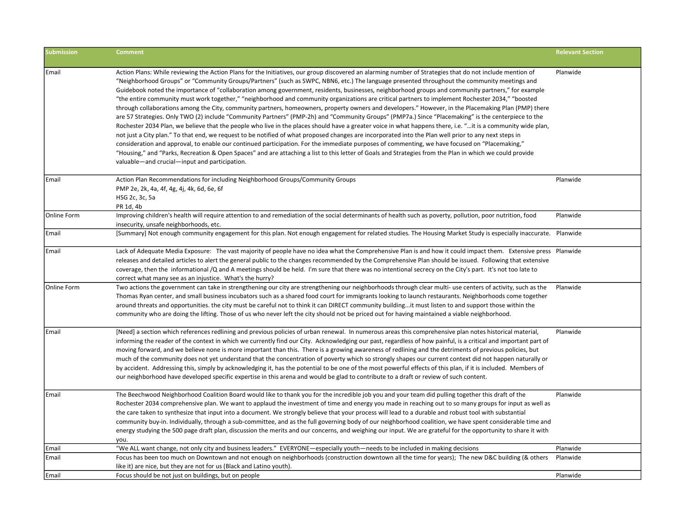| <b>Submission</b>  | <b>Comment</b>                                                                                                                                                                                                                                                                                                                                                                                                                                                                                                                                                                                                                                                                                                                                                                                                                                                                                                                                                                                                                                                                                                                                                                                                                                                                                                                                                                                                                                                                                                                                                                                                             | <b>Relevant Section</b> |
|--------------------|----------------------------------------------------------------------------------------------------------------------------------------------------------------------------------------------------------------------------------------------------------------------------------------------------------------------------------------------------------------------------------------------------------------------------------------------------------------------------------------------------------------------------------------------------------------------------------------------------------------------------------------------------------------------------------------------------------------------------------------------------------------------------------------------------------------------------------------------------------------------------------------------------------------------------------------------------------------------------------------------------------------------------------------------------------------------------------------------------------------------------------------------------------------------------------------------------------------------------------------------------------------------------------------------------------------------------------------------------------------------------------------------------------------------------------------------------------------------------------------------------------------------------------------------------------------------------------------------------------------------------|-------------------------|
| Email              | Action Plans: While reviewing the Action Plans for the Initiatives, our group discovered an alarming number of Strategies that do not include mention of<br>"Neighborhood Groups" or "Community Groups/Partners" (such as SWPC, NBN6, etc.) The language presented throughout the community meetings and<br>Guidebook noted the importance of "collaboration among government, residents, businesses, neighborhood groups and community partners," for example<br>"the entire community must work together," "neighborhood and community organizations are critical partners to implement Rochester 2034," "boosted<br>through collaborations among the City, community partners, homeowners, property owners and developers." However, in the Placemaking Plan (PMP) there<br>are 57 Strategies. Only TWO (2) include "Community Partners" (PMP-2h) and "Community Groups" (PMP7a.) Since "Placemaking" is the centerpiece to the<br>Rochester 2034 Plan, we believe that the people who live in the places should have a greater voice in what happens there, i.e. "it is a community wide plan,<br>not just a City plan." To that end, we request to be notified of what proposed changes are incorporated into the Plan well prior to any next steps in<br>consideration and approval, to enable our continued participation. For the immediate purposes of commenting, we have focused on "Placemaking,"<br>"Housing," and "Parks, Recreation & Open Spaces" and are attaching a list to this letter of Goals and Strategies from the Plan in which we could provide<br>valuable—and crucial—input and participation. | Planwide                |
| Email              | Action Plan Recommendations for including Neighborhood Groups/Community Groups<br>PMP 2e, 2k, 4a, 4f, 4g, 4j, 4k, 6d, 6e, 6f<br>HSG 2c, 3c, 5a<br>PR 1d, 4b                                                                                                                                                                                                                                                                                                                                                                                                                                                                                                                                                                                                                                                                                                                                                                                                                                                                                                                                                                                                                                                                                                                                                                                                                                                                                                                                                                                                                                                                | Planwide                |
| Online Form        | Improving children's health will require attention to and remediation of the social determinants of health such as poverty, pollution, poor nutrition, food<br>insecurity, unsafe neighborhoods, etc.                                                                                                                                                                                                                                                                                                                                                                                                                                                                                                                                                                                                                                                                                                                                                                                                                                                                                                                                                                                                                                                                                                                                                                                                                                                                                                                                                                                                                      | Planwide                |
| Email              | [Summary] Not enough community engagement for this plan. Not enough engagement for related studies. The Housing Market Study is especially inaccurate. Planwide                                                                                                                                                                                                                                                                                                                                                                                                                                                                                                                                                                                                                                                                                                                                                                                                                                                                                                                                                                                                                                                                                                                                                                                                                                                                                                                                                                                                                                                            |                         |
| Email              | Lack of Adequate Media Exposure: The vast majority of people have no idea what the Comprehensive Plan is and how it could impact them. Extensive press Planwide<br>releases and detailed articles to alert the general public to the changes recommended by the Comprehensive Plan should be issued. Following that extensive<br>coverage, then the informational /Q and A meetings should be held. I'm sure that there was no intentional secrecy on the City's part. It's not too late to<br>correct what many see as an injustice. What's the hurry?                                                                                                                                                                                                                                                                                                                                                                                                                                                                                                                                                                                                                                                                                                                                                                                                                                                                                                                                                                                                                                                                    |                         |
| <b>Online Form</b> | Two actions the government can take in strengthening our city are strengthening our neighborhoods through clear multi- use centers of activity, such as the<br>Thomas Ryan center, and small business incubators such as a shared food court for immigrants looking to launch restaurants. Neighborhoods come together<br>around threats and opportunities. the city must be careful not to think it can DIRECT community buildingit must listen to and support those within the<br>community who are doing the lifting. Those of us who never left the city should not be priced out for having maintained a viable neighborhood.                                                                                                                                                                                                                                                                                                                                                                                                                                                                                                                                                                                                                                                                                                                                                                                                                                                                                                                                                                                         | Planwide                |
| <b>Email</b>       | [Need] a section which references redlining and previous policies of urban renewal. In numerous areas this comprehensive plan notes historical material,<br>informing the reader of the context in which we currently find our City. Acknowledging our past, regardless of how painful, is a critical and important part of<br>moving forward, and we believe none is more important than this. There is a growing awareness of redlining and the detriments of previous policies, but<br>much of the community does not yet understand that the concentration of poverty which so strongly shapes our current context did not happen naturally or<br>by accident. Addressing this, simply by acknowledging it, has the potential to be one of the most powerful effects of this plan, if it is included. Members of<br>our neighborhood have developed specific expertise in this arena and would be glad to contribute to a draft or review of such content.                                                                                                                                                                                                                                                                                                                                                                                                                                                                                                                                                                                                                                                             | Planwide                |
| Email              | The Beechwood Neighborhood Coalition Board would like to thank you for the incredible job you and your team did pulling together this draft of the<br>Rochester 2034 comprehensive plan. We want to applaud the investment of time and energy you made in reaching out to so many groups for input as well as<br>the care taken to synthesize that input into a document. We strongly believe that your process will lead to a durable and robust tool with substantial<br>community buy-in. Individually, through a sub-committee, and as the full governing body of our neighborhood coalition, we have spent considerable time and<br>energy studying the 500 page draft plan, discussion the merits and our concerns, and weighing our input. We are grateful for the opportunity to share it with<br>you.                                                                                                                                                                                                                                                                                                                                                                                                                                                                                                                                                                                                                                                                                                                                                                                                             | Planwide                |
| Email              | "We ALL want change, not only city and business leaders." EVERYONE—especially youth—needs to be included in making decisions                                                                                                                                                                                                                                                                                                                                                                                                                                                                                                                                                                                                                                                                                                                                                                                                                                                                                                                                                                                                                                                                                                                                                                                                                                                                                                                                                                                                                                                                                               | Planwide                |
| Email              | Focus has been too much on Downtown and not enough on neighborhoods (construction downtown all the time for years); The new D&C building (& others<br>like it) are nice, but they are not for us (Black and Latino youth).                                                                                                                                                                                                                                                                                                                                                                                                                                                                                                                                                                                                                                                                                                                                                                                                                                                                                                                                                                                                                                                                                                                                                                                                                                                                                                                                                                                                 | Planwide                |
| Email              | Focus should be not just on buildings, but on people                                                                                                                                                                                                                                                                                                                                                                                                                                                                                                                                                                                                                                                                                                                                                                                                                                                                                                                                                                                                                                                                                                                                                                                                                                                                                                                                                                                                                                                                                                                                                                       | Planwide                |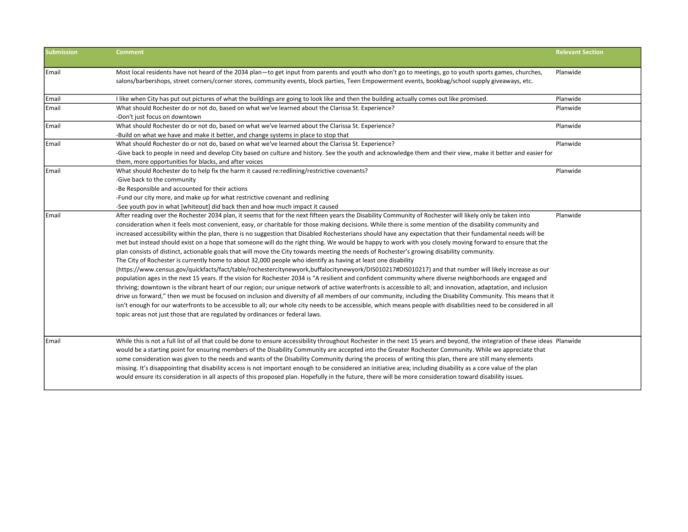| <b>Submission</b> | <b>Comment</b>                                                                                                                                                                | <b>Relevant Section</b> |
|-------------------|-------------------------------------------------------------------------------------------------------------------------------------------------------------------------------|-------------------------|
| Email             | Most local residents have not heard of the 2034 plan-to get input from parents and youth who don't go to meetings, go to youth sports games, churches,                        | Planwide                |
|                   | salons/barbershops, street corners/corner stores, community events, block parties, Teen Empowerment events, bookbag/school supply giveaways, etc.                             |                         |
| Email             | I like when City has put out pictures of what the buildings are going to look like and then the building actually comes out like promised.                                    | Planwide                |
| Email             | What should Rochester do or not do, based on what we've learned about the Clarissa St. Experience?                                                                            | Planwide                |
|                   | -Don't just focus on downtown                                                                                                                                                 |                         |
| Email             | What should Rochester do or not do, based on what we've learned about the Clarissa St. Experience?                                                                            | Planwide                |
|                   | -Build on what we have and make it better, and change systems in place to stop that                                                                                           |                         |
| Email             | What should Rochester do or not do, based on what we've learned about the Clarissa St. Experience?                                                                            | Planwide                |
|                   | -Give back to people in need and develop City based on culture and history. See the youth and acknowledge them and their view, make it better and easier for                  |                         |
|                   | them, more opportunities for blacks, and after voices                                                                                                                         |                         |
| Email             | What should Rochester do to help fix the harm it caused re:redlining/restrictive covenants?                                                                                   | Planwide                |
|                   | -Give back to the community                                                                                                                                                   |                         |
|                   | -Be Responsible and accounted for their actions                                                                                                                               |                         |
|                   | -Fund our city more, and make up for what restrictive covenant and redlining                                                                                                  |                         |
|                   | -See youth pov in what [whiteout] did back then and how much impact it caused                                                                                                 |                         |
| l Email           | After reading over the Rochester 2034 plan, it seems that for the next fifteen years the Disability Community of Rochester will likely only be taken into                     | Planwide                |
|                   | consideration when it feels most convenient, easy, or charitable for those making decisions. While there is some mention of the disability community and                      |                         |
|                   | increased accessibility within the plan, there is no suggestion that Disabled Rochesterians should have any expectation that their fundamental needs will be                  |                         |
|                   | met but instead should exist on a hope that someone will do the right thing. We would be happy to work with you closely moving forward to ensure that the                     |                         |
|                   | plan consists of distinct, actionable goals that will move the City towards meeting the needs of Rochester's growing disability community.                                    |                         |
|                   | The City of Rochester is currently home to about 32,000 people who identify as having at least one disability                                                                 |                         |
|                   | (https://www.census.gov/quickfacts/fact/table/rochestercitynewyork,buffalocitynewyork/DIS010217#DIS010217) and that number will likely increase as our                        |                         |
|                   | population ages in the next 15 years. If the vision for Rochester 2034 is "A resilient and confident community where diverse neighborhoods are engaged and                    |                         |
|                   | thriving; downtown is the vibrant heart of our region; our unique network of active waterfronts is accessible to all; and innovation, adaptation, and inclusion               |                         |
|                   | drive us forward," then we must be focused on inclusion and diversity of all members of our community, including the Disability Community. This means that it                 |                         |
|                   | isn't enough for our waterfronts to be accessible to all; our whole city needs to be accessible, which means people with disabilities need to be considered in all            |                         |
|                   | topic areas not just those that are regulated by ordinances or federal laws.                                                                                                  |                         |
|                   |                                                                                                                                                                               |                         |
| Email             | While this is not a full list of all that could be done to ensure accessibility throughout Rochester in the next 15 years and beyond, the integration of these ideas Planwide |                         |
|                   | would be a starting point for ensuring members of the Disability Community are accepted into the Greater Rochester Community. While we appreciate that                        |                         |
|                   | some consideration was given to the needs and wants of the Disability Community during the process of writing this plan, there are still many elements                        |                         |
|                   | missing. It's disappointing that disability access is not important enough to be considered an initiative area; including disability as a core value of the plan              |                         |
|                   | would ensure its consideration in all aspects of this proposed plan. Hopefully in the future, there will be more consideration toward disability issues.                      |                         |